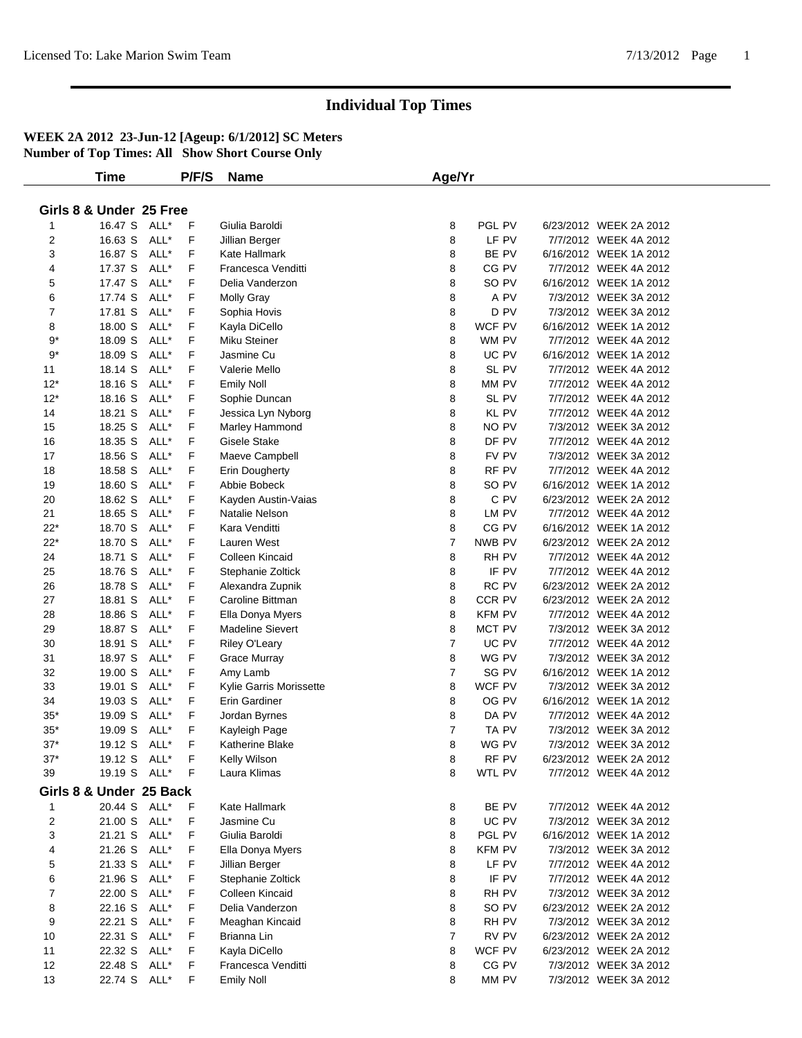|                         | Time           |      | P/F/S       | <b>Name</b>             | Age/Yr         |               |                        |  |
|-------------------------|----------------|------|-------------|-------------------------|----------------|---------------|------------------------|--|
|                         |                |      |             |                         |                |               |                        |  |
| Girls 8 & Under 25 Free |                |      |             |                         |                |               |                        |  |
| 1                       | 16.47 S ALL*   |      | F           | Giulia Baroldi          | 8              | PGL PV        | 6/23/2012 WEEK 2A 2012 |  |
| $\overline{c}$          | 16.63 S        | ALL* | F           | Jillian Berger          | 8              | LF PV         | 7/7/2012 WEEK 4A 2012  |  |
| 3                       | 16.87 S ALL*   |      | F           | Kate Hallmark           | 8              | BE PV         | 6/16/2012 WEEK 1A 2012 |  |
| 4                       | 17.37 S ALL*   |      | F           | Francesca Venditti      | 8              | CG PV         | 7/7/2012 WEEK 4A 2012  |  |
| 5                       | 17.47 S        | ALL* | F           | Delia Vanderzon         | 8              | SO PV         | 6/16/2012 WEEK 1A 2012 |  |
| 6                       | 17.74 S        | ALL* | F           | <b>Molly Gray</b>       | 8              | A PV          | 7/3/2012 WEEK 3A 2012  |  |
| $\overline{7}$          | 17.81 S        | ALL* | F           | Sophia Hovis            | 8              | D PV          | 7/3/2012 WEEK 3A 2012  |  |
| 8                       | 18.00 S        | ALL* | F           | Kayla DiCello           | 8              | WCF PV        | 6/16/2012 WEEK 1A 2012 |  |
| 9*                      | 18.09 S        | ALL* | F           | Miku Steiner            | 8              | WM PV         | 7/7/2012 WEEK 4A 2012  |  |
| $9*$                    | 18.09 S        | ALL* | F           | Jasmine Cu              | 8              | UC PV         | 6/16/2012 WEEK 1A 2012 |  |
| 11                      | 18.14 S        | ALL* | F           | Valerie Mello           | 8              | SL PV         | 7/7/2012 WEEK 4A 2012  |  |
| $12*$                   | 18.16 S        | ALL* | F           | <b>Emily Noll</b>       | 8              | MM PV         | 7/7/2012 WEEK 4A 2012  |  |
| $12*$                   | 18.16 S        | ALL* | F           | Sophie Duncan           | 8              | SL PV         | 7/7/2012 WEEK 4A 2012  |  |
| 14                      | 18.21 S        | ALL* | F           | Jessica Lyn Nyborg      | 8              | <b>KL PV</b>  | 7/7/2012 WEEK 4A 2012  |  |
| 15                      | 18.25 S        | ALL* | F           | Marley Hammond          | 8              | NO PV         | 7/3/2012 WEEK 3A 2012  |  |
| 16                      | 18.35 S        | ALL* | F           | <b>Gisele Stake</b>     | 8              | DF PV         | 7/7/2012 WEEK 4A 2012  |  |
| 17                      | 18.56 S        | ALL* | F           | Maeve Campbell          | 8              | FV PV         | 7/3/2012 WEEK 3A 2012  |  |
| 18                      | 18.58 S        | ALL* | F           | <b>Erin Dougherty</b>   | 8              | RF PV         | 7/7/2012 WEEK 4A 2012  |  |
| 19                      | 18.60 S        | ALL* | F           | Abbie Bobeck            | 8              | SO PV         | 6/16/2012 WEEK 1A 2012 |  |
| 20                      | 18.62 S        | ALL* | F           | Kayden Austin-Vaias     | 8              | C PV          | 6/23/2012 WEEK 2A 2012 |  |
| 21                      | 18.65 S        | ALL* | F           | Natalie Nelson          | 8              | LM PV         | 7/7/2012 WEEK 4A 2012  |  |
| $22*$                   | 18.70 S        | ALL* | F           | Kara Venditti           | 8              | CG PV         | 6/16/2012 WEEK 1A 2012 |  |
| $22*$                   | 18.70 S        | ALL* | F           | Lauren West             | $\overline{7}$ | NWB PV        | 6/23/2012 WEEK 2A 2012 |  |
| 24                      | 18.71 S        | ALL* | F           | Colleen Kincaid         | 8              | RH PV         | 7/7/2012 WEEK 4A 2012  |  |
| 25                      | 18.76 S        | ALL* | F           | Stephanie Zoltick       | 8              | IF PV         | 7/7/2012 WEEK 4A 2012  |  |
| 26                      | 18.78 S        | ALL* | F           | Alexandra Zupnik        | 8              | RC PV         | 6/23/2012 WEEK 2A 2012 |  |
| 27                      | 18.81 S        | ALL* | F           | Caroline Bittman        | 8              | CCR PV        | 6/23/2012 WEEK 2A 2012 |  |
| 28                      | 18.86 S        | ALL* | F           | Ella Donya Myers        | 8              | <b>KFM PV</b> | 7/7/2012 WEEK 4A 2012  |  |
| 29                      | 18.87 S        | ALL* | F           | <b>Madeline Sievert</b> | 8              | MCT PV        | 7/3/2012 WEEK 3A 2012  |  |
| 30                      | 18.91 S        | ALL* | F           | Riley O'Leary           | $\overline{7}$ | UC PV         | 7/7/2012 WEEK 4A 2012  |  |
| 31                      | 18.97 S        | ALL* | F           | <b>Grace Murray</b>     | 8              | WG PV         | 7/3/2012 WEEK 3A 2012  |  |
| 32                      | 19.00 S        | ALL* | F           | Amy Lamb                | $\overline{7}$ | SG PV         | 6/16/2012 WEEK 1A 2012 |  |
| 33                      | 19.01 S        | ALL* | F           | Kylie Garris Morissette | 8              | WCF PV        | 7/3/2012 WEEK 3A 2012  |  |
| 34                      | 19.03 S        | ALL* | F           | Erin Gardiner           | 8              | OG PV         | 6/16/2012 WEEK 1A 2012 |  |
| $35*$                   | 19.09 S        | ALL* | F           | Jordan Byrnes           | 8              | DA PV         | 7/7/2012 WEEK 4A 2012  |  |
| $35*$                   | 19.09 S        | ALL* | F           | Kayleigh Page           | $\overline{7}$ | TA PV         | 7/3/2012 WEEK 3A 2012  |  |
| $37*$                   | 19.12 S ALL*   |      | F           | <b>Katherine Blake</b>  | 8              | WG PV         | 7/3/2012 WEEK 3A 2012  |  |
| $37*$                   | 19.12 S ALL*   |      | $\mathsf F$ | Kelly Wilson            | 8              | RF PV         | 6/23/2012 WEEK 2A 2012 |  |
| 39                      | 19.19 S ALL* F |      |             | Laura Klimas            | 8              | WTL PV        | 7/7/2012 WEEK 4A 2012  |  |
|                         |                |      |             |                         |                |               |                        |  |
| Girls 8 & Under 25 Back |                |      |             |                         |                |               |                        |  |
| 1                       | 20.44 S ALL*   |      | F           | Kate Hallmark           | 8              | BE PV         | 7/7/2012 WEEK 4A 2012  |  |
| $\overline{c}$          | 21.00 S ALL*   |      | F           | Jasmine Cu              | 8              | UC PV         | 7/3/2012 WEEK 3A 2012  |  |
| 3                       | 21.21 S ALL*   |      | F           | Giulia Baroldi          | 8              | PGL PV        | 6/16/2012 WEEK 1A 2012 |  |
| 4                       | 21.26 S ALL*   |      | F           | Ella Donya Myers        | 8              | <b>KFM PV</b> | 7/3/2012 WEEK 3A 2012  |  |
| 5                       | 21.33 S        | ALL* | F           | Jillian Berger          | 8              | LF PV         | 7/7/2012 WEEK 4A 2012  |  |
| 6                       | 21.96 S        | ALL* | F           | Stephanie Zoltick       | 8              | IF PV         | 7/7/2012 WEEK 4A 2012  |  |
| 7                       | 22.00 S ALL*   |      | F           | Colleen Kincaid         | 8              | RH PV         | 7/3/2012 WEEK 3A 2012  |  |
| 8                       | 22.16 S ALL*   |      | F           | Delia Vanderzon         | 8              | SO PV         | 6/23/2012 WEEK 2A 2012 |  |
| 9                       | 22.21 S ALL*   |      | F           | Meaghan Kincaid         | 8              | RH PV         | 7/3/2012 WEEK 3A 2012  |  |
| 10                      | 22.31 S ALL*   |      | F           | Brianna Lin             | $\overline{7}$ | RV PV         | 6/23/2012 WEEK 2A 2012 |  |
| 11                      | 22.32 S        | ALL* | F           | Kayla DiCello           | 8              | WCF PV        | 6/23/2012 WEEK 2A 2012 |  |
| 12                      | 22.48 S ALL*   |      | F           | Francesca Venditti      | 8              | CG PV         | 7/3/2012 WEEK 3A 2012  |  |
| 13                      | 22.74 S ALL*   |      | F           | <b>Emily Noll</b>       | 8              | MM PV         | 7/3/2012 WEEK 3A 2012  |  |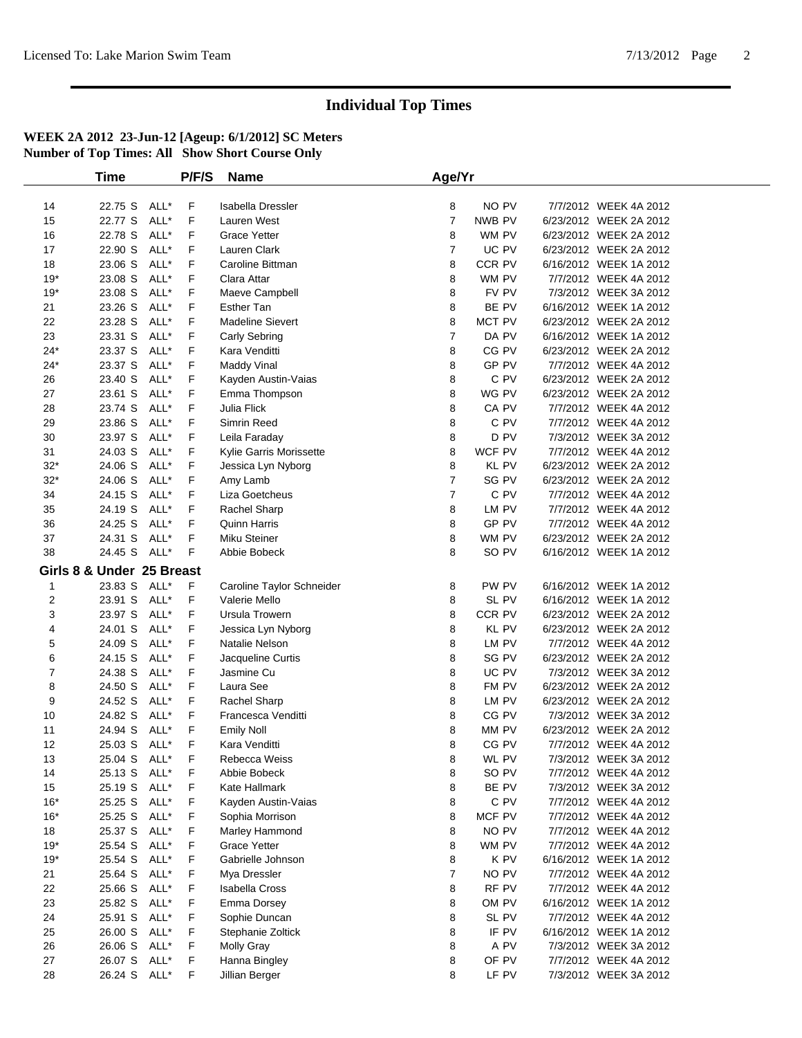|                | Time                         |              | P/F/S  | <b>Name</b>                                | Age/Yr         |                 |                                                  |
|----------------|------------------------------|--------------|--------|--------------------------------------------|----------------|-----------------|--------------------------------------------------|
|                |                              |              |        |                                            |                |                 |                                                  |
| 14             | 22.75 S ALL*                 |              | F.     | <b>Isabella Dressler</b>                   | 8              | NO PV           | 7/7/2012 WEEK 4A 2012                            |
| 15             | 22.77 S                      | ALL*         | F      | Lauren West                                | $\overline{7}$ | NWB PV          | 6/23/2012 WEEK 2A 2012                           |
| 16             | 22.78 S                      | ALL*         | F      | <b>Grace Yetter</b>                        | 8              | WM PV           | 6/23/2012 WEEK 2A 2012                           |
| 17             | 22.90 S                      | ALL*         | F      | Lauren Clark                               | $\overline{7}$ | UC PV           | 6/23/2012 WEEK 2A 2012                           |
| 18             | 23.06 S                      | ALL*         | F      | Caroline Bittman                           | 8              | CCR PV          | 6/16/2012 WEEK 1A 2012                           |
| $19*$          | 23.08 S                      | ALL*         | F      | Clara Attar                                | 8              | WM PV           | 7/7/2012 WEEK 4A 2012                            |
| $19*$          | 23.08 S                      | ALL*         | F      | Maeve Campbell                             | 8              | FV PV           | 7/3/2012 WEEK 3A 2012                            |
| 21             | 23.26 S                      | ALL*         | F.     | <b>Esther Tan</b>                          | 8              | BE PV           | 6/16/2012 WEEK 1A 2012                           |
| 22             | 23.28 S                      | ALL*         | F      | <b>Madeline Sievert</b>                    | 8              | MCT PV          | 6/23/2012 WEEK 2A 2012                           |
| 23             | 23.31 S                      | ALL*         | F      | Carly Sebring                              | $\overline{7}$ | DA PV           | 6/16/2012 WEEK 1A 2012                           |
| $24*$          | 23.37 S                      | ALL*         | F      | Kara Venditti                              | 8              | CG PV           | 6/23/2012 WEEK 2A 2012                           |
| $24*$          | 23.37 S                      | ALL*         | F      | <b>Maddy Vinal</b>                         | 8              | GP PV           | 7/7/2012 WEEK 4A 2012                            |
| 26             | 23.40 S                      | ALL*         | F      | Kayden Austin-Vaias                        | 8              | C PV            | 6/23/2012 WEEK 2A 2012                           |
| 27             | 23.61 S                      | ALL*         | F      | Emma Thompson                              | 8              | WG PV           | 6/23/2012 WEEK 2A 2012                           |
| 28             | 23.74 S                      | ALL*         | F      | Julia Flick                                | 8              | CA PV           | 7/7/2012 WEEK 4A 2012                            |
| 29             | 23.86 S                      | ALL*         | F      | Simrin Reed                                | 8              | C PV            | 7/7/2012 WEEK 4A 2012                            |
| 30             | 23.97 S                      | ALL*         | F      | Leila Faraday                              | 8              | D PV            | 7/3/2012 WEEK 3A 2012                            |
| 31             | 24.03 S                      | ALL*         | F      | Kylie Garris Morissette                    | 8              | WCF PV          | 7/7/2012 WEEK 4A 2012                            |
| $32*$          | 24.06 S                      | ALL*         | F      | Jessica Lyn Nyborg                         | 8              | <b>KL PV</b>    | 6/23/2012 WEEK 2A 2012                           |
| $32*$          | 24.06 S                      | ALL*         | F      | Amy Lamb                                   | $\overline{7}$ | SG PV           | 6/23/2012 WEEK 2A 2012                           |
| 34             | 24.15 S                      | ALL*         | F      | Liza Goetcheus                             | $\overline{7}$ | C PV            | 7/7/2012 WEEK 4A 2012                            |
| 35             | 24.19 S                      | ALL*         | F      | Rachel Sharp                               | 8              | LM PV           | 7/7/2012 WEEK 4A 2012                            |
| 36             | 24.25 S                      | ALL*         | F      | <b>Quinn Harris</b>                        | 8              | GP PV           | 7/7/2012 WEEK 4A 2012                            |
| 37             | 24.31 S                      | ALL*         | F      | Miku Steiner                               | 8              | WM PV           | 6/23/2012 WEEK 2A 2012                           |
| 38             | 24.45 S ALL*                 |              | F      | Abbie Bobeck                               | 8              | SO PV           | 6/16/2012 WEEK 1A 2012                           |
|                | Girls 8 & Under 25 Breast    |              |        |                                            |                |                 |                                                  |
|                |                              |              |        |                                            |                |                 |                                                  |
| $\mathbf 1$    | 23.83 S ALL*<br>23.91 S ALL* |              | F      | Caroline Taylor Schneider<br>Valerie Mello | 8              | PW PV           | 6/16/2012 WEEK 1A 2012                           |
| $\overline{2}$ |                              |              | F      | Ursula Trowern                             | 8              | SL PV<br>CCR PV | 6/16/2012 WEEK 1A 2012<br>6/23/2012 WEEK 2A 2012 |
| 3              | 23.97 S ALL*                 |              | F      |                                            | 8<br>8         |                 |                                                  |
| 4              | 24.01 S<br>24.09 S           | ALL*<br>ALL* | F<br>F | Jessica Lyn Nyborg<br>Natalie Nelson       | 8              | KL PV<br>LM PV  | 6/23/2012 WEEK 2A 2012<br>7/7/2012 WEEK 4A 2012  |
| 5<br>6         | 24.15 S                      | ALL*         | F      |                                            | 8              | SG PV           | 6/23/2012 WEEK 2A 2012                           |
| 7              | 24.38 S                      | ALL*         | F      | Jacqueline Curtis<br>Jasmine Cu            | 8              | UC PV           | 7/3/2012 WEEK 3A 2012                            |
| 8              | 24.50 S ALL*                 |              | F      | Laura See                                  | 8              | FM PV           | 6/23/2012 WEEK 2A 2012                           |
| 9              | 24.52 S                      | ALL*         | F      |                                            | 8              | LM PV           | 6/23/2012 WEEK 2A 2012                           |
| 10             | 24.82 S                      | ALL*         | F      | Rachel Sharp<br>Francesca Venditti         | 8              | CG PV           | 7/3/2012 WEEK 3A 2012                            |
| 11             | 24.94 S                      | ALL*         | F      | <b>Emily Noll</b>                          | 8              | MM PV           | 6/23/2012 WEEK 2A 2012                           |
| 12             | 25.03 S ALL*                 |              | F      | Kara Venditti                              | 8              | CG PV           | 7/7/2012 WEEK 4A 2012                            |
| 13             | 25.04 S ALL*                 |              | F      | Rebecca Weiss                              | 8              | WL PV           | 7/3/2012 WEEK 3A 2012                            |
| 14             | 25.13 S ALL*                 |              | F      | Abbie Bobeck                               | 8              | SO PV           | 7/7/2012 WEEK 4A 2012                            |
| 15             | 25.19 S ALL*                 |              | F.     | Kate Hallmark                              | 8              | BE PV           | 7/3/2012 WEEK 3A 2012                            |
| $16*$          | 25.25 S ALL*                 |              | F      | Kayden Austin-Vaias                        | 8              | C PV            | 7/7/2012 WEEK 4A 2012                            |
| $16*$          | 25.25 S ALL*                 |              | F      | Sophia Morrison                            | 8              | MCF PV          | 7/7/2012 WEEK 4A 2012                            |
| 18             | 25.37 S ALL*                 |              | F      | Marley Hammond                             | 8              | NO PV           | 7/7/2012 WEEK 4A 2012                            |
| $19*$          | 25.54 S ALL*                 |              | F      | <b>Grace Yetter</b>                        | 8              | WM PV           | 7/7/2012 WEEK 4A 2012                            |
| $19*$          | 25.54 S ALL*                 |              | F.     | Gabrielle Johnson                          | 8              | K PV            | 6/16/2012 WEEK 1A 2012                           |
| 21             | 25.64 S                      | ALL*         | F      | Mya Dressler                               | 7              | NO PV           | 7/7/2012 WEEK 4A 2012                            |
| 22             | 25.66 S                      | ALL*         | F      | <b>Isabella Cross</b>                      | 8              | RF PV           | 7/7/2012 WEEK 4A 2012                            |
| 23             | 25.82 S ALL*                 |              | F      | Emma Dorsey                                | 8              | OM PV           | 6/16/2012 WEEK 1A 2012                           |
| 24             | 25.91 S ALL*                 |              | F      | Sophie Duncan                              | 8              | SL PV           | 7/7/2012 WEEK 4A 2012                            |
| 25             | 26.00 S ALL*                 |              | F      | Stephanie Zoltick                          | 8              | IF PV           | 6/16/2012 WEEK 1A 2012                           |
| 26             | 26.06 S ALL*                 |              | F.     | Molly Gray                                 | 8              | A PV            | 7/3/2012 WEEK 3A 2012                            |
| 27             | 26.07 S ALL*                 |              | F.     | Hanna Bingley                              | 8              | OF PV           | 7/7/2012 WEEK 4A 2012                            |
| 28             | 26.24 S ALL*                 |              | F      | Jillian Berger                             | 8              | LF PV           | 7/3/2012 WEEK 3A 2012                            |
|                |                              |              |        |                                            |                |                 |                                                  |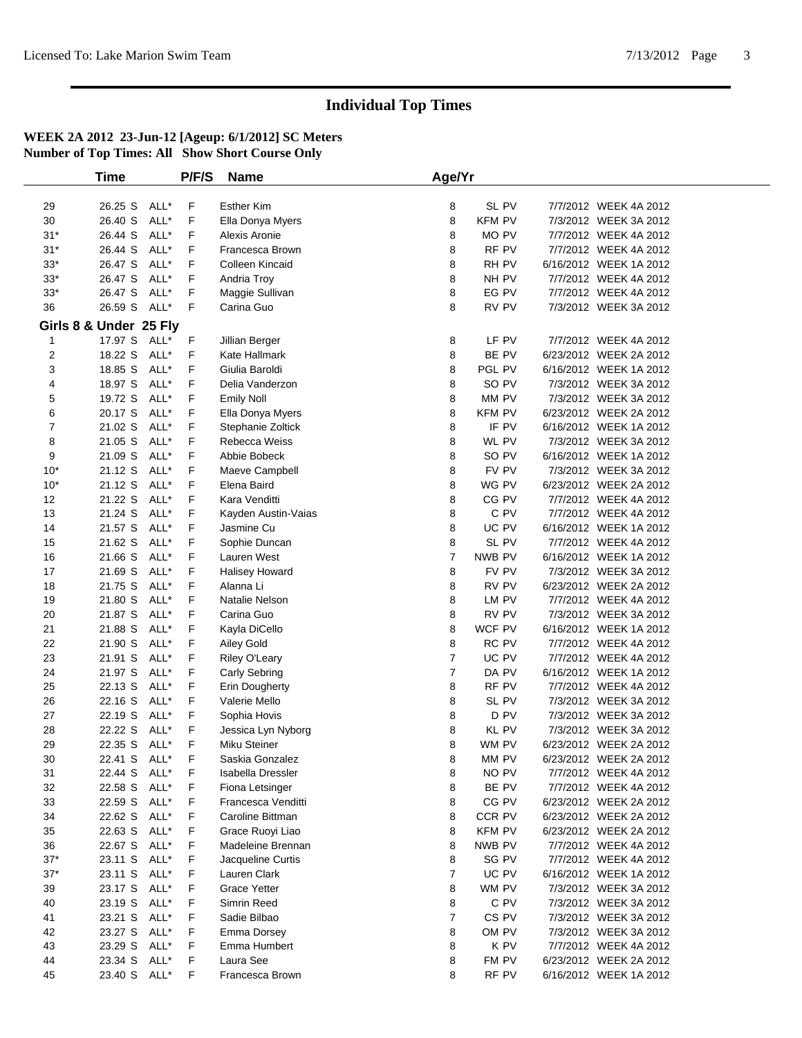|          | <b>Time</b>            |      | P/F/S | <b>Name</b>            | Age/Yr         |                  |                        |  |
|----------|------------------------|------|-------|------------------------|----------------|------------------|------------------------|--|
|          |                        |      |       |                        |                |                  |                        |  |
| 29       | 26.25 S ALL*           |      | F     | <b>Esther Kim</b>      | 8              | SL PV            | 7/7/2012 WEEK 4A 2012  |  |
| 30       | 26.40 S                | ALL* | F     | Ella Donya Myers       | 8              | KFM PV           | 7/3/2012 WEEK 3A 2012  |  |
| $31*$    | 26.44 S                | ALL* | F     | Alexis Aronie          | 8              | MO PV            | 7/7/2012 WEEK 4A 2012  |  |
| $31*$    | 26.44 S                | ALL* | F     | Francesca Brown        | 8              | RF PV            | 7/7/2012 WEEK 4A 2012  |  |
| $33*$    | 26.47 S                | ALL* | F     | <b>Colleen Kincaid</b> | 8              | RH PV            | 6/16/2012 WEEK 1A 2012 |  |
| $33*$    | 26.47 S                | ALL* | F     | Andria Troy            | 8              | NH PV            | 7/7/2012 WEEK 4A 2012  |  |
| $33*$    | 26.47 S                | ALL* | F     | Maggie Sullivan        | 8              | EG PV            | 7/7/2012 WEEK 4A 2012  |  |
| 36       | 26.59 S                | ALL* | F     | Carina Guo             | 8              | RV PV            | 7/3/2012 WEEK 3A 2012  |  |
|          | Girls 8 & Under 25 Fly |      |       |                        |                |                  |                        |  |
| 1        | 17.97 S ALL*           |      | F     | Jillian Berger         | 8              | LF PV            | 7/7/2012 WEEK 4A 2012  |  |
| 2        | 18.22 S                | ALL* | F     | Kate Hallmark          | 8              | BE PV            | 6/23/2012 WEEK 2A 2012 |  |
| 3        | 18.85 S                | ALL* | F     | Giulia Baroldi         | 8              | PGL PV           | 6/16/2012 WEEK 1A 2012 |  |
| 4        | 18.97 S                | ALL* | F     | Delia Vanderzon        | 8              | SO PV            | 7/3/2012 WEEK 3A 2012  |  |
| 5        | 19.72 S                | ALL* | F     | <b>Emily Noll</b>      | 8              | MM PV            | 7/3/2012 WEEK 3A 2012  |  |
| 6        | 20.17 S                | ALL* | F     | Ella Donya Myers       | 8              | KFM PV           | 6/23/2012 WEEK 2A 2012 |  |
| 7        | 21.02 S                | ALL* | F     | Stephanie Zoltick      | 8              | IF PV            | 6/16/2012 WEEK 1A 2012 |  |
| 8        | 21.05 S                | ALL* | F     | Rebecca Weiss          | 8              | WL PV            | 7/3/2012 WEEK 3A 2012  |  |
| 9        | 21.09 S                | ALL* | F     | Abbie Bobeck           | 8              | SO PV            | 6/16/2012 WEEK 1A 2012 |  |
| $10*$    | 21.12 S                | ALL* | F     | Maeve Campbell         | 8              | FV PV            | 7/3/2012 WEEK 3A 2012  |  |
| $10*$    | 21.12 S                | ALL* | F     | Elena Baird            | 8              | WG PV            | 6/23/2012 WEEK 2A 2012 |  |
| 12       | 21.22 S                | ALL* | F     | Kara Venditti          | 8              | CG PV            | 7/7/2012 WEEK 4A 2012  |  |
| 13       | 21.24 S                | ALL* | F     | Kayden Austin-Vaias    | 8              | C PV             | 7/7/2012 WEEK 4A 2012  |  |
| 14       | 21.57 S                | ALL* | F     | Jasmine Cu             | 8              | UC PV            | 6/16/2012 WEEK 1A 2012 |  |
| 15       | 21.62 S                | ALL* | F     | Sophie Duncan          | 8              | SL PV            | 7/7/2012 WEEK 4A 2012  |  |
| 16       | 21.66 S                | ALL* | F     | Lauren West            | $\overline{7}$ | NWB PV           | 6/16/2012 WEEK 1A 2012 |  |
| 17       | 21.69 S                | ALL* | F     | <b>Halisey Howard</b>  | 8              | FV PV            | 7/3/2012 WEEK 3A 2012  |  |
| 18       | 21.75 S                | ALL* | F     | Alanna Li              | 8              | RV PV            | 6/23/2012 WEEK 2A 2012 |  |
| 19       | 21.80 S                | ALL* | F     | Natalie Nelson         | 8              | LM PV            | 7/7/2012 WEEK 4A 2012  |  |
| 20       | 21.87 S                | ALL* | F     | Carina Guo             | 8              | RV PV            | 7/3/2012 WEEK 3A 2012  |  |
| 21       | 21.88 S                | ALL* | F     | Kayla DiCello          | 8              | WCF PV           | 6/16/2012 WEEK 1A 2012 |  |
| 22       | 21.90 S                | ALL* | F     | Ailey Gold             | 8              | RC PV            | 7/7/2012 WEEK 4A 2012  |  |
| 23       | 21.91 S                | ALL* | F     | Riley O'Leary          | $\overline{7}$ | UC PV            | 7/7/2012 WEEK 4A 2012  |  |
| 24       | 21.97 S                | ALL* | F     | Carly Sebring          | $\overline{7}$ | DA PV            | 6/16/2012 WEEK 1A 2012 |  |
| 25       | 22.13 S                | ALL* | F     | Erin Dougherty         | 8              | RF PV            | 7/7/2012 WEEK 4A 2012  |  |
| 26       | 22.16 S                | ALL* | F     | Valerie Mello          | 8              | SL PV            | 7/3/2012 WEEK 3A 2012  |  |
| 27       | 22.19 S                | ALL* | F     | Sophia Hovis           | 8              | D PV             | 7/3/2012 WEEK 3A 2012  |  |
| 28       | 22.22 S                | ALL* | F     | Jessica Lyn Nyborg     | 8              | KL PV            | 7/3/2012 WEEK 3A 2012  |  |
| 29       | 22.35 S ALL*           |      | F     | Miku Steiner           | 8              | WM PV            | 6/23/2012 WEEK 2A 2012 |  |
| 30       | 22.41 S ALL*           |      | F.    | Saskia Gonzalez        | 8              | MM PV            | 6/23/2012 WEEK 2A 2012 |  |
| 31       | 22.44 S ALL*           |      | F     | Isabella Dressler      | 8              | NO PV            | 7/7/2012 WEEK 4A 2012  |  |
| 32       | 22.58 S ALL*           |      | F     | Fiona Letsinger        | 8              | BE PV            | 7/7/2012 WEEK 4A 2012  |  |
| 33       | 22.59 S                | ALL* | F     | Francesca Venditti     | 8              | CG PV            | 6/23/2012 WEEK 2A 2012 |  |
| 34       | 22.62 S ALL*           |      | F     | Caroline Bittman       | 8              | CCR PV           | 6/23/2012 WEEK 2A 2012 |  |
| 35       | 22.63 S ALL*           |      | F     | Grace Ruoyi Liao       | 8              | <b>KFM PV</b>    | 6/23/2012 WEEK 2A 2012 |  |
| 36       | 22.67 S                | ALL* | F     | Madeleine Brennan      | 8              | NWB PV           | 7/7/2012 WEEK 4A 2012  |  |
| $37*$    | 23.11 S ALL*           |      | F     | Jacqueline Curtis      | 8              | SG PV            | 7/7/2012 WEEK 4A 2012  |  |
| $37*$    | 23.11 S                | ALL* | F     | Lauren Clark           | $\overline{7}$ | UC PV            | 6/16/2012 WEEK 1A 2012 |  |
| 39       | 23.17 S                | ALL* | F     | Grace Yetter           | 8              | WM PV            | 7/3/2012 WEEK 3A 2012  |  |
| 40       | 23.19 S ALL*           |      | F     | Simrin Reed            | 8              | C PV             | 7/3/2012 WEEK 3A 2012  |  |
|          | 23.21 S                | ALL* | F     | Sadie Bilbao           | $\overline{7}$ | CS <sub>PV</sub> | 7/3/2012 WEEK 3A 2012  |  |
| 41<br>42 | 23.27 S                | ALL* | F     | Emma Dorsey            | 8              | OM PV            | 7/3/2012 WEEK 3A 2012  |  |
| 43       | 23.29 S ALL*           |      | F     | Emma Humbert           | 8              | K PV             | 7/7/2012 WEEK 4A 2012  |  |
|          |                        |      |       | Laura See              |                |                  |                        |  |
| 44       | 23.34 S ALL*           |      | F     |                        | 8              | FM PV            | 6/23/2012 WEEK 2A 2012 |  |
| 45       | 23.40 S ALL*           |      | F     | Francesca Brown        | 8              | RF PV            | 6/16/2012 WEEK 1A 2012 |  |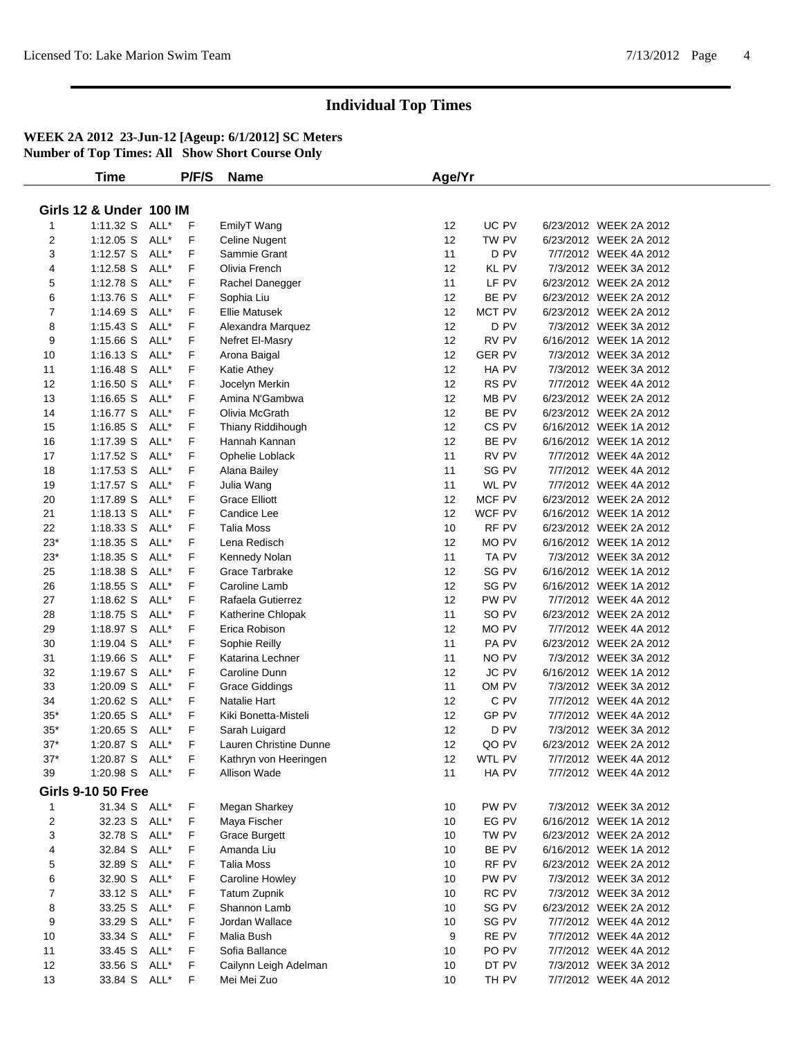|                | Time                               |      | P/F/S | <b>Name</b>            | Age/Yr            |                 |                        |  |
|----------------|------------------------------------|------|-------|------------------------|-------------------|-----------------|------------------------|--|
|                |                                    |      |       |                        |                   |                 |                        |  |
|                | <b>Girls 12 &amp; Under 100 IM</b> |      |       |                        |                   |                 |                        |  |
| 1              | 1:11.32 S                          | ALL* | F     | EmilyT Wang            | 12                | UC PV           | 6/23/2012 WEEK 2A 2012 |  |
| $\overline{2}$ | $1:12.05$ S                        | ALL* | F     | <b>Celine Nugent</b>   | 12                | TW PV           | 6/23/2012 WEEK 2A 2012 |  |
| 3              | 1:12.57 S ALL*                     |      | F     | Sammie Grant           | 11                | D PV            | 7/7/2012 WEEK 4A 2012  |  |
| 4              | $1:12.58$ S                        | ALL* | F     | Olivia French          | 12                | KL PV           | 7/3/2012 WEEK 3A 2012  |  |
| 5              | 1:12.78 S                          | ALL* | F     | Rachel Danegger        | 11                | LF PV           | 6/23/2012 WEEK 2A 2012 |  |
| 6              | 1:13.76 S                          | ALL* | F     | Sophia Liu             | 12                | BE PV           | 6/23/2012 WEEK 2A 2012 |  |
| 7              | 1:14.69 S                          | ALL* | F     | <b>Ellie Matusek</b>   | 12                | MCT PV          | 6/23/2012 WEEK 2A 2012 |  |
| 8              | $1:15.43$ S                        | ALL* | F     | Alexandra Marquez      | 12                | D <sub>PV</sub> | 7/3/2012 WEEK 3A 2012  |  |
| 9              | $1:15.66$ S                        | ALL* | F     | Nefret El-Masry        | $12 \overline{ }$ | RV PV           | 6/16/2012 WEEK 1A 2012 |  |
| 10             | $1:16.13$ S                        | ALL* | F     | Arona Baigal           | 12                | <b>GER PV</b>   | 7/3/2012 WEEK 3A 2012  |  |
| 11             | $1:16.48$ S                        | ALL* | F     | Katie Athey            | $12 \overline{ }$ | HA PV           | 7/3/2012 WEEK 3A 2012  |  |
| 12             | 1:16.50 S                          | ALL* | F     | Jocelyn Merkin         | 12                | RS PV           | 7/7/2012 WEEK 4A 2012  |  |
| 13             | $1:16.65$ S                        | ALL* | F     | Amina N'Gambwa         | 12                | MB PV           | 6/23/2012 WEEK 2A 2012 |  |
| 14             | 1:16.77 S                          | ALL* | F     | Olivia McGrath         | $12 \overline{ }$ | BE PV           | 6/23/2012 WEEK 2A 2012 |  |
| 15             | $1:16.85$ S                        | ALL* | F     | Thiany Riddihough      | $12 \overline{ }$ | CS PV           | 6/16/2012 WEEK 1A 2012 |  |
| 16             | 1:17.39 S                          | ALL* | F     | Hannah Kannan          | 12                | BE PV           | 6/16/2012 WEEK 1A 2012 |  |
| 17             | 1:17.52 S                          | ALL* | F     | Ophelie Loblack        | 11                | RV PV           | 7/7/2012 WEEK 4A 2012  |  |
| 18             | $1:17.53$ S                        | ALL* | F     | Alana Bailey           | 11                | SG PV           | 7/7/2012 WEEK 4A 2012  |  |
| 19             | 1:17.57 S                          | ALL* | F     | Julia Wang             | 11                | WL PV           | 7/7/2012 WEEK 4A 2012  |  |
| 20             | 1:17.89 S                          | ALL* | F     | <b>Grace Elliott</b>   | 12                | MCF PV          | 6/23/2012 WEEK 2A 2012 |  |
| 21             | $1:18.13$ S                        | ALL* | F     | Candice Lee            | 12                | WCF PV          | 6/16/2012 WEEK 1A 2012 |  |
| 22             | $1:18.33$ S                        | ALL* | F     | Talia Moss             | 10                | RF PV           | 6/23/2012 WEEK 2A 2012 |  |
| $23*$          | 1:18.35 S                          | ALL* | F     | Lena Redisch           | 12                | MO PV           | 6/16/2012 WEEK 1A 2012 |  |
| $23*$          | 1:18.35 S                          | ALL* | F     | Kennedy Nolan          | 11                | TA PV           | 7/3/2012 WEEK 3A 2012  |  |
| 25             | 1:18.38 S                          | ALL* | F     | Grace Tarbrake         | 12                | SG PV           | 6/16/2012 WEEK 1A 2012 |  |
| 26             | 1:18.55 S                          | ALL* | F     | Caroline Lamb          | 12                | SG PV           | 6/16/2012 WEEK 1A 2012 |  |
| 27             | 1:18.62 S                          | ALL* | F     | Rafaela Gutierrez      | $12 \overline{ }$ | PW PV           | 7/7/2012 WEEK 4A 2012  |  |
| 28             | 1:18.75 S                          | ALL* | F     | Katherine Chlopak      | 11                | SO PV           | 6/23/2012 WEEK 2A 2012 |  |
| 29             | 1:18.97 S                          | ALL* | F     | Erica Robison          | $12 \overline{ }$ | MO PV           | 7/7/2012 WEEK 4A 2012  |  |
| 30             | $1:19.04$ S                        | ALL* | F     | Sophie Reilly          | 11                | PA PV           | 6/23/2012 WEEK 2A 2012 |  |
| 31             | 1:19.66 S                          | ALL* | F     | Katarina Lechner       | 11                | NO PV           | 7/3/2012 WEEK 3A 2012  |  |
| 32             | 1:19.67 S                          | ALL* | F     | Caroline Dunn          | 12                | JC PV           | 6/16/2012 WEEK 1A 2012 |  |
| 33             | 1:20.09 S                          | ALL* | F     | <b>Grace Giddings</b>  | 11                | OM PV           | 7/3/2012 WEEK 3A 2012  |  |
| 34             | 1:20.62 S                          | ALL* | F     | Natalie Hart           | 12                | C PV            | 7/7/2012 WEEK 4A 2012  |  |
| $35*$          | 1:20.65 S                          | ALL* | F     | Kiki Bonetta-Misteli   | $12 \overline{ }$ | GP PV           | 7/7/2012 WEEK 4A 2012  |  |
| $35^{\ast}$    | 1:20.65 S                          | ALL* | F     | Sarah Luigard          | 12                | D PV            | 7/3/2012 WEEK 3A 2012  |  |
| $37*$          | 1:20.87 S                          | ALL* | F     | Lauren Christine Dunne | 12                | QO PV           | 6/23/2012 WEEK 2A 2012 |  |
| $37*$          | 1:20.87 S ALL*                     |      | F     | Kathryn von Heeringen  | 12                | WTL PV          | 7/7/2012 WEEK 4A 2012  |  |
| 39             | 1:20.98 S ALL*                     |      | F     | Allison Wade           | 11                | HA PV           | 7/7/2012 WEEK 4A 2012  |  |
|                |                                    |      |       |                        |                   |                 |                        |  |
|                | <b>Girls 9-10 50 Free</b>          |      |       |                        |                   |                 |                        |  |
| $\mathbf 1$    | 31.34 S ALL*                       |      | F     | Megan Sharkey          | 10                | PW PV           | 7/3/2012 WEEK 3A 2012  |  |
| 2              | 32.23 S ALL*                       |      | F     | Maya Fischer           | 10                | EG PV           | 6/16/2012 WEEK 1A 2012 |  |
| 3              | 32.78 S ALL*                       |      | F     | <b>Grace Burgett</b>   | 10                | TW PV           | 6/23/2012 WEEK 2A 2012 |  |
| 4              | 32.84 S ALL*                       |      | F     | Amanda Liu             | 10                | BE PV           | 6/16/2012 WEEK 1A 2012 |  |
| 5              | 32.89 S ALL*                       |      | F     | <b>Talia Moss</b>      | 10                | RF PV           | 6/23/2012 WEEK 2A 2012 |  |
| 6              | 32.90 S                            | ALL* | F     | Caroline Howley        | 10                | PW PV           | 7/3/2012 WEEK 3A 2012  |  |
| 7              | 33.12 S ALL*                       |      | F     | <b>Tatum Zupnik</b>    | 10                | RC PV           | 7/3/2012 WEEK 3A 2012  |  |
| 8              | 33.25 S ALL*                       |      | F     | Shannon Lamb           | 10                | SG PV           | 6/23/2012 WEEK 2A 2012 |  |
| 9              | 33.29 S ALL*                       |      | F     | Jordan Wallace         | 10                | SG PV           | 7/7/2012 WEEK 4A 2012  |  |
| 10             | 33.34 S                            | ALL* | F     | Malia Bush             | 9                 | RE PV           | 7/7/2012 WEEK 4A 2012  |  |
| 11             | 33.45 S                            | ALL* | F     | Sofia Ballance         | 10                | PO PV           | 7/7/2012 WEEK 4A 2012  |  |
| 12             | 33.56 S ALL*                       |      | F     | Cailynn Leigh Adelman  | 10                | DT PV           | 7/3/2012 WEEK 3A 2012  |  |
| 13             | 33.84 S ALL*                       |      | F     | Mei Mei Zuo            | 10                | TH PV           | 7/7/2012 WEEK 4A 2012  |  |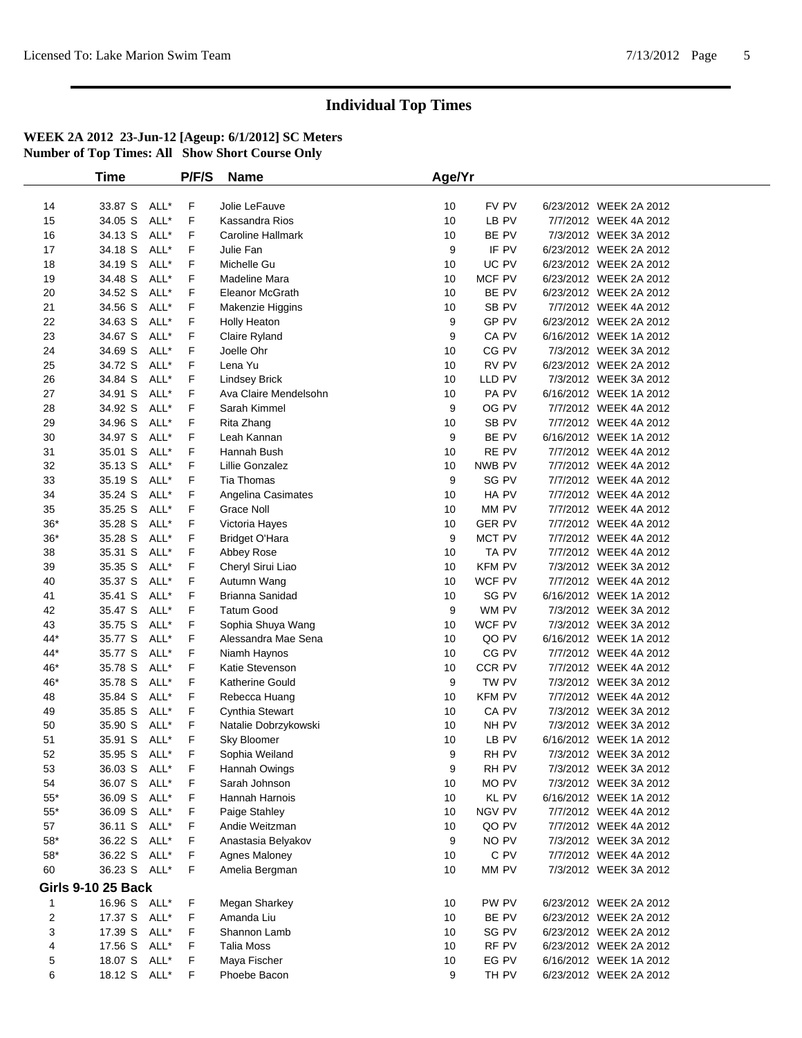|                           | <b>Time</b>  |      | P/F/S | <b>Name</b>              | Age/Yr |               |                        |  |
|---------------------------|--------------|------|-------|--------------------------|--------|---------------|------------------------|--|
|                           |              |      |       |                          |        |               |                        |  |
| 14                        | 33.87 S      | ALL* | F     | Jolie LeFauve            | 10     | FV PV         | 6/23/2012 WEEK 2A 2012 |  |
| 15                        | 34.05 S      | ALL* | F     | Kassandra Rios           | 10     | LB PV         | 7/7/2012 WEEK 4A 2012  |  |
| 16                        | 34.13 S      | ALL* | F     | <b>Caroline Hallmark</b> | 10     | BE PV         | 7/3/2012 WEEK 3A 2012  |  |
| 17                        | 34.18 S      | ALL* | F     | Julie Fan                | 9      | IF PV         | 6/23/2012 WEEK 2A 2012 |  |
| 18                        | 34.19 S      | ALL* | F     | Michelle Gu              | 10     | UC PV         | 6/23/2012 WEEK 2A 2012 |  |
| 19                        | 34.48 S      | ALL* | F     | Madeline Mara            | 10     | MCF PV        | 6/23/2012 WEEK 2A 2012 |  |
| 20                        | 34.52 S      | ALL* | F     | Eleanor McGrath          | 10     | BE PV         | 6/23/2012 WEEK 2A 2012 |  |
| 21                        | 34.56 S      | ALL* | F     | Makenzie Higgins         | 10     | SB PV         | 7/7/2012 WEEK 4A 2012  |  |
| 22                        | 34.63 S      | ALL* | F     | <b>Holly Heaton</b>      | 9      | GP PV         | 6/23/2012 WEEK 2A 2012 |  |
| 23                        | 34.67 S      | ALL* | F     | Claire Ryland            | 9      | CA PV         | 6/16/2012 WEEK 1A 2012 |  |
| 24                        | 34.69 S      | ALL* | F     | Joelle Ohr               | 10     | CG PV         | 7/3/2012 WEEK 3A 2012  |  |
| 25                        | 34.72 S      | ALL* | F     | Lena Yu                  | 10     | RV PV         | 6/23/2012 WEEK 2A 2012 |  |
| 26                        | 34.84 S      | ALL* | F     | <b>Lindsey Brick</b>     | 10     | LLD PV        | 7/3/2012 WEEK 3A 2012  |  |
| 27                        | 34.91 S      | ALL* | F     | Ava Claire Mendelsohn    | 10     | PA PV         | 6/16/2012 WEEK 1A 2012 |  |
| 28                        | 34.92 S      | ALL* | F     | Sarah Kimmel             | 9      | OG PV         | 7/7/2012 WEEK 4A 2012  |  |
| 29                        | 34.96 S      | ALL* | F     | Rita Zhang               | 10     | SB PV         | 7/7/2012 WEEK 4A 2012  |  |
| 30                        | 34.97 S      | ALL* | F     | Leah Kannan              | 9      | BE PV         | 6/16/2012 WEEK 1A 2012 |  |
| 31                        | 35.01 S      | ALL* | F     | Hannah Bush              | 10     | RE PV         | 7/7/2012 WEEK 4A 2012  |  |
| 32                        | 35.13 S      | ALL* | F     | Lillie Gonzalez          | 10     | NWB PV        | 7/7/2012 WEEK 4A 2012  |  |
| 33                        | 35.19 S      | ALL* | F     | Tia Thomas               | 9      | SG PV         | 7/7/2012 WEEK 4A 2012  |  |
| 34                        | 35.24 S      | ALL* | F     | Angelina Casimates       | 10     | HA PV         | 7/7/2012 WEEK 4A 2012  |  |
| 35                        | 35.25 S      | ALL* | F     | Grace Noll               | 10     | MM PV         | 7/7/2012 WEEK 4A 2012  |  |
| $36*$                     | 35.28 S      | ALL* | F     | Victoria Hayes           | 10     | <b>GER PV</b> | 7/7/2012 WEEK 4A 2012  |  |
| $36*$                     | 35.28 S      | ALL* | F     | <b>Bridget O'Hara</b>    | 9      | MCT PV        | 7/7/2012 WEEK 4A 2012  |  |
| 38                        | 35.31 S      | ALL* | F     | Abbey Rose               | 10     | TA PV         | 7/7/2012 WEEK 4A 2012  |  |
| 39                        | 35.35 S      | ALL* | F     | Cheryl Sirui Liao        | 10     | <b>KFM PV</b> | 7/3/2012 WEEK 3A 2012  |  |
| 40                        | 35.37 S      | ALL* | F     | Autumn Wang              | 10     | WCF PV        | 7/7/2012 WEEK 4A 2012  |  |
| 41                        | 35.41 S      | ALL* | F     | Brianna Sanidad          | 10     | SG PV         | 6/16/2012 WEEK 1A 2012 |  |
| 42                        | 35.47 S      | ALL* | F     | <b>Tatum Good</b>        | 9      | WM PV         | 7/3/2012 WEEK 3A 2012  |  |
| 43                        | 35.75 S      | ALL* | F     | Sophia Shuya Wang        | 10     | WCF PV        | 7/3/2012 WEEK 3A 2012  |  |
| $44*$                     | 35.77 S      | ALL* | F     | Alessandra Mae Sena      | 10     | QO PV         | 6/16/2012 WEEK 1A 2012 |  |
| $44*$                     | 35.77 S      | ALL* | F     | Niamh Haynos             | 10     | CG PV         | 7/7/2012 WEEK 4A 2012  |  |
| 46*                       | 35.78 S      | ALL* | F     | Katie Stevenson          | 10     | CCR PV        | 7/7/2012 WEEK 4A 2012  |  |
| 46*                       | 35.78 S      | ALL* | F     | Katherine Gould          | 9      | TW PV         | 7/3/2012 WEEK 3A 2012  |  |
| 48                        | 35.84 S      | ALL* | F     | Rebecca Huang            | 10     | <b>KFM PV</b> | 7/7/2012 WEEK 4A 2012  |  |
| 49                        | 35.85 S      | ALL* | F     | Cynthia Stewart          | 10     | CA PV         | 7/3/2012 WEEK 3A 2012  |  |
| 50                        | 35.90 S      | ALL* | F     | Natalie Dobrzykowski     | 10     | NH PV         | 7/3/2012 WEEK 3A 2012  |  |
| 51                        | 35.91 S      | ALL* | F     | Sky Bloomer              | 10     | LB PV         | 6/16/2012 WEEK 1A 2012 |  |
| 52                        | 35.95 S      | ALL* | F     | Sophia Weiland           | 9      | RH PV         | 7/3/2012 WEEK 3A 2012  |  |
| 53                        | 36.03 S ALL* |      | F     | Hannah Owings            | 9      | RH PV         | 7/3/2012 WEEK 3A 2012  |  |
| 54                        | 36.07 S      | ALL* | F     | Sarah Johnson            | 10     | MO PV         | 7/3/2012 WEEK 3A 2012  |  |
| $55^{\ast}$               | 36.09 S      | ALL* | F     | Hannah Harnois           | 10     | KL PV         | 6/16/2012 WEEK 1A 2012 |  |
| $55*$                     | 36.09 S      | ALL* | F     | Paige Stahley            | 10     | NGV PV        | 7/7/2012 WEEK 4A 2012  |  |
| 57                        | 36.11 S      | ALL* | F     | Andie Weitzman           | 10     | QO PV         | 7/7/2012 WEEK 4A 2012  |  |
| $58^{\ast}$               | 36.22 S      | ALL* | F     | Anastasia Belyakov       | 9      | NO PV         | 7/3/2012 WEEK 3A 2012  |  |
| $58^{\ast}$               | 36.22 S      | ALL* | F     | Agnes Maloney            | 10     | C PV          | 7/7/2012 WEEK 4A 2012  |  |
| 60                        | 36.23 S ALL* |      | F     | Amelia Bergman           | 10     | MM PV         | 7/3/2012 WEEK 3A 2012  |  |
| <b>Girls 9-10 25 Back</b> |              |      |       |                          |        |               |                        |  |
| $\mathbf 1$               | 16.96 S ALL* |      | F     | Megan Sharkey            | 10     | PW PV         | 6/23/2012 WEEK 2A 2012 |  |
| $\overline{\mathbf{c}}$   | 17.37 S ALL* |      | F     | Amanda Liu               | 10     | BE PV         | 6/23/2012 WEEK 2A 2012 |  |
| 3                         | 17.39 S      | ALL* | F     | Shannon Lamb             | 10     | SG PV         | 6/23/2012 WEEK 2A 2012 |  |
| 4                         | 17.56 S ALL* |      | F     | <b>Talia Moss</b>        | 10     | RF PV         | 6/23/2012 WEEK 2A 2012 |  |
| 5                         | 18.07 S      | ALL* | F     | Maya Fischer             | 10     | EG PV         | 6/16/2012 WEEK 1A 2012 |  |
| 6                         | 18.12 S ALL* |      | F     | Phoebe Bacon             | 9      | TH PV         | 6/23/2012 WEEK 2A 2012 |  |
|                           |              |      |       |                          |        |               |                        |  |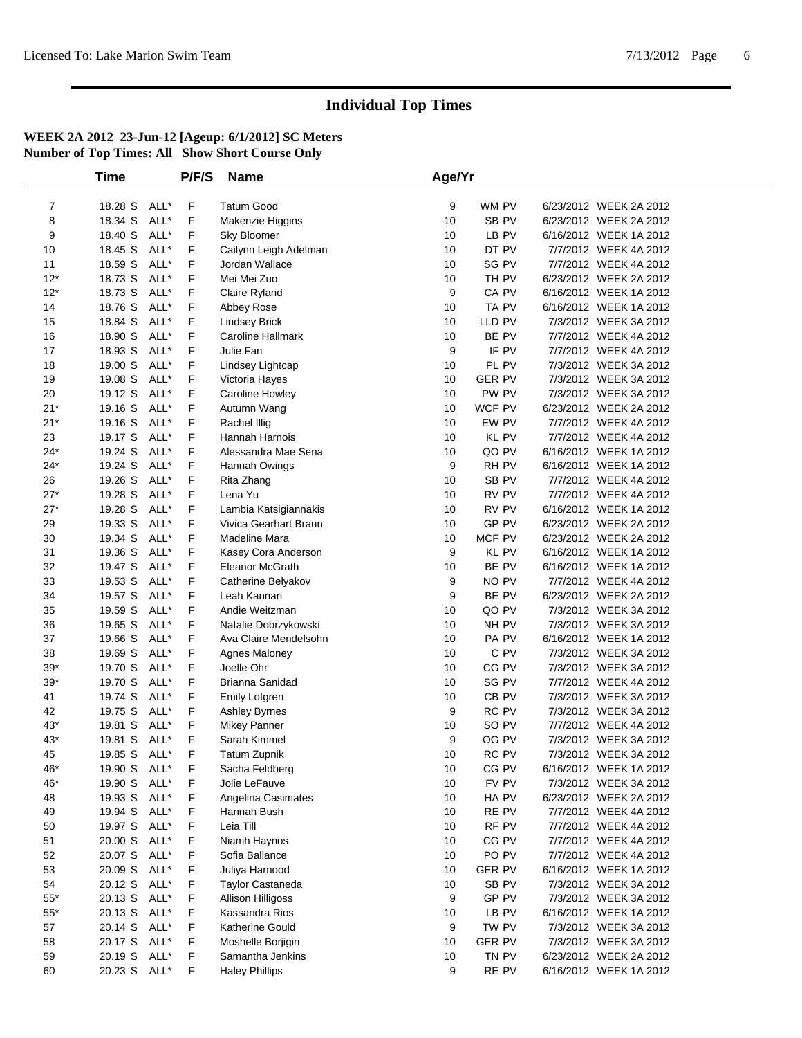|                | <b>Time</b>  |      | P/F/S | <b>Name</b>             | Age/Yr |               |                        |  |
|----------------|--------------|------|-------|-------------------------|--------|---------------|------------------------|--|
|                |              |      |       |                         |        |               |                        |  |
| $\overline{7}$ | 18.28 S      | ALL* | F     | <b>Tatum Good</b>       | 9      | WM PV         | 6/23/2012 WEEK 2A 2012 |  |
| 8              | 18.34 S      | ALL* | F     | Makenzie Higgins        | 10     | SB PV         | 6/23/2012 WEEK 2A 2012 |  |
| 9              | 18.40 S      | ALL* | F     | Sky Bloomer             | 10     | LB PV         | 6/16/2012 WEEK 1A 2012 |  |
| 10             | 18.45 S      | ALL* | F     | Cailynn Leigh Adelman   | 10     | DT PV         | 7/7/2012 WEEK 4A 2012  |  |
| 11             | 18.59 S      | ALL* | F     | Jordan Wallace          | 10     | SG PV         | 7/7/2012 WEEK 4A 2012  |  |
| $12*$          | 18.73 S      | ALL* | F     | Mei Mei Zuo             | 10     | TH PV         | 6/23/2012 WEEK 2A 2012 |  |
| $12*$          | 18.73 S      | ALL* | F     | Claire Ryland           | 9      | CA PV         | 6/16/2012 WEEK 1A 2012 |  |
| 14             | 18.76 S      | ALL* | F     | Abbey Rose              | 10     | TA PV         | 6/16/2012 WEEK 1A 2012 |  |
| 15             | 18.84 S      | ALL* | F     | <b>Lindsey Brick</b>    | 10     | LLD PV        | 7/3/2012 WEEK 3A 2012  |  |
| 16             | 18.90 S      | ALL* | F     | Caroline Hallmark       | 10     | BE PV         | 7/7/2012 WEEK 4A 2012  |  |
| 17             | 18.93 S      | ALL* | F     | Julie Fan               | 9      | IF PV         | 7/7/2012 WEEK 4A 2012  |  |
| 18             | 19.00 S      | ALL* | F     | Lindsey Lightcap        | 10     | PL PV         | 7/3/2012 WEEK 3A 2012  |  |
| 19             | 19.08 S      | ALL* | F     | Victoria Hayes          | 10     | <b>GER PV</b> | 7/3/2012 WEEK 3A 2012  |  |
| 20             | 19.12 S      | ALL* | F     | Caroline Howley         | 10     | PW PV         | 7/3/2012 WEEK 3A 2012  |  |
| $21*$          | 19.16 S      | ALL* | F     | Autumn Wang             | 10     | WCF PV        | 6/23/2012 WEEK 2A 2012 |  |
| $21*$          | 19.16 S      | ALL* | F     | Rachel Illig            | 10     | EW PV         | 7/7/2012 WEEK 4A 2012  |  |
| 23             | 19.17 S      | ALL* | F     | Hannah Harnois          | 10     | KL PV         | 7/7/2012 WEEK 4A 2012  |  |
| $24*$          | 19.24 S      | ALL* | F     | Alessandra Mae Sena     | 10     | QO PV         | 6/16/2012 WEEK 1A 2012 |  |
| $24*$          | 19.24 S      | ALL* | F     | Hannah Owings           | 9      | RH PV         | 6/16/2012 WEEK 1A 2012 |  |
| 26             | 19.26 S      | ALL* | F     | Rita Zhang              | 10     | SB PV         | 7/7/2012 WEEK 4A 2012  |  |
| $27*$          | 19.28 S      | ALL* | F     | Lena Yu                 | 10     | RV PV         | 7/7/2012 WEEK 4A 2012  |  |
| $27*$          | 19.28 S      | ALL* | F     | Lambia Katsigiannakis   | 10     | RV PV         | 6/16/2012 WEEK 1A 2012 |  |
| 29             | 19.33 S      | ALL* | F     | Vivica Gearhart Braun   | 10     | GP PV         | 6/23/2012 WEEK 2A 2012 |  |
| 30             | 19.34 S      | ALL* | F     | Madeline Mara           | 10     | MCF PV        | 6/23/2012 WEEK 2A 2012 |  |
| 31             | 19.36 S      | ALL* | F     | Kasey Cora Anderson     | 9      | KL PV         | 6/16/2012 WEEK 1A 2012 |  |
| 32             | 19.47 S      | ALL* | F     | Eleanor McGrath         | 10     | BE PV         | 6/16/2012 WEEK 1A 2012 |  |
| 33             | 19.53 S      | ALL* | F     | Catherine Belyakov      | 9      | NO PV         | 7/7/2012 WEEK 4A 2012  |  |
| 34             | 19.57 S      | ALL* | F     | Leah Kannan             | 9      | BE PV         | 6/23/2012 WEEK 2A 2012 |  |
| 35             | 19.59 S      | ALL* | F     | Andie Weitzman          | 10     | QO PV         | 7/3/2012 WEEK 3A 2012  |  |
| 36             | 19.65 S      | ALL* | F     | Natalie Dobrzykowski    | 10     | NH PV         | 7/3/2012 WEEK 3A 2012  |  |
| 37             | 19.66 S      | ALL* | F     | Ava Claire Mendelsohn   | 10     | PA PV         | 6/16/2012 WEEK 1A 2012 |  |
| 38             | 19.69 S      | ALL* | F     | Agnes Maloney           | 10     | C PV          | 7/3/2012 WEEK 3A 2012  |  |
| $39*$          | 19.70 S      | ALL* | F     | Joelle Ohr              | 10     | CG PV         | 7/3/2012 WEEK 3A 2012  |  |
| $39*$          | 19.70 S      | ALL* | F     | Brianna Sanidad         | 10     | SG PV         | 7/7/2012 WEEK 4A 2012  |  |
| 41             | 19.74 S      | ALL* | F     | Emily Lofgren           | 10     | CB PV         | 7/3/2012 WEEK 3A 2012  |  |
| 42             | 19.75 S      | ALL* | F     | <b>Ashley Byrnes</b>    | 9      | RC PV         | 7/3/2012 WEEK 3A 2012  |  |
| $43*$          | 19.81 S      | ALL* | F     | <b>Mikey Panner</b>     | 10     | SO PV         | 7/7/2012 WEEK 4A 2012  |  |
| $43*$          | 19.81 S      | ALL* | F     | Sarah Kimmel            | 9      | OG PV         | 7/3/2012 WEEK 3A 2012  |  |
| 45             | 19.85 S      | ALL* | F     | <b>Tatum Zupnik</b>     | 10     | RC PV         | 7/3/2012 WEEK 3A 2012  |  |
| 46*            | 19.90 S ALL* |      | F     | Sacha Feldberg          | 10     | CG PV         | 6/16/2012 WEEK 1A 2012 |  |
| 46*            | 19.90 S      | ALL* | F     | Jolie LeFauve           | 10     | FV PV         | 7/3/2012 WEEK 3A 2012  |  |
| 48             | 19.93 S      | ALL* | F     | Angelina Casimates      | 10     | HA PV         | 6/23/2012 WEEK 2A 2012 |  |
| 49             | 19.94 S      | ALL* | F     | Hannah Bush             | 10     | RE PV         | 7/7/2012 WEEK 4A 2012  |  |
| 50             | 19.97 S      | ALL* | F     | Leia Till               | 10     | RF PV         | 7/7/2012 WEEK 4A 2012  |  |
| 51             | 20.00 S      | ALL* | F     | Niamh Haynos            | 10     | CG PV         | 7/7/2012 WEEK 4A 2012  |  |
| 52             | 20.07 S      | ALL* | F     | Sofia Ballance          | 10     | PO PV         | 7/7/2012 WEEK 4A 2012  |  |
| 53             | 20.09 S      | ALL* | F     | Juliya Harnood          | 10     | <b>GER PV</b> | 6/16/2012 WEEK 1A 2012 |  |
| 54             | 20.12 S      | ALL* | F     | <b>Taylor Castaneda</b> | 10     | SB PV         | 7/3/2012 WEEK 3A 2012  |  |
| $55*$          | 20.13 S      | ALL* | F     | Allison Hilligoss       | 9      | GP PV         | 7/3/2012 WEEK 3A 2012  |  |
| $55^{\ast}$    | 20.13 S      | ALL* | F     | Kassandra Rios          | 10     | LB PV         | 6/16/2012 WEEK 1A 2012 |  |
| 57             | 20.14 S      | ALL* | F     | Katherine Gould         | 9      | TW PV         | 7/3/2012 WEEK 3A 2012  |  |
| 58             | 20.17 S      | ALL* | F     | Moshelle Borjigin       | 10     | <b>GER PV</b> | 7/3/2012 WEEK 3A 2012  |  |
| 59             | 20.19 S      | ALL* | F     | Samantha Jenkins        | 10     | TN PV         | 6/23/2012 WEEK 2A 2012 |  |
| 60             | 20.23 S ALL* |      | F     | <b>Haley Phillips</b>   | 9      | RE PV         | 6/16/2012 WEEK 1A 2012 |  |
|                |              |      |       |                         |        |               |                        |  |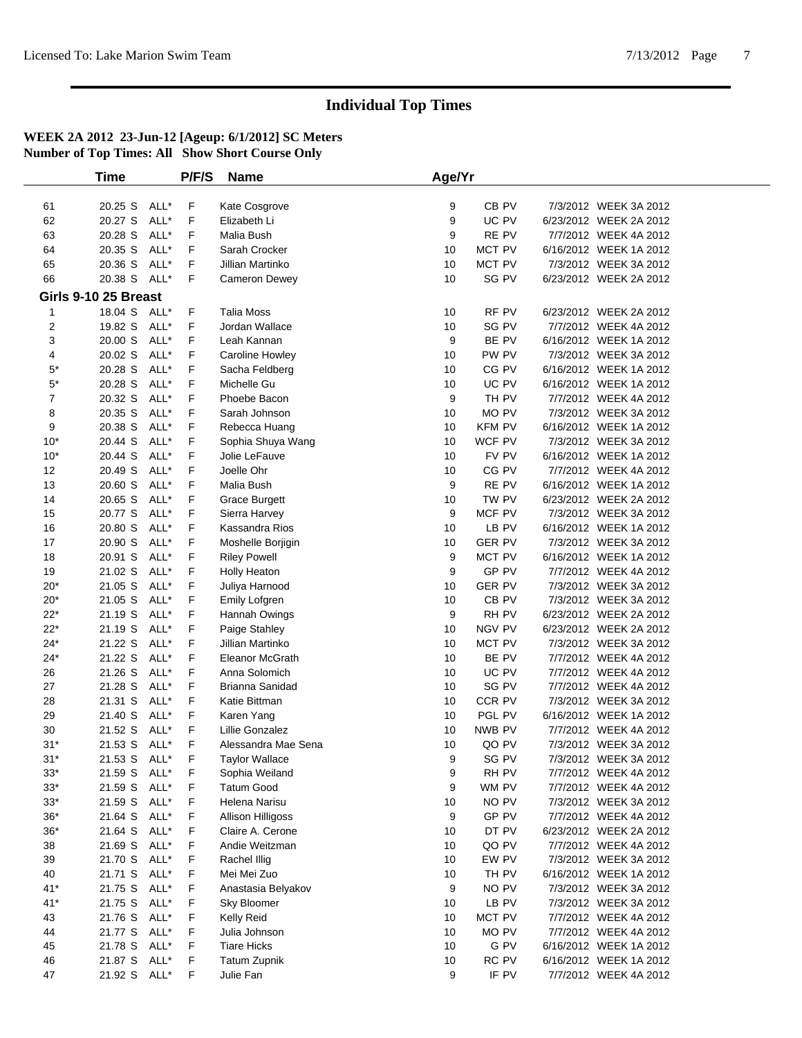|                | <b>Time</b>          |      | P/F/S | <b>Name</b>              | Age/Yr |                  |                        |  |
|----------------|----------------------|------|-------|--------------------------|--------|------------------|------------------------|--|
|                |                      |      |       |                          |        |                  |                        |  |
| 61             | 20.25 S              | ALL* | F     | Kate Cosgrove            | 9      | CB <sub>PV</sub> | 7/3/2012 WEEK 3A 2012  |  |
| 62             | 20.27 S              | ALL* | F     | Elizabeth Li             | 9      | UC PV            | 6/23/2012 WEEK 2A 2012 |  |
| 63             | 20.28 S              | ALL* | F     | Malia Bush               | 9      | RE PV            | 7/7/2012 WEEK 4A 2012  |  |
| 64             | 20.35 S              | ALL* | F     | Sarah Crocker            | 10     | MCT PV           | 6/16/2012 WEEK 1A 2012 |  |
| 65             | 20.36 S              | ALL* | F     | Jillian Martinko         | 10     | MCT PV           | 7/3/2012 WEEK 3A 2012  |  |
| 66             | 20.38 S ALL*         |      | F     | <b>Cameron Dewey</b>     | 10     | SG PV            | 6/23/2012 WEEK 2A 2012 |  |
|                | Girls 9-10 25 Breast |      |       |                          |        |                  |                        |  |
| 1              | 18.04 S ALL*         |      | F     | <b>Talia Moss</b>        | 10     | RF PV            | 6/23/2012 WEEK 2A 2012 |  |
| 2              | 19.82 S              | ALL* | F     | Jordan Wallace           | 10     | SG PV            | 7/7/2012 WEEK 4A 2012  |  |
| 3              | 20.00 S              | ALL* | F     | Leah Kannan              | 9      | BE PV            | 6/16/2012 WEEK 1A 2012 |  |
| 4              | 20.02 S              | ALL* | F     | <b>Caroline Howley</b>   | 10     | PW PV            | 7/3/2012 WEEK 3A 2012  |  |
| $5*$           | 20.28 S              | ALL* | F     | Sacha Feldberg           | 10     | CG PV            | 6/16/2012 WEEK 1A 2012 |  |
| $5^*$          | 20.28 S              | ALL* | F     | Michelle Gu              | 10     | UC PV            | 6/16/2012 WEEK 1A 2012 |  |
| $\overline{7}$ | 20.32 S              | ALL* | F     | Phoebe Bacon             | 9      | TH PV            | 7/7/2012 WEEK 4A 2012  |  |
| 8              | 20.35 S              | ALL* | F     | Sarah Johnson            | 10     | MO PV            | 7/3/2012 WEEK 3A 2012  |  |
| 9              | 20.38 S              | ALL* | F     | Rebecca Huang            | 10     | <b>KFM PV</b>    | 6/16/2012 WEEK 1A 2012 |  |
| $10*$          | 20.44 S              | ALL* | F     | Sophia Shuya Wang        | 10     | WCF PV           | 7/3/2012 WEEK 3A 2012  |  |
| $10*$          | 20.44 S              | ALL* | F     | Jolie LeFauve            | 10     | FV PV            | 6/16/2012 WEEK 1A 2012 |  |
| 12             | 20.49 S              | ALL* | F     | Joelle Ohr               | 10     | CG PV            | 7/7/2012 WEEK 4A 2012  |  |
| 13             | 20.60 S              | ALL* | F     | Malia Bush               | 9      | RE PV            | 6/16/2012 WEEK 1A 2012 |  |
| 14             | 20.65 S              | ALL* | F     | <b>Grace Burgett</b>     | 10     | TW PV            | 6/23/2012 WEEK 2A 2012 |  |
| 15             | 20.77 S              | ALL* | F     | Sierra Harvey            | 9      | MCF PV           | 7/3/2012 WEEK 3A 2012  |  |
| 16             | 20.80 S              | ALL* | F     | Kassandra Rios           | 10     | LB PV            | 6/16/2012 WEEK 1A 2012 |  |
| 17             | 20.90 S              | ALL* | F     | Moshelle Borjigin        | 10     | <b>GER PV</b>    | 7/3/2012 WEEK 3A 2012  |  |
| 18             | 20.91 S              | ALL* | F     | <b>Riley Powell</b>      | 9      | MCT PV           | 6/16/2012 WEEK 1A 2012 |  |
| 19             | 21.02 S              | ALL* | F     | Holly Heaton             | 9      | GP PV            | 7/7/2012 WEEK 4A 2012  |  |
| $20*$          | 21.05 S              | ALL* | F     | Juliya Harnood           | 10     | <b>GER PV</b>    | 7/3/2012 WEEK 3A 2012  |  |
| $20*$          | 21.05 S              | ALL* | F     | Emily Lofgren            | 10     | CB <sub>PV</sub> | 7/3/2012 WEEK 3A 2012  |  |
| $22*$          | 21.19 S              | ALL* | F     | Hannah Owings            | 9      | RH PV            | 6/23/2012 WEEK 2A 2012 |  |
| $22*$          | 21.19 S              | ALL* | F     | Paige Stahley            | 10     | NGV PV           | 6/23/2012 WEEK 2A 2012 |  |
| $24*$          | 21.22 S              | ALL* | F     | Jillian Martinko         | 10     | MCT PV           | 7/3/2012 WEEK 3A 2012  |  |
| $24*$          | 21.22 S              | ALL* | F     | Eleanor McGrath          | 10     | BE PV            | 7/7/2012 WEEK 4A 2012  |  |
| 26             | 21.26 S              | ALL* | F     | Anna Solomich            | 10     | UC PV            | 7/7/2012 WEEK 4A 2012  |  |
| 27             | 21.28 S              | ALL* | F     | Brianna Sanidad          | 10     | SG PV            | 7/7/2012 WEEK 4A 2012  |  |
| 28             | 21.31 S              | ALL* | F     | Katie Bittman            | 10     | CCR PV           | 7/3/2012 WEEK 3A 2012  |  |
| 29             | 21.40 S              | ALL* | F     | Karen Yang               | 10     | PGL PV           | 6/16/2012 WEEK 1A 2012 |  |
| 30             | 21.52 S              | ALL* | F     | Lillie Gonzalez          | 10     | NWB PV           | 7/7/2012 WEEK 4A 2012  |  |
| $31*$          | 21.53 S ALL*         |      | F     | Alessandra Mae Sena      | 10     | QO PV            | 7/3/2012 WEEK 3A 2012  |  |
| $31*$          | 21.53 S ALL*         |      | F     | <b>Taylor Wallace</b>    | 9      | SG PV            | 7/3/2012 WEEK 3A 2012  |  |
| 33*            | 21.59 S ALL*         |      | F     | Sophia Weiland           | 9      | RH PV            | 7/7/2012 WEEK 4A 2012  |  |
| $33*$          | 21.59 S              | ALL* | F     | <b>Tatum Good</b>        | 9      | WM PV            | 7/7/2012 WEEK 4A 2012  |  |
| $33*$          | 21.59 S              | ALL* | F     | Helena Narisu            | 10     | NO PV            | 7/3/2012 WEEK 3A 2012  |  |
| $36*$          | 21.64 S              | ALL* | F     | <b>Allison Hilligoss</b> | 9      | GP PV            | 7/7/2012 WEEK 4A 2012  |  |
| $36*$          | 21.64 S              | ALL* | F     | Claire A. Cerone         | 10     | DT PV            | 6/23/2012 WEEK 2A 2012 |  |
| 38             | 21.69 S              | ALL* | F     | Andie Weitzman           | 10     | QO PV            | 7/7/2012 WEEK 4A 2012  |  |
| 39             | 21.70 S              | ALL* | F     | Rachel Illig             | 10     | EW PV            | 7/3/2012 WEEK 3A 2012  |  |
| 40             | 21.71 S              | ALL* | F     | Mei Mei Zuo              | 10     | TH PV            | 6/16/2012 WEEK 1A 2012 |  |
| $41*$          | 21.75 S              | ALL* | F     | Anastasia Belyakov       | 9      | NO PV            | 7/3/2012 WEEK 3A 2012  |  |
| $41*$          | 21.75 S              | ALL* | F     | Sky Bloomer              | 10     | LB PV            | 7/3/2012 WEEK 3A 2012  |  |
| 43             | 21.76 S              | ALL* | F     | <b>Kelly Reid</b>        | 10     | MCT PV           | 7/7/2012 WEEK 4A 2012  |  |
| 44             | 21.77 S              | ALL* | F     | Julia Johnson            | 10     | MO PV            | 7/7/2012 WEEK 4A 2012  |  |
| 45             | 21.78 S              | ALL* | F     | <b>Tiare Hicks</b>       | 10     | G PV             | 6/16/2012 WEEK 1A 2012 |  |
| 46             | 21.87 S              | ALL* | F     | <b>Tatum Zupnik</b>      | 10     | RC PV            | 6/16/2012 WEEK 1A 2012 |  |
| 47             | 21.92 S ALL*         |      | F     | Julie Fan                | 9      | IF PV            | 7/7/2012 WEEK 4A 2012  |  |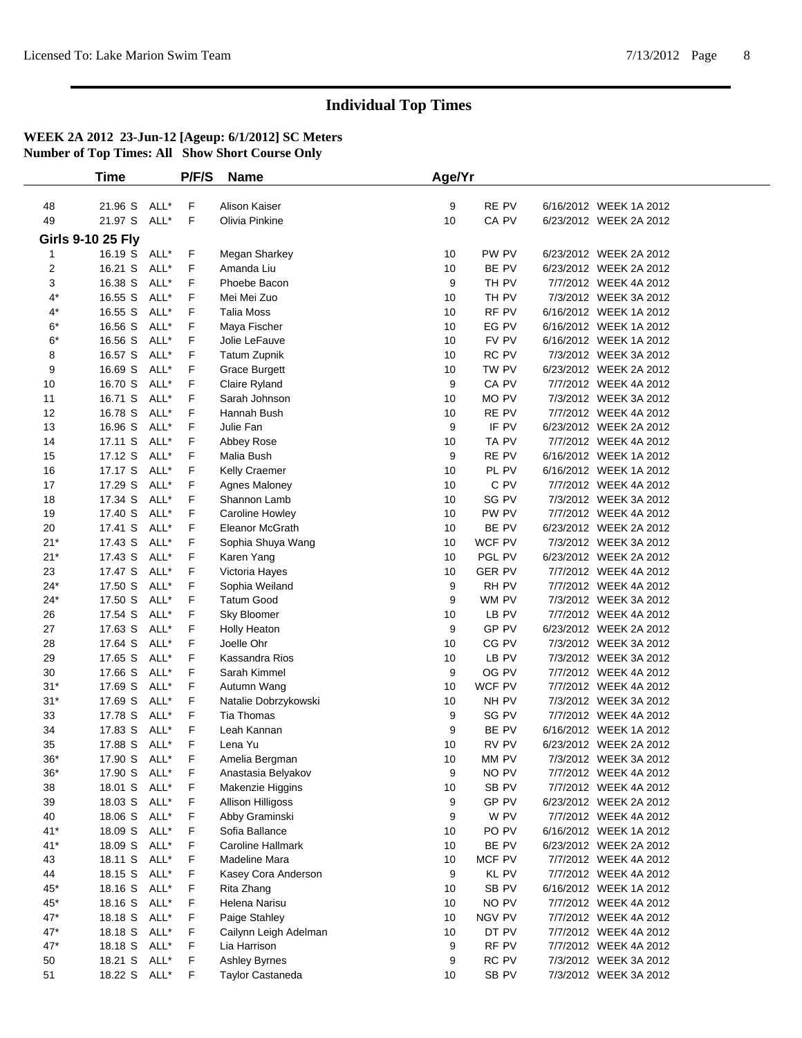|                  | <b>Time</b>              |              | P/F/S  | <b>Name</b>                         | Age/Yr   |                  |                                                 |  |
|------------------|--------------------------|--------------|--------|-------------------------------------|----------|------------------|-------------------------------------------------|--|
| 48               | 21.96 S                  | ALL*         | F      | Alison Kaiser                       | 9        | RE PV            | 6/16/2012 WEEK 1A 2012                          |  |
| 49               | 21.97 S                  | ALL*         | F      | Olivia Pinkine                      | 10       | CA PV            | 6/23/2012 WEEK 2A 2012                          |  |
|                  |                          |              |        |                                     |          |                  |                                                 |  |
|                  | <b>Girls 9-10 25 Fly</b> |              |        |                                     |          |                  |                                                 |  |
| $\mathbf{1}$     | 16.19 S ALL*             |              | F      | Megan Sharkey                       | 10       | PW PV            | 6/23/2012 WEEK 2A 2012                          |  |
| $\overline{c}$   | 16.21 S                  | ALL*<br>ALL* | F<br>F | Amanda Liu<br>Phoebe Bacon          | 10       | BE PV            | 6/23/2012 WEEK 2A 2012                          |  |
| 3<br>$4^{\star}$ | 16.38 S<br>16.55 S       | ALL*         | F      | Mei Mei Zuo                         | 9<br>10  | TH PV<br>TH PV   | 7/7/2012 WEEK 4A 2012<br>7/3/2012 WEEK 3A 2012  |  |
| $4^*$            | 16.55 S                  | ALL*         | F      | <b>Talia Moss</b>                   | 10       | RF PV            | 6/16/2012 WEEK 1A 2012                          |  |
| $6*$             | 16.56 S                  | ALL*         | F      | Maya Fischer                        | 10       | EG PV            | 6/16/2012 WEEK 1A 2012                          |  |
| $6*$             | 16.56 S                  | ALL*         | F      | Jolie LeFauve                       | 10       | FV PV            | 6/16/2012 WEEK 1A 2012                          |  |
| 8                | 16.57 S                  | ALL*         | F      | <b>Tatum Zupnik</b>                 | 10       | RC PV            | 7/3/2012 WEEK 3A 2012                           |  |
| 9                | 16.69 S                  | ALL*         | F      | <b>Grace Burgett</b>                | 10       | TW PV            | 6/23/2012 WEEK 2A 2012                          |  |
| 10               | 16.70 S                  | ALL*         | F      | Claire Ryland                       | 9        | CA PV            | 7/7/2012 WEEK 4A 2012                           |  |
| 11               | 16.71 S                  | ALL*         | F      | Sarah Johnson                       | 10       | MO PV            | 7/3/2012 WEEK 3A 2012                           |  |
| 12               | 16.78 S                  | ALL*         | F      | Hannah Bush                         | 10       | RE PV            | 7/7/2012 WEEK 4A 2012                           |  |
| 13               | 16.96 S                  | ALL*         | F      | Julie Fan                           | 9        | IF PV            | 6/23/2012 WEEK 2A 2012                          |  |
| 14               | 17.11 S                  | ALL*         | F      | Abbey Rose                          | 10       | TA PV            | 7/7/2012 WEEK 4A 2012                           |  |
| 15               | 17.12 S                  | ALL*         | F      | Malia Bush                          | 9        | RE PV            | 6/16/2012 WEEK 1A 2012                          |  |
| 16               | 17.17 S                  | ALL*         | F      | Kelly Craemer                       | 10       | PL PV            | 6/16/2012 WEEK 1A 2012                          |  |
| 17               | 17.29 S                  | ALL*         | F      | Agnes Maloney                       | 10       | C PV             | 7/7/2012 WEEK 4A 2012                           |  |
| 18               | 17.34 S                  | ALL*         | F      | Shannon Lamb                        | 10       | SG PV            | 7/3/2012 WEEK 3A 2012                           |  |
| 19               | 17.40 S                  | ALL*         | F      | Caroline Howley                     | 10       | PW PV            | 7/7/2012 WEEK 4A 2012                           |  |
| 20               | 17.41 S                  | ALL*         | F      | <b>Eleanor McGrath</b>              | 10       | BE PV            | 6/23/2012 WEEK 2A 2012                          |  |
| $21*$            | 17.43 S                  | ALL*         | F      | Sophia Shuya Wang                   | 10       | WCF PV           | 7/3/2012 WEEK 3A 2012                           |  |
| $21*$            | 17.43 S                  | ALL*         | F      | Karen Yang                          | 10       | PGL PV           | 6/23/2012 WEEK 2A 2012                          |  |
| 23               | 17.47 S                  | ALL*         | F      | Victoria Hayes                      | 10       | <b>GER PV</b>    | 7/7/2012 WEEK 4A 2012                           |  |
| $24*$            | 17.50 S                  | ALL*         | F      | Sophia Weiland                      | 9        | RH PV            | 7/7/2012 WEEK 4A 2012                           |  |
| $24*$            | 17.50 S                  | ALL*         | F      | <b>Tatum Good</b>                   | 9        | WM PV            | 7/3/2012 WEEK 3A 2012                           |  |
| 26               | 17.54 S                  | ALL*         | F      | Sky Bloomer                         | 10       | LB PV            | 7/7/2012 WEEK 4A 2012                           |  |
| 27               | 17.63 S                  | ALL*         | F      | <b>Holly Heaton</b>                 | 9        | GP PV            | 6/23/2012 WEEK 2A 2012                          |  |
| 28               | 17.64 S                  | ALL*         | F      | Joelle Ohr                          | 10       | CG PV            | 7/3/2012 WEEK 3A 2012                           |  |
| 29               | 17.65 S                  | ALL*         | F      | Kassandra Rios                      | 10       | LB PV            | 7/3/2012 WEEK 3A 2012                           |  |
| 30               | 17.66 S                  | ALL*         | F      | Sarah Kimmel                        | 9        | OG PV            | 7/7/2012 WEEK 4A 2012                           |  |
| $31*$            | 17.69 S                  | ALL*         | F      | Autumn Wang                         | 10       | WCF PV           | 7/7/2012 WEEK 4A 2012                           |  |
| $31*$            | 17.69 S                  | ALL*         | F      | Natalie Dobrzykowski                | 10       | NH PV            | 7/3/2012 WEEK 3A 2012                           |  |
| 33               | 17.78 S                  | ALL*         | F      | <b>Tia Thomas</b>                   | 9        | SG PV            | 7/7/2012 WEEK 4A 2012                           |  |
| 34               | 17.83 S                  | ALL*         | F      | Leah Kannan                         | 9        | BE PV            | 6/16/2012 WEEK 1A 2012                          |  |
| 35               | 17.88 S                  | ALL*         | F      | Lena Yu                             | 10       | RV PV            | 6/23/2012 WEEK 2A 2012                          |  |
| $36*$            | 17.90 S                  | ALL*         | F      | Amelia Bergman                      | 10       | MM PV            | 7/3/2012 WEEK 3A 2012                           |  |
| $36^{\ast}$      | 17.90 S                  | ALL*         | F      | Anastasia Belyakov                  | 9        | NO PV            | 7/7/2012 WEEK 4A 2012                           |  |
| 38               | 18.01 S                  | ALL*         | F      | <b>Makenzie Higgins</b>             | 10       | SB PV            | 7/7/2012 WEEK 4A 2012                           |  |
| 39               | 18.03 S                  | ALL*         | F      | <b>Allison Hilligoss</b>            | 9        | GP PV            | 6/23/2012 WEEK 2A 2012                          |  |
| 40               | 18.06 S                  | ALL*         | F      | Abby Graminski                      | 9        | W PV             | 7/7/2012 WEEK 4A 2012                           |  |
| $41*$            | 18.09 S                  | ALL*         | F      | Sofia Ballance<br>Caroline Hallmark | 10       | PO PV<br>BE PV   | 6/16/2012 WEEK 1A 2012                          |  |
| $41*$<br>43      | 18.09 S ALL*<br>18.11 S  | ALL*         | F<br>F | <b>Madeline Mara</b>                | 10<br>10 | MCF PV           | 6/23/2012 WEEK 2A 2012<br>7/7/2012 WEEK 4A 2012 |  |
| 44               | 18.15 S                  | ALL*         | F      | Kasey Cora Anderson                 | 9        | KL PV            | 7/7/2012 WEEK 4A 2012                           |  |
| $45*$            | 18.16 S                  | ALL*         | F      | Rita Zhang                          | 10       | SB <sub>PV</sub> | 6/16/2012 WEEK 1A 2012                          |  |
| $45^{\ast}$      | 18.16 S                  | ALL*         | F      | Helena Narisu                       | 10       | NO PV            | 7/7/2012 WEEK 4A 2012                           |  |
| $47^{\star}$     | 18.18 S                  | ALL*         | F      | Paige Stahley                       | 10       | <b>NGV PV</b>    | 7/7/2012 WEEK 4A 2012                           |  |
| $47*$            | 18.18 S                  | ALL*         | F      | Cailynn Leigh Adelman               | 10       | DT PV            | 7/7/2012 WEEK 4A 2012                           |  |
| $47*$            | 18.18 S                  | ALL*         | F      | Lia Harrison                        | 9        | RF PV            | 7/7/2012 WEEK 4A 2012                           |  |
| 50               | 18.21 S                  | ALL*         | F      | Ashley Byrnes                       | 9        | RC PV            | 7/3/2012 WEEK 3A 2012                           |  |
| 51               | 18.22 S ALL*             |              | F      | Taylor Castaneda                    | 10       | SB PV            | 7/3/2012 WEEK 3A 2012                           |  |
|                  |                          |              |        |                                     |          |                  |                                                 |  |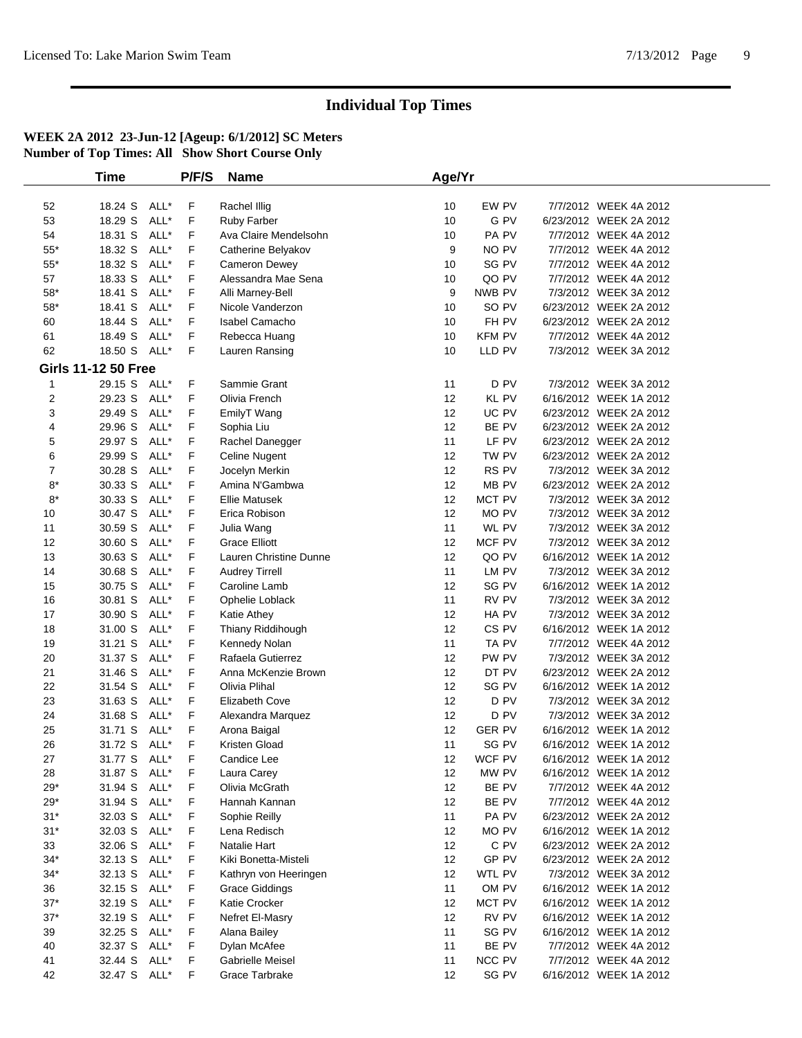|                         | <b>Time</b>                |      | P/F/S | <b>Name</b>            | Age/Yr |                  |                        |  |
|-------------------------|----------------------------|------|-------|------------------------|--------|------------------|------------------------|--|
|                         |                            |      |       |                        |        |                  |                        |  |
| 52                      | 18.24 S                    | ALL* | F     | Rachel Illig           | 10     | EW PV            | 7/7/2012 WEEK 4A 2012  |  |
| 53                      | 18.29 S                    | ALL* | F     | Ruby Farber            | 10     | G PV             | 6/23/2012 WEEK 2A 2012 |  |
| 54                      | 18.31 S                    | ALL* | F     | Ava Claire Mendelsohn  | 10     | PA PV            | 7/7/2012 WEEK 4A 2012  |  |
| $55^{\ast}$             | 18.32 S                    | ALL* | F     | Catherine Belyakov     | 9      | NO PV            | 7/7/2012 WEEK 4A 2012  |  |
| $55^{\ast}$             | 18.32 S                    | ALL* | F     | Cameron Dewey          | 10     | SG PV            | 7/7/2012 WEEK 4A 2012  |  |
| 57                      | 18.33 S                    | ALL* | F     | Alessandra Mae Sena    | 10     | QO PV            | 7/7/2012 WEEK 4A 2012  |  |
| $58*$                   | 18.41 S                    | ALL* | F     | Alli Marney-Bell       | 9      | NWB PV           | 7/3/2012 WEEK 3A 2012  |  |
| $58*$                   | 18.41 S                    | ALL* | F     | Nicole Vanderzon       | 10     | SO PV            | 6/23/2012 WEEK 2A 2012 |  |
| 60                      | 18.44 S                    | ALL* | F     | Isabel Camacho         | 10     | FH PV            | 6/23/2012 WEEK 2A 2012 |  |
| 61                      | 18.49 S                    | ALL* | F     | Rebecca Huang          | 10     | <b>KFM PV</b>    | 7/7/2012 WEEK 4A 2012  |  |
| 62                      | 18.50 S                    | ALL* | F     | Lauren Ransing         | 10     | LLD PV           | 7/3/2012 WEEK 3A 2012  |  |
|                         | <b>Girls 11-12 50 Free</b> |      |       |                        |        |                  |                        |  |
| $\mathbf{1}$            | 29.15 S ALL*               |      | F     | Sammie Grant           | 11     | D PV             | 7/3/2012 WEEK 3A 2012  |  |
| $\overline{\mathbf{c}}$ | 29.23 S                    | ALL* | F     | Olivia French          | 12     | <b>KL PV</b>     | 6/16/2012 WEEK 1A 2012 |  |
| 3                       | 29.49 S                    | ALL* | F     | EmilyT Wang            | 12     | UC PV            | 6/23/2012 WEEK 2A 2012 |  |
| 4                       | 29.96 S                    | ALL* | F     | Sophia Liu             | 12     | BE PV            | 6/23/2012 WEEK 2A 2012 |  |
| 5                       | 29.97 S                    | ALL* | F     | Rachel Danegger        | 11     | LF PV            | 6/23/2012 WEEK 2A 2012 |  |
| 6                       | 29.99 S                    | ALL* | F     | <b>Celine Nugent</b>   | 12     | TW PV            | 6/23/2012 WEEK 2A 2012 |  |
| 7                       | 30.28 S                    | ALL* | F     | Jocelyn Merkin         | 12     | RS PV            | 7/3/2012 WEEK 3A 2012  |  |
| $8*$                    | 30.33 S                    | ALL* | F     | Amina N'Gambwa         | 12     | MB PV            | 6/23/2012 WEEK 2A 2012 |  |
| $8*$                    | 30.33 S                    | ALL* | F     | <b>Ellie Matusek</b>   | 12     | MCT PV           | 7/3/2012 WEEK 3A 2012  |  |
| 10                      | 30.47 S                    | ALL* | F     | Erica Robison          | 12     | MO PV            | 7/3/2012 WEEK 3A 2012  |  |
| 11                      | 30.59 S                    | ALL* | F     | Julia Wang             | 11     | WL PV            | 7/3/2012 WEEK 3A 2012  |  |
| 12                      | 30.60 S                    | ALL* | F     | <b>Grace Elliott</b>   | 12     | MCF PV           | 7/3/2012 WEEK 3A 2012  |  |
| 13                      | 30.63 S                    | ALL* | F     | Lauren Christine Dunne | 12     | QO PV            | 6/16/2012 WEEK 1A 2012 |  |
| 14                      | 30.68 S                    | ALL* | F     | <b>Audrey Tirrell</b>  | 11     | LM PV            | 7/3/2012 WEEK 3A 2012  |  |
| 15                      | 30.75 S                    | ALL* | F     | Caroline Lamb          | 12     | SG PV            | 6/16/2012 WEEK 1A 2012 |  |
| 16                      | 30.81 S                    | ALL* | F     | Ophelie Loblack        | 11     | RV PV            | 7/3/2012 WEEK 3A 2012  |  |
| 17                      | 30.90 S                    | ALL* | F     | Katie Athey            | 12     | HA PV            | 7/3/2012 WEEK 3A 2012  |  |
| 18                      | 31.00 S                    | ALL* | F     | Thiany Riddihough      | 12     | CS <sub>PV</sub> | 6/16/2012 WEEK 1A 2012 |  |
| 19                      | 31.21 S                    | ALL* | F     | Kennedy Nolan          | 11     | TA PV            | 7/7/2012 WEEK 4A 2012  |  |
| 20                      | 31.37 S                    | ALL* | F     | Rafaela Gutierrez      | 12     | PW PV            | 7/3/2012 WEEK 3A 2012  |  |
| 21                      | 31.46 S                    | ALL* | F     | Anna McKenzie Brown    | 12     | DT PV            | 6/23/2012 WEEK 2A 2012 |  |
| 22                      | 31.54 S                    | ALL* | F     | Olivia Plihal          | 12     | SG PV            | 6/16/2012 WEEK 1A 2012 |  |
| 23                      | 31.63 S                    | ALL* | F     | Elizabeth Cove         | 12     | D PV             | 7/3/2012 WEEK 3A 2012  |  |
| 24                      | 31.68 S                    | ALL* | F     | Alexandra Marquez      | 12     | D PV             | 7/3/2012 WEEK 3A 2012  |  |
| 25                      | 31.71 S                    | ALL* | F     | Arona Baigal           | 12     | <b>GER PV</b>    | 6/16/2012 WEEK 1A 2012 |  |
| 26                      | 31.72 S ALL*               |      | F     | Kristen Gload          | 11     | SG PV            | 6/16/2012 WEEK 1A 2012 |  |
| 27                      | 31.77 S ALL*               |      | F     | Candice Lee            | 12     | WCF PV           | 6/16/2012 WEEK 1A 2012 |  |
| 28                      | 31.87 S ALL*               |      | F     | Laura Carey            | 12     | MW PV            | 6/16/2012 WEEK 1A 2012 |  |
| $29*$                   | 31.94 S ALL*               |      | F     | Olivia McGrath         | 12     | BE PV            | 7/7/2012 WEEK 4A 2012  |  |
| $29*$                   | 31.94 S                    | ALL* | F     | Hannah Kannan          | 12     | BE PV            | 7/7/2012 WEEK 4A 2012  |  |
| $31*$                   | 32.03 S                    | ALL* | F     | Sophie Reilly          | 11     | PA PV            | 6/23/2012 WEEK 2A 2012 |  |
| $31*$                   | 32.03 S                    | ALL* | F     | Lena Redisch           | 12     | MO PV            | 6/16/2012 WEEK 1A 2012 |  |
| 33                      | 32.06 S                    | ALL* | F     | Natalie Hart           | 12     | C PV             | 6/23/2012 WEEK 2A 2012 |  |
| $34*$                   | 32.13 S                    | ALL* | F     | Kiki Bonetta-Misteli   | 12     | GP PV            | 6/23/2012 WEEK 2A 2012 |  |
| $34*$                   | 32.13 S                    | ALL* | F     | Kathryn von Heeringen  | 12     | WTL PV           | 7/3/2012 WEEK 3A 2012  |  |
| 36                      | 32.15 S                    | ALL* | F     | <b>Grace Giddings</b>  | 11     | OM PV            | 6/16/2012 WEEK 1A 2012 |  |
| $37*$                   | 32.19 S                    | ALL* | F     | Katie Crocker          | 12     | MCT PV           | 6/16/2012 WEEK 1A 2012 |  |
| $37^{\ast}$             | 32.19 S                    | ALL* | F     | Nefret El-Masry        | 12     | RV PV            | 6/16/2012 WEEK 1A 2012 |  |
| 39                      | 32.25 S                    | ALL* | F     | Alana Bailey           | 11     | SG PV            | 6/16/2012 WEEK 1A 2012 |  |
| 40                      | 32.37 S ALL*               |      | F     | Dylan McAfee           | 11     | BE PV            | 7/7/2012 WEEK 4A 2012  |  |
| 41                      | 32.44 S ALL*               |      | F     | Gabrielle Meisel       | 11     | NCC PV           | 7/7/2012 WEEK 4A 2012  |  |
| 42                      | 32.47 S ALL*               |      | F     | Grace Tarbrake         | 12     | SG PV            | 6/16/2012 WEEK 1A 2012 |  |
|                         |                            |      |       |                        |        |                  |                        |  |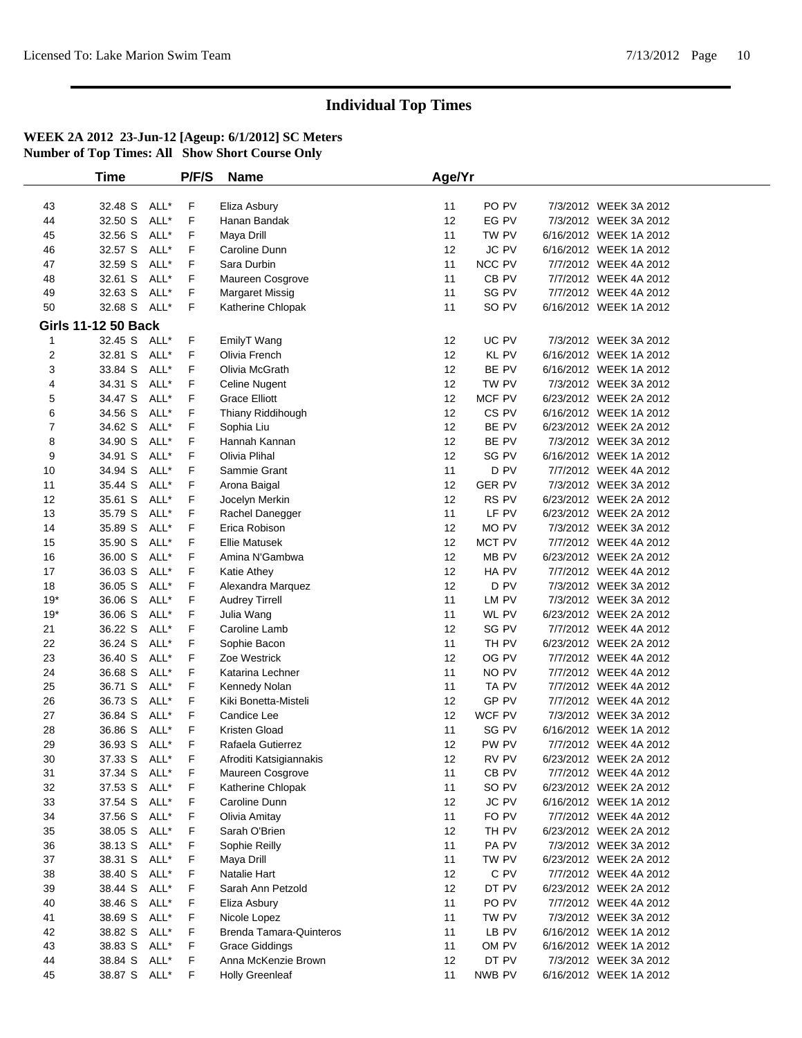|       | <b>Time</b>                |      | P/F/S | <b>Name</b>                    | Age/Yr |                  |                        |  |
|-------|----------------------------|------|-------|--------------------------------|--------|------------------|------------------------|--|
|       |                            |      |       |                                |        |                  |                        |  |
| 43    | 32.48 S                    | ALL* | F     | Eliza Asbury                   | 11     | PO PV            | 7/3/2012 WEEK 3A 2012  |  |
| 44    | 32.50 S                    | ALL* | F     | Hanan Bandak                   | 12     | EG PV            | 7/3/2012 WEEK 3A 2012  |  |
| 45    | 32.56 S                    | ALL* | F     | Maya Drill                     | 11     | TW PV            | 6/16/2012 WEEK 1A 2012 |  |
| 46    | 32.57 S                    | ALL* | F     | Caroline Dunn                  | 12     | <b>JC PV</b>     | 6/16/2012 WEEK 1A 2012 |  |
| 47    | 32.59 S                    | ALL* | F     | Sara Durbin                    | 11     | NCC PV           | 7/7/2012 WEEK 4A 2012  |  |
| 48    | 32.61 S                    | ALL* | F     | Maureen Cosgrove               | 11     | CB PV            | 7/7/2012 WEEK 4A 2012  |  |
| 49    | 32.63 S                    | ALL* | F     | Margaret Missig                | 11     | SG PV            | 7/7/2012 WEEK 4A 2012  |  |
| 50    | 32.68 S                    | ALL* | F     | Katherine Chlopak              | 11     | SO PV            | 6/16/2012 WEEK 1A 2012 |  |
|       | <b>Girls 11-12 50 Back</b> |      |       |                                |        |                  |                        |  |
| 1     | 32.45 S ALL*               |      | F     | EmilyT Wang                    | 12     | UC PV            | 7/3/2012 WEEK 3A 2012  |  |
| 2     | 32.81 S                    | ALL* | F     | Olivia French                  | 12     | <b>KL PV</b>     | 6/16/2012 WEEK 1A 2012 |  |
| 3     | 33.84 S                    | ALL* | F     | Olivia McGrath                 | 12     | BE PV            | 6/16/2012 WEEK 1A 2012 |  |
| 4     | 34.31 S                    | ALL* | F     | Celine Nugent                  | 12     | TW PV            | 7/3/2012 WEEK 3A 2012  |  |
| 5     | 34.47 S                    | ALL* | F     | <b>Grace Elliott</b>           | 12     | MCF PV           | 6/23/2012 WEEK 2A 2012 |  |
| 6     | 34.56 S                    | ALL* | F     | Thiany Riddihough              | 12     | CS <sub>PV</sub> | 6/16/2012 WEEK 1A 2012 |  |
| 7     | 34.62 S                    | ALL* | F     | Sophia Liu                     | 12     | BE PV            | 6/23/2012 WEEK 2A 2012 |  |
| 8     | 34.90 S                    | ALL* | F     | Hannah Kannan                  | 12     | BE PV            | 7/3/2012 WEEK 3A 2012  |  |
| 9     | 34.91 S                    | ALL* | F     | Olivia Plihal                  | 12     | SG PV            | 6/16/2012 WEEK 1A 2012 |  |
| 10    | 34.94 S                    | ALL* | F     | Sammie Grant                   | 11     | D <sub>PV</sub>  | 7/7/2012 WEEK 4A 2012  |  |
| 11    | 35.44 S                    | ALL* | F     | Arona Baigal                   | 12     | <b>GER PV</b>    | 7/3/2012 WEEK 3A 2012  |  |
| 12    | 35.61 S                    | ALL* | F     | Jocelyn Merkin                 | 12     | RS PV            | 6/23/2012 WEEK 2A 2012 |  |
| 13    | 35.79 S                    | ALL* | F     | Rachel Danegger                | 11     | LF PV            | 6/23/2012 WEEK 2A 2012 |  |
| 14    | 35.89 S                    | ALL* | F     | Erica Robison                  | 12     | MO PV            | 7/3/2012 WEEK 3A 2012  |  |
| 15    | 35.90 S                    | ALL* | F     | <b>Ellie Matusek</b>           | 12     | MCT PV           | 7/7/2012 WEEK 4A 2012  |  |
| 16    | 36.00 S                    | ALL* | F     | Amina N'Gambwa                 | 12     | MB PV            | 6/23/2012 WEEK 2A 2012 |  |
| 17    | 36.03 S                    | ALL* | F     | Katie Athey                    | 12     | HA PV            | 7/7/2012 WEEK 4A 2012  |  |
| 18    | 36.05 S                    | ALL* | F     | Alexandra Marquez              | 12     | D <sub>PV</sub>  | 7/3/2012 WEEK 3A 2012  |  |
| $19*$ | 36.06 S                    | ALL* | F     | <b>Audrey Tirrell</b>          | 11     | LM PV            | 7/3/2012 WEEK 3A 2012  |  |
| $19*$ | 36.06 S                    | ALL* | F     | Julia Wang                     | 11     | WL PV            | 6/23/2012 WEEK 2A 2012 |  |
| 21    | 36.22 S                    | ALL* | F     | Caroline Lamb                  | 12     | SG PV            | 7/7/2012 WEEK 4A 2012  |  |
| 22    | 36.24 S                    | ALL* | F     | Sophie Bacon                   | 11     | TH PV            | 6/23/2012 WEEK 2A 2012 |  |
| 23    | 36.40 S                    | ALL* | F     | Zoe Westrick                   | 12     | OG PV            | 7/7/2012 WEEK 4A 2012  |  |
| 24    | 36.68 S                    | ALL* | F     | Katarina Lechner               | 11     | NO PV            | 7/7/2012 WEEK 4A 2012  |  |
| 25    | 36.71 S                    | ALL* | F     | Kennedy Nolan                  | 11     | TA PV            | 7/7/2012 WEEK 4A 2012  |  |
| 26    | 36.73 S                    | ALL* | F     | Kiki Bonetta-Misteli           | 12     | GP PV            | 7/7/2012 WEEK 4A 2012  |  |
| 27    | 36.84 S                    | ALL* | F     | Candice Lee                    | 12     | WCF PV           | 7/3/2012 WEEK 3A 2012  |  |
| 28    | 36.86 S                    | ALL* | F     | Kristen Gload                  | 11     | SG PV            | 6/16/2012 WEEK 1A 2012 |  |
| 29    | 36.93 S                    | ALL* | F     | Rafaela Gutierrez              | 12     | PW PV            | 7/7/2012 WEEK 4A 2012  |  |
| 30    | 37.33 S ALL*               |      | F     | Afroditi Katsigiannakis        | 12     | RV PV            | 6/23/2012 WEEK 2A 2012 |  |
| 31    | 37.34 S ALL*               |      | F     | Maureen Cosgrove               | 11     | CB <sub>PV</sub> | 7/7/2012 WEEK 4A 2012  |  |
| 32    | 37.53 S                    | ALL* | F     | Katherine Chlopak              | 11     | SO PV            | 6/23/2012 WEEK 2A 2012 |  |
| 33    | 37.54 S                    | ALL* | F     | Caroline Dunn                  | 12     | JC PV            | 6/16/2012 WEEK 1A 2012 |  |
| 34    | 37.56 S                    | ALL* | F     | Olivia Amitay                  | 11     | FO PV            | 7/7/2012 WEEK 4A 2012  |  |
| 35    | 38.05 S                    | ALL* | F     | Sarah O'Brien                  | 12     | TH PV            | 6/23/2012 WEEK 2A 2012 |  |
| 36    | 38.13 S                    | ALL* | F     | Sophie Reilly                  | 11     | PA PV            | 7/3/2012 WEEK 3A 2012  |  |
| 37    | 38.31 S                    | ALL* | F     | Maya Drill                     | 11     | TW PV            | 6/23/2012 WEEK 2A 2012 |  |
| 38    | 38.40 S                    | ALL* | F     | Natalie Hart                   | 12     | C PV             | 7/7/2012 WEEK 4A 2012  |  |
| 39    | 38.44 S                    | ALL* | F     | Sarah Ann Petzold              | 12     | DT PV            | 6/23/2012 WEEK 2A 2012 |  |
| 40    | 38.46 S                    | ALL* | F     | Eliza Asbury                   | 11     | PO <sub>PV</sub> | 7/7/2012 WEEK 4A 2012  |  |
| 41    | 38.69 S                    | ALL* | F     | Nicole Lopez                   | 11     | TW PV            | 7/3/2012 WEEK 3A 2012  |  |
| 42    | 38.82 S                    | ALL* | F     | <b>Brenda Tamara-Quinteros</b> | 11     | LB PV            | 6/16/2012 WEEK 1A 2012 |  |
| 43    | 38.83 S                    | ALL* | F     | <b>Grace Giddings</b>          | 11     | OM PV            | 6/16/2012 WEEK 1A 2012 |  |
| 44    | 38.84 S                    | ALL* | F     | Anna McKenzie Brown            | 12     | DT PV            | 7/3/2012 WEEK 3A 2012  |  |
| 45    | 38.87 S ALL*               |      | F     | <b>Holly Greenleaf</b>         | 11     | NWB PV           | 6/16/2012 WEEK 1A 2012 |  |
|       |                            |      |       |                                |        |                  |                        |  |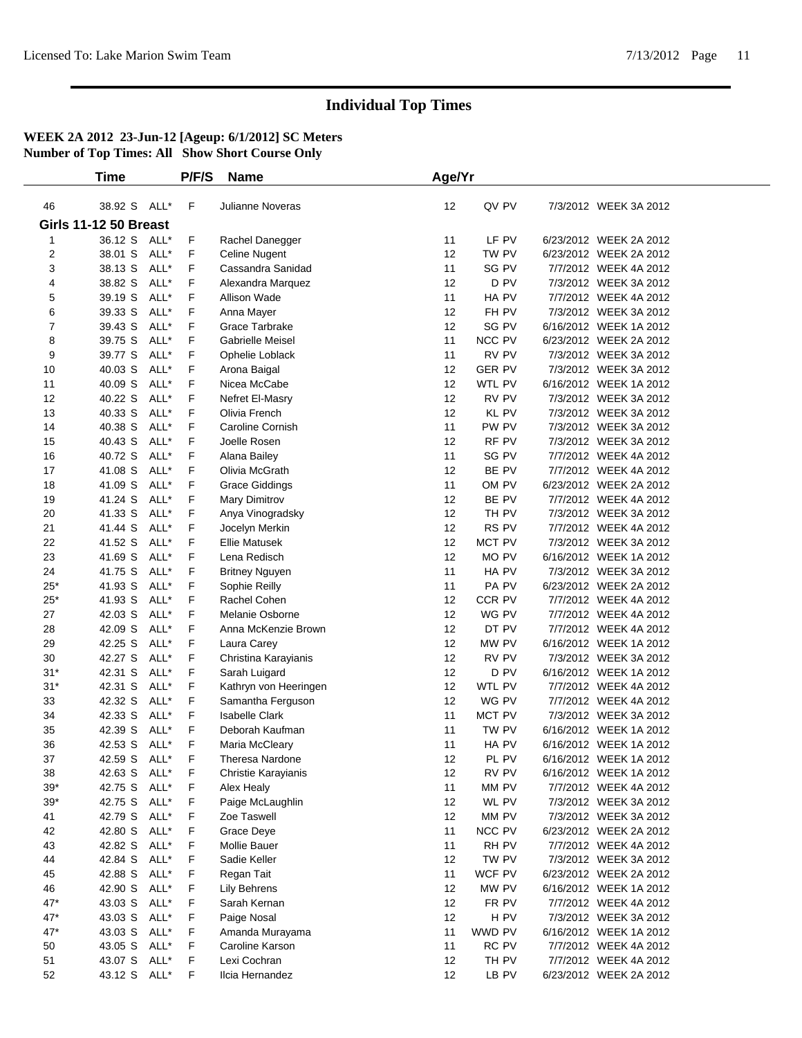|                     | <b>Time</b>                  |              | P/F/S  | <b>Name</b>                            | Age/Yr   |                |                                                  |  |
|---------------------|------------------------------|--------------|--------|----------------------------------------|----------|----------------|--------------------------------------------------|--|
| 46                  | 38.92 S ALL*                 |              | F      | <b>Julianne Noveras</b>                | 12       | QV PV          | 7/3/2012 WEEK 3A 2012                            |  |
|                     | <b>Girls 11-12 50 Breast</b> |              |        |                                        |          |                |                                                  |  |
|                     | 36.12 S ALL*                 |              | F      |                                        | 11       | LF PV          | 6/23/2012 WEEK 2A 2012                           |  |
| 1<br>$\overline{c}$ | 38.01 S                      | ALL*         | F      | Rachel Danegger<br>Celine Nugent       | 12       | TW PV          | 6/23/2012 WEEK 2A 2012                           |  |
| 3                   | 38.13 S                      | ALL*         | F      | Cassandra Sanidad                      | 11       | SG PV          | 7/7/2012 WEEK 4A 2012                            |  |
| 4                   | 38.82 S                      | ALL*         | F      | Alexandra Marquez                      | 12       | D PV           | 7/3/2012 WEEK 3A 2012                            |  |
| 5                   | 39.19 S                      | ALL*         | F      | Allison Wade                           | 11       | HA PV          | 7/7/2012 WEEK 4A 2012                            |  |
| 6                   | 39.33 S                      | ALL*         | F      | Anna Mayer                             | 12       | FH PV          | 7/3/2012 WEEK 3A 2012                            |  |
| 7                   | 39.43 S                      | ALL*         | F      | Grace Tarbrake                         | 12       | SG PV          | 6/16/2012 WEEK 1A 2012                           |  |
| 8                   | 39.75 S                      | ALL*         | F      | Gabrielle Meisel                       | 11       | NCC PV         | 6/23/2012 WEEK 2A 2012                           |  |
| 9                   | 39.77 S                      | ALL*         | F      | Ophelie Loblack                        | 11       | RV PV          | 7/3/2012 WEEK 3A 2012                            |  |
| 10                  | 40.03 S                      | ALL*         | F      | Arona Baigal                           | 12       | <b>GER PV</b>  | 7/3/2012 WEEK 3A 2012                            |  |
| 11                  | 40.09 S                      | ALL*         | F      | Nicea McCabe                           | 12       | WTL PV         | 6/16/2012 WEEK 1A 2012                           |  |
| 12                  | 40.22 S                      | ALL*         | F      | Nefret El-Masry                        | 12       | RV PV          | 7/3/2012 WEEK 3A 2012                            |  |
| 13                  | 40.33 S                      | ALL*         | F      | Olivia French                          | 12       | <b>KL PV</b>   | 7/3/2012 WEEK 3A 2012                            |  |
| 14                  | 40.38 S                      | ALL*         | F      | Caroline Cornish                       | 11       | PW PV          | 7/3/2012 WEEK 3A 2012                            |  |
| 15                  | 40.43 S                      | ALL*         | F      | Joelle Rosen                           | 12       | RF PV          | 7/3/2012 WEEK 3A 2012                            |  |
| 16                  | 40.72 S                      | ALL*         | F      | Alana Bailey                           | 11       | SG PV          | 7/7/2012 WEEK 4A 2012                            |  |
| 17                  | 41.08 S                      | ALL*         | F      | Olivia McGrath                         | 12       | BE PV          | 7/7/2012 WEEK 4A 2012                            |  |
| 18                  | 41.09 S                      | ALL*         | F      | <b>Grace Giddings</b>                  | 11       | OM PV          | 6/23/2012 WEEK 2A 2012                           |  |
| 19                  | 41.24 S                      | ALL*         | F      | Mary Dimitrov                          | 12       | BE PV          | 7/7/2012 WEEK 4A 2012                            |  |
| 20                  | 41.33 S                      | ALL*         | F      | Anya Vinogradsky                       | 12       | TH PV          | 7/3/2012 WEEK 3A 2012                            |  |
| 21                  | 41.44 S                      | ALL*         | F      | Jocelyn Merkin                         | 12       | RS PV          | 7/7/2012 WEEK 4A 2012                            |  |
| 22                  | 41.52 S                      | ALL*         | F      | <b>Ellie Matusek</b>                   | 12       | MCT PV         | 7/3/2012 WEEK 3A 2012                            |  |
| 23                  | 41.69 S                      | ALL*         | F      | Lena Redisch                           | 12       | MO PV          | 6/16/2012 WEEK 1A 2012                           |  |
| 24                  | 41.75 S                      | ALL*         | F      | <b>Britney Nguyen</b>                  | 11       | HA PV          | 7/3/2012 WEEK 3A 2012                            |  |
| $25*$               | 41.93 S                      | ALL*         | F      | Sophie Reilly                          | 11       | PA PV          | 6/23/2012 WEEK 2A 2012                           |  |
| $25*$               | 41.93 S                      | ALL*         | F      | Rachel Cohen                           | 12       | CCR PV         | 7/7/2012 WEEK 4A 2012                            |  |
| 27                  | 42.03 S                      | ALL*         | F      | Melanie Osborne                        | 12       | WG PV          | 7/7/2012 WEEK 4A 2012                            |  |
| 28                  | 42.09 S                      | ALL*         | F      | Anna McKenzie Brown                    | 12       | DT PV          | 7/7/2012 WEEK 4A 2012                            |  |
| 29                  | 42.25 S                      | ALL*         | F      | Laura Carey                            | 12       | MW PV          | 6/16/2012 WEEK 1A 2012                           |  |
| 30                  | 42.27 S                      | ALL*         | F      | Christina Karayianis                   | 12       | RV PV          | 7/3/2012 WEEK 3A 2012                            |  |
| $31*$               | 42.31 S                      | ALL*         | F      | Sarah Luigard                          | 12       | D PV           | 6/16/2012 WEEK 1A 2012                           |  |
| $31*$               | 42.31 S                      | ALL*         | F      | Kathryn von Heeringen                  | 12       | WTL PV         | 7/7/2012 WEEK 4A 2012                            |  |
| 33                  | 42.32 S                      | ALL*         | F      | Samantha Ferguson                      | 12       | WG PV          | 7/7/2012 WEEK 4A 2012                            |  |
| 34                  | 42.33 S                      | ALL*         | F      | <b>Isabelle Clark</b>                  | 11       | MCT PV         | 7/3/2012 WEEK 3A 2012                            |  |
| 35                  | 42.39 S                      | ALL*         | F      | Deborah Kaufman                        | 11       | TW PV          | 6/16/2012 WEEK 1A 2012                           |  |
| 36                  | 42.53 S<br>42.59 S           | ALL*<br>ALL* | F      | Maria McCleary                         | 11       | HA PV<br>PL PV | 6/16/2012 WEEK 1A 2012                           |  |
| 37<br>38            | 42.63 S                      | ALL*         | F<br>F | Theresa Nardone<br>Christie Karayianis | 12<br>12 | RV PV          | 6/16/2012 WEEK 1A 2012<br>6/16/2012 WEEK 1A 2012 |  |
| $39*$               | 42.75 S                      | ALL*         | F      | Alex Healy                             | 11       | MM PV          | 7/7/2012 WEEK 4A 2012                            |  |
| $39*$               | 42.75 S                      | ALL*         | F      | Paige McLaughlin                       | 12       | WL PV          | 7/3/2012 WEEK 3A 2012                            |  |
| 41                  | 42.79 S                      | ALL*         | F      | Zoe Taswell                            | 12       | MM PV          | 7/3/2012 WEEK 3A 2012                            |  |
| 42                  | 42.80 S                      | ALL*         | F      | Grace Deye                             | 11       | NCC PV         | 6/23/2012 WEEK 2A 2012                           |  |
| 43                  | 42.82 S                      | ALL*         | F      | <b>Mollie Bauer</b>                    | 11       | RH PV          | 7/7/2012 WEEK 4A 2012                            |  |
| 44                  | 42.84 S                      | ALL*         | F      | Sadie Keller                           | 12       | TW PV          | 7/3/2012 WEEK 3A 2012                            |  |
| 45                  | 42.88 S                      | ALL*         | F      | Regan Tait                             | 11       | WCF PV         | 6/23/2012 WEEK 2A 2012                           |  |
| 46                  | 42.90 S                      | ALL*         | F      | Lily Behrens                           | 12       | MW PV          | 6/16/2012 WEEK 1A 2012                           |  |
| $47*$               | 43.03 S                      | ALL*         | F      | Sarah Kernan                           | 12       | FR PV          | 7/7/2012 WEEK 4A 2012                            |  |
| $47*$               | 43.03 S                      | ALL*         | F      | Paige Nosal                            | 12       | H PV           | 7/3/2012 WEEK 3A 2012                            |  |
| 47*                 | 43.03 S                      | ALL*         | F      | Amanda Murayama                        | 11       | WWD PV         | 6/16/2012 WEEK 1A 2012                           |  |
| 50                  | 43.05 S                      | ALL*         | F      | Caroline Karson                        | 11       | RC PV          | 7/7/2012 WEEK 4A 2012                            |  |
| 51                  | 43.07 S                      | ALL*         | F      | Lexi Cochran                           | 12       | TH PV          | 7/7/2012 WEEK 4A 2012                            |  |
| 52                  | 43.12 S                      | ALL*         | F.     | Ilcia Hernandez                        | 12       | LB PV          | 6/23/2012 WEEK 2A 2012                           |  |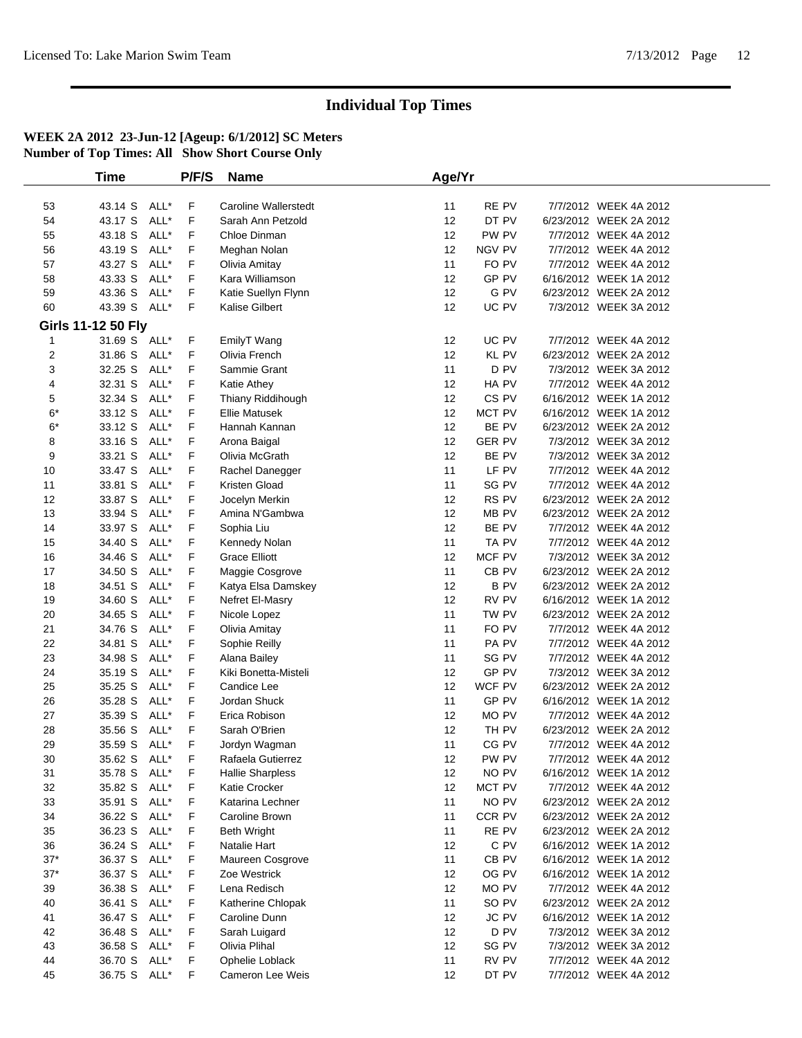|       | Time               |      | P/F/S | <b>Name</b>                 | Age/Yr |                  |                        |  |
|-------|--------------------|------|-------|-----------------------------|--------|------------------|------------------------|--|
|       |                    |      |       |                             |        |                  |                        |  |
| 53    | 43.14 S            | ALL* | F     | <b>Caroline Wallerstedt</b> | 11     | RE PV            | 7/7/2012 WEEK 4A 2012  |  |
| 54    | 43.17 S            | ALL* | F     | Sarah Ann Petzold           | 12     | DT PV            | 6/23/2012 WEEK 2A 2012 |  |
| 55    | 43.18 S            | ALL* | F     | Chloe Dinman                | 12     | PW PV            | 7/7/2012 WEEK 4A 2012  |  |
| 56    | 43.19 S            | ALL* | F     | Meghan Nolan                | 12     | NGV PV           | 7/7/2012 WEEK 4A 2012  |  |
| 57    | 43.27 S            | ALL* | F     | Olivia Amitay               | 11     | FO PV            | 7/7/2012 WEEK 4A 2012  |  |
| 58    | 43.33 S            | ALL* | F     | Kara Williamson             | 12     | GP PV            | 6/16/2012 WEEK 1A 2012 |  |
| 59    | 43.36 S            | ALL* | F     | Katie Suellyn Flynn         | 12     | G PV             | 6/23/2012 WEEK 2A 2012 |  |
| 60    | 43.39 S            | ALL* | F     | Kalise Gilbert              | 12     | UC PV            | 7/3/2012 WEEK 3A 2012  |  |
|       | Girls 11-12 50 Fly |      |       |                             |        |                  |                        |  |
| 1     | 31.69 S ALL*       |      | F     | EmilyT Wang                 | 12     | UC PV            | 7/7/2012 WEEK 4A 2012  |  |
| 2     | 31.86 S            | ALL* | F     | Olivia French               | 12     | <b>KL PV</b>     | 6/23/2012 WEEK 2A 2012 |  |
| 3     | 32.25 S            | ALL* | F     | Sammie Grant                | 11     | D PV             | 7/3/2012 WEEK 3A 2012  |  |
| 4     | 32.31 S            | ALL* | F     | Katie Athey                 | 12     | HA PV            | 7/7/2012 WEEK 4A 2012  |  |
| 5     | 32.34 S            | ALL* | F     | Thiany Riddihough           | 12     | CS <sub>PV</sub> | 6/16/2012 WEEK 1A 2012 |  |
| $6*$  | 33.12 S            | ALL* | F     | <b>Ellie Matusek</b>        | 12     | MCT PV           | 6/16/2012 WEEK 1A 2012 |  |
| $6*$  | 33.12 S            | ALL* | F     | Hannah Kannan               | 12     | BE PV            | 6/23/2012 WEEK 2A 2012 |  |
| 8     | 33.16 S            | ALL* | F     | Arona Baigal                | 12     | <b>GER PV</b>    | 7/3/2012 WEEK 3A 2012  |  |
| 9     | 33.21 S            | ALL* | F     | Olivia McGrath              | 12     | BE PV            | 7/3/2012 WEEK 3A 2012  |  |
| 10    | 33.47 S            | ALL* | F     | Rachel Danegger             | 11     | LF PV            | 7/7/2012 WEEK 4A 2012  |  |
| 11    | 33.81 S            | ALL* | F     | Kristen Gload               | 11     | SG PV            | 7/7/2012 WEEK 4A 2012  |  |
| 12    | 33.87 S            | ALL* | F     | Jocelyn Merkin              | 12     | RS PV            | 6/23/2012 WEEK 2A 2012 |  |
| 13    | 33.94 S            | ALL* | F     | Amina N'Gambwa              | 12     | MB PV            | 6/23/2012 WEEK 2A 2012 |  |
| 14    | 33.97 S            | ALL* | F     | Sophia Liu                  | 12     | BE PV            | 7/7/2012 WEEK 4A 2012  |  |
| 15    | 34.40 S            | ALL* | F     | Kennedy Nolan               | 11     | TA PV            | 7/7/2012 WEEK 4A 2012  |  |
| 16    | 34.46 S            | ALL* | F     | <b>Grace Elliott</b>        | 12     | MCF PV           | 7/3/2012 WEEK 3A 2012  |  |
| 17    | 34.50 S            | ALL* | F     | Maggie Cosgrove             | 11     | CB <sub>PV</sub> | 6/23/2012 WEEK 2A 2012 |  |
| 18    | 34.51 S            | ALL* | F     | Katya Elsa Damskey          | 12     | <b>BPV</b>       | 6/23/2012 WEEK 2A 2012 |  |
| 19    | 34.60 S            | ALL* | F     | Nefret El-Masry             | 12     | RV PV            | 6/16/2012 WEEK 1A 2012 |  |
| 20    | 34.65 S            | ALL* | F     | Nicole Lopez                | 11     | TW PV            | 6/23/2012 WEEK 2A 2012 |  |
| 21    | 34.76 S            | ALL* | F     | Olivia Amitay               | 11     | FO PV            | 7/7/2012 WEEK 4A 2012  |  |
| 22    | 34.81 S            | ALL* | F     | Sophie Reilly               | 11     | PA PV            | 7/7/2012 WEEK 4A 2012  |  |
| 23    | 34.98 S            | ALL* | F     | Alana Bailey                | 11     | SG PV            | 7/7/2012 WEEK 4A 2012  |  |
| 24    | 35.19 S            | ALL* | F     | Kiki Bonetta-Misteli        | 12     | GP PV            | 7/3/2012 WEEK 3A 2012  |  |
| 25    | 35.25 S            | ALL* | F     | Candice Lee                 | 12     | WCF PV           | 6/23/2012 WEEK 2A 2012 |  |
| 26    | 35.28 S            | ALL* | F     | Jordan Shuck                | 11     | GP PV            | 6/16/2012 WEEK 1A 2012 |  |
| 27    | 35.39 S            | ALL* | F     | Erica Robison               | 12     | MO PV            | 7/7/2012 WEEK 4A 2012  |  |
| 28    | 35.56 S            | ALL* | F     | Sarah O'Brien               | 12     | TH PV            | 6/23/2012 WEEK 2A 2012 |  |
| 29    | 35.59 S            | ALL* | F     | Jordyn Wagman               | 11     | CG PV            | 7/7/2012 WEEK 4A 2012  |  |
| 30    | 35.62 S ALL*       |      | F     | Rafaela Gutierrez           | 12     | PW PV            | 7/7/2012 WEEK 4A 2012  |  |
| 31    | 35.78 S ALL*       |      | F     | <b>Hallie Sharpless</b>     | 12     | NO PV            | 6/16/2012 WEEK 1A 2012 |  |
| 32    | 35.82 S            | ALL* | F     | Katie Crocker               | 12     | MCT PV           | 7/7/2012 WEEK 4A 2012  |  |
| 33    | 35.91 S            | ALL* | F     | Katarina Lechner            | 11     | NO PV            | 6/23/2012 WEEK 2A 2012 |  |
| 34    | 36.22 S            | ALL* | F     | Caroline Brown              | 11     | CCR PV           | 6/23/2012 WEEK 2A 2012 |  |
| 35    | 36.23 S            | ALL* | F     | <b>Beth Wright</b>          | 11     | RE PV            | 6/23/2012 WEEK 2A 2012 |  |
| 36    | 36.24 S            | ALL* | F     | Natalie Hart                | 12     | C PV             | 6/16/2012 WEEK 1A 2012 |  |
| $37*$ | 36.37 S            | ALL* | F     | Maureen Cosgrove            | 11     | CB PV            | 6/16/2012 WEEK 1A 2012 |  |
| $37*$ | 36.37 S            | ALL* | F     | Zoe Westrick                | 12     | OG PV            | 6/16/2012 WEEK 1A 2012 |  |
| 39    | 36.38 S            | ALL* | F     | Lena Redisch                | 12     | MO PV            | 7/7/2012 WEEK 4A 2012  |  |
| 40    | 36.41 S            | ALL* | F     | Katherine Chlopak           | 11     | SO PV            | 6/23/2012 WEEK 2A 2012 |  |
| 41    | 36.47 S            | ALL* | F     | Caroline Dunn               | 12     | <b>JC PV</b>     | 6/16/2012 WEEK 1A 2012 |  |
| 42    | 36.48 S            | ALL* | F     | Sarah Luigard               | 12     | D PV             | 7/3/2012 WEEK 3A 2012  |  |
| 43    | 36.58 S            | ALL* | F     | Olivia Plihal               | 12     | SG PV            | 7/3/2012 WEEK 3A 2012  |  |
| 44    | 36.70 S            | ALL* | F     | Ophelie Loblack             | 11     | RV PV            | 7/7/2012 WEEK 4A 2012  |  |
| 45    | 36.75 S            | ALL* | F     | Cameron Lee Weis            | 12     | DT PV            | 7/7/2012 WEEK 4A 2012  |  |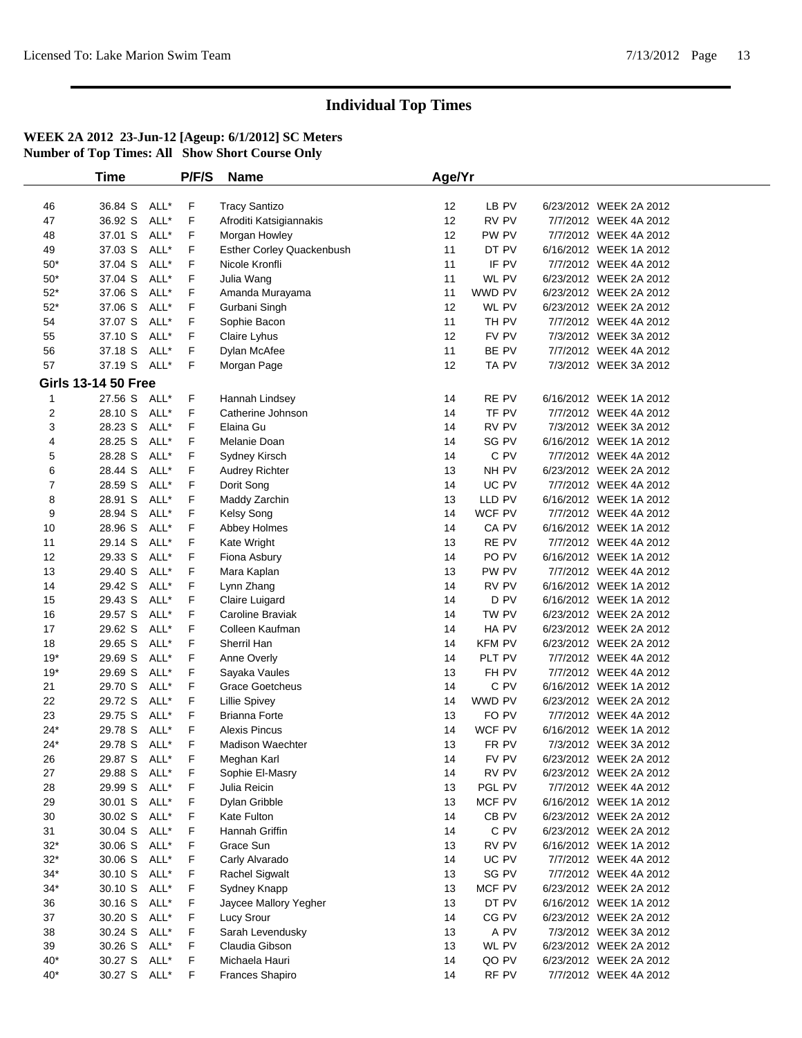|              | <b>Time</b>                |      | P/F/S | <b>Name</b>               | Age/Yr |                  |                        |  |
|--------------|----------------------------|------|-------|---------------------------|--------|------------------|------------------------|--|
|              |                            |      |       |                           |        |                  |                        |  |
| 46           | 36.84 S                    | ALL* | F     | <b>Tracy Santizo</b>      | 12     | LB PV            | 6/23/2012 WEEK 2A 2012 |  |
| 47           | 36.92 S                    | ALL* | F     | Afroditi Katsigiannakis   | 12     | RV PV            | 7/7/2012 WEEK 4A 2012  |  |
| 48           | 37.01 S                    | ALL* | F     | Morgan Howley             | 12     | PW PV            | 7/7/2012 WEEK 4A 2012  |  |
| 49           | 37.03 S                    | ALL* | F     | Esther Corley Quackenbush | 11     | DT PV            | 6/16/2012 WEEK 1A 2012 |  |
| $50*$        | 37.04 S                    | ALL* | F     | Nicole Kronfli            | 11     | IF PV            | 7/7/2012 WEEK 4A 2012  |  |
| $50*$        | 37.04 S                    | ALL* | F     | Julia Wang                | 11     | WL PV            | 6/23/2012 WEEK 2A 2012 |  |
| $52*$        | 37.06 S                    | ALL* | F     | Amanda Murayama           | 11     | WWD PV           | 6/23/2012 WEEK 2A 2012 |  |
| $52^{\star}$ | 37.06 S                    | ALL* | F     | Gurbani Singh             | 12     | WL PV            | 6/23/2012 WEEK 2A 2012 |  |
| 54           | 37.07 S                    | ALL* | F     | Sophie Bacon              | 11     | TH PV            | 7/7/2012 WEEK 4A 2012  |  |
| 55           | 37.10 S                    | ALL* | F     | Claire Lyhus              | 12     | FV PV            | 7/3/2012 WEEK 3A 2012  |  |
| 56           | 37.18 S                    | ALL* | F     | Dylan McAfee              | 11     | BE PV            | 7/7/2012 WEEK 4A 2012  |  |
| 57           | 37.19 S                    | ALL* | F     | Morgan Page               | 12     | TA PV            | 7/3/2012 WEEK 3A 2012  |  |
|              | <b>Girls 13-14 50 Free</b> |      |       |                           |        |                  |                        |  |
| 1            | 27.56 S                    | ALL* | F     | Hannah Lindsey            | 14     | RE PV            | 6/16/2012 WEEK 1A 2012 |  |
| 2            | 28.10 S                    | ALL* | F     | Catherine Johnson         | 14     | TF PV            | 7/7/2012 WEEK 4A 2012  |  |
| 3            | 28.23 S                    | ALL* | F     | Elaina Gu                 | 14     | RV PV            | 7/3/2012 WEEK 3A 2012  |  |
| 4            | 28.25 S                    | ALL* | F     | Melanie Doan              | 14     | SG PV            | 6/16/2012 WEEK 1A 2012 |  |
| 5            | 28.28 S                    | ALL* | F     | Sydney Kirsch             | 14     | C PV             | 7/7/2012 WEEK 4A 2012  |  |
| 6            | 28.44 S                    | ALL* | F     | Audrey Richter            | 13     | NH PV            | 6/23/2012 WEEK 2A 2012 |  |
| 7            | 28.59 S                    | ALL* | F     | Dorit Song                | 14     | UC PV            | 7/7/2012 WEEK 4A 2012  |  |
| 8            | 28.91 S                    | ALL* | F     | Maddy Zarchin             | 13     | LLD PV           | 6/16/2012 WEEK 1A 2012 |  |
| 9            | 28.94 S                    | ALL* | F     | Kelsy Song                | 14     | WCF PV           | 7/7/2012 WEEK 4A 2012  |  |
| 10           | 28.96 S                    | ALL* | F     | Abbey Holmes              | 14     | CA PV            | 6/16/2012 WEEK 1A 2012 |  |
| 11           | 29.14 S                    | ALL* | F     | Kate Wright               | 13     | RE PV            | 7/7/2012 WEEK 4A 2012  |  |
| 12           | 29.33 S                    | ALL* | F     | Fiona Asbury              | 14     | PO <sub>PV</sub> | 6/16/2012 WEEK 1A 2012 |  |
| 13           | 29.40 S                    | ALL* | F     | Mara Kaplan               | 13     | PW PV            | 7/7/2012 WEEK 4A 2012  |  |
| 14           | 29.42 S                    | ALL* | F     | Lynn Zhang                | 14     | RV PV            | 6/16/2012 WEEK 1A 2012 |  |
| 15           | 29.43 S                    | ALL* | F     | Claire Luigard            | 14     | D <sub>PV</sub>  | 6/16/2012 WEEK 1A 2012 |  |
| 16           | 29.57 S                    | ALL* | F     | Caroline Braviak          | 14     | TW PV            | 6/23/2012 WEEK 2A 2012 |  |
| 17           | 29.62 S                    | ALL* | F     | Colleen Kaufman           | 14     | HA PV            | 6/23/2012 WEEK 2A 2012 |  |
| 18           | 29.65 S                    | ALL* | F     | Sherril Han               | 14     | KFM PV           | 6/23/2012 WEEK 2A 2012 |  |
| $19*$        | 29.69 S                    | ALL* | F     | Anne Overly               | 14     | PLT PV           | 7/7/2012 WEEK 4A 2012  |  |
| $19*$        | 29.69 S                    | ALL* | F     | Sayaka Vaules             | 13     | FH PV            | 7/7/2012 WEEK 4A 2012  |  |
| 21           | 29.70 S                    | ALL* | F     | <b>Grace Goetcheus</b>    | 14     | C PV             | 6/16/2012 WEEK 1A 2012 |  |
| 22           | 29.72 S                    | ALL* | F     | <b>Lillie Spivey</b>      | 14     | WWD PV           | 6/23/2012 WEEK 2A 2012 |  |
| 23           | 29.75 S                    | ALL* | F     | <b>Brianna Forte</b>      | 13     | FO PV            | 7/7/2012 WEEK 4A 2012  |  |
| $24*$        | 29.78 S                    | ALL* | F     | <b>Alexis Pincus</b>      | 14     | WCF PV           | 6/16/2012 WEEK 1A 2012 |  |
| $24*$        | 29.78 S ALL*               |      | F     | <b>Madison Waechter</b>   | 13     | FR PV            | 7/3/2012 WEEK 3A 2012  |  |
| 26           | 29.87 S ALL*               |      | F     | Meghan Karl               | 14     | FV PV            | 6/23/2012 WEEK 2A 2012 |  |
| 27           | 29.88 S ALL*               |      | F     | Sophie El-Masry           | 14     | RV PV            | 6/23/2012 WEEK 2A 2012 |  |
| 28           | 29.99 S                    | ALL* | F     | Julia Reicin              | 13     | PGL PV           | 7/7/2012 WEEK 4A 2012  |  |
| 29           | 30.01 S                    | ALL* | F     | Dylan Gribble             | 13     | MCF PV           | 6/16/2012 WEEK 1A 2012 |  |
| 30           | 30.02 S                    | ALL* | F     | Kate Fulton               | 14     | CB <sub>PV</sub> | 6/23/2012 WEEK 2A 2012 |  |
| 31           | 30.04 S                    | ALL* | F     | Hannah Griffin            | 14     | C PV             | 6/23/2012 WEEK 2A 2012 |  |
| $32*$        | 30.06 S                    | ALL* | F     | Grace Sun                 | 13     | RV PV            | 6/16/2012 WEEK 1A 2012 |  |
| $32*$        | 30.06 S                    | ALL* | F     | Carly Alvarado            | 14     | UC PV            | 7/7/2012 WEEK 4A 2012  |  |
| $34^{\star}$ | 30.10 S                    | ALL* | F     | <b>Rachel Sigwalt</b>     | 13     | SG PV            | 7/7/2012 WEEK 4A 2012  |  |
| $34*$        | 30.10 S                    | ALL* | F     | Sydney Knapp              | 13     | MCF PV           | 6/23/2012 WEEK 2A 2012 |  |
| 36           | 30.16 S                    | ALL* | F     | Jaycee Mallory Yegher     | 13     | DT PV            | 6/16/2012 WEEK 1A 2012 |  |
| 37           | 30.20 S                    | ALL* | F     | Lucy Srour                | 14     | CG PV            | 6/23/2012 WEEK 2A 2012 |  |
| 38           | 30.24 S                    | ALL* | F     | Sarah Levendusky          | 13     | A PV             | 7/3/2012 WEEK 3A 2012  |  |
| 39           | 30.26 S                    | ALL* | F     | Claudia Gibson            | 13     | WL PV            | 6/23/2012 WEEK 2A 2012 |  |
| $40*$        | 30.27 S                    | ALL* | F     | Michaela Hauri            | 14     | QO PV            | 6/23/2012 WEEK 2A 2012 |  |
| $40*$        | 30.27 S ALL*               |      | F     | <b>Frances Shapiro</b>    | 14     | RF PV            | 7/7/2012 WEEK 4A 2012  |  |
|              |                            |      |       |                           |        |                  |                        |  |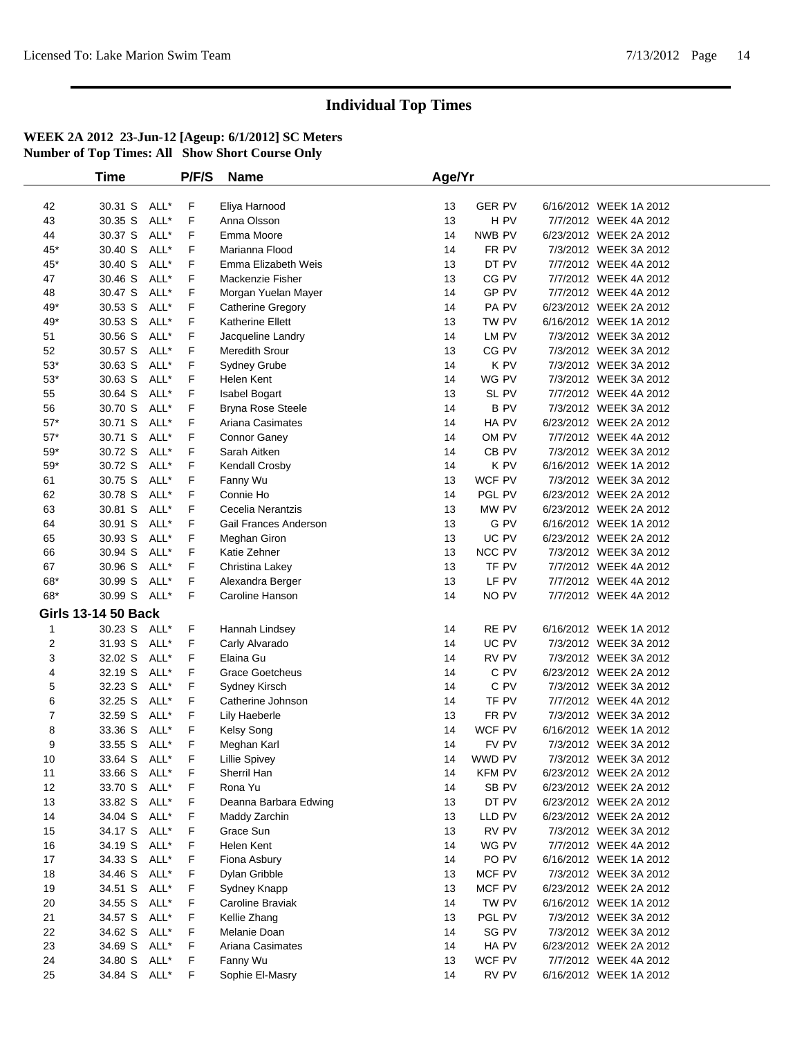|              | <b>Time</b>                |              | P/F/S  | <b>Name</b>             | Age/Yr   |                 |                                                |  |
|--------------|----------------------------|--------------|--------|-------------------------|----------|-----------------|------------------------------------------------|--|
| 42           | 30.31 S                    | ALL*         | F      | Eliya Harnood           | 13       | <b>GER PV</b>   | 6/16/2012 WEEK 1A 2012                         |  |
| 43           | 30.35 S                    | ALL*         | F      | Anna Olsson             | 13       | H PV            | 7/7/2012 WEEK 4A 2012                          |  |
| 44           | 30.37 S                    | ALL*         | F      | Emma Moore              | 14       | NWB PV          | 6/23/2012 WEEK 2A 2012                         |  |
| $45*$        | 30.40 S                    | ALL*         | F      | Marianna Flood          | 14       | FR PV           | 7/3/2012 WEEK 3A 2012                          |  |
| 45*          | 30.40 S                    | ALL*         | F      | Emma Elizabeth Weis     | 13       | DT PV           | 7/7/2012 WEEK 4A 2012                          |  |
| 47           | 30.46 S                    | ALL*         | F      | Mackenzie Fisher        | 13       | CG PV           | 7/7/2012 WEEK 4A 2012                          |  |
| 48           | 30.47 S                    | ALL*         | F      | Morgan Yuelan Mayer     | 14       | GP PV           | 7/7/2012 WEEK 4A 2012                          |  |
| 49*          | 30.53 S                    | ALL*         | F      | Catherine Gregory       | 14       | PA PV           | 6/23/2012 WEEK 2A 2012                         |  |
| 49*          | 30.53 S                    | ALL*         | F      | <b>Katherine Ellett</b> | 13       | TW PV           | 6/16/2012 WEEK 1A 2012                         |  |
| 51           | 30.56 S                    | ALL*         | F      | Jacqueline Landry       | 14       | LM PV           | 7/3/2012 WEEK 3A 2012                          |  |
| 52           | 30.57 S                    | ALL*         | F      | Meredith Srour          | 13       | CG PV           | 7/3/2012 WEEK 3A 2012                          |  |
| $53^{\ast}$  | 30.63 S                    | ALL*         | F      | Sydney Grube            | 14       | K PV            | 7/3/2012 WEEK 3A 2012                          |  |
| $53^{\ast}$  | 30.63 S                    | ALL*         | F      | Helen Kent              | 14       | WG PV           | 7/3/2012 WEEK 3A 2012                          |  |
| 55           | 30.64 S                    | ALL*         | F      | Isabel Bogart           | 13       | SL PV           | 7/7/2012 WEEK 4A 2012                          |  |
| 56           | 30.70 S                    | ALL*         | F      | Bryna Rose Steele       | 14       | <b>BPV</b>      | 7/3/2012 WEEK 3A 2012                          |  |
| $57*$        | 30.71 S                    | ALL*         | F      | Ariana Casimates        | 14       | HA PV           | 6/23/2012 WEEK 2A 2012                         |  |
| $57*$        | 30.71 S                    | ALL*         | F      | Connor Ganey            | 14       | OM PV           | 7/7/2012 WEEK 4A 2012                          |  |
| $59^{\ast}$  | 30.72 S                    | ALL*         | F      | Sarah Aitken            | 14       | CB PV           | 7/3/2012 WEEK 3A 2012                          |  |
| $59^{\ast}$  | 30.72 S                    | ALL*         | F      | Kendall Crosby          | 14       | K PV            | 6/16/2012 WEEK 1A 2012                         |  |
| 61           | 30.75 S                    | ALL*         | F      | Fanny Wu                | 13       | WCF PV          | 7/3/2012 WEEK 3A 2012                          |  |
| 62           | 30.78 S                    | ALL*         | F      | Connie Ho               | 14       | PGL PV          | 6/23/2012 WEEK 2A 2012                         |  |
| 63           | 30.81 S                    | ALL*         | F      | Cecelia Nerantzis       | 13       | MW PV           | 6/23/2012 WEEK 2A 2012                         |  |
| 64           | 30.91 S                    | ALL*         | F      | Gail Frances Anderson   | 13       | G PV            | 6/16/2012 WEEK 1A 2012                         |  |
| 65           | 30.93 S                    | ALL*         | F      | Meghan Giron            | 13       | UC PV           | 6/23/2012 WEEK 2A 2012                         |  |
| 66           | 30.94 S                    | ALL*         | F      | Katie Zehner            | 13       | NCC PV          | 7/3/2012 WEEK 3A 2012                          |  |
| 67           | 30.96 S                    | ALL*         | F      | Christina Lakey         | 13       | TF PV           | 7/7/2012 WEEK 4A 2012                          |  |
| 68*          | 30.99 S                    | ALL*         | F      | Alexandra Berger        | 13       | LF PV           | 7/7/2012 WEEK 4A 2012                          |  |
| 68*          | 30.99 S ALL*               |              | F      | Caroline Hanson         | 14       | NO PV           | 7/7/2012 WEEK 4A 2012                          |  |
|              | <b>Girls 13-14 50 Back</b> |              |        |                         |          |                 |                                                |  |
| $\mathbf{1}$ | 30.23 S ALL*               |              | F      | Hannah Lindsey          | 14       | RE PV           | 6/16/2012 WEEK 1A 2012                         |  |
| 2            | 31.93 S                    | ALL*         | F      | Carly Alvarado          | 14       | UC PV           | 7/3/2012 WEEK 3A 2012                          |  |
| 3            | 32.02 S                    | ALL*         | F      | Elaina Gu               | 14       | RV PV           | 7/3/2012 WEEK 3A 2012                          |  |
| 4            | 32.19 S                    | ALL*         | F      | <b>Grace Goetcheus</b>  | 14       | C PV            | 6/23/2012 WEEK 2A 2012                         |  |
| 5            | 32.23 S                    | ALL*         | F      | Sydney Kirsch           | 14       | C PV            | 7/3/2012 WEEK 3A 2012                          |  |
| 6            | 32.25 S                    | ALL*         | F      | Catherine Johnson       | 14       | TF PV           | 7/7/2012 WEEK 4A 2012                          |  |
| 7            | 32.59 S                    | ALL*         | F      | Lily Haeberle           | 13       | FR PV           | 7/3/2012 WEEK 3A 2012                          |  |
| 8            | 33.36 S                    | ALL*         | F      | <b>Kelsy Song</b>       | 14       | WCF PV          | 6/16/2012 WEEK 1A 2012                         |  |
| 9            | 33.55 S                    | ALL*         | F      | Meghan Karl             | 14       | FV PV           | 7/3/2012 WEEK 3A 2012                          |  |
| 10           | 33.64 S                    | ALL*         | F      | <b>Lillie Spivey</b>    | 14       | WWD PV          | 7/3/2012 WEEK 3A 2012                          |  |
| 11           | 33.66 S                    | ALL*         | F      | Sherril Han             | 14       | <b>KFM PV</b>   | 6/23/2012 WEEK 2A 2012                         |  |
| 12           | 33.70 S                    | ALL*         | F      | Rona Yu                 | 14       | SB PV           | 6/23/2012 WEEK 2A 2012                         |  |
| 13           | 33.82 S                    | ALL*<br>ALL* | F<br>F | Deanna Barbara Edwing   | 13       | DT PV           | 6/23/2012 WEEK 2A 2012                         |  |
| 14           | 34.04 S<br>34.17 S         | ALL*         | F      | Maddy Zarchin           | 13<br>13 | LLD PV<br>RV PV | 6/23/2012 WEEK 2A 2012                         |  |
| 15<br>16     | 34.19 S                    | ALL*         | F      | Grace Sun<br>Helen Kent | 14       | WG PV           | 7/3/2012 WEEK 3A 2012<br>7/7/2012 WEEK 4A 2012 |  |
| 17           | 34.33 S                    | ALL*         | F      | Fiona Asbury            | 14       | PO PV           | 6/16/2012 WEEK 1A 2012                         |  |
| 18           | 34.46 S                    | ALL*         | F      | Dylan Gribble           | 13       | MCF PV          | 7/3/2012 WEEK 3A 2012                          |  |
| 19           | 34.51 S                    | ALL*         | F      | Sydney Knapp            | 13       | MCF PV          | 6/23/2012 WEEK 2A 2012                         |  |
| 20           | 34.55 S                    | ALL*         | F      | Caroline Braviak        | 14       | TW PV           | 6/16/2012 WEEK 1A 2012                         |  |
| 21           | 34.57 S                    | ALL*         | F      | Kellie Zhang            | 13       | PGL PV          | 7/3/2012 WEEK 3A 2012                          |  |
| 22           | 34.62 S                    | ALL*         | F      | Melanie Doan            | 14       | SG PV           | 7/3/2012 WEEK 3A 2012                          |  |
| 23           | 34.69 S                    | ALL*         | F      | Ariana Casimates        | 14       | HA PV           | 6/23/2012 WEEK 2A 2012                         |  |
| 24           | 34.80 S                    | ALL*         | F      | Fanny Wu                | 13       | WCF PV          | 7/7/2012 WEEK 4A 2012                          |  |
| 25           | 34.84 S ALL*               |              | F      | Sophie El-Masry         | 14       | RV PV           | 6/16/2012 WEEK 1A 2012                         |  |
|              |                            |              |        |                         |          |                 |                                                |  |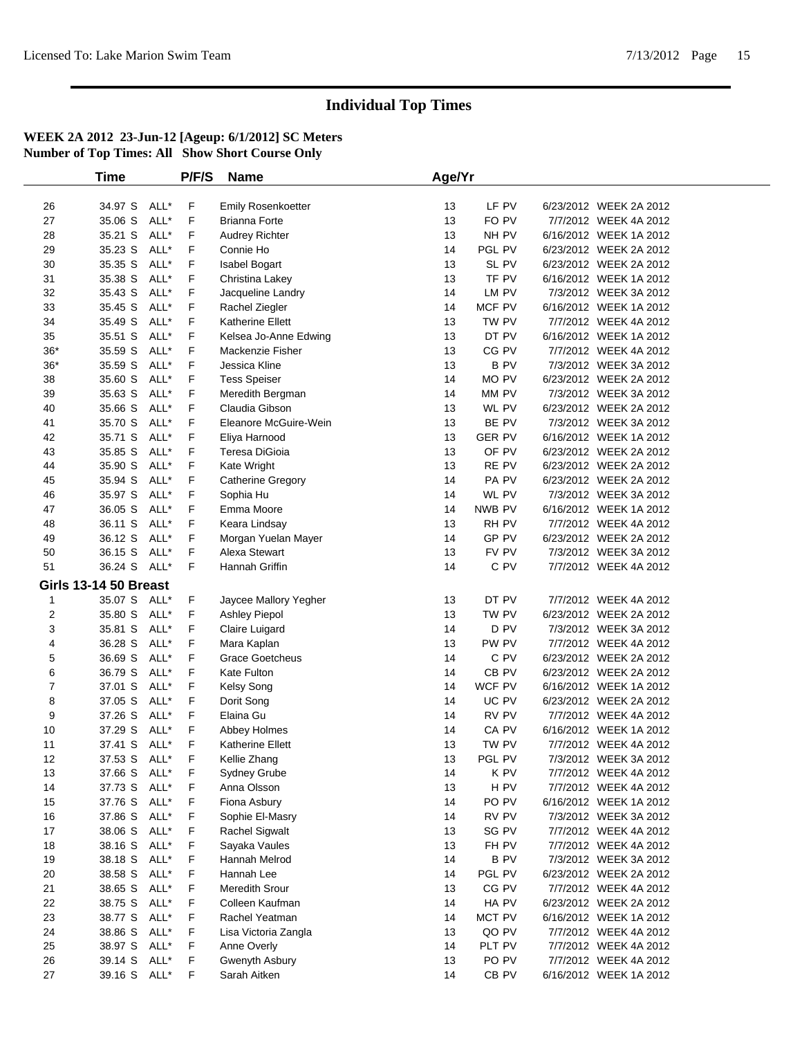|                | Time                         |      | P/F/S | <b>Name</b>               | Age/Yr |                  |                        |  |
|----------------|------------------------------|------|-------|---------------------------|--------|------------------|------------------------|--|
|                |                              |      |       |                           |        |                  |                        |  |
| 26             | 34.97 S ALL*                 |      | F     | <b>Emily Rosenkoetter</b> | 13     | LF PV            | 6/23/2012 WEEK 2A 2012 |  |
| 27             | 35.06 S                      | ALL* | F     | <b>Brianna Forte</b>      | 13     | FO PV            | 7/7/2012 WEEK 4A 2012  |  |
| 28             | 35.21 S                      | ALL* | F     | Audrey Richter            | 13     | NH PV            | 6/16/2012 WEEK 1A 2012 |  |
| 29             | 35.23 S                      | ALL* | F     | Connie Ho                 | 14     | PGL PV           | 6/23/2012 WEEK 2A 2012 |  |
| 30             | 35.35 S                      | ALL* | F     | Isabel Bogart             | 13     | SL PV            | 6/23/2012 WEEK 2A 2012 |  |
| 31             | 35.38 S                      | ALL* | F     | Christina Lakey           | 13     | TF PV            | 6/16/2012 WEEK 1A 2012 |  |
| 32             | 35.43 S                      | ALL* | F     | Jacqueline Landry         | 14     | LM PV            | 7/3/2012 WEEK 3A 2012  |  |
| 33             | 35.45 S                      | ALL* | F     | Rachel Ziegler            | 14     | MCF PV           | 6/16/2012 WEEK 1A 2012 |  |
| 34             | 35.49 S                      | ALL* | F     | Katherine Ellett          | 13     | TW PV            | 7/7/2012 WEEK 4A 2012  |  |
| 35             | 35.51 S                      | ALL* | F     | Kelsea Jo-Anne Edwing     | 13     | DT PV            | 6/16/2012 WEEK 1A 2012 |  |
| $36*$          | 35.59 S                      | ALL* | F     | Mackenzie Fisher          | 13     | CG PV            | 7/7/2012 WEEK 4A 2012  |  |
| $36*$          | 35.59 S                      | ALL* | F     | Jessica Kline             | 13     | <b>BPV</b>       | 7/3/2012 WEEK 3A 2012  |  |
| 38             | 35.60 S                      | ALL* | F     | <b>Tess Speiser</b>       | 14     | MO PV            | 6/23/2012 WEEK 2A 2012 |  |
| 39             | 35.63 S                      | ALL* | F     | Meredith Bergman          | 14     | MM PV            | 7/3/2012 WEEK 3A 2012  |  |
| 40             | 35.66 S                      | ALL* | F     | Claudia Gibson            | 13     | WL PV            | 6/23/2012 WEEK 2A 2012 |  |
| 41             | 35.70 S                      | ALL* | F     | Eleanore McGuire-Wein     | 13     | BE PV            | 7/3/2012 WEEK 3A 2012  |  |
| 42             | 35.71 S                      | ALL* | F     | Eliya Harnood             | 13     | <b>GER PV</b>    | 6/16/2012 WEEK 1A 2012 |  |
| 43             | 35.85 S                      | ALL* | F     | Teresa DiGioia            | 13     | OF PV            | 6/23/2012 WEEK 2A 2012 |  |
| 44             | 35.90 S                      | ALL* | F     | Kate Wright               | 13     | RE PV            | 6/23/2012 WEEK 2A 2012 |  |
| 45             | 35.94 S                      | ALL* | F     | Catherine Gregory         | 14     | PA PV            | 6/23/2012 WEEK 2A 2012 |  |
| 46             | 35.97 S                      | ALL* | F     | Sophia Hu                 | 14     | WL PV            | 7/3/2012 WEEK 3A 2012  |  |
| 47             | 36.05 S                      | ALL* | F     | Emma Moore                | 14     | NWB PV           | 6/16/2012 WEEK 1A 2012 |  |
| 48             | 36.11 S                      | ALL* | F     | Keara Lindsay             | 13     | RH PV            | 7/7/2012 WEEK 4A 2012  |  |
| 49             | 36.12 S                      | ALL* | F     | Morgan Yuelan Mayer       | 14     | GP PV            | 6/23/2012 WEEK 2A 2012 |  |
| 50             | 36.15 S                      | ALL* | F     | Alexa Stewart             | 13     | FV PV            | 7/3/2012 WEEK 3A 2012  |  |
| 51             | 36.24 S ALL*                 |      | F     | Hannah Griffin            | 14     | C PV             | 7/7/2012 WEEK 4A 2012  |  |
|                | <b>Girls 13-14 50 Breast</b> |      |       |                           |        |                  |                        |  |
| $\mathbf{1}$   | 35.07 S ALL*                 |      | F.    | Jaycee Mallory Yegher     | 13     | DT PV            | 7/7/2012 WEEK 4A 2012  |  |
| 2              | 35.80 S                      | ALL* | F     | Ashley Piepol             | 13     | TW PV            | 6/23/2012 WEEK 2A 2012 |  |
| 3              | 35.81 S                      | ALL* | F     | Claire Luigard            | 14     | D PV             | 7/3/2012 WEEK 3A 2012  |  |
| 4              | 36.28 S                      | ALL* | F     | Mara Kaplan               | 13     | PW PV            | 7/7/2012 WEEK 4A 2012  |  |
| 5              | 36.69 S                      | ALL* | F     | <b>Grace Goetcheus</b>    | 14     | C PV             | 6/23/2012 WEEK 2A 2012 |  |
| 6              | 36.79 S                      | ALL* | F     | Kate Fulton               | 14     | CB <sub>PV</sub> | 6/23/2012 WEEK 2A 2012 |  |
| $\overline{7}$ | 37.01 S                      | ALL* | F     | Kelsy Song                | 14     | WCF PV           | 6/16/2012 WEEK 1A 2012 |  |
| 8              | 37.05 S                      | ALL* | F     | Dorit Song                | 14     | UC PV            | 6/23/2012 WEEK 2A 2012 |  |
| 9              | 37.26 S                      | ALL* | F     | Elaina Gu                 | 14     | RV PV            | 7/7/2012 WEEK 4A 2012  |  |
| 10             | 37.29 S                      | ALL* | F     | Abbey Holmes              | 14     | CA PV            | 6/16/2012 WEEK 1A 2012 |  |
| 11             | 37.41 S ALL*                 |      | F     | <b>Katherine Ellett</b>   | 13     | TW PV            | 7/7/2012 WEEK 4A 2012  |  |
| 12             | 37.53 S ALL*                 |      | F     | Kellie Zhang              | 13     | PGL PV           | 7/3/2012 WEEK 3A 2012  |  |
| 13             | 37.66 S ALL*                 |      | F     | <b>Sydney Grube</b>       | 14     | K PV             | 7/7/2012 WEEK 4A 2012  |  |
| 14             | 37.73 S ALL*                 |      | F     | Anna Olsson               | 13     | H PV             | 7/7/2012 WEEK 4A 2012  |  |
| 15             | 37.76 S                      | ALL* | F     | Fiona Asbury              | 14     | PO PV            | 6/16/2012 WEEK 1A 2012 |  |
| 16             | 37.86 S                      | ALL* | F     | Sophie El-Masry           | 14     | RV PV            | 7/3/2012 WEEK 3A 2012  |  |
| 17             | 38.06 S                      | ALL* | F     | Rachel Sigwalt            | 13     | SG PV            | 7/7/2012 WEEK 4A 2012  |  |
| 18             | 38.16 S                      | ALL* | F     | Sayaka Vaules             | 13     | FH PV            | 7/7/2012 WEEK 4A 2012  |  |
| 19             | 38.18 S                      | ALL* | F     | Hannah Melrod             | 14     | B PV             | 7/3/2012 WEEK 3A 2012  |  |
| 20             | 38.58 S                      | ALL* | F     | Hannah Lee                | 14     | PGL PV           | 6/23/2012 WEEK 2A 2012 |  |
| 21             | 38.65 S                      | ALL* | F     | Meredith Srour            | 13     | CG PV            | 7/7/2012 WEEK 4A 2012  |  |
| 22             | 38.75 S                      | ALL* | F     | Colleen Kaufman           | 14     | HA PV            | 6/23/2012 WEEK 2A 2012 |  |
| 23             | 38.77 S                      | ALL* | F     | Rachel Yeatman            | 14     | MCT PV           | 6/16/2012 WEEK 1A 2012 |  |
| 24             | 38.86 S                      | ALL* | F     | Lisa Victoria Zangla      | 13     | QO PV            | 7/7/2012 WEEK 4A 2012  |  |
| 25             | 38.97 S                      | ALL* | F     | Anne Overly               | 14     | PLT PV           | 7/7/2012 WEEK 4A 2012  |  |
| 26             | 39.14 S                      | ALL* | F     | Gwenyth Asbury            | 13     | PO PV            | 7/7/2012 WEEK 4A 2012  |  |
| 27             | 39.16 S ALL*                 |      | F     | Sarah Aitken              | 14     | CB PV            | 6/16/2012 WEEK 1A 2012 |  |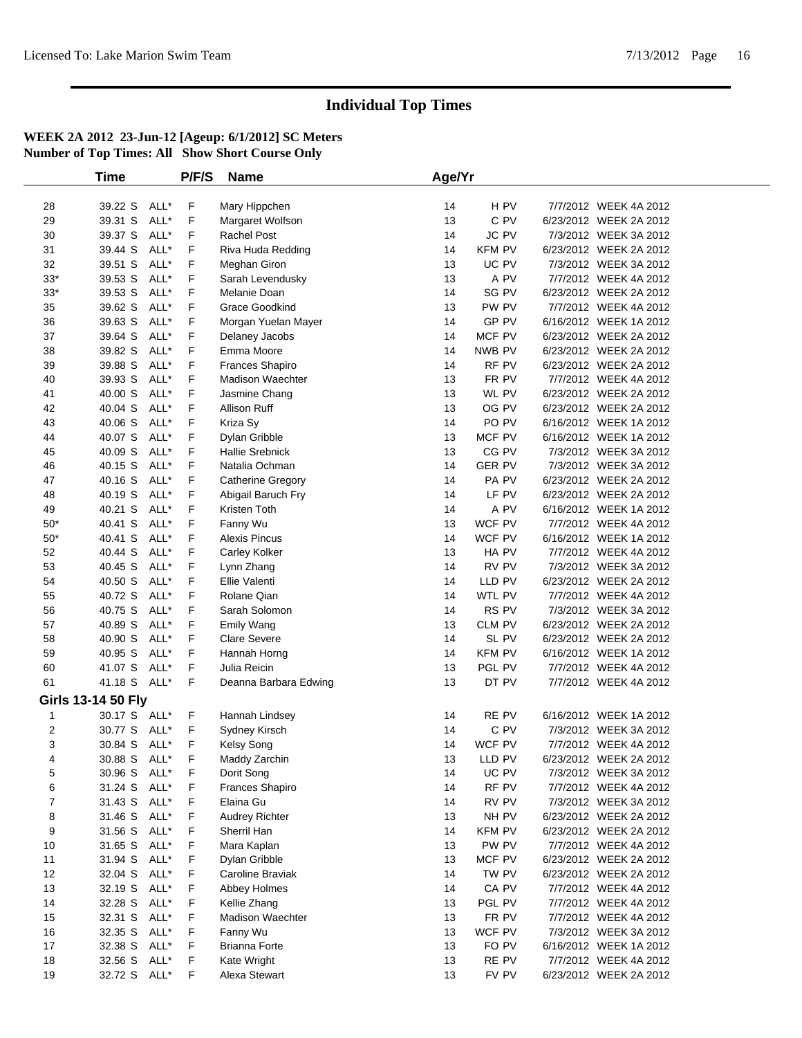|                | Time                      |      | P/F/S | <b>Name</b>             | Age/Yr |               |                        |  |
|----------------|---------------------------|------|-------|-------------------------|--------|---------------|------------------------|--|
|                |                           |      |       |                         |        |               |                        |  |
| 28             | 39.22 S                   | ALL* | F     | Mary Hippchen           | 14     | H PV          | 7/7/2012 WEEK 4A 2012  |  |
| 29             | 39.31 S                   | ALL* | F     | Margaret Wolfson        | 13     | C PV          | 6/23/2012 WEEK 2A 2012 |  |
| 30             | 39.37 S                   | ALL* | F     | <b>Rachel Post</b>      | 14     | JC PV         | 7/3/2012 WEEK 3A 2012  |  |
| 31             | 39.44 S                   | ALL* | F     | Riva Huda Redding       | 14     | <b>KFM PV</b> | 6/23/2012 WEEK 2A 2012 |  |
| 32             | 39.51 S                   | ALL* | F     | Meghan Giron            | 13     | UC PV         | 7/3/2012 WEEK 3A 2012  |  |
| $33*$          | 39.53 S                   | ALL* | F     | Sarah Levendusky        | 13     | A PV          | 7/7/2012 WEEK 4A 2012  |  |
| $33*$          | 39.53 S                   | ALL* | F     | Melanie Doan            | 14     | SG PV         | 6/23/2012 WEEK 2A 2012 |  |
| 35             | 39.62 S                   | ALL* | F     | Grace Goodkind          | 13     | PW PV         | 7/7/2012 WEEK 4A 2012  |  |
| 36             | 39.63 S                   | ALL* | F     | Morgan Yuelan Mayer     | 14     | GP PV         | 6/16/2012 WEEK 1A 2012 |  |
| 37             | 39.64 S                   | ALL* | F     | Delaney Jacobs          | 14     | MCF PV        | 6/23/2012 WEEK 2A 2012 |  |
| 38             | 39.82 S                   | ALL* | F     | Emma Moore              | 14     | NWB PV        | 6/23/2012 WEEK 2A 2012 |  |
| 39             | 39.88 S                   | ALL* | F     | <b>Frances Shapiro</b>  | 14     | RF PV         | 6/23/2012 WEEK 2A 2012 |  |
| 40             | 39.93 S                   | ALL* | F     | <b>Madison Waechter</b> | 13     | FR PV         | 7/7/2012 WEEK 4A 2012  |  |
| 41             | 40.00 S                   | ALL* | F     | Jasmine Chang           | 13     | WL PV         | 6/23/2012 WEEK 2A 2012 |  |
| 42             | 40.04 S                   | ALL* | F     | Allison Ruff            | 13     | OG PV         | 6/23/2012 WEEK 2A 2012 |  |
| 43             | 40.06 S                   | ALL* | F     | Kriza Sy                | 14     | PO PV         | 6/16/2012 WEEK 1A 2012 |  |
| 44             | 40.07 S                   | ALL* | F     | Dylan Gribble           | 13     | MCF PV        | 6/16/2012 WEEK 1A 2012 |  |
| 45             | 40.09 S                   | ALL* | F     | <b>Hallie Srebnick</b>  | 13     | CG PV         | 7/3/2012 WEEK 3A 2012  |  |
| 46             | 40.15 S                   | ALL* | F     | Natalia Ochman          | 14     | <b>GER PV</b> | 7/3/2012 WEEK 3A 2012  |  |
| 47             | 40.16 S                   | ALL* | F     | Catherine Gregory       | 14     | PA PV         | 6/23/2012 WEEK 2A 2012 |  |
| 48             | 40.19 S                   | ALL* | F     | Abigail Baruch Fry      | 14     | LF PV         | 6/23/2012 WEEK 2A 2012 |  |
| 49             | 40.21 S                   | ALL* | F     | Kristen Toth            | 14     | A PV          | 6/16/2012 WEEK 1A 2012 |  |
| $50*$          | 40.41 S                   | ALL* | F     | Fanny Wu                | 13     | WCF PV        | 7/7/2012 WEEK 4A 2012  |  |
| $50*$          | 40.41 S                   | ALL* | F     | <b>Alexis Pincus</b>    | 14     | WCF PV        | 6/16/2012 WEEK 1A 2012 |  |
| 52             | 40.44 S                   | ALL* | F     | Carley Kolker           | 13     | HA PV         | 7/7/2012 WEEK 4A 2012  |  |
| 53             | 40.45 S                   | ALL* | F     | Lynn Zhang              | 14     | RV PV         | 7/3/2012 WEEK 3A 2012  |  |
| 54             | 40.50 S                   | ALL* | F     | Ellie Valenti           | 14     | LLD PV        | 6/23/2012 WEEK 2A 2012 |  |
| 55             | 40.72 S                   | ALL* | F     | Rolane Qian             | 14     | WTL PV        | 7/7/2012 WEEK 4A 2012  |  |
| 56             | 40.75 S                   | ALL* | F     | Sarah Solomon           | 14     | RS PV         | 7/3/2012 WEEK 3A 2012  |  |
| 57             | 40.89 S                   | ALL* | F     | Emily Wang              | 13     | CLM PV        | 6/23/2012 WEEK 2A 2012 |  |
| 58             | 40.90 S                   | ALL* | F     | <b>Clare Severe</b>     | 14     | SL PV         | 6/23/2012 WEEK 2A 2012 |  |
| 59             | 40.95 S                   | ALL* | F     | Hannah Horng            | 14     | KFM PV        | 6/16/2012 WEEK 1A 2012 |  |
| 60             | 41.07 S                   | ALL* | F     | Julia Reicin            | 13     | PGL PV        | 7/7/2012 WEEK 4A 2012  |  |
| 61             | 41.18 S ALL*              |      | F     | Deanna Barbara Edwing   | 13     | DT PV         | 7/7/2012 WEEK 4A 2012  |  |
|                | <b>Girls 13-14 50 Fly</b> |      |       |                         |        |               |                        |  |
| 1              | 30.17 S ALL*              |      | F     | Hannah Lindsey          | 14     | RE PV         | 6/16/2012 WEEK 1A 2012 |  |
| $\overline{2}$ | 30.77 S                   | ALL* | F     | Sydney Kirsch           | 14     | C PV          | 7/3/2012 WEEK 3A 2012  |  |
| 3              | 30.84 S ALL*              |      | F     | Kelsy Song              | 14     | WCF PV        | 7/7/2012 WEEK 4A 2012  |  |
| 4              | 30.88 S ALL*              |      | F     | Maddy Zarchin           | 13     | LLD PV        | 6/23/2012 WEEK 2A 2012 |  |
| 5              | 30.96 S ALL*              |      | F     | Dorit Song              | 14     | UC PV         | 7/3/2012 WEEK 3A 2012  |  |
| 6              | 31.24 S ALL*              |      | F     | Frances Shapiro         | 14     | RF PV         | 7/7/2012 WEEK 4A 2012  |  |
| $\overline{7}$ | 31.43 S                   | ALL* | F     | Elaina Gu               | 14     | RV PV         | 7/3/2012 WEEK 3A 2012  |  |
| 8              | 31.46 S                   | ALL* | F     | <b>Audrey Richter</b>   | 13     | NH PV         | 6/23/2012 WEEK 2A 2012 |  |
| 9              | 31.56 S                   | ALL* | F     | Sherril Han             | 14     | KFM PV        | 6/23/2012 WEEK 2A 2012 |  |
| 10             | 31.65 S                   | ALL* | F     | Mara Kaplan             | 13     | PW PV         | 7/7/2012 WEEK 4A 2012  |  |
| 11             | 31.94 S                   | ALL* | F     | Dylan Gribble           | 13     | MCF PV        | 6/23/2012 WEEK 2A 2012 |  |
| 12             | 32.04 S                   | ALL* | F     | Caroline Braviak        | 14     | TW PV         | 6/23/2012 WEEK 2A 2012 |  |
| 13             | 32.19 S                   | ALL* | F     | Abbey Holmes            | 14     | CA PV         | 7/7/2012 WEEK 4A 2012  |  |
| 14             | 32.28 S                   | ALL* | F     | Kellie Zhang            | 13     | PGL PV        | 7/7/2012 WEEK 4A 2012  |  |
| 15             | 32.31 S                   | ALL* | F     | <b>Madison Waechter</b> | 13     | FR PV         | 7/7/2012 WEEK 4A 2012  |  |
| 16             | 32.35 S                   | ALL* | F     | Fanny Wu                | 13     | WCF PV        | 7/3/2012 WEEK 3A 2012  |  |
| 17             | 32.38 S                   | ALL* | F     | <b>Brianna Forte</b>    | 13     | FO PV         | 6/16/2012 WEEK 1A 2012 |  |
| 18             | 32.56 S                   | ALL* | F     | Kate Wright             | 13     | RE PV         | 7/7/2012 WEEK 4A 2012  |  |
| 19             | 32.72 S ALL*              |      | F     | Alexa Stewart           | 13     | FV PV         | 6/23/2012 WEEK 2A 2012 |  |
|                |                           |      |       |                         |        |               |                        |  |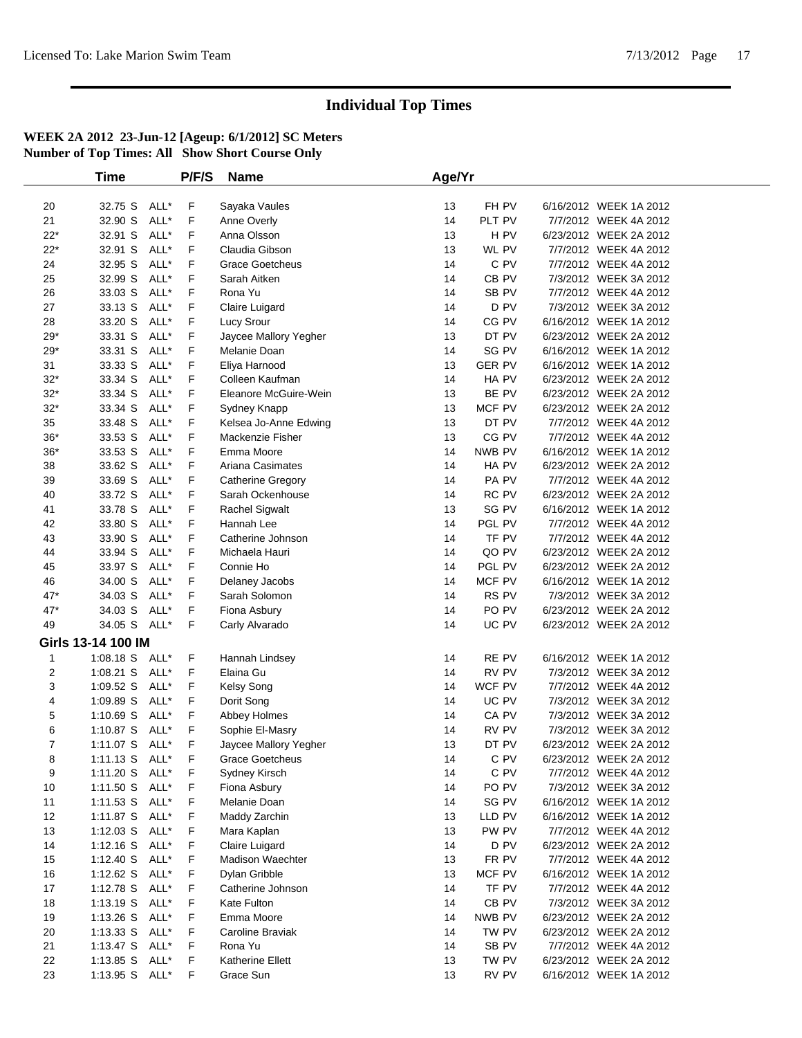| <b>Time</b>          |      | P/F/S | <b>Name</b>              | Age/Yr |               |                        |  |
|----------------------|------|-------|--------------------------|--------|---------------|------------------------|--|
|                      |      |       |                          |        |               |                        |  |
| 20<br>32.75 S        | ALL* | F     | Sayaka Vaules            | 13     | FH PV         | 6/16/2012 WEEK 1A 2012 |  |
| 21<br>32.90 S        | ALL* | F     | Anne Overly              | 14     | PLT PV        | 7/7/2012 WEEK 4A 2012  |  |
| $22*$<br>32.91 S     | ALL* | F     | Anna Olsson              | 13     | H PV          | 6/23/2012 WEEK 2A 2012 |  |
| $22*$<br>32.91 S     | ALL* | F     | Claudia Gibson           | 13     | WL PV         | 7/7/2012 WEEK 4A 2012  |  |
| 24<br>32.95 S        | ALL* | F     | <b>Grace Goetcheus</b>   | 14     | C PV          | 7/7/2012 WEEK 4A 2012  |  |
| 25<br>32.99 S        | ALL* | F     | Sarah Aitken             | 14     | CB PV         | 7/3/2012 WEEK 3A 2012  |  |
| 26<br>33.03 S        | ALL* | F     | Rona Yu                  | 14     | SB PV         | 7/7/2012 WEEK 4A 2012  |  |
| 27<br>33.13 S        | ALL* | F     | Claire Luigard           | 14     | D PV          | 7/3/2012 WEEK 3A 2012  |  |
| 33.20 S<br>28        | ALL* | F     | Lucy Srour               | 14     | CG PV         | 6/16/2012 WEEK 1A 2012 |  |
| $29*$<br>33.31 S     | ALL* | F     | Jaycee Mallory Yegher    | 13     | DT PV         | 6/23/2012 WEEK 2A 2012 |  |
| $29*$<br>33.31 S     | ALL* | F     | Melanie Doan             | 14     | SG PV         | 6/16/2012 WEEK 1A 2012 |  |
| 31<br>33.33 S        | ALL* | F     | Eliya Harnood            | 13     | <b>GER PV</b> | 6/16/2012 WEEK 1A 2012 |  |
| $32*$<br>33.34 S     | ALL* | F     | Colleen Kaufman          | 14     | HA PV         | 6/23/2012 WEEK 2A 2012 |  |
| $32*$<br>33.34 S     | ALL* | F     | Eleanore McGuire-Wein    | 13     | BE PV         | 6/23/2012 WEEK 2A 2012 |  |
| $32*$<br>33.34 S     | ALL* | F     | Sydney Knapp             | 13     | MCF PV        | 6/23/2012 WEEK 2A 2012 |  |
| 35<br>33.48 S        | ALL* | F     | Kelsea Jo-Anne Edwing    | 13     | DT PV         | 7/7/2012 WEEK 4A 2012  |  |
| $36*$<br>33.53 S     | ALL* | F     | Mackenzie Fisher         | 13     | CG PV         | 7/7/2012 WEEK 4A 2012  |  |
| $36*$<br>33.53 S     | ALL* | F     | Emma Moore               | 14     | NWB PV        | 6/16/2012 WEEK 1A 2012 |  |
| 38<br>33.62 S        | ALL* | F     | Ariana Casimates         | 14     | HA PV         | 6/23/2012 WEEK 2A 2012 |  |
| 39<br>33.69 S        | ALL* | F     | <b>Catherine Gregory</b> | 14     | PA PV         | 7/7/2012 WEEK 4A 2012  |  |
| 40<br>33.72 S        | ALL* | F     | Sarah Ockenhouse         | 14     | RC PV         | 6/23/2012 WEEK 2A 2012 |  |
| 41<br>33.78 S        | ALL* | F     | <b>Rachel Sigwalt</b>    | 13     | SG PV         | 6/16/2012 WEEK 1A 2012 |  |
| 33.80 S<br>42        | ALL* | F     | Hannah Lee               | 14     | PGL PV        | 7/7/2012 WEEK 4A 2012  |  |
| 43<br>33.90 S        | ALL* | F     | Catherine Johnson        | 14     | TF PV         | 7/7/2012 WEEK 4A 2012  |  |
| 44<br>33.94 S        | ALL* | F     | Michaela Hauri           | 14     | QO PV         | 6/23/2012 WEEK 2A 2012 |  |
| 45<br>33.97 S        | ALL* | F     | Connie Ho                | 14     | PGL PV        | 6/23/2012 WEEK 2A 2012 |  |
| 46<br>34.00 S        | ALL* | F     | Delaney Jacobs           | 14     | MCF PV        | 6/16/2012 WEEK 1A 2012 |  |
| 47*<br>34.03 S       | ALL* | F     | Sarah Solomon            | 14     | RS PV         | 7/3/2012 WEEK 3A 2012  |  |
| 47*<br>34.03 S       | ALL* | F     | Fiona Asbury             | 14     | PO PV         | 6/23/2012 WEEK 2A 2012 |  |
| 49<br>34.05 S ALL*   |      | F     | Carly Alvarado           | 14     | UC PV         | 6/23/2012 WEEK 2A 2012 |  |
| Girls 13-14 100 IM   |      |       |                          |        |               |                        |  |
| 1:08.18 S ALL*<br>1  |      | F     | Hannah Lindsey           | 14     | RE PV         | 6/16/2012 WEEK 1A 2012 |  |
| 2<br>$1:08.21$ S     | ALL* | F     | Elaina Gu                | 14     | RV PV         | 7/3/2012 WEEK 3A 2012  |  |
| 3<br>1:09.52 S       | ALL* | F     | Kelsy Song               | 14     | WCF PV        | 7/7/2012 WEEK 4A 2012  |  |
| 4<br>1:09.89 S       | ALL* | F     | Dorit Song               | 14     | UC PV         | 7/3/2012 WEEK 3A 2012  |  |
| 5<br>$1:10.69$ S     | ALL* | F     | Abbey Holmes             | 14     | CA PV         | 7/3/2012 WEEK 3A 2012  |  |
| 6<br>1:10.87 S       | ALL* | F     | Sophie El-Masry          | 14     | RV PV         | 7/3/2012 WEEK 3A 2012  |  |
| 7<br>1:11.07 S ALL*  |      | F     | Jaycee Mallory Yegher    | 13     | DT PV         | 6/23/2012 WEEK 2A 2012 |  |
| 1:11.13 S ALL*<br>8  |      | F     | <b>Grace Goetcheus</b>   | 14     | $C$ PV        | 6/23/2012 WEEK 2A 2012 |  |
| 9<br>1:11.20 S ALL*  |      | F     | Sydney Kirsch            | 14     | C PV          | 7/7/2012 WEEK 4A 2012  |  |
| 1:11.50 S ALL*<br>10 |      | F     | Fiona Asbury             | 14     | PO PV         | 7/3/2012 WEEK 3A 2012  |  |
| 1:11.53 S ALL*<br>11 |      | F     | Melanie Doan             | 14     | SG PV         | 6/16/2012 WEEK 1A 2012 |  |
| 12<br>1:11.87 S ALL* |      | F     | Maddy Zarchin            | 13     | LLD PV        | 6/16/2012 WEEK 1A 2012 |  |
| 13<br>$1:12.03$ S    | ALL* | F     | Mara Kaplan              | 13     | PW PV         | 7/7/2012 WEEK 4A 2012  |  |
| 14<br>$1:12.16$ S    | ALL* | F     | Claire Luigard           | 14     | D PV          | 6/23/2012 WEEK 2A 2012 |  |
| 15<br>1:12.40 S      | ALL* | F     | <b>Madison Waechter</b>  | 13     | FR PV         | 7/7/2012 WEEK 4A 2012  |  |
| 16<br>$1:12.62$ S    | ALL* | F     | Dylan Gribble            | 13     | MCF PV        | 6/16/2012 WEEK 1A 2012 |  |
| 17<br>1:12.78 S ALL* |      | F     | Catherine Johnson        | 14     | TF PV         | 7/7/2012 WEEK 4A 2012  |  |
| 18<br>$1:13.19$ S    | ALL* | F     | Kate Fulton              | 14     | CB PV         | 7/3/2012 WEEK 3A 2012  |  |
| 19<br>$1:13.26$ S    | ALL* | F     | Emma Moore               | 14     | NWB PV        | 6/23/2012 WEEK 2A 2012 |  |
| 20<br>$1:13.33$ S    | ALL* | F     | Caroline Braviak         | 14     | TW PV         | 6/23/2012 WEEK 2A 2012 |  |
| 21<br>1:13.47 S      | ALL* | F     | Rona Yu                  | 14     | SB PV         | 7/7/2012 WEEK 4A 2012  |  |
| 22<br>1:13.85 S      | ALL* | F     | Katherine Ellett         | 13     | TW PV         | 6/23/2012 WEEK 2A 2012 |  |
| 23<br>1:13.95 S ALL* |      | F     | Grace Sun                | 13     | RV PV         | 6/16/2012 WEEK 1A 2012 |  |
|                      |      |       |                          |        |               |                        |  |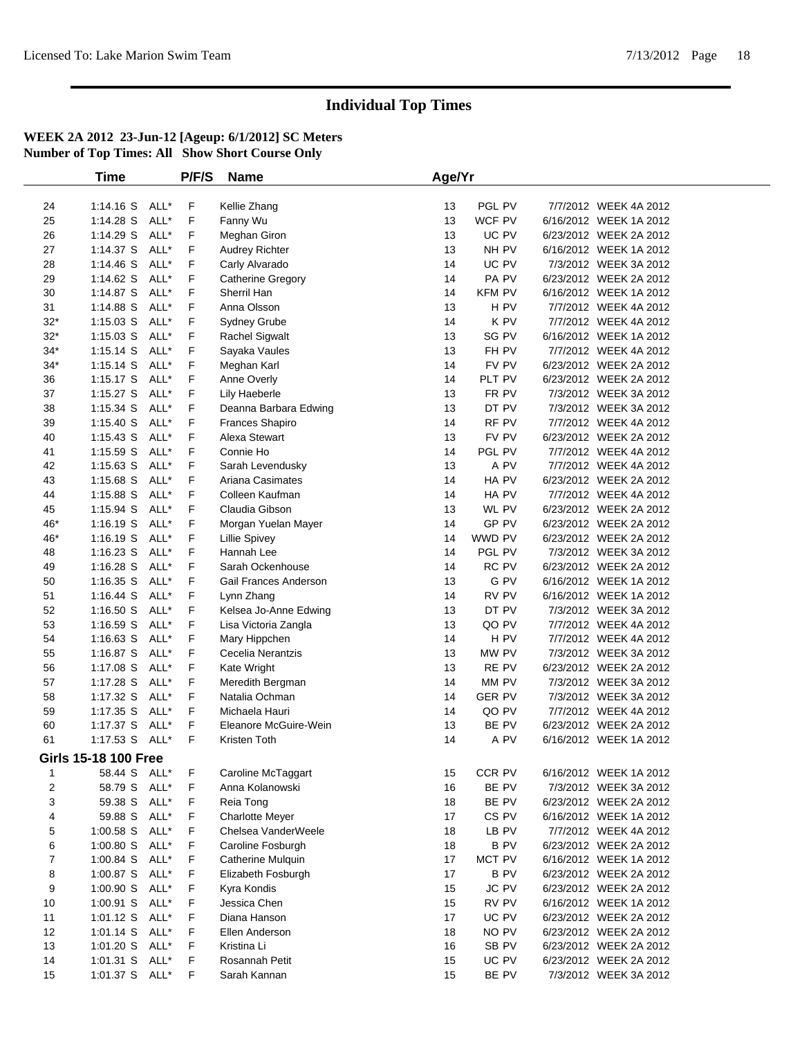|              | <b>Time</b>                 |      | P/F/S | <b>Name</b>            | Age/Yr |                           |                        |  |
|--------------|-----------------------------|------|-------|------------------------|--------|---------------------------|------------------------|--|
|              |                             |      |       |                        |        |                           |                        |  |
| 24           | $1:14.16$ S                 | ALL* | F     | Kellie Zhang           | 13     | PGL PV                    | 7/7/2012 WEEK 4A 2012  |  |
| 25           | 1:14.28 S                   | ALL* | F     | Fanny Wu               | 13     | WCF PV                    | 6/16/2012 WEEK 1A 2012 |  |
| 26           | 1:14.29 S                   | ALL* | F     | Meghan Giron           | 13     | UC PV                     | 6/23/2012 WEEK 2A 2012 |  |
| 27           | 1:14.37 S                   | ALL* | F     | Audrey Richter         | 13     | NH PV                     | 6/16/2012 WEEK 1A 2012 |  |
| 28           | 1:14.46 S                   | ALL* | F     | Carly Alvarado         | 14     | UC PV                     | 7/3/2012 WEEK 3A 2012  |  |
| 29           | 1:14.62 S                   | ALL* | F     | Catherine Gregory      | 14     | PA PV                     | 6/23/2012 WEEK 2A 2012 |  |
| 30           | 1:14.87 S                   | ALL* | F     | Sherril Han            | 14     | <b>KFM PV</b>             | 6/16/2012 WEEK 1A 2012 |  |
| 31           | 1:14.88 S                   | ALL* | F     | Anna Olsson            | 13     | H PV                      | 7/7/2012 WEEK 4A 2012  |  |
| $32*$        | $1:15.03$ S                 | ALL* | F     | Sydney Grube           | 14     | K PV                      | 7/7/2012 WEEK 4A 2012  |  |
| $32*$        | $1:15.03$ S                 | ALL* | F     | Rachel Sigwalt         | 13     | SG PV                     | 6/16/2012 WEEK 1A 2012 |  |
| $34*$        | $1:15.14$ S                 | ALL* | F     | Sayaka Vaules          | 13     | FH PV                     | 7/7/2012 WEEK 4A 2012  |  |
| $34*$        | $1:15.14$ S                 | ALL* | F     | Meghan Karl            | 14     | FV PV                     | 6/23/2012 WEEK 2A 2012 |  |
| 36           | $1:15.17$ S                 | ALL* | F     | Anne Overly            | 14     | PLT PV                    | 6/23/2012 WEEK 2A 2012 |  |
| 37           | $1:15.27$ S                 | ALL* | F     | Lily Haeberle          | 13     | FR PV                     | 7/3/2012 WEEK 3A 2012  |  |
| 38           | $1:15.34$ S                 | ALL* | F     | Deanna Barbara Edwing  | 13     | DT PV                     | 7/3/2012 WEEK 3A 2012  |  |
| 39           | 1:15.40 S                   | ALL* | F     | Frances Shapiro        | 14     | RF PV                     | 7/7/2012 WEEK 4A 2012  |  |
| 40           | $1:15.43$ S                 | ALL* | F     | Alexa Stewart          | 13     | FV PV                     | 6/23/2012 WEEK 2A 2012 |  |
| 41           | 1:15.59 S                   | ALL* | F     | Connie Ho              | 14     | PGL PV                    | 7/7/2012 WEEK 4A 2012  |  |
| 42           | $1:15.63$ S                 | ALL* | F     | Sarah Levendusky       | 13     | A PV                      | 7/7/2012 WEEK 4A 2012  |  |
| 43           | 1:15.68 S                   | ALL* | F     | Ariana Casimates       | 14     | HA PV                     | 6/23/2012 WEEK 2A 2012 |  |
| 44           | 1:15.88 S                   | ALL* | F     | Colleen Kaufman        | 14     | HA PV                     | 7/7/2012 WEEK 4A 2012  |  |
| 45           | 1:15.94 S                   | ALL* | F     | Claudia Gibson         | 13     | WL PV                     | 6/23/2012 WEEK 2A 2012 |  |
| 46*          | $1:16.19$ S                 | ALL* | F     | Morgan Yuelan Mayer    | 14     | GP PV                     | 6/23/2012 WEEK 2A 2012 |  |
| 46*          | $1:16.19$ S                 | ALL* | F     | <b>Lillie Spivey</b>   | 14     | WWD PV                    | 6/23/2012 WEEK 2A 2012 |  |
| 48           | $1:16.23$ S                 | ALL* | F     | Hannah Lee             | 14     | PGL PV                    | 7/3/2012 WEEK 3A 2012  |  |
| 49           | $1:16.28$ S                 | ALL* | F     | Sarah Ockenhouse       | 14     | RC PV                     | 6/23/2012 WEEK 2A 2012 |  |
| 50           | $1:16.35$ S                 | ALL* | F     | Gail Frances Anderson  | 13     | $\mathsf{G}\;\mathsf{PV}$ | 6/16/2012 WEEK 1A 2012 |  |
| 51           | $1:16.44$ S                 | ALL* | F     | Lynn Zhang             | 14     | RV PV                     | 6/16/2012 WEEK 1A 2012 |  |
| 52           | 1:16.50 S                   | ALL* | F     | Kelsea Jo-Anne Edwing  | 13     | DT PV                     | 7/3/2012 WEEK 3A 2012  |  |
| 53           | $1:16.59$ S                 | ALL* | F     | Lisa Victoria Zangla   | 13     | QO PV                     | 7/7/2012 WEEK 4A 2012  |  |
| 54           | $1:16.63$ S                 | ALL* | F     | Mary Hippchen          | 14     | H PV                      | 7/7/2012 WEEK 4A 2012  |  |
| 55           | 1:16.87 S                   | ALL* | F     | Cecelia Nerantzis      | 13     | MW PV                     | 7/3/2012 WEEK 3A 2012  |  |
| 56           | 1:17.08 S                   | ALL* | F     | Kate Wright            | 13     | RE PV                     | 6/23/2012 WEEK 2A 2012 |  |
| 57           | 1:17.28 S                   | ALL* | F     | Meredith Bergman       | 14     | MM PV                     | 7/3/2012 WEEK 3A 2012  |  |
| 58           | 1:17.32 S                   | ALL* | F     | Natalia Ochman         | 14     | <b>GER PV</b>             | 7/3/2012 WEEK 3A 2012  |  |
| 59           | 1:17.35 S                   | ALL* | F     | Michaela Hauri         | 14     | QO PV                     | 7/7/2012 WEEK 4A 2012  |  |
| 60           | 1:17.37 S                   | ALL* | F     | Eleanore McGuire-Wein  | 13     | BE PV                     | 6/23/2012 WEEK 2A 2012 |  |
| 61           | 1:17.53 S ALL*              |      | F     | Kristen Toth           | 14     | A PV                      | 6/16/2012 WEEK 1A 2012 |  |
|              | <b>Girls 15-18 100 Free</b> |      |       |                        |        |                           |                        |  |
| $\mathbf{1}$ | 58.44 S ALL*                |      | F     | Caroline McTaggart     | 15     | CCR PV                    | 6/16/2012 WEEK 1A 2012 |  |
| 2            | 58.79 S                     | ALL* | F     | Anna Kolanowski        | 16     | BE PV                     | 7/3/2012 WEEK 3A 2012  |  |
| 3            | 59.38 S                     | ALL* | F     | Reia Tong              | 18     | BE PV                     | 6/23/2012 WEEK 2A 2012 |  |
| 4            | 59.88 S                     | ALL* | F     | <b>Charlotte Meyer</b> | 17     | CS <sub>PV</sub>          | 6/16/2012 WEEK 1A 2012 |  |
| 5            | $1:00.58$ S                 | ALL* | F     | Chelsea VanderWeele    | 18     | LB PV                     | 7/7/2012 WEEK 4A 2012  |  |
| 6            | 1:00.80 S                   | ALL* | F     | Caroline Fosburgh      | 18     | <b>BPV</b>                | 6/23/2012 WEEK 2A 2012 |  |
| 7            | 1:00.84 S                   | ALL* | F     | Catherine Mulquin      | 17     | MCT PV                    | 6/16/2012 WEEK 1A 2012 |  |
| 8            | 1:00.87 S                   | ALL* | F     | Elizabeth Fosburgh     | 17     | <b>BPV</b>                | 6/23/2012 WEEK 2A 2012 |  |
| 9            | 1:00.90 S                   | ALL* | F     | Kyra Kondis            | 15     | JC PV                     | 6/23/2012 WEEK 2A 2012 |  |
| 10           | $1:00.91$ S                 | ALL* | F     | Jessica Chen           | 15     | RV PV                     | 6/16/2012 WEEK 1A 2012 |  |
| 11           | 1:01.12 S                   | ALL* | F     | Diana Hanson           | 17     | UC PV                     | 6/23/2012 WEEK 2A 2012 |  |
| 12           | $1:01.14$ S                 | ALL* | F     | Ellen Anderson         | 18     | NO PV                     | 6/23/2012 WEEK 2A 2012 |  |
| 13           | 1:01.20 S                   | ALL* | F     | Kristina Li            | 16     | SB PV                     | 6/23/2012 WEEK 2A 2012 |  |
| 14           | $1:01.31$ S                 | ALL* | F     | Rosannah Petit         | 15     | UC PV                     | 6/23/2012 WEEK 2A 2012 |  |
| 15           |                             |      | F     | Sarah Kannan           | 15     | BE PV                     |                        |  |
|              | 1:01.37 S ALL*              |      |       |                        |        |                           | 7/3/2012 WEEK 3A 2012  |  |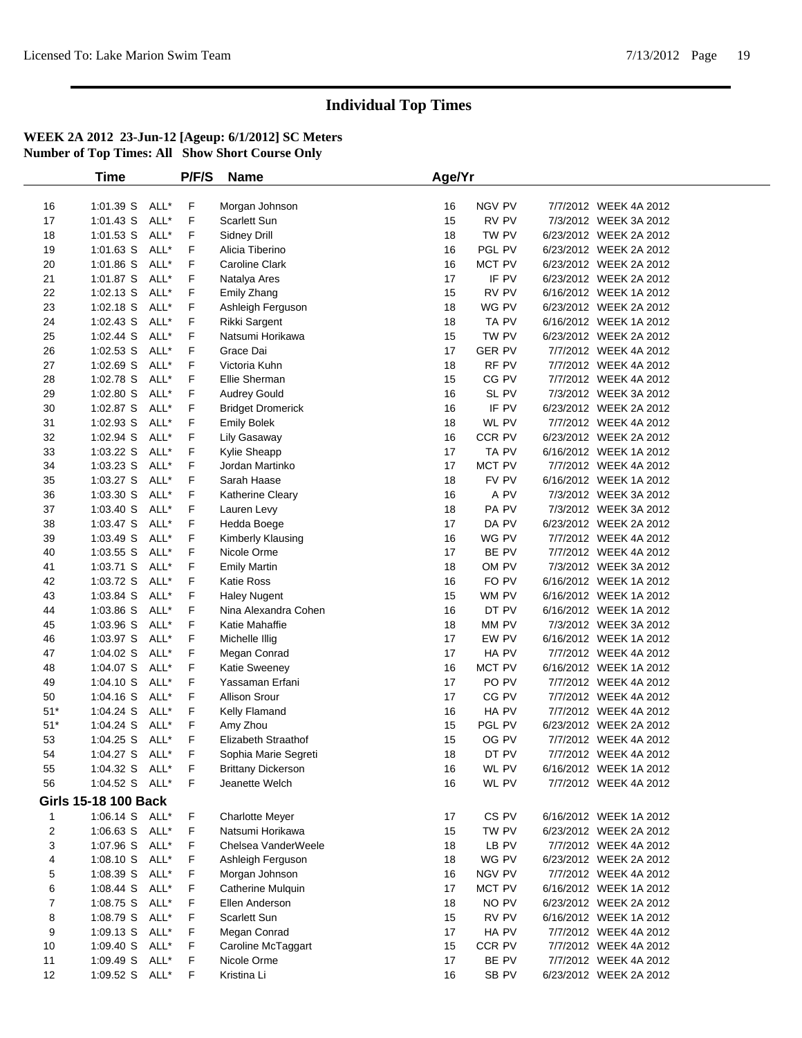|                  | <b>Time</b>                 |      | P/F/S       | <b>Name</b>               | Age/Yr |               |                        |  |
|------------------|-----------------------------|------|-------------|---------------------------|--------|---------------|------------------------|--|
|                  |                             |      |             |                           |        |               |                        |  |
| 16               | 1:01.39 S                   | ALL* | F           | Morgan Johnson            | 16     | NGV PV        | 7/7/2012 WEEK 4A 2012  |  |
| 17               | 1:01.43 S                   | ALL* | F           | <b>Scarlett Sun</b>       | 15     | RV PV         | 7/3/2012 WEEK 3A 2012  |  |
| 18               | 1:01.53 S                   | ALL* | F           | Sidney Drill              | 18     | TW PV         | 6/23/2012 WEEK 2A 2012 |  |
| 19               | 1:01.63 S                   | ALL* | F           | Alicia Tiberino           | 16     | PGL PV        | 6/23/2012 WEEK 2A 2012 |  |
| 20               | 1:01.86 S                   | ALL* | $\mathsf F$ | <b>Caroline Clark</b>     | 16     | MCT PV        | 6/23/2012 WEEK 2A 2012 |  |
| 21               | 1:01.87 S                   | ALL* | F           | Natalya Ares              | 17     | IF PV         | 6/23/2012 WEEK 2A 2012 |  |
| 22               | $1:02.13$ S                 | ALL* | F           | Emily Zhang               | 15     | RV PV         | 6/16/2012 WEEK 1A 2012 |  |
| 23               | 1:02.18 S                   | ALL* | F           | Ashleigh Ferguson         | 18     | WG PV         | 6/23/2012 WEEK 2A 2012 |  |
| 24               | 1:02.43 S                   | ALL* | F           | <b>Rikki Sargent</b>      | 18     | TA PV         | 6/16/2012 WEEK 1A 2012 |  |
| 25               | 1:02.44 S                   | ALL* | F           | Natsumi Horikawa          | 15     | TW PV         | 6/23/2012 WEEK 2A 2012 |  |
| 26               | 1:02.53 S                   | ALL* | F           | Grace Dai                 | 17     | <b>GER PV</b> | 7/7/2012 WEEK 4A 2012  |  |
| 27               | 1:02.69 S                   | ALL* | F           | Victoria Kuhn             | 18     | RF PV         | 7/7/2012 WEEK 4A 2012  |  |
| 28               | 1:02.78 S                   | ALL* | F           | Ellie Sherman             | 15     | CG PV         | 7/7/2012 WEEK 4A 2012  |  |
| 29               | 1:02.80 S                   | ALL* | F           | <b>Audrey Gould</b>       | 16     | SL PV         | 7/3/2012 WEEK 3A 2012  |  |
| 30               | 1:02.87 S                   | ALL* | F           | <b>Bridget Dromerick</b>  | 16     | IF PV         | 6/23/2012 WEEK 2A 2012 |  |
| 31               | 1:02.93 S                   | ALL* | F           | <b>Emily Bolek</b>        | 18     | WL PV         | 7/7/2012 WEEK 4A 2012  |  |
| 32               | 1:02.94 S                   | ALL* | F           | <b>Lily Gasaway</b>       | 16     | CCR PV        | 6/23/2012 WEEK 2A 2012 |  |
| 33               | 1:03.22 S                   | ALL* | F           | Kylie Sheapp              | 17     | TA PV         | 6/16/2012 WEEK 1A 2012 |  |
| 34               | 1:03.23 S                   | ALL* | F           | Jordan Martinko           | 17     | MCT PV        | 7/7/2012 WEEK 4A 2012  |  |
| 35               | 1:03.27 S                   | ALL* | F           | Sarah Haase               | 18     | FV PV         | 6/16/2012 WEEK 1A 2012 |  |
| 36               | 1:03.30 S                   | ALL* | F           | Katherine Cleary          | 16     | A PV          | 7/3/2012 WEEK 3A 2012  |  |
| 37               | 1:03.40 S                   | ALL* | F           | Lauren Levy               | 18     | PA PV         | 7/3/2012 WEEK 3A 2012  |  |
| 38               | 1:03.47 S                   | ALL* | $\mathsf F$ | Hedda Boege               | 17     | DA PV         | 6/23/2012 WEEK 2A 2012 |  |
| 39               | 1:03.49 S                   | ALL* | F           | Kimberly Klausing         | 16     | WG PV         | 7/7/2012 WEEK 4A 2012  |  |
| 40               | 1:03.55 S                   | ALL* | F           | Nicole Orme               | 17     | BE PV         | 7/7/2012 WEEK 4A 2012  |  |
| 41               | 1:03.71 S                   | ALL* | F           | <b>Emily Martin</b>       | 18     | OM PV         | 7/3/2012 WEEK 3A 2012  |  |
| 42               | 1:03.72 S                   | ALL* | F           | Katie Ross                | 16     | FO PV         | 6/16/2012 WEEK 1A 2012 |  |
| 43               | 1:03.84 S                   | ALL* | F           | <b>Haley Nugent</b>       | 15     | WM PV         | 6/16/2012 WEEK 1A 2012 |  |
| 44               | 1:03.86 S                   | ALL* | F           | Nina Alexandra Cohen      | 16     | DT PV         | 6/16/2012 WEEK 1A 2012 |  |
| 45               | 1:03.96 S                   | ALL* | F           | Katie Mahaffie            | 18     | MM PV         | 7/3/2012 WEEK 3A 2012  |  |
| 46               | 1:03.97 S                   | ALL* | F           | Michelle Illig            | 17     | EW PV         | 6/16/2012 WEEK 1A 2012 |  |
| 47               | 1:04.02 S                   | ALL* | F           | Megan Conrad              | 17     | HA PV         | 7/7/2012 WEEK 4A 2012  |  |
| 48               | 1:04.07 S                   | ALL* | F           | Katie Sweeney             | 16     | MCT PV        | 6/16/2012 WEEK 1A 2012 |  |
| 49               | 1:04.10 S                   | ALL* | F           | Yassaman Erfani           | 17     | PO PV         | 7/7/2012 WEEK 4A 2012  |  |
| 50               | 1:04.16 S                   | ALL* | $\mathsf F$ | <b>Allison Srour</b>      | 17     | CG PV         | 7/7/2012 WEEK 4A 2012  |  |
| $51*$            | 1:04.24 S                   | ALL* | F           | Kelly Flamand             | 16     | HA PV         | 7/7/2012 WEEK 4A 2012  |  |
| $51*$            | 1:04.24 S                   | ALL* | F           | Amy Zhou                  | 15     | PGL PV        | 6/23/2012 WEEK 2A 2012 |  |
| 53               | 1:04.25 S                   | ALL* | F           | Elizabeth Straathof       | 15     | OG PV         | 7/7/2012 WEEK 4A 2012  |  |
| 54               | 1:04.27 S                   | ALL* | F           | Sophia Marie Segreti      | 18     | DT PV         | 7/7/2012 WEEK 4A 2012  |  |
| 55               | 1:04.32 S ALL*              |      | F           | <b>Brittany Dickerson</b> | 16     | WL PV         | 6/16/2012 WEEK 1A 2012 |  |
| 56               | 1:04.52 S ALL*              |      | F           | Jeanette Welch            | 16     | WL PV         | 7/7/2012 WEEK 4A 2012  |  |
|                  | <b>Girls 15-18 100 Back</b> |      |             |                           |        |               |                        |  |
| 1                | 1:06.14 S ALL*              |      | $\mathsf F$ | <b>Charlotte Meyer</b>    | 17     | CS PV         | 6/16/2012 WEEK 1A 2012 |  |
| $\overline{c}$   | 1:06.63 S                   | ALL* | F           | Natsumi Horikawa          | 15     | TW PV         | 6/23/2012 WEEK 2A 2012 |  |
| 3                | 1:07.96 S                   | ALL* | F           | Chelsea VanderWeele       | 18     | LB PV         | 7/7/2012 WEEK 4A 2012  |  |
| 4                | 1:08.10 S                   | ALL* | F           | Ashleigh Ferguson         | 18     | WG PV         | 6/23/2012 WEEK 2A 2012 |  |
| 5                | 1:08.39 S                   | ALL* | F           | Morgan Johnson            | 16     | NGV PV        | 7/7/2012 WEEK 4A 2012  |  |
| 6                | 1:08.44 S                   | ALL* | F           | Catherine Mulquin         | 17     | MCT PV        | 6/16/2012 WEEK 1A 2012 |  |
| $\boldsymbol{7}$ | 1:08.75 S                   | ALL* | F           | Ellen Anderson            | 18     | NO PV         | 6/23/2012 WEEK 2A 2012 |  |
| 8                | 1:08.79 S                   | ALL* | F           | <b>Scarlett Sun</b>       | 15     | RV PV         | 6/16/2012 WEEK 1A 2012 |  |
| 9                | 1:09.13 S                   | ALL* | F           | Megan Conrad              | 17     | HA PV         | 7/7/2012 WEEK 4A 2012  |  |
| 10               | 1:09.40 S                   | ALL* | F           | Caroline McTaggart        | 15     | CCR PV        | 7/7/2012 WEEK 4A 2012  |  |
| 11               | 1:09.49 S                   | ALL* | F           | Nicole Orme               | 17     | BE PV         | 7/7/2012 WEEK 4A 2012  |  |
| 12               | 1:09.52 S                   | ALL* | F           | Kristina Li               | 16     | SB PV         | 6/23/2012 WEEK 2A 2012 |  |
|                  |                             |      |             |                           |        |               |                        |  |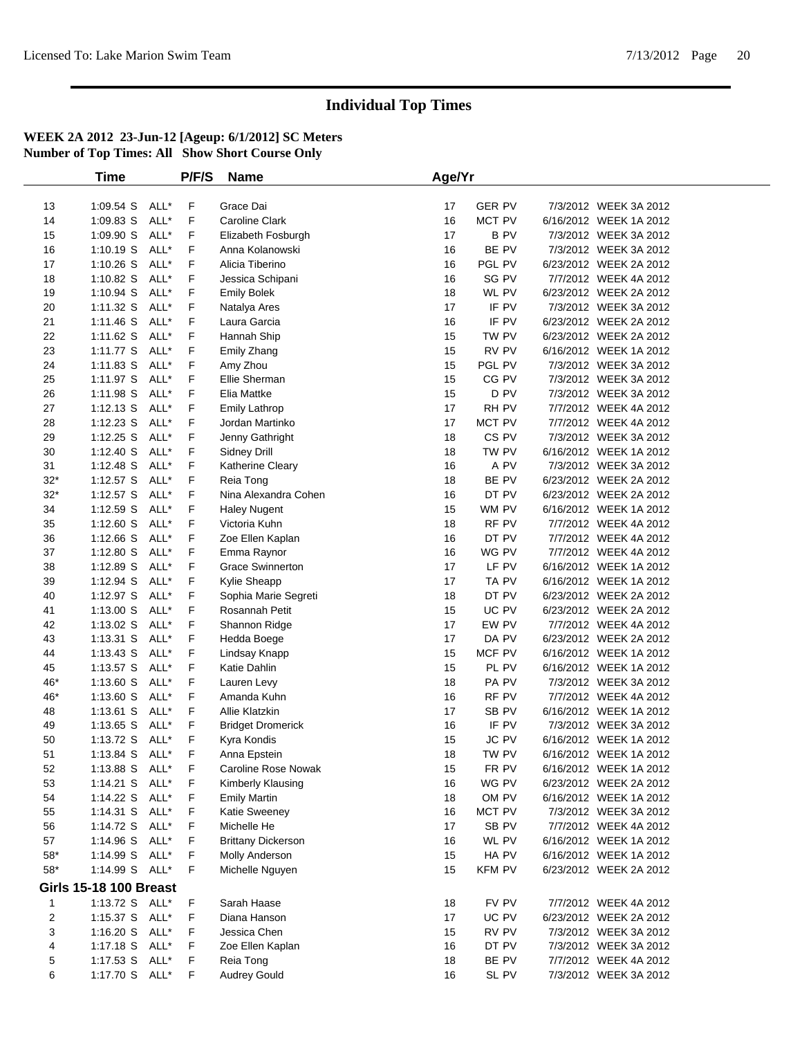|             | <b>Time</b>                   |      | P/F/S | <b>Name</b>               | Age/Yr |               |                        |  |
|-------------|-------------------------------|------|-------|---------------------------|--------|---------------|------------------------|--|
|             |                               |      |       |                           |        |               |                        |  |
| 13          | 1:09.54 S ALL*                |      | F     | Grace Dai                 | 17     | <b>GER PV</b> | 7/3/2012 WEEK 3A 2012  |  |
| 14          | 1:09.83 S                     | ALL* | F     | <b>Caroline Clark</b>     | 16     | MCT PV        | 6/16/2012 WEEK 1A 2012 |  |
| 15          | 1:09.90 S                     | ALL* | F     | Elizabeth Fosburgh        | 17     | <b>BPV</b>    | 7/3/2012 WEEK 3A 2012  |  |
| 16          | 1:10.19 S                     | ALL* | F     | Anna Kolanowski           | 16     | BE PV         | 7/3/2012 WEEK 3A 2012  |  |
| 17          | $1:10.26$ S                   | ALL* | F     | Alicia Tiberino           | 16     | PGL PV        | 6/23/2012 WEEK 2A 2012 |  |
| 18          | $1:10.82$ S                   | ALL* | F     | Jessica Schipani          | 16     | SG PV         | 7/7/2012 WEEK 4A 2012  |  |
| 19          | $1:10.94$ S                   | ALL* | F     | <b>Emily Bolek</b>        | 18     | WL PV         | 6/23/2012 WEEK 2A 2012 |  |
| 20          | 1:11.32 S                     | ALL* | F     | Natalya Ares              | 17     | IF PV         | 7/3/2012 WEEK 3A 2012  |  |
| 21          | $1:11.46$ S                   | ALL* | F     | Laura Garcia              | 16     | IF PV         | 6/23/2012 WEEK 2A 2012 |  |
| 22          | $1:11.62$ S                   | ALL* | F     | Hannah Ship               | 15     | TW PV         | 6/23/2012 WEEK 2A 2012 |  |
| 23          | $1:11.77$ S                   | ALL* | F     | Emily Zhang               | 15     | RV PV         | 6/16/2012 WEEK 1A 2012 |  |
| 24          | 1:11.83 S                     | ALL* | F     | Amy Zhou                  | 15     | PGL PV        | 7/3/2012 WEEK 3A 2012  |  |
| 25          | $1:11.97$ S                   | ALL* | F     | Ellie Sherman             | 15     | CG PV         | 7/3/2012 WEEK 3A 2012  |  |
| 26          | 1:11.98 S                     | ALL* | F     | Elia Mattke               | 15     | D PV          | 7/3/2012 WEEK 3A 2012  |  |
| 27          | $1:12.13$ S                   | ALL* | F     | <b>Emily Lathrop</b>      | 17     | RH PV         | 7/7/2012 WEEK 4A 2012  |  |
| 28          | $1:12.23$ S                   | ALL* | F     | Jordan Martinko           | 17     | MCT PV        | 7/7/2012 WEEK 4A 2012  |  |
| 29          | $1:12.25$ S                   | ALL* | F     | Jenny Gathright           | 18     | CS PV         | 7/3/2012 WEEK 3A 2012  |  |
| 30          | 1:12.40 S                     | ALL* | F     | Sidney Drill              | 18     | TW PV         | 6/16/2012 WEEK 1A 2012 |  |
| 31          | $1:12.48$ S                   | ALL* | F     | Katherine Cleary          | 16     | A PV          | 7/3/2012 WEEK 3A 2012  |  |
| $32*$       | $1:12.57$ S                   | ALL* | F     | Reia Tong                 | 18     | BE PV         | 6/23/2012 WEEK 2A 2012 |  |
| $32*$       | $1:12.57$ S                   | ALL* | F     | Nina Alexandra Cohen      | 16     | DT PV         | 6/23/2012 WEEK 2A 2012 |  |
| 34          | $1:12.59$ S                   | ALL* | F     | <b>Haley Nugent</b>       | 15     | WM PV         | 6/16/2012 WEEK 1A 2012 |  |
| 35          | $1:12.60$ S                   | ALL* | F     | Victoria Kuhn             | 18     | RF PV         | 7/7/2012 WEEK 4A 2012  |  |
| 36          | 1:12.66 S                     | ALL* | F     | Zoe Ellen Kaplan          | 16     | DT PV         | 7/7/2012 WEEK 4A 2012  |  |
| 37          | 1:12.80 S                     | ALL* | F     | Emma Raynor               | 16     | WG PV         | 7/7/2012 WEEK 4A 2012  |  |
| 38          | 1:12.89 S                     | ALL* | F     | <b>Grace Swinnerton</b>   | 17     | LF PV         | 6/16/2012 WEEK 1A 2012 |  |
| 39          | $1:12.94$ S                   | ALL* | F     | Kylie Sheapp              | 17     | TA PV         | 6/16/2012 WEEK 1A 2012 |  |
| 40          | $1:12.97$ S                   | ALL* | F     | Sophia Marie Segreti      | 18     | DT PV         | 6/23/2012 WEEK 2A 2012 |  |
| 41          | 1:13.00 S                     | ALL* | F     | Rosannah Petit            | 15     | UC PV         | 6/23/2012 WEEK 2A 2012 |  |
| 42          | $1:13.02$ S                   | ALL* | F     | Shannon Ridge             | 17     | EW PV         | 7/7/2012 WEEK 4A 2012  |  |
| 43          | $1:13.31$ S                   | ALL* | F     | Hedda Boege               | 17     | DA PV         | 6/23/2012 WEEK 2A 2012 |  |
| 44          | $1:13.43$ S                   | ALL* | F     | Lindsay Knapp             | 15     | MCF PV        | 6/16/2012 WEEK 1A 2012 |  |
| 45          | $1:13.57$ S                   | ALL* | F     | Katie Dahlin              | 15     | PL PV         | 6/16/2012 WEEK 1A 2012 |  |
| 46*         | 1:13.60 S                     | ALL* | F     | Lauren Levy               | 18     | PA PV         | 7/3/2012 WEEK 3A 2012  |  |
| 46*         | 1:13.60 S                     | ALL* | F     | Amanda Kuhn               | 16     | RF PV         | 7/7/2012 WEEK 4A 2012  |  |
| 48          | $1:13.61$ S                   | ALL* | F     | Allie Klatzkin            | 17     | SB PV         | 6/16/2012 WEEK 1A 2012 |  |
| 49          | $1:13.65$ S                   | ALL* | F     | <b>Bridget Dromerick</b>  | 16     | IF PV         | 7/3/2012 WEEK 3A 2012  |  |
| 50          | 1:13.72 S                     | ALL* | F     | Kyra Kondis               | 15     | JC PV         | 6/16/2012 WEEK 1A 2012 |  |
| 51          | 1:13.84 S                     | ALL* | F     | Anna Epstein              | 18     | TW PV         | 6/16/2012 WEEK 1A 2012 |  |
| 52          | 1:13.88 S ALL*                |      | F     | Caroline Rose Nowak       | 15     | FR PV         | 6/16/2012 WEEK 1A 2012 |  |
| 53          | $1:14.21$ S                   | ALL* | F     | Kimberly Klausing         | 16     | WG PV         | 6/23/2012 WEEK 2A 2012 |  |
| 54          | 1:14.22 S                     | ALL* | F     | <b>Emily Martin</b>       | 18     | OM PV         | 6/16/2012 WEEK 1A 2012 |  |
| 55          | 1:14.31 S ALL*                |      | F     | Katie Sweeney             | 16     | MCT PV        | 7/3/2012 WEEK 3A 2012  |  |
| 56          | 1:14.72 S                     | ALL* | F     | Michelle He               | 17     | SB PV         | 7/7/2012 WEEK 4A 2012  |  |
| 57          | 1:14.96 S ALL*                |      | F     | <b>Brittany Dickerson</b> | 16     | WL PV         | 6/16/2012 WEEK 1A 2012 |  |
| $58^{\ast}$ | 1:14.99 S ALL*                |      | F     | Molly Anderson            | 15     | HA PV         | 6/16/2012 WEEK 1A 2012 |  |
| $58^{\ast}$ | 1:14.99 S ALL*                |      | F     | Michelle Nguyen           | 15     | <b>KFM PV</b> | 6/23/2012 WEEK 2A 2012 |  |
|             | <b>Girls 15-18 100 Breast</b> |      |       |                           |        |               |                        |  |
| 1           | 1:13.72 S ALL*                |      | F     | Sarah Haase               | 18     | FV PV         | 7/7/2012 WEEK 4A 2012  |  |
| 2           | 1:15.37 S ALL*                |      | F     | Diana Hanson              | 17     | UC PV         | 6/23/2012 WEEK 2A 2012 |  |
| 3           | 1:16.20 S ALL*                |      | F     | Jessica Chen              | 15     | RV PV         | 7/3/2012 WEEK 3A 2012  |  |
| 4           | 1:17.18 S ALL*                |      | F     | Zoe Ellen Kaplan          | 16     | DT PV         | 7/3/2012 WEEK 3A 2012  |  |
| 5           | 1:17.53 S ALL*                |      | F     | Reia Tong                 | 18     | BE PV         | 7/7/2012 WEEK 4A 2012  |  |
| 6           | 1:17.70 S ALL*                |      | F     | <b>Audrey Gould</b>       | 16     | SL PV         | 7/3/2012 WEEK 3A 2012  |  |
|             |                               |      |       |                           |        |               |                        |  |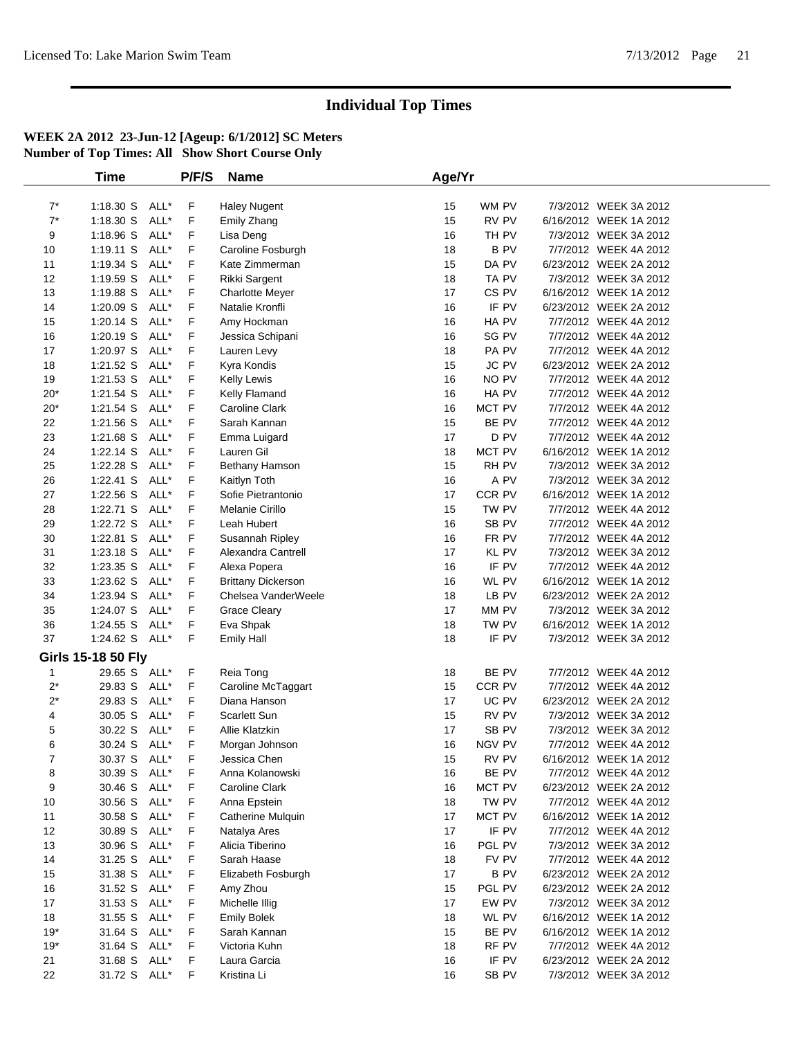|                | <b>Time</b>               |      | P/F/S | <b>Name</b>               | Age/Yr |                  |                        |
|----------------|---------------------------|------|-------|---------------------------|--------|------------------|------------------------|
|                |                           |      |       |                           |        |                  |                        |
| $7^*$          | 1:18.30 S ALL*            |      | F     | <b>Haley Nugent</b>       | 15     | WM PV            | 7/3/2012 WEEK 3A 2012  |
| $7^*$          | 1:18.30 S                 | ALL* | F     | Emily Zhang               | 15     | RV PV            | 6/16/2012 WEEK 1A 2012 |
| 9              | 1:18.96 S                 | ALL* | F     | Lisa Deng                 | 16     | TH PV            | 7/3/2012 WEEK 3A 2012  |
| 10             | 1:19.11 S ALL*            |      | F     | Caroline Fosburgh         | 18     | B PV             | 7/7/2012 WEEK 4A 2012  |
| 11             | 1:19.34 S                 | ALL* | F     | Kate Zimmerman            | 15     | DA PV            | 6/23/2012 WEEK 2A 2012 |
| 12             | 1:19.59 S                 | ALL* | F     | Rikki Sargent             | 18     | TA PV            | 7/3/2012 WEEK 3A 2012  |
| 13             | 1:19.88 S                 | ALL* | F     | <b>Charlotte Meyer</b>    | 17     | CS <sub>PV</sub> | 6/16/2012 WEEK 1A 2012 |
| 14             | 1:20.09 S                 | ALL* | F     | Natalie Kronfli           | 16     | IF PV            | 6/23/2012 WEEK 2A 2012 |
| 15             | $1:20.14$ S               | ALL* | F     | Amy Hockman               | 16     | HA PV            | 7/7/2012 WEEK 4A 2012  |
| 16             | $1:20.19$ S               | ALL* | F     | Jessica Schipani          | 16     | SG PV            | 7/7/2012 WEEK 4A 2012  |
| 17             | 1:20.97 S                 | ALL* | F     | Lauren Levy               | 18     | PA PV            | 7/7/2012 WEEK 4A 2012  |
| 18             | 1:21.52 S                 | ALL* | F     | Kyra Kondis               | 15     | JC PV            | 6/23/2012 WEEK 2A 2012 |
| 19             | 1:21.53 S                 | ALL* | F     | Kelly Lewis               | 16     | NO PV            | 7/7/2012 WEEK 4A 2012  |
| $20^{\star}$   | $1:21.54$ S               | ALL* | F     | Kelly Flamand             | 16     | HA PV            | 7/7/2012 WEEK 4A 2012  |
| $20*$          | 1:21.54 S                 | ALL* | F     | Caroline Clark            | 16     | MCT PV           | 7/7/2012 WEEK 4A 2012  |
| 22             | $1:21.56$ S               | ALL* | F     | Sarah Kannan              | 15     | BE PV            | 7/7/2012 WEEK 4A 2012  |
| 23             | 1:21.68 S                 | ALL* | F     | Emma Luigard              | 17     | D PV             | 7/7/2012 WEEK 4A 2012  |
| 24             | $1:22.14$ S               | ALL* | F     | Lauren Gil                | 18     | MCT PV           | 6/16/2012 WEEK 1A 2012 |
| 25             | 1:22.28 S                 | ALL* | F     | Bethany Hamson            | 15     | RH PV            | 7/3/2012 WEEK 3A 2012  |
| 26             | 1:22.41 S ALL*            |      | F     | Kaitlyn Toth              | 16     | A PV             | 7/3/2012 WEEK 3A 2012  |
| 27             | $1:22.56$ S               | ALL* | F     | Sofie Pietrantonio        | 17     | CCR PV           | 6/16/2012 WEEK 1A 2012 |
| 28             | 1:22.71 S                 | ALL* | F     | Melanie Cirillo           | 15     | TW PV            | 7/7/2012 WEEK 4A 2012  |
| 29             | 1:22.72 S                 | ALL* | F     | Leah Hubert               | 16     | SB PV            | 7/7/2012 WEEK 4A 2012  |
| 30             | 1:22.81 S                 | ALL* | F     | Susannah Ripley           | 16     | FR PV            | 7/7/2012 WEEK 4A 2012  |
| 31             | 1:23.18 S                 | ALL* | F     | Alexandra Cantrell        | 17     | KL PV            | 7/3/2012 WEEK 3A 2012  |
| 32             | $1:23.35$ S               | ALL* | F     | Alexa Popera              | 16     | IF PV            | 7/7/2012 WEEK 4A 2012  |
| 33             | 1:23.62 S                 | ALL* | F     | <b>Brittany Dickerson</b> | 16     | WL PV            | 6/16/2012 WEEK 1A 2012 |
| 34             | 1:23.94 S                 | ALL* | F     | Chelsea VanderWeele       | 18     | LB PV            | 6/23/2012 WEEK 2A 2012 |
| 35             | 1:24.07 S ALL*            |      | F     | <b>Grace Cleary</b>       | 17     | MM PV            | 7/3/2012 WEEK 3A 2012  |
| 36             | $1:24.55$ S               | ALL* | F     | Eva Shpak                 | 18     | TW PV            | 6/16/2012 WEEK 1A 2012 |
| 37             | 1:24.62 S ALL*            |      | F     | <b>Emily Hall</b>         | 18     | IF PV            | 7/3/2012 WEEK 3A 2012  |
|                | <b>Girls 15-18 50 Fly</b> |      |       |                           |        |                  |                        |
| $\mathbf{1}$   | 29.65 S ALL*              |      | F     | Reia Tong                 | 18     | BE PV            | 7/7/2012 WEEK 4A 2012  |
| $2^*$          | 29.83 S ALL*              |      | F     | Caroline McTaggart        | 15     | CCR PV           | 7/7/2012 WEEK 4A 2012  |
| $2^*$          | 29.83 S                   | ALL* | F     | Diana Hanson              | 17     | UC PV            | 6/23/2012 WEEK 2A 2012 |
| 4              | 30.05 S                   | ALL* | F     | Scarlett Sun              | 15     | RV PV            | 7/3/2012 WEEK 3A 2012  |
| 5              | 30.22 S                   | ALL* | F     | Allie Klatzkin            | 17     | SB PV            | 7/3/2012 WEEK 3A 2012  |
| 6              | 30.24 S ALL*              |      | F     | Morgan Johnson            | 16     | NGV PV           | 7/7/2012 WEEK 4A 2012  |
| $\overline{7}$ | 30.37 S ALL*              |      | F     | Jessica Chen              | 15     | RV PV            | 6/16/2012 WEEK 1A 2012 |
| 8              | 30.39 S ALL*              |      | F     | Anna Kolanowski           | 16     | BE PV            | 7/7/2012 WEEK 4A 2012  |
| 9              | 30.46 S ALL*              |      | F.    | Caroline Clark            | 16     | MCT PV           | 6/23/2012 WEEK 2A 2012 |
| 10             | 30.56 S                   | ALL* | F     | Anna Epstein              | 18     | TW PV            | 7/7/2012 WEEK 4A 2012  |
| 11             | 30.58 S ALL*              |      | F     | Catherine Mulquin         | 17     | MCT PV           | 6/16/2012 WEEK 1A 2012 |
| 12             | 30.89 S ALL*              |      | F     | Natalya Ares              | 17     | IF PV            | 7/7/2012 WEEK 4A 2012  |
| 13             | 30.96 S ALL*              |      | F     | Alicia Tiberino           | 16     | PGL PV           | 7/3/2012 WEEK 3A 2012  |
| 14             | 31.25 S ALL*              |      | F     | Sarah Haase               | 18     | FV PV            | 7/7/2012 WEEK 4A 2012  |
| 15             | 31.38 S ALL*              |      | F     | Elizabeth Fosburgh        | 17     | <b>BPV</b>       | 6/23/2012 WEEK 2A 2012 |
| 16             | 31.52 S                   | ALL* | F     | Amy Zhou                  | 15     | PGL PV           | 6/23/2012 WEEK 2A 2012 |
| 17             | 31.53 S ALL*              |      | F     | Michelle Illig            | 17     | EW PV            | 7/3/2012 WEEK 3A 2012  |
| 18             | 31.55 S ALL*              |      | F     | <b>Emily Bolek</b>        | 18     | WL PV            | 6/16/2012 WEEK 1A 2012 |
| $19*$          | 31.64 S ALL*              |      | F     | Sarah Kannan              | 15     | BE PV            | 6/16/2012 WEEK 1A 2012 |
| $19*$          | 31.64 S ALL*              |      | F     | Victoria Kuhn             | 18     | RF PV            | 7/7/2012 WEEK 4A 2012  |
| 21             | 31.68 S ALL*              |      | F     | Laura Garcia              | 16     | IF PV            | 6/23/2012 WEEK 2A 2012 |
| 22             | 31.72 S ALL*              |      | F     | Kristina Li               | 16     | SB PV            | 7/3/2012 WEEK 3A 2012  |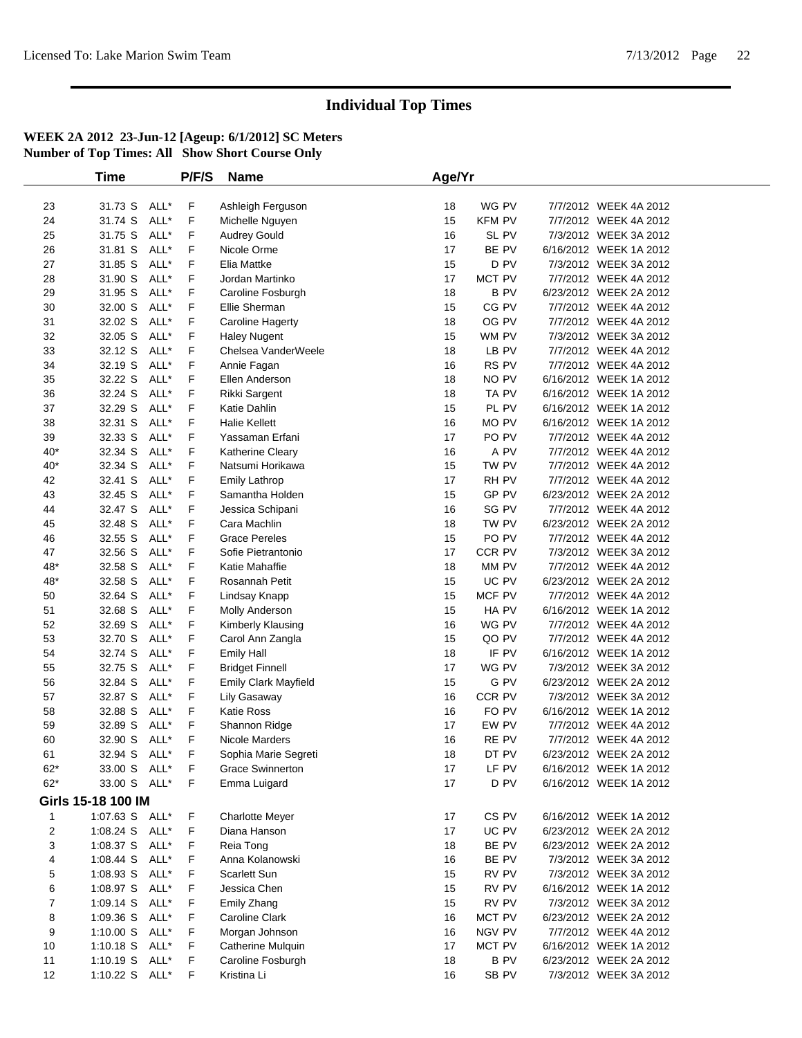|                | <b>Time</b>        |      | P/F/S | <b>Name</b>             | Age/Yr |               |                        |  |
|----------------|--------------------|------|-------|-------------------------|--------|---------------|------------------------|--|
|                |                    |      |       |                         |        |               |                        |  |
| 23             | 31.73 S            | ALL* | F     | Ashleigh Ferguson       | 18     | WG PV         | 7/7/2012 WEEK 4A 2012  |  |
| 24             | 31.74 S            | ALL* | F     | Michelle Nguyen         | 15     | <b>KFM PV</b> | 7/7/2012 WEEK 4A 2012  |  |
| 25             | 31.75 S            | ALL* | F     | <b>Audrey Gould</b>     | 16     | SL PV         | 7/3/2012 WEEK 3A 2012  |  |
| 26             | 31.81 S            | ALL* | F     | Nicole Orme             | 17     | BE PV         | 6/16/2012 WEEK 1A 2012 |  |
| 27             | 31.85 S            | ALL* | F     | Elia Mattke             | 15     | D PV          | 7/3/2012 WEEK 3A 2012  |  |
| 28             | 31.90 S            | ALL* | F     | Jordan Martinko         | 17     | MCT PV        | 7/7/2012 WEEK 4A 2012  |  |
| 29             | 31.95 S            | ALL* | F     | Caroline Fosburgh       | 18     | <b>BPV</b>    | 6/23/2012 WEEK 2A 2012 |  |
| 30             | 32.00 S            | ALL* | F     | Ellie Sherman           | 15     | CG PV         | 7/7/2012 WEEK 4A 2012  |  |
| 31             | 32.02 S            | ALL* | F     | Caroline Hagerty        | 18     | OG PV         | 7/7/2012 WEEK 4A 2012  |  |
| 32             | 32.05 S            | ALL* | F     | <b>Haley Nugent</b>     | 15     | WM PV         | 7/3/2012 WEEK 3A 2012  |  |
| 33             | 32.12 S            | ALL* | F     | Chelsea VanderWeele     | 18     | LB PV         | 7/7/2012 WEEK 4A 2012  |  |
| 34             | 32.19 S            | ALL* | F     | Annie Fagan             | 16     | RS PV         | 7/7/2012 WEEK 4A 2012  |  |
| 35             | 32.22 S            | ALL* | F     | Ellen Anderson          | 18     | NO PV         | 6/16/2012 WEEK 1A 2012 |  |
| 36             | 32.24 S            | ALL* | F     | Rikki Sargent           | 18     | TA PV         | 6/16/2012 WEEK 1A 2012 |  |
| 37             | 32.29 S            | ALL* | F     | Katie Dahlin            | 15     | PL PV         | 6/16/2012 WEEK 1A 2012 |  |
| 38             | 32.31 S            | ALL* | F     | <b>Halie Kellett</b>    | 16     | MO PV         | 6/16/2012 WEEK 1A 2012 |  |
| 39             | 32.33 S            | ALL* | F     | Yassaman Erfani         | 17     | PO PV         | 7/7/2012 WEEK 4A 2012  |  |
| $40*$          | 32.34 S            | ALL* | F     | Katherine Cleary        | 16     | A PV          | 7/7/2012 WEEK 4A 2012  |  |
| $40*$          | 32.34 S            | ALL* | F     | Natsumi Horikawa        | 15     | TW PV         | 7/7/2012 WEEK 4A 2012  |  |
| 42             | 32.41 S            | ALL* | F     | <b>Emily Lathrop</b>    | 17     | RH PV         | 7/7/2012 WEEK 4A 2012  |  |
| 43             | 32.45 S            | ALL* | F     | Samantha Holden         | 15     | GP PV         | 6/23/2012 WEEK 2A 2012 |  |
| 44             | 32.47 S            | ALL* | F     | Jessica Schipani        | 16     | SG PV         | 7/7/2012 WEEK 4A 2012  |  |
| 45             | 32.48 S            | ALL* | F     | Cara Machlin            | 18     | TW PV         | 6/23/2012 WEEK 2A 2012 |  |
| 46             | 32.55 S            | ALL* | F     | <b>Grace Pereles</b>    | 15     | PO PV         | 7/7/2012 WEEK 4A 2012  |  |
| 47             | 32.56 S            | ALL* | F     | Sofie Pietrantonio      | 17     | CCR PV        | 7/3/2012 WEEK 3A 2012  |  |
| 48*            | 32.58 S            | ALL* | F     | Katie Mahaffie          | 18     | MM PV         | 7/7/2012 WEEK 4A 2012  |  |
| 48*            | 32.58 S            | ALL* | F     | Rosannah Petit          | 15     | UC PV         | 6/23/2012 WEEK 2A 2012 |  |
| 50             | 32.64 S            | ALL* | F     | Lindsay Knapp           | 15     | MCF PV        | 7/7/2012 WEEK 4A 2012  |  |
| 51             | 32.68 S            | ALL* | F     | Molly Anderson          | 15     | HA PV         | 6/16/2012 WEEK 1A 2012 |  |
| 52             | 32.69 S            | ALL* | F     | Kimberly Klausing       | 16     | WG PV         | 7/7/2012 WEEK 4A 2012  |  |
| 53             | 32.70 S            | ALL* | F     | Carol Ann Zangla        | 15     | QO PV         | 7/7/2012 WEEK 4A 2012  |  |
| 54             | 32.74 S            | ALL* | F     | <b>Emily Hall</b>       | 18     | IF PV         | 6/16/2012 WEEK 1A 2012 |  |
| 55             | 32.75 S            | ALL* | F     | <b>Bridget Finnell</b>  | 17     | WG PV         | 7/3/2012 WEEK 3A 2012  |  |
| 56             | 32.84 S            | ALL* | F     | Emily Clark Mayfield    | 15     | G PV          | 6/23/2012 WEEK 2A 2012 |  |
| 57             | 32.87 S            | ALL* | F     | Lily Gasaway            | 16     | CCR PV        | 7/3/2012 WEEK 3A 2012  |  |
| 58             | 32.88 S            | ALL* | F     | Katie Ross              | 16     | FO PV         | 6/16/2012 WEEK 1A 2012 |  |
| 59             | 32.89 S            | ALL* | F     | Shannon Ridge           | 17     | EW PV         | 7/7/2012 WEEK 4A 2012  |  |
| 60             | 32.90 S            | ALL* | F     | Nicole Marders          | 16     | RE PV         | 7/7/2012 WEEK 4A 2012  |  |
| 61             | 32.94 S            | ALL* | F     | Sophia Marie Segreti    | 18     | DT PV         | 6/23/2012 WEEK 2A 2012 |  |
| $62*$          | 33.00 S ALL*       |      | F     | <b>Grace Swinnerton</b> | 17     | LF PV         | 6/16/2012 WEEK 1A 2012 |  |
| $62*$          | 33.00 S ALL*       |      | F     | Emma Luigard            | 17     | D PV          | 6/16/2012 WEEK 1A 2012 |  |
|                | Girls 15-18 100 IM |      |       |                         |        |               |                        |  |
| $\mathbf{1}$   | 1:07.63 S ALL*     |      | F     | <b>Charlotte Meyer</b>  | 17     | CS PV         | 6/16/2012 WEEK 1A 2012 |  |
| 2              | 1:08.24 S ALL*     |      | F     | Diana Hanson            | 17     | UC PV         | 6/23/2012 WEEK 2A 2012 |  |
| 3              | 1:08.37 S ALL*     |      | F     | Reia Tong               | 18     | BE PV         | 6/23/2012 WEEK 2A 2012 |  |
| 4              | $1:08.44$ S        | ALL* | F     | Anna Kolanowski         | 16     | BE PV         | 7/3/2012 WEEK 3A 2012  |  |
| 5              | 1:08.93 S          | ALL* | F     | Scarlett Sun            | 15     | RV PV         | 7/3/2012 WEEK 3A 2012  |  |
| 6              | 1:08.97 S          | ALL* | F     | Jessica Chen            | 15     | RV PV         | 6/16/2012 WEEK 1A 2012 |  |
| $\overline{7}$ | $1:09.14$ S        | ALL* | F     | Emily Zhang             | 15     | RV PV         | 7/3/2012 WEEK 3A 2012  |  |
| 8              | 1:09.36 S ALL*     |      | F     | Caroline Clark          | 16     | MCT PV        | 6/23/2012 WEEK 2A 2012 |  |
| 9              | 1:10.00 S          | ALL* | F     | Morgan Johnson          | 16     | NGV PV        | 7/7/2012 WEEK 4A 2012  |  |
| 10             | 1:10.18 S ALL*     |      | F     | Catherine Mulquin       | 17     | MCT PV        | 6/16/2012 WEEK 1A 2012 |  |
| 11             | 1:10.19 S ALL*     |      | F     | Caroline Fosburgh       | 18     | <b>BPV</b>    | 6/23/2012 WEEK 2A 2012 |  |
| 12             | 1:10.22 S ALL*     |      | F     | Kristina Li             | 16     | SB PV         | 7/3/2012 WEEK 3A 2012  |  |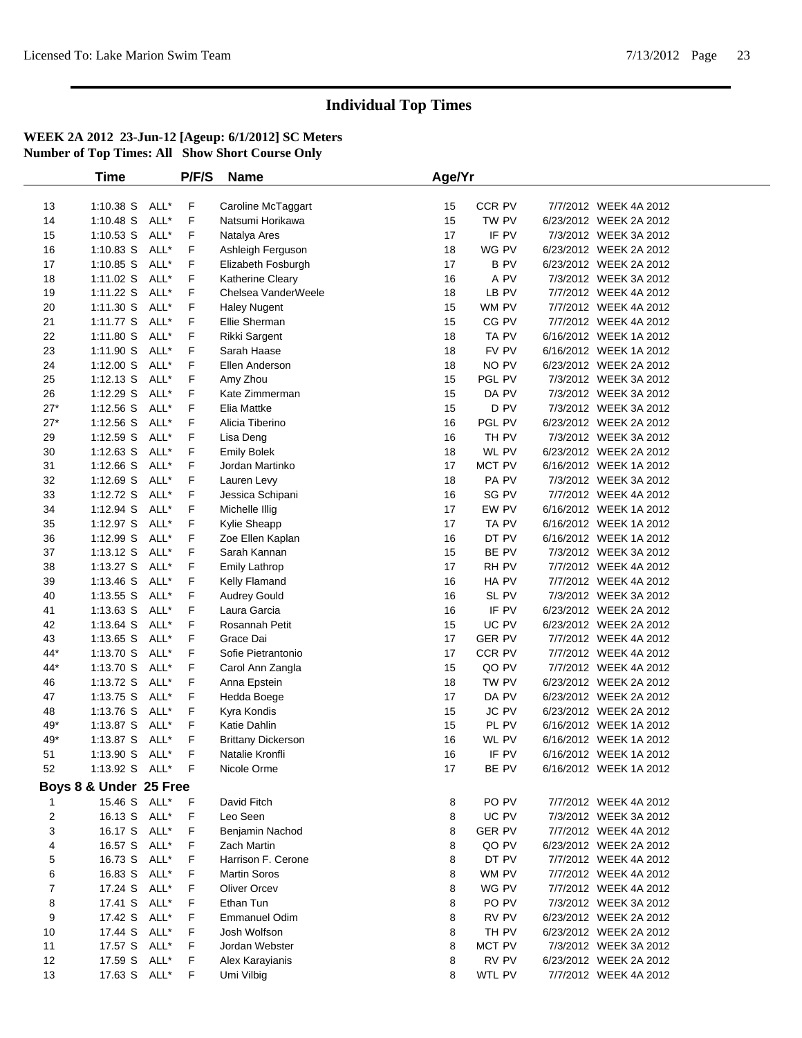|                | <b>Time</b>            |      | P/F/S | <b>Name</b>                          | Age/Yr |               |                        |  |
|----------------|------------------------|------|-------|--------------------------------------|--------|---------------|------------------------|--|
|                |                        |      |       |                                      |        |               |                        |  |
| 13             | $1:10.38$ S            | ALL* | F     | Caroline McTaggart                   | 15     | CCR PV        | 7/7/2012 WEEK 4A 2012  |  |
| 14             | $1:10.48$ S            | ALL* | F     | Natsumi Horikawa                     | 15     | TW PV         | 6/23/2012 WEEK 2A 2012 |  |
| 15             | $1:10.53$ S            | ALL* | F     | Natalya Ares                         | 17     | IF PV         | 7/3/2012 WEEK 3A 2012  |  |
| 16             | $1:10.83$ S            | ALL* | F     | Ashleigh Ferguson                    | 18     | WG PV         | 6/23/2012 WEEK 2A 2012 |  |
| 17             | $1:10.85$ S            | ALL* | F     | Elizabeth Fosburgh                   | 17     | <b>BPV</b>    | 6/23/2012 WEEK 2A 2012 |  |
| 18             | 1:11.02 S              | ALL* | F     | Katherine Cleary                     | 16     | A PV          | 7/3/2012 WEEK 3A 2012  |  |
| 19             | 1:11.22S               | ALL* | F     | Chelsea VanderWeele                  | 18     | LB PV         | 7/7/2012 WEEK 4A 2012  |  |
| 20             | 1:11.30 S              | ALL* | F     | <b>Haley Nugent</b>                  | 15     | WM PV         | 7/7/2012 WEEK 4A 2012  |  |
| 21             | 1:11.77 S              | ALL* | F     | Ellie Sherman                        | 15     | CG PV         | 7/7/2012 WEEK 4A 2012  |  |
| 22             | 1:11.80 S              | ALL* | F     | Rikki Sargent                        | 18     | TA PV         | 6/16/2012 WEEK 1A 2012 |  |
| 23             | 1:11.90 S              | ALL* | F     | Sarah Haase                          | 18     | FV PV         | 6/16/2012 WEEK 1A 2012 |  |
| 24             | 1:12.00 S              | ALL* | F     | Ellen Anderson                       | 18     | NO PV         | 6/23/2012 WEEK 2A 2012 |  |
| 25             | $1:12.13$ S            | ALL* | F     | Amy Zhou                             | 15     | PGL PV        | 7/3/2012 WEEK 3A 2012  |  |
| 26             | 1:12.29 S              | ALL* | F     | Kate Zimmerman                       | 15     | DA PV         | 7/3/2012 WEEK 3A 2012  |  |
| $27*$          | $1:12.56$ S            | ALL* | F     | Elia Mattke                          | 15     | D PV          | 7/3/2012 WEEK 3A 2012  |  |
| $27*$          | $1:12.56$ S            | ALL* | F     | Alicia Tiberino                      | 16     | PGL PV        | 6/23/2012 WEEK 2A 2012 |  |
| 29             | 1:12.59 S              | ALL* | F     | Lisa Deng                            | 16     | TH PV         | 7/3/2012 WEEK 3A 2012  |  |
| 30             | $1:12.63$ S            | ALL* | F     | <b>Emily Bolek</b>                   | 18     | WL PV         | 6/23/2012 WEEK 2A 2012 |  |
| 31             | $1:12.66$ S            | ALL* | F     | Jordan Martinko                      | 17     | MCT PV        | 6/16/2012 WEEK 1A 2012 |  |
| 32             | $1:12.69$ S            | ALL* | F     | Lauren Levy                          | 18     | PA PV         | 7/3/2012 WEEK 3A 2012  |  |
| 33             | 1:12.72 S              | ALL* | F     | Jessica Schipani                     | 16     | SG PV         | 7/7/2012 WEEK 4A 2012  |  |
| 34             | 1:12.94 S              | ALL* | F     | Michelle Illig                       | 17     | EW PV         | 6/16/2012 WEEK 1A 2012 |  |
| 35             | 1:12.97 S              | ALL* | F     | Kylie Sheapp                         | 17     | TA PV         | 6/16/2012 WEEK 1A 2012 |  |
| 36             | 1:12.99 S              | ALL* | F     | Zoe Ellen Kaplan                     | 16     | DT PV         | 6/16/2012 WEEK 1A 2012 |  |
| 37             | 1:13.12 S              | ALL* | F     | Sarah Kannan                         | 15     | BE PV         | 7/3/2012 WEEK 3A 2012  |  |
| 38             | $1:13.27$ S            | ALL* | F     | <b>Emily Lathrop</b>                 | 17     | RH PV         | 7/7/2012 WEEK 4A 2012  |  |
| 39             | $1:13.46$ S            | ALL* | F     | Kelly Flamand                        | 16     | HA PV         | 7/7/2012 WEEK 4A 2012  |  |
| 40             | $1:13.55$ S            | ALL* | F     | <b>Audrey Gould</b>                  | 16     | SL PV         | 7/3/2012 WEEK 3A 2012  |  |
| 41             | $1:13.63$ S            | ALL* | F     | Laura Garcia                         | 16     | IF PV         | 6/23/2012 WEEK 2A 2012 |  |
| 42             | 1:13.64 S              | ALL* | F     | Rosannah Petit                       | 15     | UC PV         | 6/23/2012 WEEK 2A 2012 |  |
| 43             | 1:13.65 S              | ALL* | F     | Grace Dai                            | 17     | <b>GER PV</b> | 7/7/2012 WEEK 4A 2012  |  |
| 44*            | 1:13.70 S              | ALL* | F     | Sofie Pietrantonio                   | 17     | CCR PV        | 7/7/2012 WEEK 4A 2012  |  |
| 44*            | 1:13.70 S              | ALL* | F     | Carol Ann Zangla                     | 15     | QO PV         | 7/7/2012 WEEK 4A 2012  |  |
| 46             | 1:13.72 S              | ALL* | F     | Anna Epstein                         | 18     | TW PV         | 6/23/2012 WEEK 2A 2012 |  |
| 47             | 1:13.75 S              | ALL* | F     | Hedda Boege                          | 17     | DA PV         | 6/23/2012 WEEK 2A 2012 |  |
| 48             | 1:13.76 S              | ALL* | F     | Kyra Kondis                          | 15     | JC PV         | 6/23/2012 WEEK 2A 2012 |  |
| 49*            | 1:13.87 S              | ALL* | F     | Katie Dahlin                         | 15     | PL PV         | 6/16/2012 WEEK 1A 2012 |  |
| 49*            | 1:13.87 S              | ALL* | F     | <b>Brittany Dickerson</b>            | 16     | WL PV         | 6/16/2012 WEEK 1A 2012 |  |
| 51             | 1:13.90 S              | ALL* | F     | Natalie Kronfli                      | 16     | IF PV         | 6/16/2012 WEEK 1A 2012 |  |
| 52             | 1:13.92 S ALL*         |      | $-F$  | Nicole Orme                          | 17     | BE PV         | 6/16/2012 WEEK 1A 2012 |  |
|                | Boys 8 & Under 25 Free |      |       |                                      |        |               |                        |  |
|                | 15.46 S ALL*           |      | F     | David Fitch                          | 8      | PO PV         | 7/7/2012 WEEK 4A 2012  |  |
| $\overline{2}$ | 16.13 S ALL*           |      | F     | Leo Seen                             | 8      | UC PV         | 7/3/2012 WEEK 3A 2012  |  |
| 3              | 16.17 S ALL*           |      | F     | Benjamin Nachod                      | 8      | <b>GER PV</b> | 7/7/2012 WEEK 4A 2012  |  |
| 4              | 16.57 S ALL*           |      | F     | Zach Martin                          | 8      | QO PV         | 6/23/2012 WEEK 2A 2012 |  |
| 5              | 16.73 S                | ALL* | F     | Harrison F. Cerone                   | 8      | DT PV         | 7/7/2012 WEEK 4A 2012  |  |
| 6              | 16.83 S                | ALL* | F     | <b>Martin Soros</b>                  | 8      | WM PV         | 7/7/2012 WEEK 4A 2012  |  |
| $\overline{7}$ | 17.24 S                | ALL* | F     | <b>Oliver Orcev</b>                  | 8      | WG PV         | 7/7/2012 WEEK 4A 2012  |  |
| 8              | 17.41 S                | ALL* | F     | Ethan Tun                            | 8      | PO PV         | 7/3/2012 WEEK 3A 2012  |  |
|                |                        | ALL* | F     |                                      |        | RV PV         | 6/23/2012 WEEK 2A 2012 |  |
| 9<br>10        | 17.42 S<br>17.44 S     | ALL* | F     | <b>Emmanuel Odim</b><br>Josh Wolfson | 8<br>8 | TH PV         | 6/23/2012 WEEK 2A 2012 |  |
| 11             |                        |      | F     |                                      | 8      | MCT PV        | 7/3/2012 WEEK 3A 2012  |  |
|                | 17.57 S ALL*           |      |       | Jordan Webster                       |        |               |                        |  |
| 12             | 17.59 S                | ALL* | F     | Alex Karayianis                      | 8      | RV PV         | 6/23/2012 WEEK 2A 2012 |  |
| 13             | 17.63 S ALL*           |      | F     | Umi Vilbig                           | 8      | WTL PV        | 7/7/2012 WEEK 4A 2012  |  |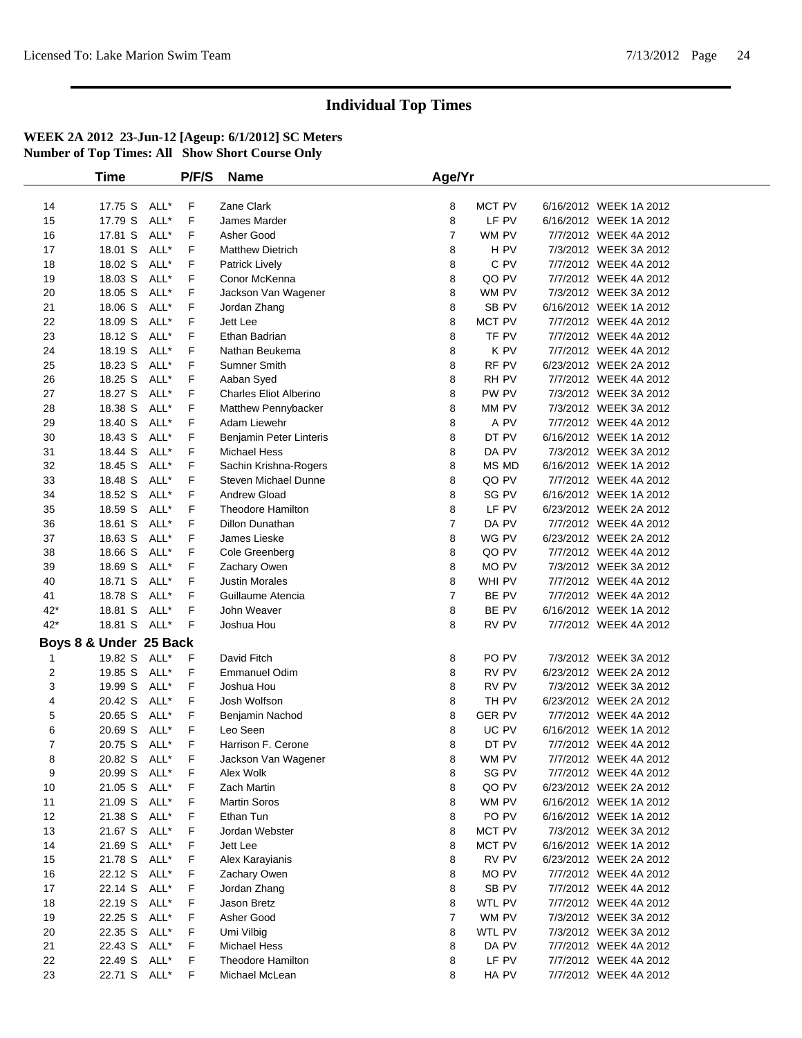|       | <b>Time</b>            |      | P/F/S | <b>Name</b>                   | Age/Yr         |                  |                        |  |
|-------|------------------------|------|-------|-------------------------------|----------------|------------------|------------------------|--|
| 14    | 17.75 S                | ALL* | F     | Zane Clark                    | 8              | MCT PV           | 6/16/2012 WEEK 1A 2012 |  |
| 15    | 17.79 S                | ALL* | F     | James Marder                  | 8              | LF PV            | 6/16/2012 WEEK 1A 2012 |  |
| 16    | 17.81 S                | ALL* | F     | Asher Good                    | $\overline{7}$ | WM PV            | 7/7/2012 WEEK 4A 2012  |  |
| 17    | 18.01 S                | ALL* | F     | <b>Matthew Dietrich</b>       | 8              | H PV             | 7/3/2012 WEEK 3A 2012  |  |
| 18    | 18.02 S                | ALL* | F     | <b>Patrick Lively</b>         | 8              | C PV             | 7/7/2012 WEEK 4A 2012  |  |
| 19    | 18.03 S                | ALL* | F     | Conor McKenna                 | 8              | QO PV            | 7/7/2012 WEEK 4A 2012  |  |
| 20    | 18.05 S                | ALL* | F     | Jackson Van Wagener           | 8              | WM PV            | 7/3/2012 WEEK 3A 2012  |  |
| 21    | 18.06 S                | ALL* | F     | Jordan Zhang                  | 8              | SB PV            | 6/16/2012 WEEK 1A 2012 |  |
| 22    | 18.09 S                | ALL* | F     | Jett Lee                      | 8              | MCT PV           | 7/7/2012 WEEK 4A 2012  |  |
| 23    | 18.12 S                | ALL* | F     | Ethan Badrian                 | 8              | TF PV            | 7/7/2012 WEEK 4A 2012  |  |
| 24    | 18.19 S                | ALL* | F     | Nathan Beukema                | 8              | K PV             | 7/7/2012 WEEK 4A 2012  |  |
| 25    | 18.23 S                | ALL* | F     | <b>Sumner Smith</b>           | 8              | RF PV            | 6/23/2012 WEEK 2A 2012 |  |
| 26    | 18.25 S                | ALL* | F     | Aaban Syed                    | 8              | RH PV            | 7/7/2012 WEEK 4A 2012  |  |
| 27    | 18.27 S                | ALL* | F     | <b>Charles Eliot Alberino</b> | 8              | PW PV            | 7/3/2012 WEEK 3A 2012  |  |
| 28    | 18.38 S                | ALL* | F     | Matthew Pennybacker           | 8              | MM PV            | 7/3/2012 WEEK 3A 2012  |  |
| 29    | 18.40 S                | ALL* | F     | Adam Liewehr                  | 8              | A PV             | 7/7/2012 WEEK 4A 2012  |  |
| 30    | 18.43 S                | ALL* | F     | Benjamin Peter Linteris       | 8              | DT PV            | 6/16/2012 WEEK 1A 2012 |  |
| 31    | 18.44 S                | ALL* | F     | <b>Michael Hess</b>           | 8              | DA PV            | 7/3/2012 WEEK 3A 2012  |  |
| 32    | 18.45 S                | ALL* | F     | Sachin Krishna-Rogers         | 8              | MS MD            | 6/16/2012 WEEK 1A 2012 |  |
| 33    | 18.48 S                | ALL* | F     | <b>Steven Michael Dunne</b>   | 8              | QO PV            | 7/7/2012 WEEK 4A 2012  |  |
| 34    | 18.52 S                | ALL* | F     | <b>Andrew Gload</b>           | 8              | SG PV            | 6/16/2012 WEEK 1A 2012 |  |
| 35    | 18.59 S                | ALL* | F     | <b>Theodore Hamilton</b>      | 8              | LF PV            | 6/23/2012 WEEK 2A 2012 |  |
| 36    | 18.61 S                | ALL* | F     | <b>Dillon Dunathan</b>        | 7              | DA PV            | 7/7/2012 WEEK 4A 2012  |  |
| 37    | 18.63 S                | ALL* | F     | James Lieske                  | 8              | WG PV            | 6/23/2012 WEEK 2A 2012 |  |
| 38    | 18.66 S                | ALL* | F     | Cole Greenberg                | 8              | QO PV            | 7/7/2012 WEEK 4A 2012  |  |
| 39    | 18.69 S                | ALL* | F     | Zachary Owen                  | 8              | MO PV            | 7/3/2012 WEEK 3A 2012  |  |
| 40    | 18.71 S                | ALL* | F     | <b>Justin Morales</b>         | 8              | WHI PV           | 7/7/2012 WEEK 4A 2012  |  |
| 41    | 18.78 S                | ALL* | F     | Guillaume Atencia             | $\overline{7}$ | BE PV            | 7/7/2012 WEEK 4A 2012  |  |
| $42*$ | 18.81 S                | ALL* | F     | John Weaver                   | 8              | BE PV            | 6/16/2012 WEEK 1A 2012 |  |
| $42*$ | 18.81 S                | ALL* | F     | Joshua Hou                    | 8              | RV PV            | 7/7/2012 WEEK 4A 2012  |  |
|       | Boys 8 & Under 25 Back |      |       |                               |                |                  |                        |  |
| 1     | 19.82 S                | ALL* | F     | David Fitch                   | 8              | PO <sub>PV</sub> | 7/3/2012 WEEK 3A 2012  |  |
| 2     | 19.85 S                | ALL* | F     | <b>Emmanuel Odim</b>          | 8              | RV PV            | 6/23/2012 WEEK 2A 2012 |  |
| 3     | 19.99 S                | ALL* | F     | Joshua Hou                    | 8              | RV PV            | 7/3/2012 WEEK 3A 2012  |  |
| 4     | 20.42 S                | ALL* | F     | Josh Wolfson                  | 8              | TH PV            | 6/23/2012 WEEK 2A 2012 |  |
| 5     | 20.65 S                | ALL* | F     | Benjamin Nachod               | 8              | <b>GER PV</b>    | 7/7/2012 WEEK 4A 2012  |  |
| 6     | 20.69 S                | ALL* | F     | Leo Seen                      | 8              | UC PV            | 6/16/2012 WEEK 1A 2012 |  |
| 7     | 20.75 S                | ALL* | F     | Harrison F. Cerone            | 8              | DT PV            | 7/7/2012 WEEK 4A 2012  |  |
| 8     | 20.82 S                | ALL* | F     | Jackson Van Wagener           | 8              | WM PV            | 7/7/2012 WEEK 4A 2012  |  |
| 9     | 20.99 S                | ALL* | F     | Alex Wolk                     | 8              | SG PV            | 7/7/2012 WEEK 4A 2012  |  |
| $10$  | 21.05 S                | ALL* | F     | Zach Martin                   | 8              | QO PV            | 6/23/2012 WEEK 2A 2012 |  |
| 11    | 21.09 S                | ALL* | F     | <b>Martin Soros</b>           | 8              | WM PV            | 6/16/2012 WEEK 1A 2012 |  |
| 12    | 21.38 S                | ALL* | F     | Ethan Tun                     | 8              | PO PV            | 6/16/2012 WEEK 1A 2012 |  |
| 13    | 21.67 S                | ALL* | F     | Jordan Webster                | 8              | MCT PV           | 7/3/2012 WEEK 3A 2012  |  |
| 14    | 21.69 S                | ALL* | F     | Jett Lee                      | 8              | MCT PV           | 6/16/2012 WEEK 1A 2012 |  |
| 15    | 21.78 S                | ALL* | F     | Alex Karayianis               | 8              | RV PV            | 6/23/2012 WEEK 2A 2012 |  |
| 16    | 22.12 S                | ALL* | F     | Zachary Owen                  | 8              | MO PV            | 7/7/2012 WEEK 4A 2012  |  |
| 17    | 22.14 S                | ALL* | F     | Jordan Zhang                  | 8              | SB PV            | 7/7/2012 WEEK 4A 2012  |  |
| 18    | 22.19 S                | ALL* | F     | Jason Bretz                   | 8              | WTL PV           | 7/7/2012 WEEK 4A 2012  |  |
| 19    | 22.25 S                | ALL* | F     | Asher Good                    | 7              | WM PV            | 7/3/2012 WEEK 3A 2012  |  |
| 20    | 22.35 S                | ALL* | F     | Umi Vilbig                    | 8              | WTL PV           | 7/3/2012 WEEK 3A 2012  |  |
| 21    | 22.43 S                | ALL* | F     | Michael Hess                  | 8              | DA PV            | 7/7/2012 WEEK 4A 2012  |  |
| 22    | 22.49 S                | ALL* | F     | <b>Theodore Hamilton</b>      | 8              | LF PV            | 7/7/2012 WEEK 4A 2012  |  |
| 23    | 22.71 S ALL*           |      | F     | Michael McLean                | 8              | HA PV            | 7/7/2012 WEEK 4A 2012  |  |
|       |                        |      |       |                               |                |                  |                        |  |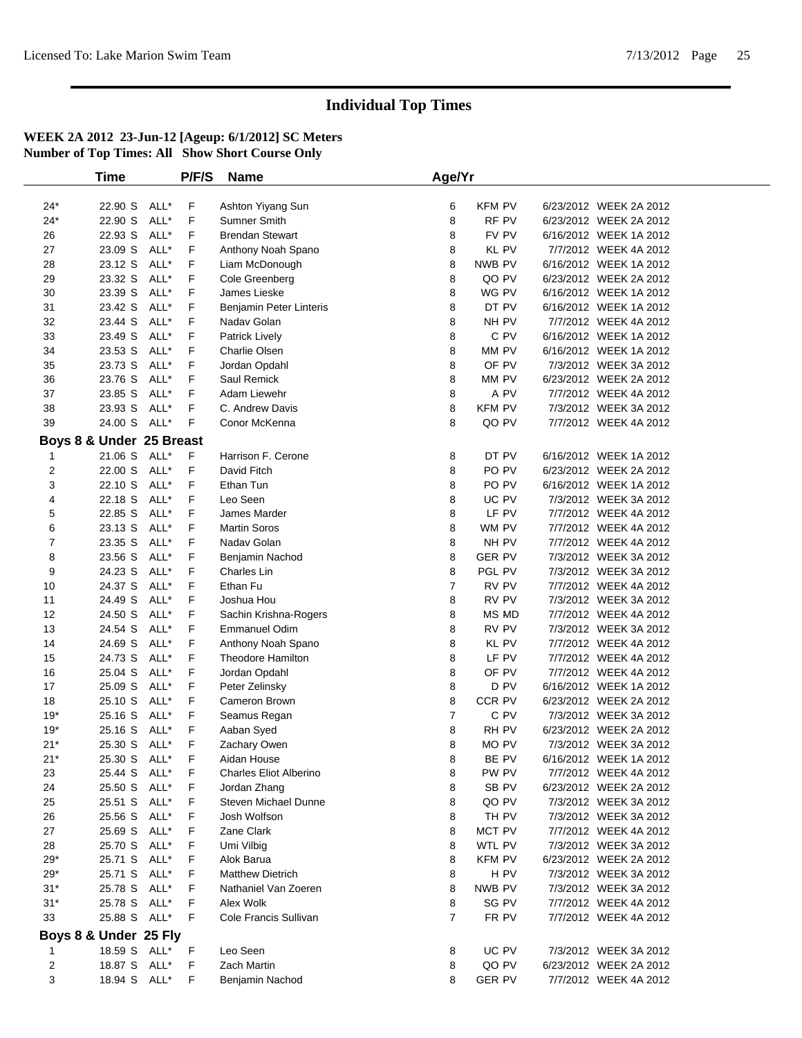|                | <b>Time</b>              |      | P/F/S | <b>Name</b>                   | Age/Yr         |               |                        |  |
|----------------|--------------------------|------|-------|-------------------------------|----------------|---------------|------------------------|--|
|                |                          |      |       |                               |                |               |                        |  |
| $24*$          | 22.90 S                  | ALL* | F     | Ashton Yiyang Sun             | 6              | <b>KFM PV</b> | 6/23/2012 WEEK 2A 2012 |  |
| $24*$          | 22.90 S                  | ALL* | F     | Sumner Smith                  | 8              | RF PV         | 6/23/2012 WEEK 2A 2012 |  |
| 26             | 22.93 S                  | ALL* | F     | <b>Brendan Stewart</b>        | 8              | FV PV         | 6/16/2012 WEEK 1A 2012 |  |
| 27             | 23.09 S                  | ALL* | F     | Anthony Noah Spano            | 8              | <b>KL PV</b>  | 7/7/2012 WEEK 4A 2012  |  |
| 28             | 23.12 S                  | ALL* | F     | Liam McDonough                | 8              | NWB PV        | 6/16/2012 WEEK 1A 2012 |  |
| 29             | 23.32 S                  | ALL* | F     | Cole Greenberg                | 8              | QO PV         | 6/23/2012 WEEK 2A 2012 |  |
| 30             | 23.39 S                  | ALL* | F     | James Lieske                  | 8              | WG PV         | 6/16/2012 WEEK 1A 2012 |  |
| 31             | 23.42 S                  | ALL* | F     | Benjamin Peter Linteris       | 8              | DT PV         | 6/16/2012 WEEK 1A 2012 |  |
| 32             | 23.44 S                  | ALL* | F     | Nadav Golan                   | 8              | NH PV         | 7/7/2012 WEEK 4A 2012  |  |
| 33             | 23.49 S                  | ALL* | F     | <b>Patrick Lively</b>         | 8              | C PV          | 6/16/2012 WEEK 1A 2012 |  |
| 34             | 23.53 S                  | ALL* | F     | Charlie Olsen                 | 8              | MM PV         | 6/16/2012 WEEK 1A 2012 |  |
| 35             | 23.73 S                  | ALL* | F     | Jordan Opdahl                 | 8              | OF PV         | 7/3/2012 WEEK 3A 2012  |  |
| 36             | 23.76 S                  | ALL* | F     | Saul Remick                   | 8              | MM PV         | 6/23/2012 WEEK 2A 2012 |  |
| 37             | 23.85 S                  | ALL* | F     | Adam Liewehr                  | 8              | A PV          | 7/7/2012 WEEK 4A 2012  |  |
| 38             | 23.93 S                  | ALL* | F     | C. Andrew Davis               | 8              | <b>KFM PV</b> | 7/3/2012 WEEK 3A 2012  |  |
| 39             | 24.00 S ALL*             |      | F     | Conor McKenna                 | 8              | QO PV         | 7/7/2012 WEEK 4A 2012  |  |
|                | Boys 8 & Under 25 Breast |      |       |                               |                |               |                        |  |
| 1              | 21.06 S                  | ALL* | F     | Harrison F. Cerone            | 8              | DT PV         | 6/16/2012 WEEK 1A 2012 |  |
| $\overline{2}$ | 22.00 S                  | ALL* | F     | David Fitch                   | 8              | PO PV         | 6/23/2012 WEEK 2A 2012 |  |
| 3              | 22.10 S                  | ALL* | F     | Ethan Tun                     | 8              | PO PV         | 6/16/2012 WEEK 1A 2012 |  |
| 4              | 22.18 S                  | ALL* | F     | Leo Seen                      | 8              | UC PV         | 7/3/2012 WEEK 3A 2012  |  |
| 5              | 22.85 S                  | ALL* | F     | James Marder                  | 8              | LF PV         | 7/7/2012 WEEK 4A 2012  |  |
| 6              | 23.13 S                  | ALL* | F     | <b>Martin Soros</b>           | 8              | WM PV         | 7/7/2012 WEEK 4A 2012  |  |
| 7              | 23.35 S                  | ALL* | F     | Naday Golan                   | 8              | NH PV         | 7/7/2012 WEEK 4A 2012  |  |
| 8              | 23.56 S                  | ALL* | F     | Benjamin Nachod               | 8              | <b>GER PV</b> | 7/3/2012 WEEK 3A 2012  |  |
| 9              | 24.23 S                  | ALL* | F     | Charles Lin                   | 8              | PGL PV        | 7/3/2012 WEEK 3A 2012  |  |
| 10             | 24.37 S                  | ALL* | F     | Ethan Fu                      | $\overline{7}$ | RV PV         | 7/7/2012 WEEK 4A 2012  |  |
| 11             | 24.49 S                  | ALL* | F     | Joshua Hou                    | 8              | RV PV         | 7/3/2012 WEEK 3A 2012  |  |
| 12             | 24.50 S                  | ALL* | F     | Sachin Krishna-Rogers         | 8              | MS MD         | 7/7/2012 WEEK 4A 2012  |  |
| 13             | 24.54 S                  | ALL* | F     | <b>Emmanuel Odim</b>          | 8              | RV PV         | 7/3/2012 WEEK 3A 2012  |  |
| 14             | 24.69 S                  | ALL* | F     | Anthony Noah Spano            | 8              | KL PV         | 7/7/2012 WEEK 4A 2012  |  |
| 15             | 24.73 S                  | ALL* | F     | <b>Theodore Hamilton</b>      | 8              | LF PV         | 7/7/2012 WEEK 4A 2012  |  |
| 16             | 25.04 S                  | ALL* | F     | Jordan Opdahl                 | 8              | OF PV         | 7/7/2012 WEEK 4A 2012  |  |
| 17             | 25.09 S                  | ALL* | F     | Peter Zelinsky                | 8              | D PV          | 6/16/2012 WEEK 1A 2012 |  |
| 18             | 25.10 S                  | ALL* | F     | Cameron Brown                 | 8              | CCR PV        | 6/23/2012 WEEK 2A 2012 |  |
| $19*$          | 25.16 S                  | ALL* | F     | Seamus Regan                  | $\overline{7}$ | C PV          | 7/3/2012 WEEK 3A 2012  |  |
| $19*$          | 25.16 S                  | ALL* | F     | Aaban Syed                    | 8              | RH PV         | 6/23/2012 WEEK 2A 2012 |  |
| $21*$          | 25.30 S ALL*             |      | F     | Zachary Owen                  | 8              | MO PV         | 7/3/2012 WEEK 3A 2012  |  |
| $21*$          | 25.30 S ALL*             |      | F     | Aidan House                   | 8              | BE PV         | 6/16/2012 WEEK 1A 2012 |  |
| 23             | 25.44 S ALL*             |      | F     | <b>Charles Eliot Alberino</b> | 8              | PW PV         | 7/7/2012 WEEK 4A 2012  |  |
| 24             | 25.50 S ALL*             |      | F     | Jordan Zhang                  | 8              | SB PV         | 6/23/2012 WEEK 2A 2012 |  |
| 25             | 25.51 S ALL*             |      | F     | <b>Steven Michael Dunne</b>   | 8              | QO PV         | 7/3/2012 WEEK 3A 2012  |  |
| 26             | 25.56 S ALL*             |      | F     | Josh Wolfson                  | 8              | TH PV         | 7/3/2012 WEEK 3A 2012  |  |
| 27             | 25.69 S ALL*             |      | F     | Zane Clark                    | 8              | MCT PV        | 7/7/2012 WEEK 4A 2012  |  |
| 28             | 25.70 S ALL*             |      | F     | Umi Vilbig                    | 8              | WTL PV        | 7/3/2012 WEEK 3A 2012  |  |
| $29*$          | 25.71 S ALL*             |      | F     | Alok Barua                    | 8              | <b>KFM PV</b> | 6/23/2012 WEEK 2A 2012 |  |
| $29*$          | 25.71 S ALL*             |      | F     | <b>Matthew Dietrich</b>       | 8              | H PV          | 7/3/2012 WEEK 3A 2012  |  |
| $31*$          | 25.78 S ALL*             |      | F     | Nathaniel Van Zoeren          | 8              | NWB PV        | 7/3/2012 WEEK 3A 2012  |  |
| $31*$          | 25.78 S ALL*             |      | F     | Alex Wolk                     | 8              | SG PV         | 7/7/2012 WEEK 4A 2012  |  |
| 33             | 25.88 S ALL*             |      | F     | Cole Francis Sullivan         | $\overline{7}$ | FR PV         | 7/7/2012 WEEK 4A 2012  |  |
|                | Boys 8 & Under 25 Fly    |      |       |                               |                |               |                        |  |
| 1              | 18.59 S ALL*             |      | F     | Leo Seen                      | 8              | UC PV         | 7/3/2012 WEEK 3A 2012  |  |
| $\overline{c}$ | 18.87 S ALL*             |      | F     | <b>Zach Martin</b>            | 8              | QO PV         | 6/23/2012 WEEK 2A 2012 |  |
| 3              | 18.94 S ALL*             |      | F     | Benjamin Nachod               | 8              | <b>GER PV</b> | 7/7/2012 WEEK 4A 2012  |  |
|                |                          |      |       |                               |                |               |                        |  |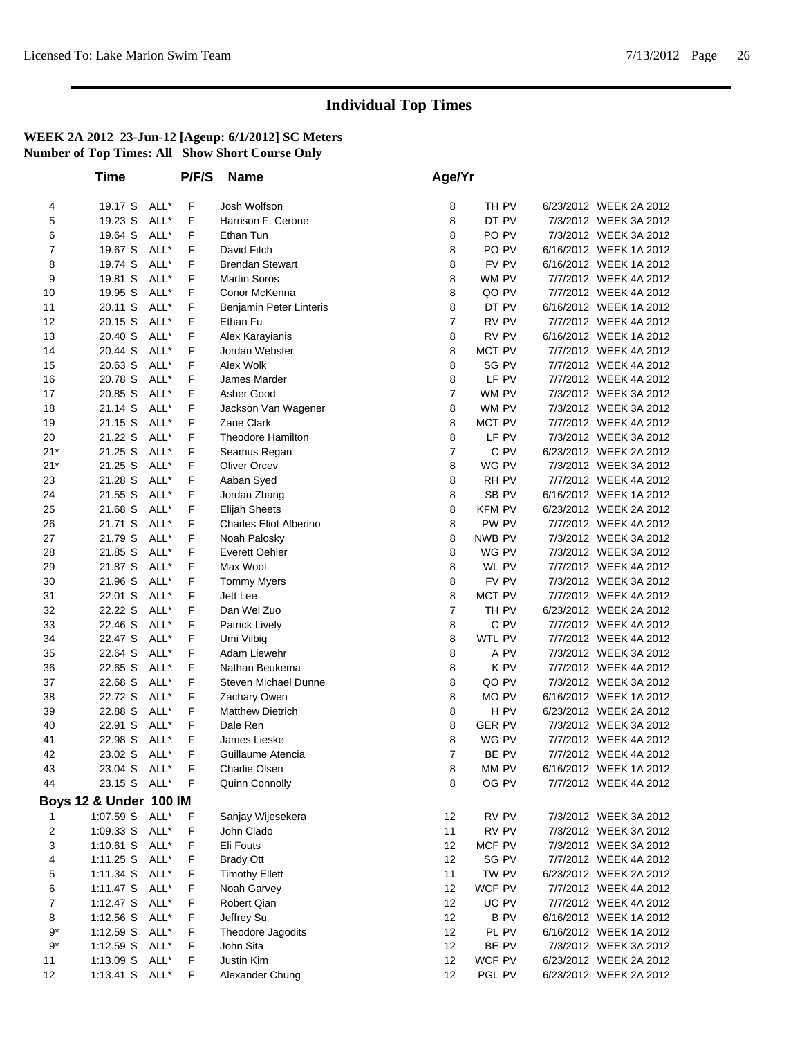|                | Time                   |      | P/F/S | <b>Name</b>                   | Age/Yr         |               |                        |  |
|----------------|------------------------|------|-------|-------------------------------|----------------|---------------|------------------------|--|
|                |                        |      |       |                               |                |               |                        |  |
| 4              | 19.17 S                | ALL* | F     | Josh Wolfson                  | 8              | TH PV         | 6/23/2012 WEEK 2A 2012 |  |
| 5              | 19.23 S                | ALL* | F     | Harrison F. Cerone            | 8              | DT PV         | 7/3/2012 WEEK 3A 2012  |  |
| 6              | 19.64 S                | ALL* | F     | Ethan Tun                     | 8              | PO PV         | 7/3/2012 WEEK 3A 2012  |  |
| $\overline{7}$ | 19.67 S                | ALL* | F     | David Fitch                   | 8              | PO PV         | 6/16/2012 WEEK 1A 2012 |  |
| 8              | 19.74 S                | ALL* | F     | <b>Brendan Stewart</b>        | 8              | FV PV         | 6/16/2012 WEEK 1A 2012 |  |
| 9              | 19.81 S                | ALL* | F     | <b>Martin Soros</b>           | 8              | WM PV         | 7/7/2012 WEEK 4A 2012  |  |
| 10             | 19.95 S                | ALL* | F     | Conor McKenna                 | 8              | QO PV         | 7/7/2012 WEEK 4A 2012  |  |
| 11             | 20.11 S                | ALL* | F     | Benjamin Peter Linteris       | 8              | DT PV         | 6/16/2012 WEEK 1A 2012 |  |
| 12             | 20.15 S                | ALL* | F     | Ethan Fu                      | $\overline{7}$ | RV PV         | 7/7/2012 WEEK 4A 2012  |  |
| 13             | 20.40 S                | ALL* | F     | Alex Karayianis               | 8              | RV PV         | 6/16/2012 WEEK 1A 2012 |  |
| 14             | 20.44 S                | ALL* | F     | Jordan Webster                | 8              | MCT PV        | 7/7/2012 WEEK 4A 2012  |  |
| 15             | 20.63 S                | ALL* | F     | Alex Wolk                     | 8              | SG PV         | 7/7/2012 WEEK 4A 2012  |  |
| 16             | 20.78 S                | ALL* | F     | James Marder                  | 8              | LF PV         | 7/7/2012 WEEK 4A 2012  |  |
| 17             | 20.85 S                | ALL* | F     | Asher Good                    | $\overline{7}$ | WM PV         | 7/3/2012 WEEK 3A 2012  |  |
| 18             | 21.14 S                | ALL* | F     | Jackson Van Wagener           | 8              | WM PV         | 7/3/2012 WEEK 3A 2012  |  |
| 19             | 21.15 S                | ALL* | F     | Zane Clark                    | 8              | MCT PV        | 7/7/2012 WEEK 4A 2012  |  |
| 20             | 21.22 S                | ALL* | F     | <b>Theodore Hamilton</b>      | 8              | LF PV         | 7/3/2012 WEEK 3A 2012  |  |
| $21*$          | 21.25 S                | ALL* | F     | Seamus Regan                  | $\overline{7}$ | C PV          | 6/23/2012 WEEK 2A 2012 |  |
| $21*$          | 21.25 S                | ALL* | F     | <b>Oliver Orcev</b>           | 8              | WG PV         | 7/3/2012 WEEK 3A 2012  |  |
| 23             | 21.28 S                | ALL* | F     | Aaban Syed                    | 8              | RH PV         | 7/7/2012 WEEK 4A 2012  |  |
| 24             | 21.55 S                | ALL* | F     | Jordan Zhang                  | 8              | SB PV         | 6/16/2012 WEEK 1A 2012 |  |
| 25             | 21.68 S                | ALL* | F     | <b>Elijah Sheets</b>          | 8              | <b>KFM PV</b> | 6/23/2012 WEEK 2A 2012 |  |
| 26             | 21.71 S                | ALL* | F     | <b>Charles Eliot Alberino</b> | 8              | PW PV         | 7/7/2012 WEEK 4A 2012  |  |
| 27             | 21.79 S                | ALL* | F     | Noah Palosky                  | 8              | NWB PV        | 7/3/2012 WEEK 3A 2012  |  |
| 28             | 21.85 S                | ALL* | F     | Everett Oehler                | 8              | WG PV         | 7/3/2012 WEEK 3A 2012  |  |
| 29             | 21.87 S                | ALL* | F     | Max Wool                      | 8              | WL PV         | 7/7/2012 WEEK 4A 2012  |  |
| 30             | 21.96 S                | ALL* | F     | <b>Tommy Myers</b>            | 8              | FV PV         | 7/3/2012 WEEK 3A 2012  |  |
| 31             | 22.01 S                | ALL* | F     | Jett Lee                      | 8              | MCT PV        | 7/7/2012 WEEK 4A 2012  |  |
| 32             | 22.22 S                | ALL* | F     | Dan Wei Zuo                   | $\overline{7}$ | TH PV         | 6/23/2012 WEEK 2A 2012 |  |
| 33             | 22.46 S                | ALL* | F     | Patrick Lively                | 8              | C PV          | 7/7/2012 WEEK 4A 2012  |  |
| 34             | 22.47 S                | ALL* | F     | Umi Vilbig                    | 8              | WTL PV        | 7/7/2012 WEEK 4A 2012  |  |
| 35             | 22.64 S                | ALL* | F     | Adam Liewehr                  | 8              | A PV          | 7/3/2012 WEEK 3A 2012  |  |
| 36             | 22.65 S                | ALL* | F     | Nathan Beukema                | 8              | K PV          | 7/7/2012 WEEK 4A 2012  |  |
| 37             | 22.68 S                | ALL* | F     | Steven Michael Dunne          | 8              | QO PV         | 7/3/2012 WEEK 3A 2012  |  |
| 38             | 22.72 S                | ALL* | F     | Zachary Owen                  | 8              | MO PV         | 6/16/2012 WEEK 1A 2012 |  |
| 39             | 22.88 S                | ALL* | F     | <b>Matthew Dietrich</b>       | 8              | H PV          | 6/23/2012 WEEK 2A 2012 |  |
| 40             | 22.91 S                | ALL* | F     | Dale Ren                      | 8              | <b>GER PV</b> | 7/3/2012 WEEK 3A 2012  |  |
| 41             | 22.98 S                | ALL* | F     | James Lieske                  | 8              | WG PV         | 7/7/2012 WEEK 4A 2012  |  |
| 42             | 23.02 S                | ALL* | F     | Guillaume Atencia             | $\overline{7}$ | BE PV         | 7/7/2012 WEEK 4A 2012  |  |
| 43             | 23.04 S ALL*           |      | F     | Charlie Olsen                 | 8              | MM PV         | 6/16/2012 WEEK 1A 2012 |  |
| 44             | 23.15 S ALL*           |      | F     | Quinn Connolly                | 8              | OG PV         | 7/7/2012 WEEK 4A 2012  |  |
|                | Boys 12 & Under 100 IM |      |       |                               |                |               |                        |  |
| 1              | 1:07.59 S ALL*         |      | F     | Sanjay Wijesekera             | 12             | RV PV         | 7/3/2012 WEEK 3A 2012  |  |
| $\overline{c}$ | 1:09.33 S              | ALL* | F     | John Clado                    | 11             | RV PV         | 7/3/2012 WEEK 3A 2012  |  |
| 3              | $1:10.61$ S            | ALL* | F     | Eli Fouts                     | 12             | MCF PV        | 7/3/2012 WEEK 3A 2012  |  |
| 4              | $1:11.25$ S            | ALL* | F     | <b>Brady Ott</b>              | 12             | SG PV         | 7/7/2012 WEEK 4A 2012  |  |
| 5              | 1:11.34 S              | ALL* | F     | <b>Timothy Ellett</b>         | 11             | TW PV         | 6/23/2012 WEEK 2A 2012 |  |
| 6              | $1:11.47$ S            | ALL* | F     | Noah Garvey                   | 12             | WCF PV        | 7/7/2012 WEEK 4A 2012  |  |
| $\overline{7}$ | 1:12.47 $S$            | ALL* | F     | Robert Qian                   | 12             | UC PV         | 7/7/2012 WEEK 4A 2012  |  |
| 8              | $1:12.56$ S            | ALL* | F     | Jeffrey Su                    | 12             | <b>BPV</b>    | 6/16/2012 WEEK 1A 2012 |  |
| $9*$           | 1:12.59 S              | ALL* | F     | Theodore Jagodits             | 12             | PL PV         | 6/16/2012 WEEK 1A 2012 |  |
| $9*$           | 1:12.59 S              | ALL* | F     | John Sita                     | 12             | BE PV         | 7/3/2012 WEEK 3A 2012  |  |
| 11             | 1:13.09 S              | ALL* | F     | Justin Kim                    | 12             | WCF PV        | 6/23/2012 WEEK 2A 2012 |  |
| 12             | 1:13.41 S ALL*         |      | F     | Alexander Chung               | 12             | PGL PV        | 6/23/2012 WEEK 2A 2012 |  |
|                |                        |      |       |                               |                |               |                        |  |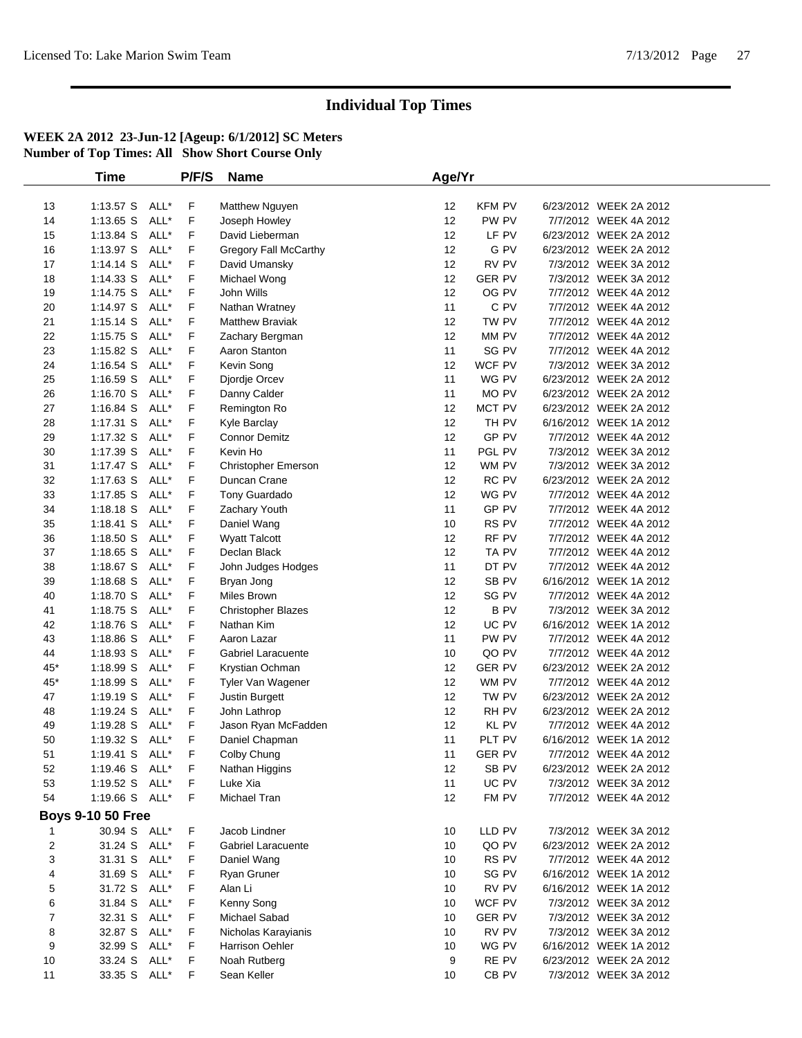|       | <b>Time</b>              |      | P/F/S | <b>Name</b>               | Age/Yr |               |                        |  |
|-------|--------------------------|------|-------|---------------------------|--------|---------------|------------------------|--|
|       |                          |      |       |                           |        |               |                        |  |
| 13    | 1:13.57 S ALL*           |      | F     | Matthew Nguyen            | 12     | <b>KFM PV</b> | 6/23/2012 WEEK 2A 2012 |  |
| 14    | 1:13.65 S                | ALL* | F     | Joseph Howley             | 12     | PW PV         | 7/7/2012 WEEK 4A 2012  |  |
| 15    | 1:13.84 S                | ALL* | F     | David Lieberman           | 12     | LF PV         | 6/23/2012 WEEK 2A 2012 |  |
| 16    | $1:13.97$ S              | ALL* | F     | Gregory Fall McCarthy     | 12     | G PV          | 6/23/2012 WEEK 2A 2012 |  |
| 17    | $1:14.14$ S              | ALL* | F     | David Umansky             | 12     | RV PV         | 7/3/2012 WEEK 3A 2012  |  |
| 18    | 1:14.33 S                | ALL* | F     | Michael Wong              | 12     | <b>GER PV</b> | 7/3/2012 WEEK 3A 2012  |  |
| 19    | 1:14.75 S                | ALL* | F     | John Wills                | 12     | OG PV         | 7/7/2012 WEEK 4A 2012  |  |
| 20    | 1:14.97 S                | ALL* | F     | Nathan Wratney            | 11     | C PV          | 7/7/2012 WEEK 4A 2012  |  |
| 21    | $1:15.14$ S              | ALL* | F     | <b>Matthew Braviak</b>    | 12     | TW PV         | 7/7/2012 WEEK 4A 2012  |  |
| 22    | 1:15.75 S                | ALL* | F     | Zachary Bergman           | 12     | MM PV         | 7/7/2012 WEEK 4A 2012  |  |
| 23    | 1:15.82 S                | ALL* | F     | Aaron Stanton             | 11     | SG PV         | 7/7/2012 WEEK 4A 2012  |  |
| 24    | 1:16.54 S                | ALL* | F     | Kevin Song                | 12     | WCF PV        | 7/3/2012 WEEK 3A 2012  |  |
| 25    | $1:16.59$ S              | ALL* | F     | Djordje Orcev             | 11     | WG PV         | 6/23/2012 WEEK 2A 2012 |  |
| 26    | $1:16.70$ S              | ALL* | F     | Danny Calder              | 11     | MO PV         | 6/23/2012 WEEK 2A 2012 |  |
| 27    | 1:16.84 S                | ALL* | F     | Remington Ro              | 12     | MCT PV        | 6/23/2012 WEEK 2A 2012 |  |
| 28    | $1:17.31$ S              | ALL* | F     | Kyle Barclay              | 12     | TH PV         | 6/16/2012 WEEK 1A 2012 |  |
| 29    | 1:17.32 S                | ALL* | F     | <b>Connor Demitz</b>      | 12     | GP PV         | 7/7/2012 WEEK 4A 2012  |  |
| 30    | 1:17.39 S                | ALL* | F     | Kevin Ho                  | 11     | PGL PV        | 7/3/2012 WEEK 3A 2012  |  |
| 31    | $1:17.47$ S              | ALL* | F     | Christopher Emerson       | 12     | WM PV         | 7/3/2012 WEEK 3A 2012  |  |
| 32    | 1:17.63 S                | ALL* | F     | Duncan Crane              | 12     | RC PV         | 6/23/2012 WEEK 2A 2012 |  |
| 33    | 1:17.85 S                | ALL* | F     | Tony Guardado             | 12     | WG PV         | 7/7/2012 WEEK 4A 2012  |  |
| 34    | 1:18.18 S                | ALL* | F     | Zachary Youth             | 11     | GP PV         | 7/7/2012 WEEK 4A 2012  |  |
| 35    | $1:18.41$ S              | ALL* | F     | Daniel Wang               | 10     | RS PV         | 7/7/2012 WEEK 4A 2012  |  |
| 36    | 1:18.50 S                | ALL* | F     | <b>Wyatt Talcott</b>      | 12     | RF PV         | 7/7/2012 WEEK 4A 2012  |  |
| 37    | 1:18.65 S                | ALL* | F     | Declan Black              | 12     | TA PV         | 7/7/2012 WEEK 4A 2012  |  |
| 38    | 1:18.67 S                | ALL* | F     | John Judges Hodges        | 11     | DT PV         | 7/7/2012 WEEK 4A 2012  |  |
| 39    | 1:18.68 S                | ALL* | F     | Bryan Jong                | 12     | SB PV         | 6/16/2012 WEEK 1A 2012 |  |
| 40    | $1:18.70$ S              | ALL* | F     | Miles Brown               | 12     | SG PV         | 7/7/2012 WEEK 4A 2012  |  |
| 41    | 1:18.75 S                | ALL* | F     | <b>Christopher Blazes</b> | 12     | <b>BPV</b>    | 7/3/2012 WEEK 3A 2012  |  |
| 42    | 1:18.76 S                | ALL* | F     | Nathan Kim                | 12     | UC PV         | 6/16/2012 WEEK 1A 2012 |  |
| 43    | 1:18.86 S                | ALL* | F     | Aaron Lazar               | 11     | PW PV         | 7/7/2012 WEEK 4A 2012  |  |
| 44    | 1:18.93 S                | ALL* | F     | Gabriel Laracuente        | 10     | QO PV         | 7/7/2012 WEEK 4A 2012  |  |
| $45*$ | 1:18.99 S                | ALL* | F     | Krystian Ochman           | 12     | <b>GER PV</b> | 6/23/2012 WEEK 2A 2012 |  |
| $45*$ | 1:18.99 S                | ALL* | F     | Tyler Van Wagener         | 12     | WM PV         | 7/7/2012 WEEK 4A 2012  |  |
| 47    | 1:19.19 S                | ALL* | F     | Justin Burgett            | 12     | TW PV         | 6/23/2012 WEEK 2A 2012 |  |
| 48    | 1:19.24 S                | ALL* | F     | John Lathrop              | 12     | RH PV         | 6/23/2012 WEEK 2A 2012 |  |
| 49    | 1:19.28 S                | ALL* | F     | Jason Ryan McFadden       | 12     | KL PV         | 7/7/2012 WEEK 4A 2012  |  |
| 50    | 1:19.32 S                | ALL* | F     | Daniel Chapman            | 11     | PLT PV        | 6/16/2012 WEEK 1A 2012 |  |
| 51    | 1:19.41 S                | ALL* | F     | Colby Chung               | 11     | <b>GER PV</b> | 7/7/2012 WEEK 4A 2012  |  |
| 52    | 1:19.46 S ALL*           |      | F     | Nathan Higgins            | 12     | SB PV         | 6/23/2012 WEEK 2A 2012 |  |
| 53    | 1:19.52 S                | ALL* | F     | Luke Xia                  | 11     | UC PV         | 7/3/2012 WEEK 3A 2012  |  |
| 54    | 1:19.66 S ALL*           |      | F     | Michael Tran              | 12     | FM PV         | 7/7/2012 WEEK 4A 2012  |  |
|       | <b>Boys 9-10 50 Free</b> |      |       |                           |        |               |                        |  |
| 1     | 30.94 S ALL*             |      | F     | Jacob Lindner             | 10     | LLD PV        | 7/3/2012 WEEK 3A 2012  |  |
| 2     | 31.24 S                  | ALL* | F     | Gabriel Laracuente        | 10     | QO PV         | 6/23/2012 WEEK 2A 2012 |  |
| 3     | 31.31 S ALL*             |      | F     | Daniel Wang               | 10     | RS PV         | 7/7/2012 WEEK 4A 2012  |  |
| 4     | 31.69 S                  | ALL* | F     | Ryan Gruner               | 10     | SG PV         | 6/16/2012 WEEK 1A 2012 |  |
| 5     | 31.72 S                  | ALL* | F     | Alan Li                   | 10     | RV PV         | 6/16/2012 WEEK 1A 2012 |  |
| 6     | 31.84 S                  | ALL* | F     | Kenny Song                | 10     | WCF PV        | 7/3/2012 WEEK 3A 2012  |  |
| 7     | 32.31 S                  | ALL* | F     | Michael Sabad             | 10     | <b>GER PV</b> | 7/3/2012 WEEK 3A 2012  |  |
| 8     | 32.87 S                  | ALL* | F     | Nicholas Karayianis       | 10     | RV PV         | 7/3/2012 WEEK 3A 2012  |  |
| 9     | 32.99 S                  | ALL* | F     | Harrison Oehler           | 10     | WG PV         | 6/16/2012 WEEK 1A 2012 |  |
| 10    | 33.24 S                  | ALL* | F     | Noah Rutberg              | 9      | RE PV         | 6/23/2012 WEEK 2A 2012 |  |
| 11    | 33.35 S ALL*             |      | F     | Sean Keller               | 10     | $CB$ PV       | 7/3/2012 WEEK 3A 2012  |  |
|       |                          |      |       |                           |        |               |                        |  |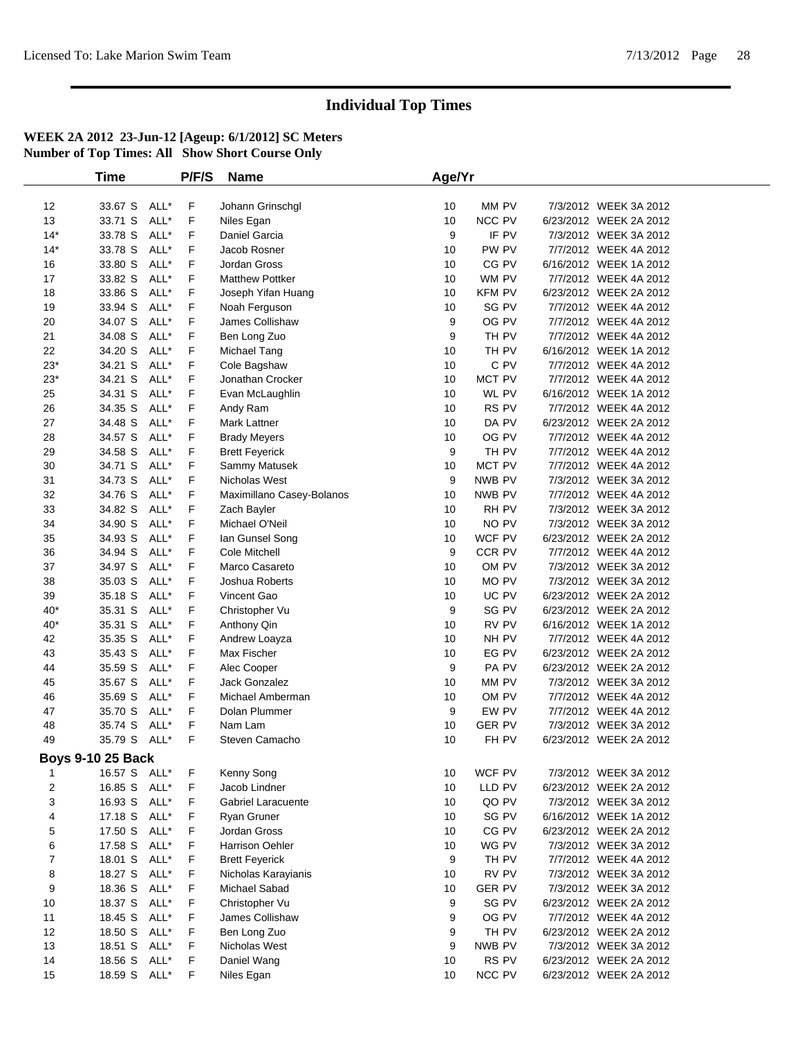|                  | Time                     |      | P/F/S | <b>Name</b>               | Age/Yr |               |                        |  |
|------------------|--------------------------|------|-------|---------------------------|--------|---------------|------------------------|--|
|                  |                          |      |       |                           |        |               |                        |  |
| 12               | 33.67 S                  | ALL* | F     | Johann Grinschgl          | 10     | MM PV         | 7/3/2012 WEEK 3A 2012  |  |
| 13               | 33.71 S                  | ALL* | F     | Niles Egan                | 10     | NCC PV        | 6/23/2012 WEEK 2A 2012 |  |
| $14*$            | 33.78 S                  | ALL* | F     | Daniel Garcia             | 9      | IF PV         | 7/3/2012 WEEK 3A 2012  |  |
| $14*$            | 33.78 S                  | ALL* | F     | Jacob Rosner              | 10     | PW PV         | 7/7/2012 WEEK 4A 2012  |  |
| 16               | 33.80 S                  | ALL* | F     | Jordan Gross              | 10     | CG PV         | 6/16/2012 WEEK 1A 2012 |  |
| 17               | 33.82 S                  | ALL* | F     | <b>Matthew Pottker</b>    | 10     | WM PV         | 7/7/2012 WEEK 4A 2012  |  |
| 18               | 33.86 S                  | ALL* | F     | Joseph Yifan Huang        | 10     | <b>KFM PV</b> | 6/23/2012 WEEK 2A 2012 |  |
| 19               | 33.94 S                  | ALL* | F     | Noah Ferguson             | 10     | SG PV         | 7/7/2012 WEEK 4A 2012  |  |
| 20               | 34.07 S                  | ALL* | F     | James Collishaw           | 9      | OG PV         | 7/7/2012 WEEK 4A 2012  |  |
| 21               | 34.08 S                  | ALL* | F     | Ben Long Zuo              | 9      | TH PV         | 7/7/2012 WEEK 4A 2012  |  |
| 22               | 34.20 S                  | ALL* | F     | Michael Tang              | 10     | TH PV         | 6/16/2012 WEEK 1A 2012 |  |
| $23*$            | 34.21 S                  | ALL* | F     | Cole Bagshaw              | 10     | C PV          | 7/7/2012 WEEK 4A 2012  |  |
| $23*$            | 34.21 S                  | ALL* | F     | Jonathan Crocker          | 10     | MCT PV        | 7/7/2012 WEEK 4A 2012  |  |
| 25               | 34.31 S                  | ALL* | F     | Evan McLaughlin           | 10     | WL PV         | 6/16/2012 WEEK 1A 2012 |  |
| 26               | 34.35 S                  | ALL* | F     | Andy Ram                  | 10     | RS PV         | 7/7/2012 WEEK 4A 2012  |  |
| 27               | 34.48 S                  | ALL* | F     | Mark Lattner              | 10     | DA PV         | 6/23/2012 WEEK 2A 2012 |  |
| 28               | 34.57 S                  | ALL* | F     | <b>Brady Meyers</b>       | 10     | OG PV         | 7/7/2012 WEEK 4A 2012  |  |
| 29               | 34.58 S                  | ALL* | F     | <b>Brett Feyerick</b>     | 9      | TH PV         | 7/7/2012 WEEK 4A 2012  |  |
| 30               | 34.71 S                  | ALL* | F     | Sammy Matusek             | 10     | MCT PV        | 7/7/2012 WEEK 4A 2012  |  |
| 31               | 34.73 S                  | ALL* | F     | Nicholas West             | 9      | NWB PV        | 7/3/2012 WEEK 3A 2012  |  |
| 32               | 34.76 S                  | ALL* | F     | Maximillano Casey-Bolanos | 10     | NWB PV        | 7/7/2012 WEEK 4A 2012  |  |
| 33               | 34.82 S                  | ALL* | F     | Zach Bayler               | 10     | RH PV         | 7/3/2012 WEEK 3A 2012  |  |
| 34               | 34.90 S                  | ALL* | F     | Michael O'Neil            | 10     | NO PV         | 7/3/2012 WEEK 3A 2012  |  |
| 35               | 34.93 S                  | ALL* | F     | lan Gunsel Song           | 10     | WCF PV        | 6/23/2012 WEEK 2A 2012 |  |
| 36               | 34.94 S                  | ALL* | F     | Cole Mitchell             | 9      | CCR PV        | 7/7/2012 WEEK 4A 2012  |  |
| 37               | 34.97 S                  | ALL* | F     | Marco Casareto            | 10     | OM PV         | 7/3/2012 WEEK 3A 2012  |  |
| 38               | 35.03 S                  | ALL* | F     | Joshua Roberts            | 10     | MO PV         | 7/3/2012 WEEK 3A 2012  |  |
| 39               | 35.18 S                  | ALL* | F     | Vincent Gao               | 10     | UC PV         | 6/23/2012 WEEK 2A 2012 |  |
| $40*$            | 35.31 S                  | ALL* | F     | Christopher Vu            | 9      | SG PV         | 6/23/2012 WEEK 2A 2012 |  |
| $40*$            | 35.31 S                  | ALL* | F     | Anthony Qin               | 10     | RV PV         | 6/16/2012 WEEK 1A 2012 |  |
| 42               | 35.35 S                  | ALL* | F     | Andrew Loayza             | 10     | NH PV         | 7/7/2012 WEEK 4A 2012  |  |
| 43               | 35.43 S                  | ALL* | F     | Max Fischer               | 10     | EG PV         | 6/23/2012 WEEK 2A 2012 |  |
| 44               | 35.59 S                  | ALL* | F     | Alec Cooper               | 9      | PA PV         | 6/23/2012 WEEK 2A 2012 |  |
| 45               | 35.67 S                  | ALL* | F     | Jack Gonzalez             | 10     | MM PV         | 7/3/2012 WEEK 3A 2012  |  |
| 46               | 35.69 S                  | ALL* | F     | Michael Amberman          | 10     | OM PV         | 7/7/2012 WEEK 4A 2012  |  |
| 47               | 35.70 S                  | ALL* | F     | Dolan Plummer             | 9      | EW PV         | 7/7/2012 WEEK 4A 2012  |  |
| 48               | 35.74 S                  | ALL* | F     | Nam Lam                   | 10     | <b>GER PV</b> | 7/3/2012 WEEK 3A 2012  |  |
| 49               | 35.79 S                  | ALL* | F     | Steven Camacho            | 10     | FH PV         | 6/23/2012 WEEK 2A 2012 |  |
|                  | <b>Boys 9-10 25 Back</b> |      |       |                           |        |               |                        |  |
| 1                | 16.57 S ALL*             |      | F     | Kenny Song                | 10     | WCF PV        | 7/3/2012 WEEK 3A 2012  |  |
| $\overline{c}$   | 16.85 S                  | ALL* | F     | Jacob Lindner             | 10     | LLD PV        | 6/23/2012 WEEK 2A 2012 |  |
| 3                | 16.93 S                  | ALL* | F     | Gabriel Laracuente        | 10     | QO PV         | 7/3/2012 WEEK 3A 2012  |  |
| 4                | 17.18 S                  | ALL* | F     | Ryan Gruner               | 10     | SG PV         | 6/16/2012 WEEK 1A 2012 |  |
| 5                | 17.50 S                  | ALL* | F     | Jordan Gross              | 10     | CG PV         | 6/23/2012 WEEK 2A 2012 |  |
| 6                | 17.58 S                  | ALL* | F     | <b>Harrison Oehler</b>    | 10     | WG PV         | 7/3/2012 WEEK 3A 2012  |  |
| $\boldsymbol{7}$ | 18.01 S                  | ALL* | F     | <b>Brett Feyerick</b>     | 9      | TH PV         | 7/7/2012 WEEK 4A 2012  |  |
| 8                | 18.27 S                  | ALL* | F     | Nicholas Karayianis       | 10     | RV PV         | 7/3/2012 WEEK 3A 2012  |  |
| 9                | 18.36 S                  | ALL* | F     | Michael Sabad             | 10     | <b>GER PV</b> | 7/3/2012 WEEK 3A 2012  |  |
| 10               | 18.37 S                  | ALL* | F     | Christopher Vu            | 9      | SG PV         | 6/23/2012 WEEK 2A 2012 |  |
| 11               | 18.45 S                  | ALL* | F     | James Collishaw           | 9      | OG PV         | 7/7/2012 WEEK 4A 2012  |  |
| 12               | 18.50 S                  | ALL* | F     | Ben Long Zuo              | 9      | TH PV         | 6/23/2012 WEEK 2A 2012 |  |
| 13               | 18.51 S                  | ALL* | F     | Nicholas West             | 9      | NWB PV        | 7/3/2012 WEEK 3A 2012  |  |
| 14               | 18.56 S                  | ALL* | F     | Daniel Wang               | 10     | RS PV         | 6/23/2012 WEEK 2A 2012 |  |
| 15               | 18.59 S ALL*             |      | F     | Niles Egan                | 10     | NCC PV        | 6/23/2012 WEEK 2A 2012 |  |
|                  |                          |      |       |                           |        |               |                        |  |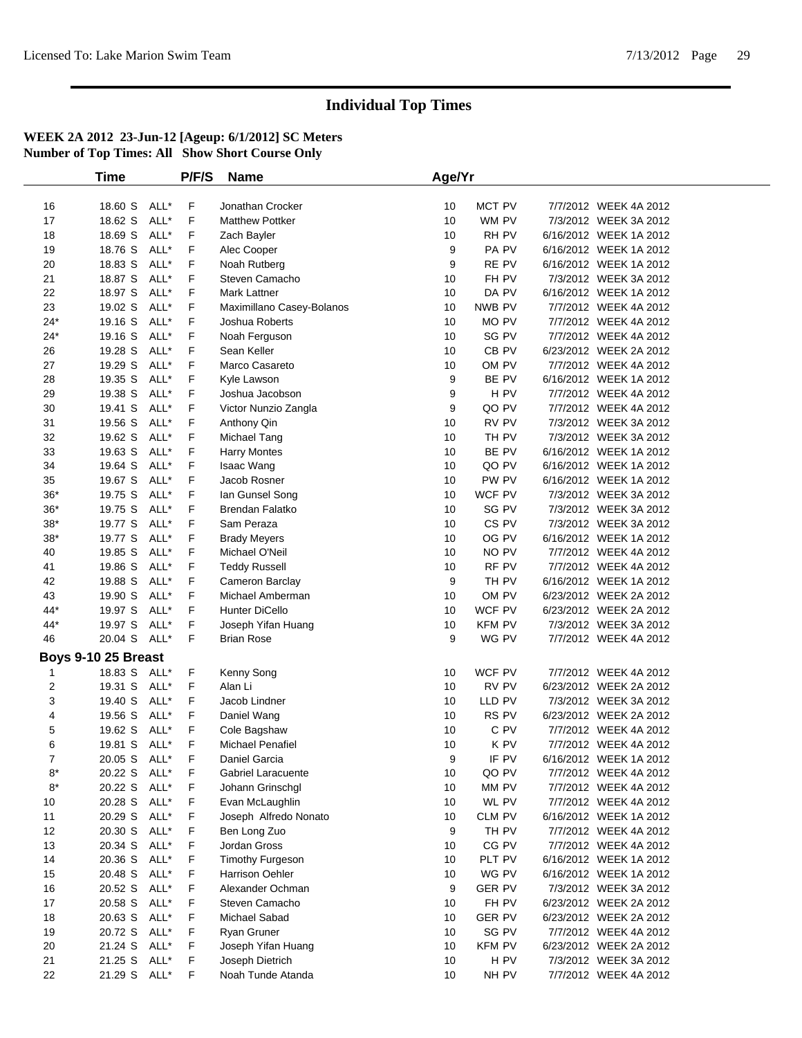|                     | <b>Time</b>  |      | P/F/S | <b>Name</b>               | Age/Yr |               |                        |  |
|---------------------|--------------|------|-------|---------------------------|--------|---------------|------------------------|--|
|                     |              |      |       |                           |        |               |                        |  |
| 16                  | 18.60 S      | ALL* | F     | Jonathan Crocker          | 10     | MCT PV        | 7/7/2012 WEEK 4A 2012  |  |
| 17                  | 18.62 S      | ALL* | F     | <b>Matthew Pottker</b>    | 10     | WM PV         | 7/3/2012 WEEK 3A 2012  |  |
| 18                  | 18.69 S      | ALL* | F     | Zach Bayler               | 10     | RH PV         | 6/16/2012 WEEK 1A 2012 |  |
| 19                  | 18.76 S      | ALL* | F     | Alec Cooper               | 9      | PA PV         | 6/16/2012 WEEK 1A 2012 |  |
| 20                  | 18.83 S      | ALL* | F     | Noah Rutberg              | 9      | RE PV         | 6/16/2012 WEEK 1A 2012 |  |
| 21                  | 18.87 S      | ALL* | F     | Steven Camacho            | 10     | FH PV         | 7/3/2012 WEEK 3A 2012  |  |
| 22                  | 18.97 S      | ALL* | F     | Mark Lattner              | 10     | DA PV         | 6/16/2012 WEEK 1A 2012 |  |
| 23                  | 19.02 S      | ALL* | F     | Maximillano Casey-Bolanos | 10     | NWB PV        | 7/7/2012 WEEK 4A 2012  |  |
| $24*$               | 19.16 S      | ALL* | F     | Joshua Roberts            | 10     | MO PV         | 7/7/2012 WEEK 4A 2012  |  |
| $24*$               | 19.16 S      | ALL* | F     | Noah Ferguson             | 10     | SG PV         | 7/7/2012 WEEK 4A 2012  |  |
| 26                  | 19.28 S      | ALL* | F     | Sean Keller               | 10     | CB PV         | 6/23/2012 WEEK 2A 2012 |  |
| 27                  | 19.29 S      | ALL* | F     | Marco Casareto            | 10     | OM PV         | 7/7/2012 WEEK 4A 2012  |  |
| 28                  | 19.35 S      | ALL* | F     | Kyle Lawson               | 9      | BE PV         | 6/16/2012 WEEK 1A 2012 |  |
| 29                  | 19.38 S      | ALL* | F     | Joshua Jacobson           | 9      | H PV          | 7/7/2012 WEEK 4A 2012  |  |
| 30                  | 19.41 S      | ALL* | F     | Victor Nunzio Zangla      | 9      | QO PV         | 7/7/2012 WEEK 4A 2012  |  |
| 31                  | 19.56 S      | ALL* | F     | Anthony Qin               | 10     | RV PV         | 7/3/2012 WEEK 3A 2012  |  |
| 32                  | 19.62 S      | ALL* | F     | Michael Tang              | 10     | TH PV         | 7/3/2012 WEEK 3A 2012  |  |
| 33                  | 19.63 S      | ALL* | F     | <b>Harry Montes</b>       | 10     | BE PV         | 6/16/2012 WEEK 1A 2012 |  |
| 34                  | 19.64 S      | ALL* | F     | Isaac Wang                | 10     | QO PV         | 6/16/2012 WEEK 1A 2012 |  |
| 35                  | 19.67 S      | ALL* | F     | Jacob Rosner              | 10     | PW PV         | 6/16/2012 WEEK 1A 2012 |  |
| $36*$               | 19.75 S      | ALL* | F     | lan Gunsel Song           | 10     | WCF PV        | 7/3/2012 WEEK 3A 2012  |  |
| $36*$               | 19.75 S      | ALL* | F     | <b>Brendan Falatko</b>    | 10     | SG PV         | 7/3/2012 WEEK 3A 2012  |  |
| $38*$               | 19.77 S      | ALL* | F     | Sam Peraza                | 10     | CS PV         | 7/3/2012 WEEK 3A 2012  |  |
| $38*$               | 19.77 S      | ALL* | F     | <b>Brady Meyers</b>       | 10     | OG PV         | 6/16/2012 WEEK 1A 2012 |  |
| 40                  | 19.85 S      | ALL* | F     | Michael O'Neil            | 10     | NO PV         | 7/7/2012 WEEK 4A 2012  |  |
| 41                  | 19.86 S      | ALL* | F     | <b>Teddy Russell</b>      | 10     | RF PV         | 7/7/2012 WEEK 4A 2012  |  |
| 42                  | 19.88 S      | ALL* | F     | Cameron Barclay           | 9      | TH PV         | 6/16/2012 WEEK 1A 2012 |  |
| 43                  | 19.90 S      | ALL* | F     | Michael Amberman          | 10     | OM PV         | 6/23/2012 WEEK 2A 2012 |  |
| 44*                 | 19.97 S      | ALL* | F     | Hunter DiCello            | 10     | WCF PV        | 6/23/2012 WEEK 2A 2012 |  |
| 44*                 | 19.97 S      | ALL* | F     | Joseph Yifan Huang        | 10     | KFM PV        | 7/3/2012 WEEK 3A 2012  |  |
| 46                  | 20.04 S ALL* |      | F     | <b>Brian Rose</b>         | 9      | WG PV         | 7/7/2012 WEEK 4A 2012  |  |
| Boys 9-10 25 Breast |              |      |       |                           |        |               |                        |  |
| 1                   | 18.83 S      | ALL* | F     | Kenny Song                | 10     | WCF PV        | 7/7/2012 WEEK 4A 2012  |  |
| $\overline{2}$      | 19.31 S      | ALL* | F     | Alan Li                   | 10     | RV PV         | 6/23/2012 WEEK 2A 2012 |  |
| 3                   | 19.40 S      | ALL* | F     | Jacob Lindner             | 10     | LLD PV        | 7/3/2012 WEEK 3A 2012  |  |
| 4                   | 19.56 S      | ALL* | F     | Daniel Wang               | 10     | RS PV         | 6/23/2012 WEEK 2A 2012 |  |
| 5                   | 19.62 S      | ALL* | F     | Cole Bagshaw              | 10     | C PV          | 7/7/2012 WEEK 4A 2012  |  |
| 6                   | 19.81 S ALL* |      | F     | <b>Michael Penafiel</b>   | 10     | K PV          | 7/7/2012 WEEK 4A 2012  |  |
| 7                   | 20.05 S ALL* |      | F     | Daniel Garcia             | 9      | IF PV         | 6/16/2012 WEEK 1A 2012 |  |
| 8*                  | 20.22 S ALL* |      | F     | Gabriel Laracuente        | 10     | QO PV         | 7/7/2012 WEEK 4A 2012  |  |
| $8*$                | 20.22 S ALL* |      | F     | Johann Grinschgl          | 10     | MM PV         | 7/7/2012 WEEK 4A 2012  |  |
| 10                  | 20.28 S ALL* |      | F     | Evan McLaughlin           | 10     | WL PV         | 7/7/2012 WEEK 4A 2012  |  |
| 11                  | 20.29 S      | ALL* | F     | Joseph Alfredo Nonato     | 10     | CLM PV        | 6/16/2012 WEEK 1A 2012 |  |
| 12                  | 20.30 S      | ALL* | F     | Ben Long Zuo              | 9      | TH PV         | 7/7/2012 WEEK 4A 2012  |  |
| 13                  | 20.34 S      | ALL* | F     | Jordan Gross              | 10     | CG PV         | 7/7/2012 WEEK 4A 2012  |  |
| 14                  | 20.36 S      | ALL* | F     | Timothy Furgeson          | 10     | PLT PV        | 6/16/2012 WEEK 1A 2012 |  |
| 15                  | 20.48 S      | ALL* | F     | <b>Harrison Oehler</b>    | 10     | WG PV         | 6/16/2012 WEEK 1A 2012 |  |
| 16                  | 20.52 S      | ALL* | F     | Alexander Ochman          | 9      | <b>GER PV</b> | 7/3/2012 WEEK 3A 2012  |  |
| 17                  | 20.58 S      | ALL* | F     | Steven Camacho            | 10     | FH PV         | 6/23/2012 WEEK 2A 2012 |  |
| 18                  | 20.63 S ALL* |      | F     | Michael Sabad             | 10     | <b>GER PV</b> | 6/23/2012 WEEK 2A 2012 |  |
| 19                  | 20.72 S ALL* |      | F     | Ryan Gruner               | 10     | SG PV         | 7/7/2012 WEEK 4A 2012  |  |
| 20                  | 21.24 S      | ALL* | F     | Joseph Yifan Huang        | 10     | <b>KFM PV</b> | 6/23/2012 WEEK 2A 2012 |  |
| 21                  | 21.25 S      | ALL* | F     | Joseph Dietrich           | 10     | H PV          | 7/3/2012 WEEK 3A 2012  |  |
| 22                  | 21.29 S ALL* |      | F     | Noah Tunde Atanda         | 10     | NH PV         | 7/7/2012 WEEK 4A 2012  |  |
|                     |              |      |       |                           |        |               |                        |  |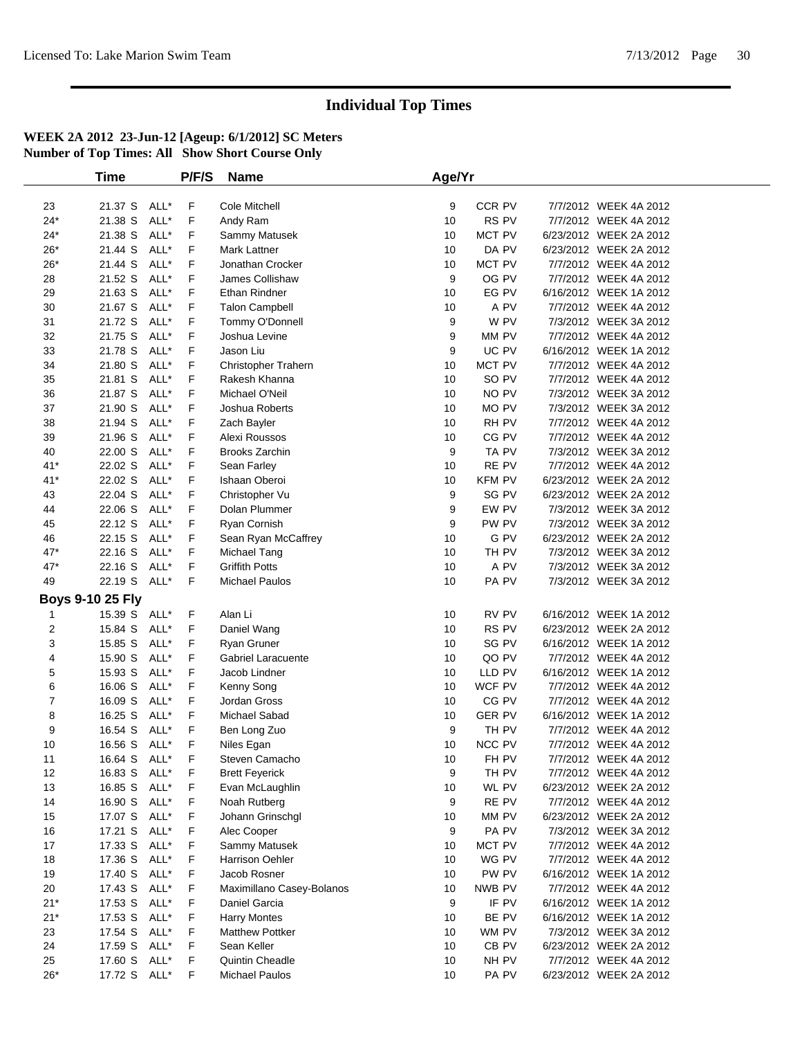|       | <b>Time</b>             |      | P/F/S | <b>Name</b>               | Age/Yr |               |                        |  |
|-------|-------------------------|------|-------|---------------------------|--------|---------------|------------------------|--|
|       |                         |      |       |                           |        |               |                        |  |
| 23    | 21.37 S ALL*            |      | F.    | Cole Mitchell             | 9      | CCR PV        | 7/7/2012 WEEK 4A 2012  |  |
| $24*$ | 21.38 S                 | ALL* | F     | Andy Ram                  | 10     | RS PV         | 7/7/2012 WEEK 4A 2012  |  |
| $24*$ | 21.38 S                 | ALL* | F     | Sammy Matusek             | 10     | MCT PV        | 6/23/2012 WEEK 2A 2012 |  |
| $26*$ | 21.44 S                 | ALL* | F     | <b>Mark Lattner</b>       | 10     | DA PV         | 6/23/2012 WEEK 2A 2012 |  |
| $26*$ | 21.44 S                 | ALL* | F     | Jonathan Crocker          | 10     | MCT PV        | 7/7/2012 WEEK 4A 2012  |  |
| 28    | 21.52 S                 | ALL* | F     | James Collishaw           | 9      | OG PV         | 7/7/2012 WEEK 4A 2012  |  |
| 29    | 21.63 S ALL*            |      | F     | Ethan Rindner             | 10     | EG PV         | 6/16/2012 WEEK 1A 2012 |  |
| 30    | 21.67 S ALL*            |      | F     | <b>Talon Campbell</b>     | 10     | A PV          | 7/7/2012 WEEK 4A 2012  |  |
| 31    | 21.72 S ALL*            |      | F     | Tommy O'Donnell           | 9      | W PV          | 7/3/2012 WEEK 3A 2012  |  |
| 32    | 21.75 S                 | ALL* | F     | Joshua Levine             | 9      | MM PV         | 7/7/2012 WEEK 4A 2012  |  |
| 33    | 21.78 S                 | ALL* | F     | Jason Liu                 | 9      | UC PV         | 6/16/2012 WEEK 1A 2012 |  |
| 34    | 21.80 S                 | ALL* | F     | Christopher Trahern       | 10     | MCT PV        | 7/7/2012 WEEK 4A 2012  |  |
| 35    | 21.81 S ALL*            |      | F     | Rakesh Khanna             | 10     | SO PV         | 7/7/2012 WEEK 4A 2012  |  |
| 36    | 21.87 S ALL*            |      | F     | Michael O'Neil            | 10     | NO PV         | 7/3/2012 WEEK 3A 2012  |  |
| 37    | 21.90 S                 | ALL* | F     | Joshua Roberts            | 10     | MO PV         | 7/3/2012 WEEK 3A 2012  |  |
| 38    | 21.94 S                 | ALL* | F     | Zach Bayler               | 10     | RH PV         | 7/7/2012 WEEK 4A 2012  |  |
| 39    | 21.96 S                 | ALL* | F     | Alexi Roussos             | 10     | CG PV         | 7/7/2012 WEEK 4A 2012  |  |
| 40    | 22.00 S                 | ALL* | F     | <b>Brooks Zarchin</b>     | 9      | TA PV         | 7/3/2012 WEEK 3A 2012  |  |
| $41*$ | 22.02 S ALL*            |      | F     | Sean Farley               | 10     | RE PV         | 7/7/2012 WEEK 4A 2012  |  |
| $41*$ | 22.02 S                 | ALL* | F     | Ishaan Oberoi             | 10     | KFM PV        | 6/23/2012 WEEK 2A 2012 |  |
| 43    | 22.04 S                 | ALL* | F     | Christopher Vu            | 9      | SG PV         | 6/23/2012 WEEK 2A 2012 |  |
| 44    | 22.06 S                 | ALL* | F     | Dolan Plummer             | 9      | EW PV         | 7/3/2012 WEEK 3A 2012  |  |
| 45    | 22.12 S ALL*            |      | F     | Ryan Cornish              | 9      | PW PV         | 7/3/2012 WEEK 3A 2012  |  |
| 46    | 22.15 S                 | ALL* | F     | Sean Ryan McCaffrey       | 10     | G PV          | 6/23/2012 WEEK 2A 2012 |  |
| $47*$ | 22.16 S ALL*            |      | F     | Michael Tang              | 10     | TH PV         | 7/3/2012 WEEK 3A 2012  |  |
| $47*$ | 22.16 S                 | ALL* | F     | <b>Griffith Potts</b>     | 10     | A PV          | 7/3/2012 WEEK 3A 2012  |  |
| 49    | 22.19 S ALL*            |      | F     | <b>Michael Paulos</b>     | 10     | PA PV         | 7/3/2012 WEEK 3A 2012  |  |
|       | <b>Boys 9-10 25 Fly</b> |      |       |                           |        |               |                        |  |
| 1     | 15.39 S ALL*            |      | F     | Alan Li                   | 10     | RV PV         | 6/16/2012 WEEK 1A 2012 |  |
| 2     | 15.84 S                 | ALL* | F     | Daniel Wang               | 10     | RS PV         | 6/23/2012 WEEK 2A 2012 |  |
| 3     | 15.85 S ALL*            |      | F     | Ryan Gruner               | 10     | SG PV         | 6/16/2012 WEEK 1A 2012 |  |
| 4     | 15.90 S ALL*            |      | F     | Gabriel Laracuente        | 10     | QO PV         | 7/7/2012 WEEK 4A 2012  |  |
| 5     | 15.93 S                 | ALL* | F     | Jacob Lindner             | 10     | LLD PV        | 6/16/2012 WEEK 1A 2012 |  |
| 6     | 16.06 S ALL*            |      | F     | Kenny Song                | 10     | WCF PV        | 7/7/2012 WEEK 4A 2012  |  |
| 7     | 16.09 S                 | ALL* | F     | Jordan Gross              | 10     | CG PV         | 7/7/2012 WEEK 4A 2012  |  |
| 8     | 16.25 S                 | ALL* | F     | Michael Sabad             | 10     | <b>GER PV</b> | 6/16/2012 WEEK 1A 2012 |  |
| 9     | 16.54 S ALL*            |      | F     | Ben Long Zuo              | 9      | TH PV         | 7/7/2012 WEEK 4A 2012  |  |
| 10    | 16.56 S ALL*            |      | F     | Niles Egan                | 10     | NCC PV        | 7/7/2012 WEEK 4A 2012  |  |
| 11    | 16.64 S ALL*            |      | F     | Steven Camacho            | 10     | FH PV         | 7/7/2012 WEEK 4A 2012  |  |
| 12    | 16.83 S ALL*            |      | F     | <b>Brett Feyerick</b>     | 9      | TH PV         | 7/7/2012 WEEK 4A 2012  |  |
| 13    | 16.85 S ALL*            |      | F.    | Evan McLaughlin           | 10     | WL PV         | 6/23/2012 WEEK 2A 2012 |  |
| 14    | 16.90 S ALL*            |      | F     | Noah Rutberg              | 9      | RE PV         | 7/7/2012 WEEK 4A 2012  |  |
| 15    | 17.07 S ALL*            |      | F     | Johann Grinschgl          | 10     | MM PV         | 6/23/2012 WEEK 2A 2012 |  |
| 16    | 17.21 S ALL*            |      | F     | Alec Cooper               | 9      | PA PV         | 7/3/2012 WEEK 3A 2012  |  |
| 17    | 17.33 S ALL*            |      | F     | Sammy Matusek             | 10     | MCT PV        | 7/7/2012 WEEK 4A 2012  |  |
| 18    | 17.36 S ALL*            |      | F     | Harrison Oehler           | 10     | WG PV         | 7/7/2012 WEEK 4A 2012  |  |
| 19    | 17.40 S ALL*            |      | F     | Jacob Rosner              | 10     | PW PV         | 6/16/2012 WEEK 1A 2012 |  |
| 20    | 17.43 S ALL*            |      | F     | Maximillano Casey-Bolanos | 10     | NWB PV        | 7/7/2012 WEEK 4A 2012  |  |
| $21*$ | 17.53 S ALL*            |      | F     | Daniel Garcia             | 9      | IF PV         | 6/16/2012 WEEK 1A 2012 |  |
| $21*$ | 17.53 S ALL*            |      | F     | <b>Harry Montes</b>       | 10     | BE PV         | 6/16/2012 WEEK 1A 2012 |  |
| 23    | 17.54 S ALL*            |      | F     | <b>Matthew Pottker</b>    | 10     | WM PV         | 7/3/2012 WEEK 3A 2012  |  |
| 24    | 17.59 S ALL*            |      | F.    | Sean Keller               | 10     | CB PV         | 6/23/2012 WEEK 2A 2012 |  |
| 25    | 17.60 S ALL*            |      | F     | Quintin Cheadle           | 10     | NH PV         | 7/7/2012 WEEK 4A 2012  |  |
| $26*$ | 17.72 S ALL*            |      | F     | <b>Michael Paulos</b>     | 10     | PA PV         | 6/23/2012 WEEK 2A 2012 |  |
|       |                         |      |       |                           |        |               |                        |  |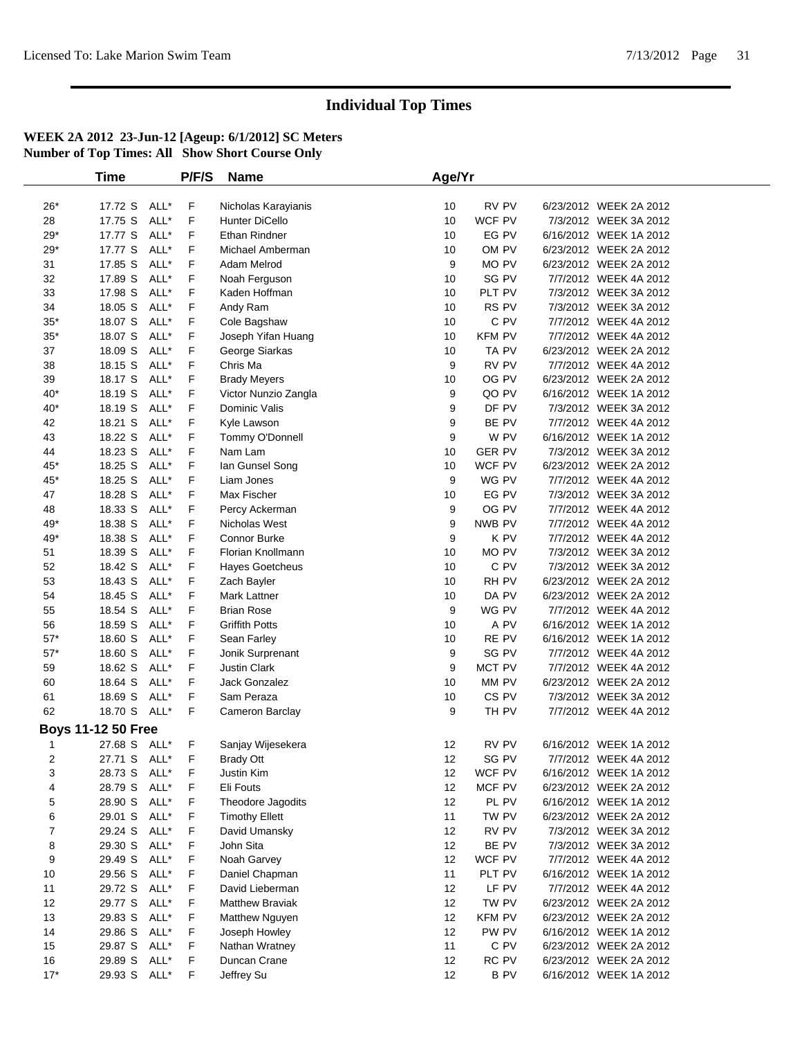|              | <b>Time</b>               |      | P/F/S | <b>Name</b>            | Age/Yr |                  |                        |  |
|--------------|---------------------------|------|-------|------------------------|--------|------------------|------------------------|--|
|              |                           |      |       |                        |        |                  |                        |  |
| $26*$        | 17.72 S                   | ALL* | F     | Nicholas Karayianis    | 10     | RV PV            | 6/23/2012 WEEK 2A 2012 |  |
| 28           | 17.75 S                   | ALL* | F     | Hunter DiCello         | 10     | WCF PV           | 7/3/2012 WEEK 3A 2012  |  |
| $29*$        | 17.77 S                   | ALL* | F     | <b>Ethan Rindner</b>   | 10     | EG PV            | 6/16/2012 WEEK 1A 2012 |  |
| $29*$        | 17.77 S                   | ALL* | F     | Michael Amberman       | 10     | OM PV            | 6/23/2012 WEEK 2A 2012 |  |
| 31           | 17.85 S                   | ALL* | F     | Adam Melrod            | 9      | MO PV            | 6/23/2012 WEEK 2A 2012 |  |
| 32           | 17.89 S                   | ALL* | F     | Noah Ferguson          | 10     | SG PV            | 7/7/2012 WEEK 4A 2012  |  |
| 33           | 17.98 S                   | ALL* | F     | Kaden Hoffman          | 10     | PLT PV           | 7/3/2012 WEEK 3A 2012  |  |
| 34           | 18.05 S                   | ALL* | F     | Andy Ram               | 10     | RS PV            | 7/3/2012 WEEK 3A 2012  |  |
| $35*$        | 18.07 S                   | ALL* | F     | Cole Bagshaw           | 10     | $C$ PV           | 7/7/2012 WEEK 4A 2012  |  |
| $35*$        | 18.07 S                   | ALL* | F     | Joseph Yifan Huang     | 10     | <b>KFM PV</b>    | 7/7/2012 WEEK 4A 2012  |  |
| 37           | 18.09 S                   | ALL* | F     | George Siarkas         | 10     | TA PV            | 6/23/2012 WEEK 2A 2012 |  |
| 38           | 18.15 S                   | ALL* | F     | Chris Ma               | 9      | RV PV            | 7/7/2012 WEEK 4A 2012  |  |
| 39           | 18.17 S                   | ALL* | F     | <b>Brady Meyers</b>    | 10     | OG PV            | 6/23/2012 WEEK 2A 2012 |  |
| $40*$        | 18.19 S                   | ALL* | F     | Victor Nunzio Zangla   | 9      | QO PV            | 6/16/2012 WEEK 1A 2012 |  |
| $40*$        | 18.19 S                   | ALL* | F     | Dominic Valis          | 9      | DF PV            | 7/3/2012 WEEK 3A 2012  |  |
| 42           | 18.21 S                   | ALL* | F     | Kyle Lawson            | 9      | BE PV            | 7/7/2012 WEEK 4A 2012  |  |
| 43           | 18.22 S                   | ALL* | F     | Tommy O'Donnell        | 9      | W PV             | 6/16/2012 WEEK 1A 2012 |  |
| 44           | 18.23 S                   | ALL* | F     | Nam Lam                | 10     | <b>GER PV</b>    | 7/3/2012 WEEK 3A 2012  |  |
| $45*$        | 18.25 S                   | ALL* | F     | lan Gunsel Song        | 10     | WCF PV           | 6/23/2012 WEEK 2A 2012 |  |
| $45*$        | 18.25 S                   | ALL* | F     | Liam Jones             | 9      | WG PV            | 7/7/2012 WEEK 4A 2012  |  |
| 47           | 18.28 S                   | ALL* | F     | Max Fischer            | 10     | EG PV            | 7/3/2012 WEEK 3A 2012  |  |
| 48           | 18.33 S                   | ALL* | F     | Percy Ackerman         | 9      | OG PV            | 7/7/2012 WEEK 4A 2012  |  |
| 49*          | 18.38 S                   | ALL* | F     | Nicholas West          | 9      | NWB PV           | 7/7/2012 WEEK 4A 2012  |  |
| 49*          | 18.38 S                   | ALL* | F     | Connor Burke           | 9      | K PV             | 7/7/2012 WEEK 4A 2012  |  |
| 51           | 18.39 S                   | ALL* | F     | Florian Knollmann      | 10     | MO PV            | 7/3/2012 WEEK 3A 2012  |  |
| 52           | 18.42 S                   | ALL* | F     | Hayes Goetcheus        | 10     | C PV             | 7/3/2012 WEEK 3A 2012  |  |
| 53           | 18.43 S                   | ALL* | F     | Zach Bayler            | 10     | RH PV            | 6/23/2012 WEEK 2A 2012 |  |
| 54           | 18.45 S                   | ALL* | F     | Mark Lattner           | 10     | DA PV            | 6/23/2012 WEEK 2A 2012 |  |
| 55           | 18.54 S                   | ALL* | F     | <b>Brian Rose</b>      | 9      | WG PV            | 7/7/2012 WEEK 4A 2012  |  |
| 56           | 18.59 S                   | ALL* | F     | <b>Griffith Potts</b>  | 10     | A PV             | 6/16/2012 WEEK 1A 2012 |  |
| $57*$        | 18.60 S                   | ALL* | F     | Sean Farley            | 10     | RE PV            | 6/16/2012 WEEK 1A 2012 |  |
| $57^{\star}$ | 18.60 S                   | ALL* | F     | Jonik Surprenant       | 9      | SG PV            | 7/7/2012 WEEK 4A 2012  |  |
| 59           | 18.62 S                   | ALL* | F     | <b>Justin Clark</b>    | 9      | MCT PV           | 7/7/2012 WEEK 4A 2012  |  |
| 60           | 18.64 S                   | ALL* | F     | Jack Gonzalez          | 10     | MM PV            | 6/23/2012 WEEK 2A 2012 |  |
| 61           | 18.69 S                   | ALL* | F     | Sam Peraza             | 10     | CS <sub>PV</sub> | 7/3/2012 WEEK 3A 2012  |  |
| 62           | 18.70 S ALL*              |      | F     | Cameron Barclay        | 9      | TH PV            | 7/7/2012 WEEK 4A 2012  |  |
|              | <b>Boys 11-12 50 Free</b> |      |       |                        |        |                  |                        |  |
| 1            | 27.68 S ALL*              |      | F     | Sanjay Wijesekera      | 12     | RV PV            | 6/16/2012 WEEK 1A 2012 |  |
| 2            | 27.71 S ALL*              |      | F     | <b>Brady Ott</b>       | 12     | SG PV            | 7/7/2012 WEEK 4A 2012  |  |
| 3            | 28.73 S ALL*              |      | F     | Justin Kim             | 12     | WCF PV           | 6/16/2012 WEEK 1A 2012 |  |
| 4            | 28.79 S ALL*              |      | F     | Eli Fouts              | 12     | MCF PV           | 6/23/2012 WEEK 2A 2012 |  |
| 5            | 28.90 S                   | ALL* | F     | Theodore Jagodits      | 12     | PL PV            | 6/16/2012 WEEK 1A 2012 |  |
| 6            | 29.01 S                   | ALL* | F     | <b>Timothy Ellett</b>  | 11     | TW PV            | 6/23/2012 WEEK 2A 2012 |  |
| 7            | 29.24 S                   | ALL* | F     | David Umansky          | 12     | RV PV            | 7/3/2012 WEEK 3A 2012  |  |
| 8            | 29.30 S                   | ALL* | F     | John Sita              | 12     | BE PV            | 7/3/2012 WEEK 3A 2012  |  |
| 9            | 29.49 S                   | ALL* | F     | Noah Garvey            | 12     | WCF PV           | 7/7/2012 WEEK 4A 2012  |  |
| 10           | 29.56 S                   | ALL* | F     | Daniel Chapman         | 11     | PLT PV           | 6/16/2012 WEEK 1A 2012 |  |
| 11           | 29.72 S                   | ALL* | F     | David Lieberman        | 12     | LF PV            | 7/7/2012 WEEK 4A 2012  |  |
| 12           | 29.77 S                   | ALL* | F     | <b>Matthew Braviak</b> | 12     | TW PV            | 6/23/2012 WEEK 2A 2012 |  |
| 13           | 29.83 S                   | ALL* | F     | Matthew Nguyen         | 12     | <b>KFM PV</b>    | 6/23/2012 WEEK 2A 2012 |  |
| 14           | 29.86 S                   | ALL* | F     | Joseph Howley          | 12     | PW PV            | 6/16/2012 WEEK 1A 2012 |  |
| 15           | 29.87 S                   | ALL* | F     | Nathan Wratney         | 11     | C PV             | 6/23/2012 WEEK 2A 2012 |  |
| 16           | 29.89 S                   | ALL* | F     | Duncan Crane           | 12     | RC PV            | 6/23/2012 WEEK 2A 2012 |  |
| $17*$        | 29.93 S                   | ALL* | F     | Jeffrey Su             | 12     | B PV             | 6/16/2012 WEEK 1A 2012 |  |
|              |                           |      |       |                        |        |                  |                        |  |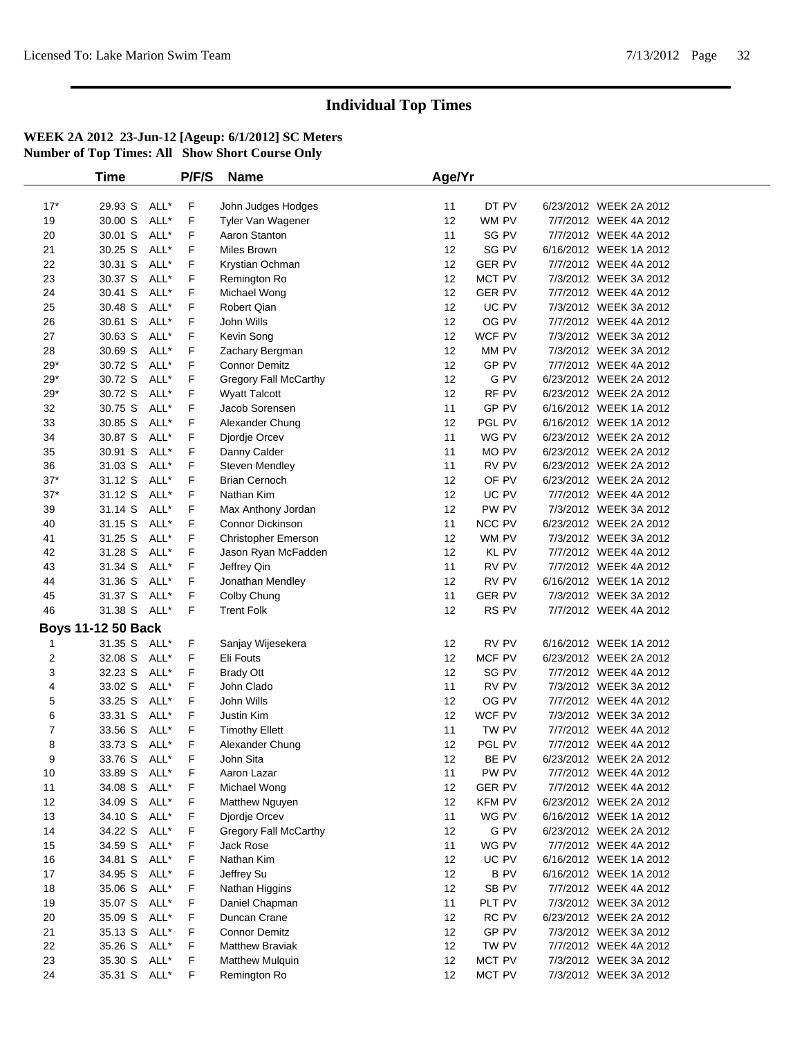|              | <b>Time</b>               |      | P/F/S | <b>Name</b>                  | Age/Yr |               |                        |  |
|--------------|---------------------------|------|-------|------------------------------|--------|---------------|------------------------|--|
| $17*$        | 29.93 S                   | ALL* | F     | John Judges Hodges           | 11     | DT PV         | 6/23/2012 WEEK 2A 2012 |  |
| 19           | 30.00 S                   | ALL* | F     | Tyler Van Wagener            | 12     | WM PV         | 7/7/2012 WEEK 4A 2012  |  |
| 20           | 30.01 S                   | ALL* | F     | Aaron Stanton                | 11     | SG PV         | 7/7/2012 WEEK 4A 2012  |  |
| 21           | 30.25 S                   | ALL* | F     | Miles Brown                  | 12     | SG PV         | 6/16/2012 WEEK 1A 2012 |  |
| 22           | 30.31 S                   | ALL* | F     | Krystian Ochman              | 12     | <b>GER PV</b> | 7/7/2012 WEEK 4A 2012  |  |
| 23           | 30.37 S                   | ALL* | F     |                              | 12     | MCT PV        | 7/3/2012 WEEK 3A 2012  |  |
| 24           | 30.41 S                   | ALL* | F     | Remington Ro<br>Michael Wong | 12     | <b>GER PV</b> | 7/7/2012 WEEK 4A 2012  |  |
| 25           | 30.48 S                   | ALL* | F     | Robert Qian                  | 12     | UC PV         | 7/3/2012 WEEK 3A 2012  |  |
| 26           | 30.61 S                   | ALL* | F     | John Wills                   | 12     | OG PV         | 7/7/2012 WEEK 4A 2012  |  |
| 27           | 30.63 S                   | ALL* | F     | Kevin Song                   | 12     | WCF PV        | 7/3/2012 WEEK 3A 2012  |  |
| 28           | 30.69 S                   | ALL* | F     | Zachary Bergman              | 12     | MM PV         | 7/3/2012 WEEK 3A 2012  |  |
| $29*$        | 30.72 S                   | ALL* | F     | <b>Connor Demitz</b>         | 12     | GP PV         | 7/7/2012 WEEK 4A 2012  |  |
| $29*$        | 30.72 S                   | ALL* | F     | Gregory Fall McCarthy        | 12     | G PV          | 6/23/2012 WEEK 2A 2012 |  |
| $29^{\star}$ | 30.72 S                   | ALL* | F     | <b>Wyatt Talcott</b>         | 12     | RF PV         | 6/23/2012 WEEK 2A 2012 |  |
| 32           | 30.75 S                   | ALL* | F     | Jacob Sorensen               | 11     | GP PV         | 6/16/2012 WEEK 1A 2012 |  |
| 33           | 30.85 S                   | ALL* | F     | Alexander Chung              | 12     | PGL PV        | 6/16/2012 WEEK 1A 2012 |  |
| 34           | 30.87 S                   | ALL* | F     | Djordje Orcev                | 11     | WG PV         | 6/23/2012 WEEK 2A 2012 |  |
| 35           | 30.91 S                   | ALL* | F     | Danny Calder                 | 11     | MO PV         | 6/23/2012 WEEK 2A 2012 |  |
| 36           | 31.03 S                   | ALL* | F     | Steven Mendley               | 11     | RV PV         | 6/23/2012 WEEK 2A 2012 |  |
| $37*$        | 31.12 S                   | ALL* | F     | <b>Brian Cernoch</b>         | 12     | OF PV         | 6/23/2012 WEEK 2A 2012 |  |
| $37*$        | 31.12 S                   | ALL* | F     | Nathan Kim                   | 12     | UC PV         | 7/7/2012 WEEK 4A 2012  |  |
| 39           | 31.14 S                   | ALL* | F     | Max Anthony Jordan           | 12     | PW PV         | 7/3/2012 WEEK 3A 2012  |  |
| 40           | 31.15 S                   | ALL* | F     | <b>Connor Dickinson</b>      | 11     | NCC PV        | 6/23/2012 WEEK 2A 2012 |  |
| 41           | 31.25 S                   | ALL* | F     | Christopher Emerson          | 12     | WM PV         | 7/3/2012 WEEK 3A 2012  |  |
| 42           | 31.28 S                   | ALL* | F     | Jason Ryan McFadden          | 12     | KL PV         | 7/7/2012 WEEK 4A 2012  |  |
| 43           | 31.34 S                   | ALL* | F     | Jeffrey Qin                  | 11     | RV PV         | 7/7/2012 WEEK 4A 2012  |  |
| 44           | 31.36 S                   | ALL* | F     | Jonathan Mendley             | 12     | RV PV         | 6/16/2012 WEEK 1A 2012 |  |
| 45           | 31.37 S                   | ALL* | F     | Colby Chung                  | 11     | <b>GER PV</b> | 7/3/2012 WEEK 3A 2012  |  |
| 46           | 31.38 S ALL*              |      | F     | <b>Trent Folk</b>            | 12     | RS PV         | 7/7/2012 WEEK 4A 2012  |  |
|              | <b>Boys 11-12 50 Back</b> |      |       |                              |        |               |                        |  |
| 1            | 31.35 S                   | ALL* | F     | Sanjay Wijesekera            | 12     | RV PV         | 6/16/2012 WEEK 1A 2012 |  |
| 2            | 32.08 S                   | ALL* | F     | Eli Fouts                    | 12     | MCF PV        | 6/23/2012 WEEK 2A 2012 |  |
| 3            | 32.23 S                   | ALL* | F     | <b>Brady Ott</b>             | 12     | SG PV         | 7/7/2012 WEEK 4A 2012  |  |
| 4            | 33.02 S                   | ALL* | F     | John Clado                   | 11     | RV PV         | 7/3/2012 WEEK 3A 2012  |  |
| 5            | 33.25 S                   | ALL* | F     | John Wills                   | 12     | OG PV         | 7/7/2012 WEEK 4A 2012  |  |
| 6            | 33.31 S                   | ALL* | F     | Justin Kim                   | 12     | WCF PV        | 7/3/2012 WEEK 3A 2012  |  |
| 7            | 33.56 S                   | ALL* | F     | <b>Timothy Ellett</b>        | 11     | TW PV         | 7/7/2012 WEEK 4A 2012  |  |
| 8            | 33.73 S                   | ALL* | F     | Alexander Chung              | 12     | PGL PV        | 7/7/2012 WEEK 4A 2012  |  |
| 9            | 33.76 S                   | ALL* | F     | John Sita                    | 12     | BE PV         | 6/23/2012 WEEK 2A 2012 |  |
| 10           | 33.89 S                   | ALL* | F     | Aaron Lazar                  | 11     | PW PV         | 7/7/2012 WEEK 4A 2012  |  |
| 11           | 34.08 S                   | ALL* | F     | Michael Wong                 | 12     | <b>GER PV</b> | 7/7/2012 WEEK 4A 2012  |  |
| 12           | 34.09 S                   | ALL* | F     | Matthew Nguyen               | 12     | <b>KFM PV</b> | 6/23/2012 WEEK 2A 2012 |  |
| 13           | 34.10 S                   | ALL* | F     | Djordje Orcev                | 11     | WG PV         | 6/16/2012 WEEK 1A 2012 |  |
| 14           | 34.22 S                   | ALL* | F     | Gregory Fall McCarthy        | 12     | G PV          | 6/23/2012 WEEK 2A 2012 |  |
| 15           | 34.59 S                   | ALL* | F     | Jack Rose                    | 11     | WG PV         | 7/7/2012 WEEK 4A 2012  |  |
| 16           | 34.81 S                   | ALL* | F     | Nathan Kim                   | 12     | UC PV         | 6/16/2012 WEEK 1A 2012 |  |
| 17           | 34.95 S                   | ALL* | F     | Jeffrey Su                   | 12     | <b>BPV</b>    | 6/16/2012 WEEK 1A 2012 |  |
| 18           | 35.06 S                   | ALL* | F     | Nathan Higgins               | 12     | SB PV         | 7/7/2012 WEEK 4A 2012  |  |
| 19           | 35.07 S                   | ALL* | F     | Daniel Chapman               | 11     | PLT PV        | 7/3/2012 WEEK 3A 2012  |  |
| 20           | 35.09 S                   | ALL* | F     | Duncan Crane                 | 12     | RC PV         | 6/23/2012 WEEK 2A 2012 |  |
| 21           | 35.13 S                   | ALL* | F     | <b>Connor Demitz</b>         | 12     | GP PV         | 7/3/2012 WEEK 3A 2012  |  |
| 22           | 35.26 S                   | ALL* | F     | <b>Matthew Braviak</b>       | 12     | TW PV         | 7/7/2012 WEEK 4A 2012  |  |
| 23           | 35.30 S                   | ALL* | F     | Matthew Mulquin              | 12     | MCT PV        | 7/3/2012 WEEK 3A 2012  |  |
| 24           | 35.31 S                   | ALL* | F     | Remington Ro                 | 12     | MCT PV        | 7/3/2012 WEEK 3A 2012  |  |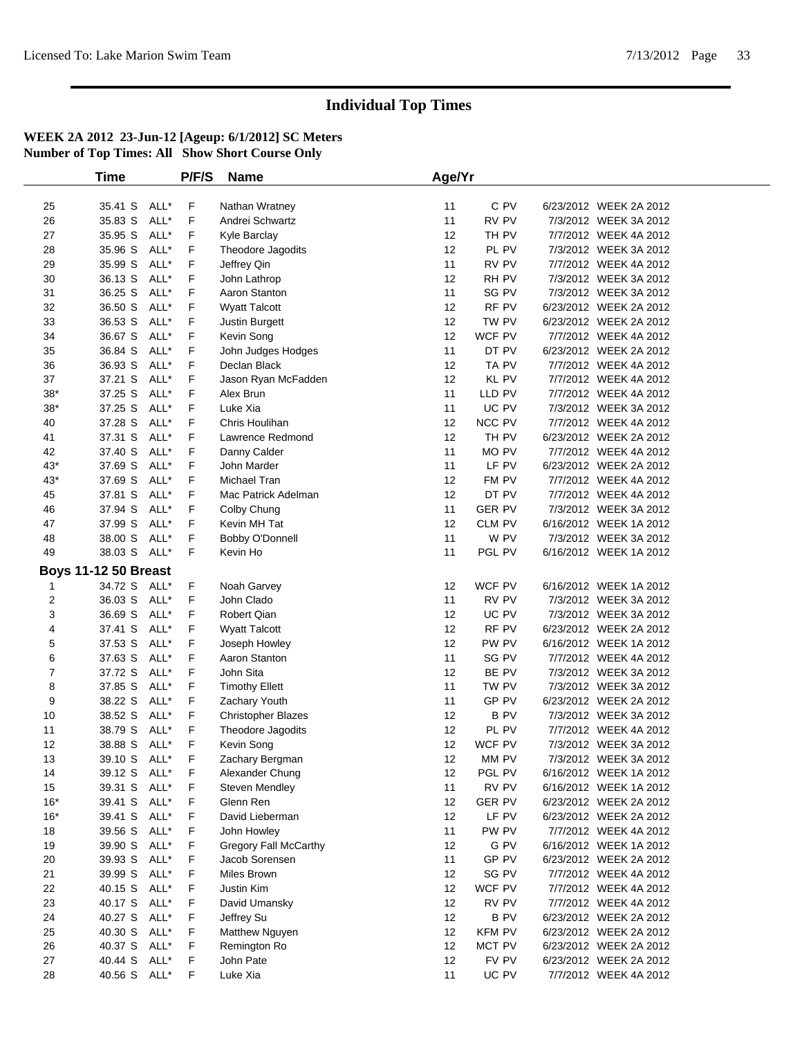|       | <b>Time</b>                 |      | P/F/S | <b>Name</b>               | Age/Yr            |               |                        |  |
|-------|-----------------------------|------|-------|---------------------------|-------------------|---------------|------------------------|--|
|       |                             |      |       |                           |                   |               |                        |  |
| 25    | 35.41 S ALL*                |      | F     | Nathan Wratney            | 11                | C PV          | 6/23/2012 WEEK 2A 2012 |  |
| 26    | 35.83 S                     | ALL* | F     | Andrei Schwartz           | 11                | RV PV         | 7/3/2012 WEEK 3A 2012  |  |
| 27    | 35.95 S                     | ALL* | F     | Kyle Barclay              | 12                | TH PV         | 7/7/2012 WEEK 4A 2012  |  |
| 28    | 35.96 S                     | ALL* | F     | Theodore Jagodits         | 12                | PL PV         | 7/3/2012 WEEK 3A 2012  |  |
| 29    | 35.99 S                     | ALL* | F     | Jeffrey Qin               | 11                | RV PV         | 7/7/2012 WEEK 4A 2012  |  |
| 30    | 36.13 S                     | ALL* | F     | John Lathrop              | 12                | RH PV         | 7/3/2012 WEEK 3A 2012  |  |
| 31    | 36.25 S                     | ALL* | F     | Aaron Stanton             | 11                | SG PV         | 7/3/2012 WEEK 3A 2012  |  |
| 32    | 36.50 S                     | ALL* | F     | <b>Wyatt Talcott</b>      | 12                | RF PV         | 6/23/2012 WEEK 2A 2012 |  |
| 33    | 36.53 S                     | ALL* | F     | Justin Burgett            | 12                | TW PV         | 6/23/2012 WEEK 2A 2012 |  |
| 34    | 36.67 S                     | ALL* | F     | Kevin Song                | 12                | WCF PV        | 7/7/2012 WEEK 4A 2012  |  |
| 35    | 36.84 S                     | ALL* | F     | John Judges Hodges        | 11                | DT PV         | 6/23/2012 WEEK 2A 2012 |  |
| 36    | 36.93 S                     | ALL* | F     | Declan Black              | 12                | TA PV         | 7/7/2012 WEEK 4A 2012  |  |
| 37    | 37.21 S                     | ALL* | F     | Jason Ryan McFadden       | 12                | KL PV         | 7/7/2012 WEEK 4A 2012  |  |
| $38*$ | 37.25 S                     | ALL* | F     | Alex Brun                 | 11                | LLD PV        | 7/7/2012 WEEK 4A 2012  |  |
| $38*$ | 37.25 S                     | ALL* | F     | Luke Xia                  | 11                | UC PV         | 7/3/2012 WEEK 3A 2012  |  |
| 40    | 37.28 S                     | ALL* | F     | Chris Houlihan            | 12                | NCC PV        | 7/7/2012 WEEK 4A 2012  |  |
| 41    | 37.31 S                     | ALL* | F     | Lawrence Redmond          | 12                | TH PV         | 6/23/2012 WEEK 2A 2012 |  |
| 42    | 37.40 S                     | ALL* | F     | Danny Calder              | 11                | MO PV         | 7/7/2012 WEEK 4A 2012  |  |
| $43*$ | 37.69 S                     | ALL* | F     | John Marder               | 11                | LF PV         | 6/23/2012 WEEK 2A 2012 |  |
| $43*$ | 37.69 S                     | ALL* | F     | Michael Tran              | 12                | FM PV         | 7/7/2012 WEEK 4A 2012  |  |
| 45    | 37.81 S                     | ALL* | F     | Mac Patrick Adelman       | 12                | DT PV         | 7/7/2012 WEEK 4A 2012  |  |
| 46    | 37.94 S                     | ALL* | F     | Colby Chung               | 11                | <b>GER PV</b> | 7/3/2012 WEEK 3A 2012  |  |
| 47    | 37.99 S                     | ALL* | F     | Kevin MH Tat              | 12                | CLM PV        | 6/16/2012 WEEK 1A 2012 |  |
| 48    | 38.00 S                     | ALL* | F     | Bobby O'Donnell           | 11                | W PV          | 7/3/2012 WEEK 3A 2012  |  |
| 49    | 38.03 S ALL*                |      | F     | Kevin Ho                  | 11                | PGL PV        | 6/16/2012 WEEK 1A 2012 |  |
|       | <b>Boys 11-12 50 Breast</b> |      |       |                           |                   |               |                        |  |
| 1     | 34.72 S ALL*                |      | F     | Noah Garvey               | 12                | WCF PV        | 6/16/2012 WEEK 1A 2012 |  |
| 2     | 36.03 S                     | ALL* | F     | John Clado                | 11                | RV PV         | 7/3/2012 WEEK 3A 2012  |  |
| 3     | 36.69 S                     | ALL* | F     | Robert Qian               | 12                | UC PV         | 7/3/2012 WEEK 3A 2012  |  |
| 4     | 37.41 S                     | ALL* | F     | <b>Wyatt Talcott</b>      | $12 \overline{ }$ | RF PV         | 6/23/2012 WEEK 2A 2012 |  |
| 5     | 37.53 S                     | ALL* | F     | Joseph Howley             | 12                | PW PV         | 6/16/2012 WEEK 1A 2012 |  |
| 6     | 37.63 S                     | ALL* | F     | Aaron Stanton             | 11                | SG PV         | 7/7/2012 WEEK 4A 2012  |  |
| 7     | 37.72 S                     | ALL* | F     | John Sita                 | 12                | BE PV         | 7/3/2012 WEEK 3A 2012  |  |
| 8     | 37.85 S                     | ALL* | F     | <b>Timothy Ellett</b>     | 11                | TW PV         | 7/3/2012 WEEK 3A 2012  |  |
| 9     | 38.22 S                     | ALL* | F     | Zachary Youth             | 11                | GP PV         | 6/23/2012 WEEK 2A 2012 |  |
| 10    | 38.52 S                     | ALL* | F     | <b>Christopher Blazes</b> | 12                | <b>BPV</b>    | 7/3/2012 WEEK 3A 2012  |  |
| 11    | 38.79 S                     | ALL* | F     | Theodore Jagodits         | 12                | PL PV         | 7/7/2012 WEEK 4A 2012  |  |
| 12    | 38.88 S ALL*                |      | F     | Kevin Song                | 12                | WCF PV        | 7/3/2012 WEEK 3A 2012  |  |
| 13    | 39.10 S ALL*                |      | F     | Zachary Bergman           | 12                | MM PV         | 7/3/2012 WEEK 3A 2012  |  |
| 14    | 39.12 S ALL*                |      | F     | Alexander Chung           | 12                | PGL PV        | 6/16/2012 WEEK 1A 2012 |  |
| 15    | 39.31 S ALL*                |      | F.    | <b>Steven Mendley</b>     | 11                | RV PV         | 6/16/2012 WEEK 1A 2012 |  |
| $16*$ | 39.41 S                     | ALL* | F     | Glenn Ren                 | 12                | <b>GER PV</b> | 6/23/2012 WEEK 2A 2012 |  |
| $16*$ | 39.41 S                     | ALL* | F     | David Lieberman           | 12                | LF PV         | 6/23/2012 WEEK 2A 2012 |  |
| 18    | 39.56 S                     | ALL* | F     | John Howley               | 11                | PW PV         | 7/7/2012 WEEK 4A 2012  |  |
| 19    | 39.90 S                     | ALL* | F     | Gregory Fall McCarthy     | 12                | G PV          | 6/16/2012 WEEK 1A 2012 |  |
| 20    | 39.93 S                     | ALL* | F     | Jacob Sorensen            | 11                | GP PV         | 6/23/2012 WEEK 2A 2012 |  |
| 21    | 39.99 S                     | ALL* | F     | Miles Brown               | 12                | SG PV         | 7/7/2012 WEEK 4A 2012  |  |
| 22    | 40.15 S                     | ALL* | F     | Justin Kim                | 12                | WCF PV        | 7/7/2012 WEEK 4A 2012  |  |
| 23    | 40.17 S ALL*                |      | F     | David Umansky             | 12                | RV PV         | 7/7/2012 WEEK 4A 2012  |  |
| 24    | 40.27 S ALL*                |      | F     | Jeffrey Su                | 12                | <b>BPV</b>    | 6/23/2012 WEEK 2A 2012 |  |
| 25    | 40.30 S                     | ALL* | F     | Matthew Nguyen            | 12                | <b>KFM PV</b> | 6/23/2012 WEEK 2A 2012 |  |
| 26    | 40.37 S ALL*                |      | F     | Remington Ro              | 12                | MCT PV        | 6/23/2012 WEEK 2A 2012 |  |
| 27    | 40.44 S                     | ALL* | F     | John Pate                 | 12                | FV PV         | 6/23/2012 WEEK 2A 2012 |  |
| 28    | 40.56 S ALL*                |      | F     | Luke Xia                  | 11                | UC PV         | 7/7/2012 WEEK 4A 2012  |  |
|       |                             |      |       |                           |                   |               |                        |  |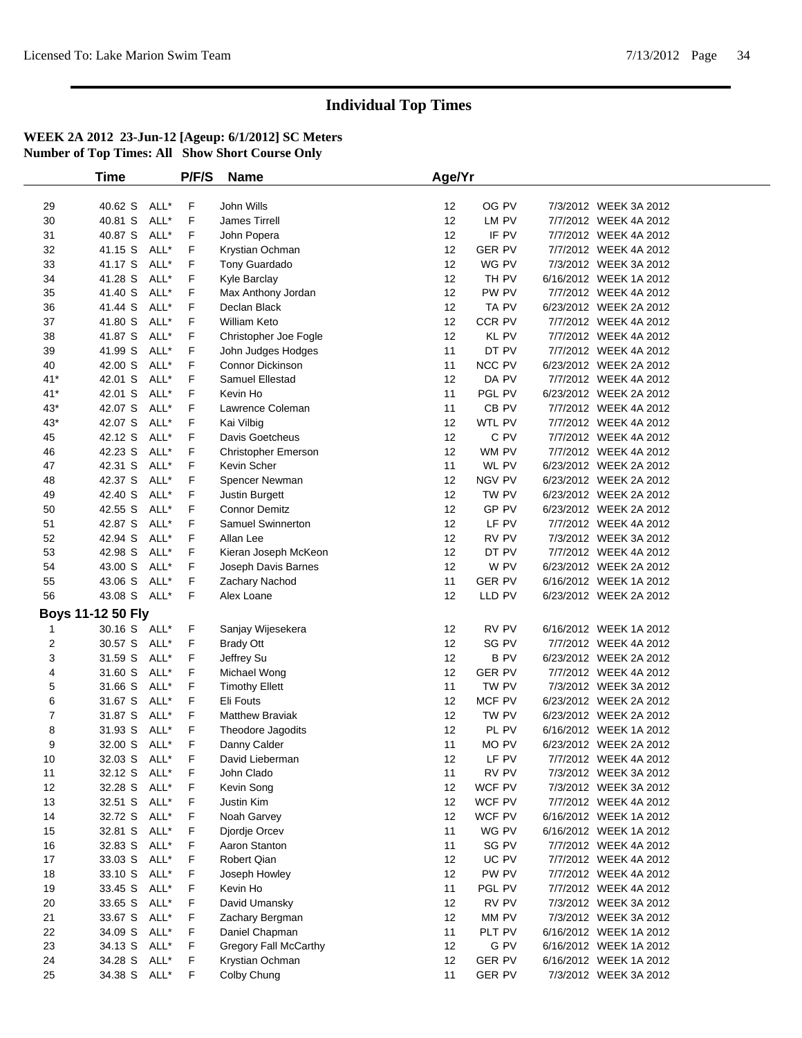|          | Time                         |      | P/F/S  | <b>Name</b>                      | Age/Yr          |                 |                                                |  |
|----------|------------------------------|------|--------|----------------------------------|-----------------|-----------------|------------------------------------------------|--|
|          |                              |      |        |                                  |                 |                 |                                                |  |
| 29       | 40.62 S ALL*                 |      | F      | John Wills                       | 12              | OG PV           | 7/3/2012 WEEK 3A 2012                          |  |
| 30       | 40.81 S                      | ALL* | F      | James Tirrell                    | 12              | LM PV           | 7/7/2012 WEEK 4A 2012                          |  |
| 31       | 40.87 S                      | ALL* | F      | John Popera                      | 12              | IF PV           | 7/7/2012 WEEK 4A 2012                          |  |
| 32       | 41.15 S                      | ALL* | F      | Krystian Ochman                  | 12              | <b>GER PV</b>   | 7/7/2012 WEEK 4A 2012                          |  |
| 33       | 41.17 S                      | ALL* | F      | Tony Guardado                    | 12              | WG PV           | 7/3/2012 WEEK 3A 2012                          |  |
| 34       | 41.28 S                      | ALL* | F      | Kyle Barclay                     | 12              | TH PV           | 6/16/2012 WEEK 1A 2012                         |  |
| 35       | 41.40 S                      | ALL* | F      | Max Anthony Jordan               | 12              | PW PV           | 7/7/2012 WEEK 4A 2012                          |  |
| 36       | 41.44 S                      | ALL* | F      | Declan Black                     | 12              | TA PV           | 6/23/2012 WEEK 2A 2012                         |  |
| 37       | 41.80 S                      | ALL* | F      | <b>William Keto</b>              | 12              | CCR PV          | 7/7/2012 WEEK 4A 2012                          |  |
| 38       | 41.87 S ALL*                 |      | F      | Christopher Joe Fogle            | 12              | KL PV           | 7/7/2012 WEEK 4A 2012                          |  |
| 39       | 41.99 S                      | ALL* | F      | John Judges Hodges               | 11              | DT PV           | 7/7/2012 WEEK 4A 2012                          |  |
| 40       | 42.00 S                      | ALL* | F      | <b>Connor Dickinson</b>          | 11              | NCC PV          | 6/23/2012 WEEK 2A 2012                         |  |
| $41*$    | 42.01 S ALL*                 |      | F      | Samuel Ellestad                  | 12              | DA PV           | 7/7/2012 WEEK 4A 2012                          |  |
| $41*$    | 42.01 S ALL*                 |      | F      | Kevin Ho                         | 11              | PGL PV          | 6/23/2012 WEEK 2A 2012                         |  |
| 43*      | 42.07 S                      | ALL* | F      | Lawrence Coleman                 | 11              | CB PV           | 7/7/2012 WEEK 4A 2012                          |  |
| $43*$    | 42.07 S ALL*                 |      | F      | Kai Vilbig                       | 12              | WTL PV          | 7/7/2012 WEEK 4A 2012                          |  |
| 45       | 42.12 S                      | ALL* | F      | Davis Goetcheus                  | 12              | C PV            | 7/7/2012 WEEK 4A 2012                          |  |
| 46       | 42.23 S                      | ALL* | F      | Christopher Emerson              | 12              | WM PV           | 7/7/2012 WEEK 4A 2012                          |  |
| 47       | 42.31 S ALL*                 |      | F      | Kevin Scher                      | 11              | WL PV           | 6/23/2012 WEEK 2A 2012                         |  |
| 48       | 42.37 S                      | ALL* | F      | Spencer Newman                   | 12              | NGV PV          | 6/23/2012 WEEK 2A 2012                         |  |
| 49       | 42.40 S                      | ALL* | F      | Justin Burgett                   | 12              | TW PV           | 6/23/2012 WEEK 2A 2012                         |  |
| 50       | 42.55 S ALL*                 |      | F      | <b>Connor Demitz</b>             | 12              | GP PV           | 6/23/2012 WEEK 2A 2012                         |  |
| 51       | 42.87 S                      | ALL* | F.     | Samuel Swinnerton                | 12              | LF PV           | 7/7/2012 WEEK 4A 2012                          |  |
| 52       | 42.94 S                      | ALL* | F      | Allan Lee                        | 12              | RV PV           | 7/3/2012 WEEK 3A 2012                          |  |
| 53       | 42.98 S ALL*                 |      | F      | Kieran Joseph McKeon             | 12              | DT PV           | 7/7/2012 WEEK 4A 2012                          |  |
| 54       | 43.00 S                      | ALL* | F      | Joseph Davis Barnes              | 12              | W PV            | 6/23/2012 WEEK 2A 2012                         |  |
| 55       | 43.06 S                      | ALL* | F      | Zachary Nachod                   | 11              | GER PV          | 6/16/2012 WEEK 1A 2012                         |  |
| 56       | 43.08 S ALL*                 |      | F.     | Alex Loane                       | 12              | LLD PV          | 6/23/2012 WEEK 2A 2012                         |  |
|          | <b>Boys 11-12 50 Fly</b>     |      |        |                                  |                 |                 |                                                |  |
| 1        | 30.16 S ALL*                 |      | F.     | Sanjay Wijesekera                | 12              | RV PV           | 6/16/2012 WEEK 1A 2012                         |  |
| 2        | 30.57 S ALL*                 |      | F.     | <b>Brady Ott</b>                 | 12              | SG PV           | 7/7/2012 WEEK 4A 2012                          |  |
| 3        | 31.59 S ALL*                 |      | F      | Jeffrey Su                       | 12              | <b>BPV</b>      | 6/23/2012 WEEK 2A 2012                         |  |
| 4        | 31.60 S                      | ALL* | F      | Michael Wong                     | 12              | <b>GER PV</b>   | 7/7/2012 WEEK 4A 2012                          |  |
| 5        | 31.66 S ALL*                 |      | F      | <b>Timothy Ellett</b>            | 11              | TW PV           | 7/3/2012 WEEK 3A 2012                          |  |
| 6        | 31.67 S ALL*                 |      | F      | Eli Fouts                        | 12              | MCF PV          | 6/23/2012 WEEK 2A 2012                         |  |
| 7        | 31.87 S                      | ALL* | F      | <b>Matthew Braviak</b>           | 12              | TW PV           | 6/23/2012 WEEK 2A 2012                         |  |
| 8        | 31.93 S                      | ALL* | F      | Theodore Jagodits                | 12              | PL PV           | 6/16/2012 WEEK 1A 2012                         |  |
| 9        | 32.00 S ALL*                 |      | F      | Danny Calder                     | 11              | MO PV           | 6/23/2012 WEEK 2A 2012                         |  |
| 10       | 32.03 S ALL*                 |      | F.     | David Lieberman                  | 12 <sub>2</sub> | LF PV           | 7/7/2012 WEEK 4A 2012                          |  |
| 11       | 32.12 S ALL*                 |      | F      | John Clado                       | 11              | RV PV           | 7/3/2012 WEEK 3A 2012                          |  |
| 12       | 32.28 S ALL*                 |      | F.     | Kevin Song                       | 12              | WCF PV          | 7/3/2012 WEEK 3A 2012                          |  |
| 13       | 32.51 S ALL*                 |      | F      | Justin Kim                       | 12              | WCF PV          | 7/7/2012 WEEK 4A 2012                          |  |
| 14       | 32.72 S ALL*                 |      | F      | Noah Garvey                      | 12              | WCF PV          | 6/16/2012 WEEK 1A 2012                         |  |
| 15       | 32.81 S ALL*                 |      | F      | Djordje Orcev                    | 11              | WG PV           | 6/16/2012 WEEK 1A 2012                         |  |
| 16       | 32.83 S ALL*                 |      | F      | Aaron Stanton                    | 11              | SG PV           | 7/7/2012 WEEK 4A 2012                          |  |
| 17       | 33.03 S ALL*                 |      | F      | Robert Qian                      | 12              | UC PV           | 7/7/2012 WEEK 4A 2012                          |  |
| 18       | 33.10 S ALL*                 |      | F.     | Joseph Howley                    | 12              | PW PV           | 7/7/2012 WEEK 4A 2012                          |  |
|          |                              |      |        |                                  |                 |                 |                                                |  |
| 19       | 33.45 S ALL*<br>33.65 S ALL* |      | F<br>F | Kevin Ho                         | 11<br>12        | PGL PV<br>RV PV | 7/7/2012 WEEK 4A 2012<br>7/3/2012 WEEK 3A 2012 |  |
| 20<br>21 | 33.67 S ALL*                 |      | F      | David Umansky<br>Zachary Bergman | 12              | MM PV           | 7/3/2012 WEEK 3A 2012                          |  |
| 22       |                              |      | F      |                                  | 11              | PLT PV          | 6/16/2012 WEEK 1A 2012                         |  |
| 23       | 34.09 S ALL*                 |      | F      | Daniel Chapman                   | 12              | G PV            | 6/16/2012 WEEK 1A 2012                         |  |
|          | 34.13 S ALL*<br>34.28 S ALL* |      | F      | Gregory Fall McCarthy            | 12              | <b>GER PV</b>   | 6/16/2012 WEEK 1A 2012                         |  |
| 24       |                              |      |        | Krystian Ochman                  |                 |                 |                                                |  |
| 25       | 34.38 S ALL*                 |      | F.     | Colby Chung                      | 11              | <b>GER PV</b>   | 7/3/2012 WEEK 3A 2012                          |  |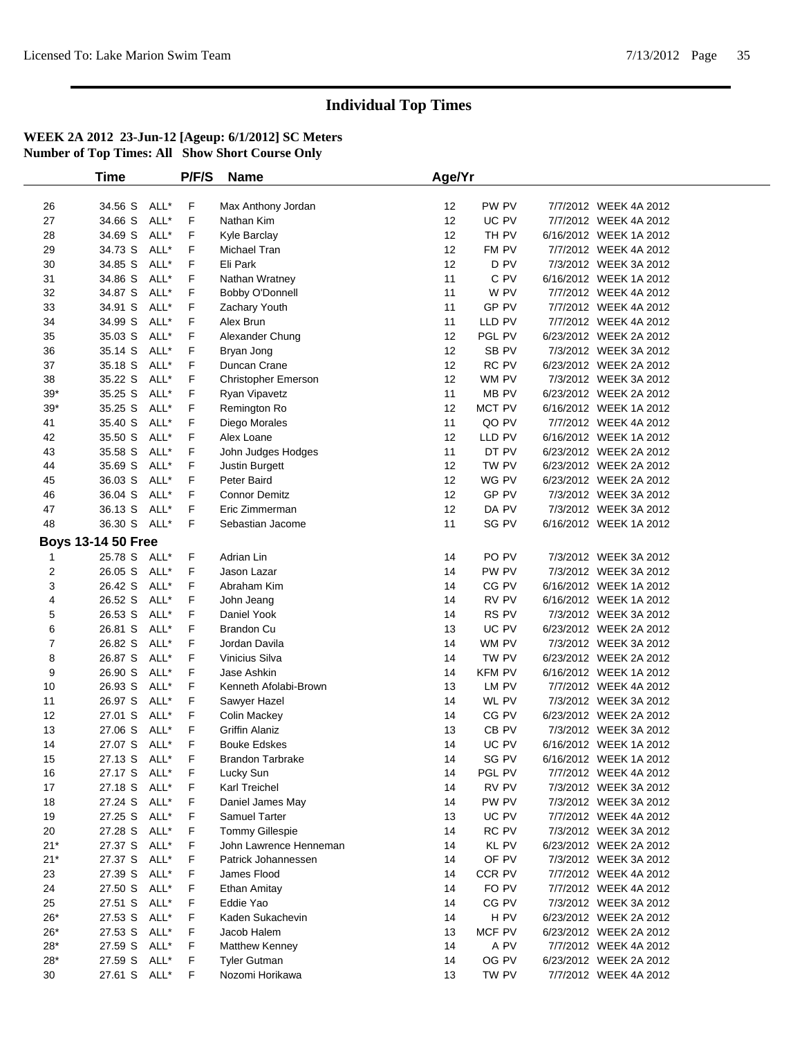|                | <b>Time</b>               |      | P/F/S | <b>Name</b>                | Age/Yr            |        |                        |
|----------------|---------------------------|------|-------|----------------------------|-------------------|--------|------------------------|
|                |                           |      |       |                            |                   |        |                        |
| 26             | 34.56 S                   | ALL* | F     | Max Anthony Jordan         | $12 \overline{ }$ | PW PV  | 7/7/2012 WEEK 4A 2012  |
| 27             | 34.66 S                   | ALL* | F     | Nathan Kim                 | 12                | UC PV  | 7/7/2012 WEEK 4A 2012  |
| 28             | 34.69 S                   | ALL* | F     | Kyle Barclay               | 12                | TH PV  | 6/16/2012 WEEK 1A 2012 |
| 29             | 34.73 S                   | ALL* | F     | Michael Tran               | 12                | FM PV  | 7/7/2012 WEEK 4A 2012  |
| 30             | 34.85 S                   | ALL* | F     | Eli Park                   | 12                | D PV   | 7/3/2012 WEEK 3A 2012  |
| 31             | 34.86 S                   | ALL* | F     | Nathan Wratney             | 11                | C PV   | 6/16/2012 WEEK 1A 2012 |
| 32             | 34.87 S                   | ALL* | F     | Bobby O'Donnell            | 11                | W PV   | 7/7/2012 WEEK 4A 2012  |
| 33             | 34.91 S                   | ALL* | F     | Zachary Youth              | 11                | GP PV  | 7/7/2012 WEEK 4A 2012  |
| 34             | 34.99 S                   | ALL* | F     | Alex Brun                  | 11                | LLD PV | 7/7/2012 WEEK 4A 2012  |
| 35             | 35.03 S                   | ALL* | F     | Alexander Chung            | 12                | PGL PV | 6/23/2012 WEEK 2A 2012 |
| 36             | 35.14 S                   | ALL* | F     | Bryan Jong                 | 12                | SB PV  | 7/3/2012 WEEK 3A 2012  |
| 37             | 35.18 S                   | ALL* | F     | Duncan Crane               | 12                | RC PV  | 6/23/2012 WEEK 2A 2012 |
| 38             | 35.22 S                   | ALL* | F     | <b>Christopher Emerson</b> | 12                | WM PV  | 7/3/2012 WEEK 3A 2012  |
| $39*$          | 35.25 S                   | ALL* | F     | Ryan Vipavetz              | 11                | MB PV  | 6/23/2012 WEEK 2A 2012 |
| $39*$          | 35.25 S                   | ALL* | F     | Remington Ro               | 12                | MCT PV | 6/16/2012 WEEK 1A 2012 |
| 41             | 35.40 S                   | ALL* | F     | Diego Morales              | 11                | QO PV  | 7/7/2012 WEEK 4A 2012  |
| 42             | 35.50 S                   | ALL* | F     | Alex Loane                 | 12                | LLD PV | 6/16/2012 WEEK 1A 2012 |
| 43             | 35.58 S                   | ALL* | F     | John Judges Hodges         | 11                | DT PV  | 6/23/2012 WEEK 2A 2012 |
| 44             | 35.69 S                   | ALL* | F     | Justin Burgett             | $12 \overline{ }$ | TW PV  | 6/23/2012 WEEK 2A 2012 |
| 45             | 36.03 S                   | ALL* | F     | Peter Baird                | 12                | WG PV  | 6/23/2012 WEEK 2A 2012 |
| 46             | 36.04 S                   | ALL* | F     | <b>Connor Demitz</b>       | 12                | GP PV  | 7/3/2012 WEEK 3A 2012  |
| 47             | 36.13 S                   | ALL* | F     | Eric Zimmerman             | 12                | DA PV  | 7/3/2012 WEEK 3A 2012  |
| 48             | 36.30 S                   | ALL* | F.    | Sebastian Jacome           | 11                | SG PV  | 6/16/2012 WEEK 1A 2012 |
|                |                           |      |       |                            |                   |        |                        |
|                | <b>Boys 13-14 50 Free</b> |      |       |                            |                   |        |                        |
| -1             | 25.78 S ALL*              |      | F     | Adrian Lin                 | 14                | PO PV  | 7/3/2012 WEEK 3A 2012  |
| 2              | 26.05 S                   | ALL* | F     | Jason Lazar                | 14                | PW PV  | 7/3/2012 WEEK 3A 2012  |
| 3              | 26.42 S                   | ALL* | F     | Abraham Kim                | 14                | CG PV  | 6/16/2012 WEEK 1A 2012 |
| 4              | 26.52 S                   | ALL* | F     | John Jeang                 | 14                | RV PV  | 6/16/2012 WEEK 1A 2012 |
| 5              | 26.53 S                   | ALL* | F     | Daniel Yook                | 14                | RS PV  | 7/3/2012 WEEK 3A 2012  |
| 6              | 26.81 S                   | ALL* | F     | <b>Brandon Cu</b>          | 13                | UC PV  | 6/23/2012 WEEK 2A 2012 |
| $\overline{7}$ | 26.82 S                   | ALL* | F     | Jordan Davila              | 14                | WM PV  | 7/3/2012 WEEK 3A 2012  |
| 8              | 26.87 S                   | ALL* | F     | Vinicius Silva             | 14                | TW PV  | 6/23/2012 WEEK 2A 2012 |
| 9              | 26.90 S                   | ALL* | F     | Jase Ashkin                | 14                | KFM PV | 6/16/2012 WEEK 1A 2012 |
| 10             | 26.93 S                   | ALL* | F     | Kenneth Afolabi-Brown      | 13                | LM PV  | 7/7/2012 WEEK 4A 2012  |
| 11             | 26.97 S                   | ALL* | F     | Sawyer Hazel               | 14                | WL PV  | 7/3/2012 WEEK 3A 2012  |
| 12             | 27.01 S                   | ALL* | F     | <b>Colin Mackey</b>        | 14                | CG PV  | 6/23/2012 WEEK 2A 2012 |
| 13             | 27.06 S                   | ALL* | F     | Griffin Alaniz             | 13                | CB PV  | 7/3/2012 WEEK 3A 2012  |
| 14             | 27.07 S ALL*              |      | F     | <b>Bouke Edskes</b>        | 14                | UC PV  | 6/16/2012 WEEK 1A 2012 |
| 15             | 27.13 S ALL*              |      | F     | <b>Brandon Tarbrake</b>    | 14                | SG PV  | 6/16/2012 WEEK 1A 2012 |
| 16             | 27.17 S ALL*              |      | F     | Lucky Sun                  | 14                | PGL PV | 7/7/2012 WEEK 4A 2012  |
| 17             | 27.18 S ALL*              |      | F     | Karl Treichel              | 14                | RV PV  | 7/3/2012 WEEK 3A 2012  |
| 18             | 27.24 S                   | ALL* | F     | Daniel James May           | 14                | PW PV  | 7/3/2012 WEEK 3A 2012  |
| 19             | 27.25 S                   | ALL* | F     | Samuel Tarter              | 13                | UC PV  | 7/7/2012 WEEK 4A 2012  |
| 20             | 27.28 S                   | ALL* | F     | <b>Tommy Gillespie</b>     | 14                | RC PV  | 7/3/2012 WEEK 3A 2012  |
| $21*$          | 27.37 S                   | ALL* | F     | John Lawrence Henneman     | 14                | KL PV  | 6/23/2012 WEEK 2A 2012 |
| $21*$          | 27.37 S ALL*              |      | F     | Patrick Johannessen        | 14                | OF PV  | 7/3/2012 WEEK 3A 2012  |
| 23             | 27.39 S                   | ALL* | F     | James Flood                | 14                | CCR PV | 7/7/2012 WEEK 4A 2012  |
| 24             | 27.50 S                   | ALL* | F     | Ethan Amitay               | 14                | FO PV  | 7/7/2012 WEEK 4A 2012  |
| 25             | 27.51 S                   | ALL* | F     | Eddie Yao                  | 14                | CG PV  | 7/3/2012 WEEK 3A 2012  |
| $26*$          | 27.53 S                   | ALL* | F     | Kaden Sukachevin           | 14                | H PV   | 6/23/2012 WEEK 2A 2012 |
| $26*$          | 27.53 S                   | ALL* | F     | Jacob Halem                | 13                | MCF PV | 6/23/2012 WEEK 2A 2012 |
| $28*$          | 27.59 S ALL*              |      | F     | Matthew Kenney             | 14                | A PV   | 7/7/2012 WEEK 4A 2012  |
| $28*$          | 27.59 S                   | ALL* | F     | <b>Tyler Gutman</b>        | 14                | OG PV  | 6/23/2012 WEEK 2A 2012 |
| 30             | 27.61 S ALL*              |      | F     | Nozomi Horikawa            | 13                | TW PV  | 7/7/2012 WEEK 4A 2012  |
|                |                           |      |       |                            |                   |        |                        |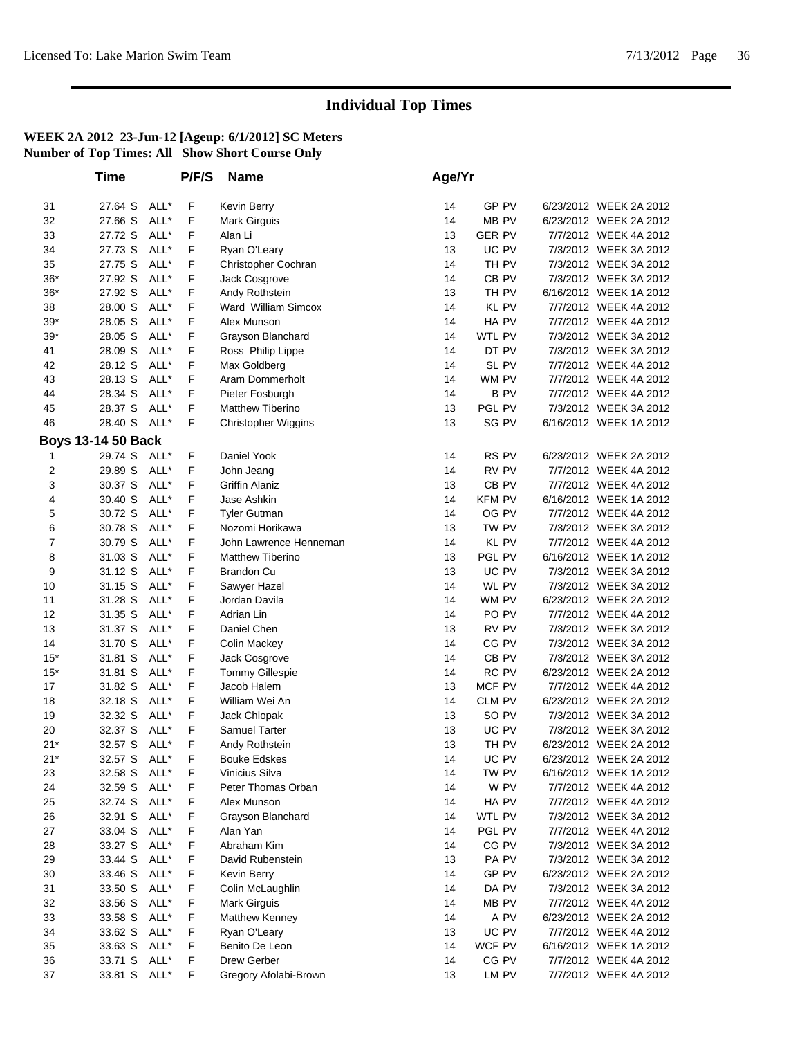|       | <b>Time</b>               |      | P/F/S | <b>Name</b>                           | Age/Yr |                  |                        |  |
|-------|---------------------------|------|-------|---------------------------------------|--------|------------------|------------------------|--|
| 31    | 27.64 S                   | ALL* | F     | Kevin Berry                           | 14     | GP PV            | 6/23/2012 WEEK 2A 2012 |  |
| 32    | 27.66 S                   | ALL* | F     | <b>Mark Girguis</b>                   | 14     | MB PV            | 6/23/2012 WEEK 2A 2012 |  |
| 33    | 27.72 S                   | ALL* | F     | Alan Li                               | 13     | <b>GER PV</b>    | 7/7/2012 WEEK 4A 2012  |  |
| 34    | 27.73 S                   | ALL* | F     | Ryan O'Leary                          | 13     | UC PV            | 7/3/2012 WEEK 3A 2012  |  |
| 35    | 27.75 S                   | ALL* | F     |                                       | 14     | TH PV            | 7/3/2012 WEEK 3A 2012  |  |
|       |                           | ALL* | F     | Christopher Cochran                   |        | CB <sub>PV</sub> |                        |  |
| $36*$ | 27.92 S                   | ALL* |       | Jack Cosgrove                         | 14     | TH PV            | 7/3/2012 WEEK 3A 2012  |  |
| $36*$ | 27.92 S                   |      | F     | Andy Rothstein<br>Ward William Simcox | 13     |                  | 6/16/2012 WEEK 1A 2012 |  |
| 38    | 28.00 S                   | ALL* | F     |                                       | 14     | KL PV            | 7/7/2012 WEEK 4A 2012  |  |
| $39*$ | 28.05 S                   | ALL* | F     | Alex Munson                           | 14     | HA PV            | 7/7/2012 WEEK 4A 2012  |  |
| $39*$ | 28.05 S                   | ALL* | F     | Grayson Blanchard                     | 14     | WTL PV           | 7/3/2012 WEEK 3A 2012  |  |
| 41    | 28.09 S                   | ALL* | F     | Ross Philip Lippe                     | 14     | DT PV            | 7/3/2012 WEEK 3A 2012  |  |
| 42    | 28.12 S                   | ALL* | F     | Max Goldberg                          | 14     | SL PV            | 7/7/2012 WEEK 4A 2012  |  |
| 43    | 28.13 S                   | ALL* | F     | Aram Dommerholt                       | 14     | WM PV            | 7/7/2012 WEEK 4A 2012  |  |
| 44    | 28.34 S                   | ALL* | F     | Pieter Fosburgh                       | 14     | B PV             | 7/7/2012 WEEK 4A 2012  |  |
| 45    | 28.37 S                   | ALL* | F     | Matthew Tiberino                      | 13     | PGL PV           | 7/3/2012 WEEK 3A 2012  |  |
| 46    | 28.40 S ALL*              |      | F     | <b>Christopher Wiggins</b>            | 13     | SG PV            | 6/16/2012 WEEK 1A 2012 |  |
|       | <b>Boys 13-14 50 Back</b> |      |       |                                       |        |                  |                        |  |
| -1    | 29.74 S ALL*              |      | F     | Daniel Yook                           | 14     | RS PV            | 6/23/2012 WEEK 2A 2012 |  |
| 2     | 29.89 S                   | ALL* | F     | John Jeang                            | 14     | RV PV            | 7/7/2012 WEEK 4A 2012  |  |
| 3     | 30.37 S                   | ALL* | F     | Griffin Alaniz                        | 13     | CB PV            | 7/7/2012 WEEK 4A 2012  |  |
| 4     | 30.40 S                   | ALL* | F     | Jase Ashkin                           | 14     | <b>KFM PV</b>    | 6/16/2012 WEEK 1A 2012 |  |
| 5     | 30.72 S                   | ALL* | F     | <b>Tyler Gutman</b>                   | 14     | OG PV            | 7/7/2012 WEEK 4A 2012  |  |
| 6     | 30.78 S                   | ALL* | F     | Nozomi Horikawa                       | 13     | TW PV            | 7/3/2012 WEEK 3A 2012  |  |
| 7     | 30.79 S                   | ALL* | F     | John Lawrence Henneman                | 14     | <b>KL PV</b>     | 7/7/2012 WEEK 4A 2012  |  |
| 8     | 31.03 S                   | ALL* | F     | <b>Matthew Tiberino</b>               | 13     | PGL PV           | 6/16/2012 WEEK 1A 2012 |  |
| 9     | 31.12 S                   | ALL* | F     | <b>Brandon Cu</b>                     | 13     | UC PV            | 7/3/2012 WEEK 3A 2012  |  |
| 10    | 31.15 S                   | ALL* | F     | Sawyer Hazel                          | 14     | WL PV            | 7/3/2012 WEEK 3A 2012  |  |
| 11    | 31.28 S                   | ALL* | F     | Jordan Davila                         | 14     | WM PV            | 6/23/2012 WEEK 2A 2012 |  |
| 12    | 31.35 S                   | ALL* | F     | Adrian Lin                            | 14     | PO PV            | 7/7/2012 WEEK 4A 2012  |  |
| 13    | 31.37 S                   | ALL* | F     | Daniel Chen                           | 13     | RV PV            | 7/3/2012 WEEK 3A 2012  |  |
| 14    | 31.70 S                   | ALL* | F     | Colin Mackey                          | 14     | CG PV            | 7/3/2012 WEEK 3A 2012  |  |
| $15*$ | 31.81 S                   | ALL* | F     | Jack Cosgrove                         | 14     | CB PV            | 7/3/2012 WEEK 3A 2012  |  |
| $15*$ | 31.81 S                   | ALL* | F     | Tommy Gillespie                       | 14     | RC PV            | 6/23/2012 WEEK 2A 2012 |  |
| 17    | 31.82 S                   | ALL* | F     | Jacob Halem                           | 13     | MCF PV           | 7/7/2012 WEEK 4A 2012  |  |
| 18    | 32.18 S                   | ALL* | F     | William Wei An                        | 14     | CLM PV           | 6/23/2012 WEEK 2A 2012 |  |
| 19    | 32.32 S                   | ALL* | F     | Jack Chlopak                          | 13     | SO PV            | 7/3/2012 WEEK 3A 2012  |  |
| 20    | 32.37 S                   | ALL* | F     | Samuel Tarter                         | 13     | UC PV            | 7/3/2012 WEEK 3A 2012  |  |
| $21*$ | 32.57 S                   | ALL* | F     | Andy Rothstein                        | 13     | TH PV            | 6/23/2012 WEEK 2A 2012 |  |
| $21*$ | 32.57 S ALL*              |      | F     | <b>Bouke Edskes</b>                   | 14     | UC PV            | 6/23/2012 WEEK 2A 2012 |  |
| 23    | 32.58 S                   | ALL* | F     | Vinicius Silva                        | 14     | TW PV            | 6/16/2012 WEEK 1A 2012 |  |
| 24    | 32.59 S                   | ALL* | F     | Peter Thomas Orban                    | 14     | W PV             | 7/7/2012 WEEK 4A 2012  |  |
| 25    | 32.74 S ALL*              |      | F     | Alex Munson                           | 14     | HA PV            | 7/7/2012 WEEK 4A 2012  |  |
| 26    | 32.91 S                   | ALL* | F     | Grayson Blanchard                     | 14     | WTL PV           | 7/3/2012 WEEK 3A 2012  |  |
| 27    | 33.04 S ALL*              |      | F     | Alan Yan                              | 14     | PGL PV           | 7/7/2012 WEEK 4A 2012  |  |
| 28    | 33.27 S ALL*              |      | F     | Abraham Kim                           | 14     | CG PV            | 7/3/2012 WEEK 3A 2012  |  |
| 29    | 33.44 S                   | ALL* | F     | David Rubenstein                      | 13     | PA PV            | 7/3/2012 WEEK 3A 2012  |  |
| 30    | 33.46 S                   | ALL* | F     | Kevin Berry                           | 14     | GP PV            | 6/23/2012 WEEK 2A 2012 |  |
| 31    | 33.50 S ALL*              |      | F     | Colin McLaughlin                      | 14     | DA PV            | 7/3/2012 WEEK 3A 2012  |  |
| 32    | 33.56 S                   | ALL* | F     | <b>Mark Girguis</b>                   | 14     | MB PV            | 7/7/2012 WEEK 4A 2012  |  |
| 33    | 33.58 S                   | ALL* | F     | Matthew Kenney                        | 14     | A PV             | 6/23/2012 WEEK 2A 2012 |  |
| 34    | 33.62 S ALL*              |      | F.    | Ryan O'Leary                          | 13     | UC PV            | 7/7/2012 WEEK 4A 2012  |  |
| 35    | 33.63 S ALL*              |      | F     | Benito De Leon                        | 14     | WCF PV           | 6/16/2012 WEEK 1A 2012 |  |
| 36    | 33.71 S ALL*              |      | F     | Drew Gerber                           | 14     | CG PV            | 7/7/2012 WEEK 4A 2012  |  |
| 37    | 33.81 S ALL*              |      | F.    | Gregory Afolabi-Brown                 | 13     | LM PV            | 7/7/2012 WEEK 4A 2012  |  |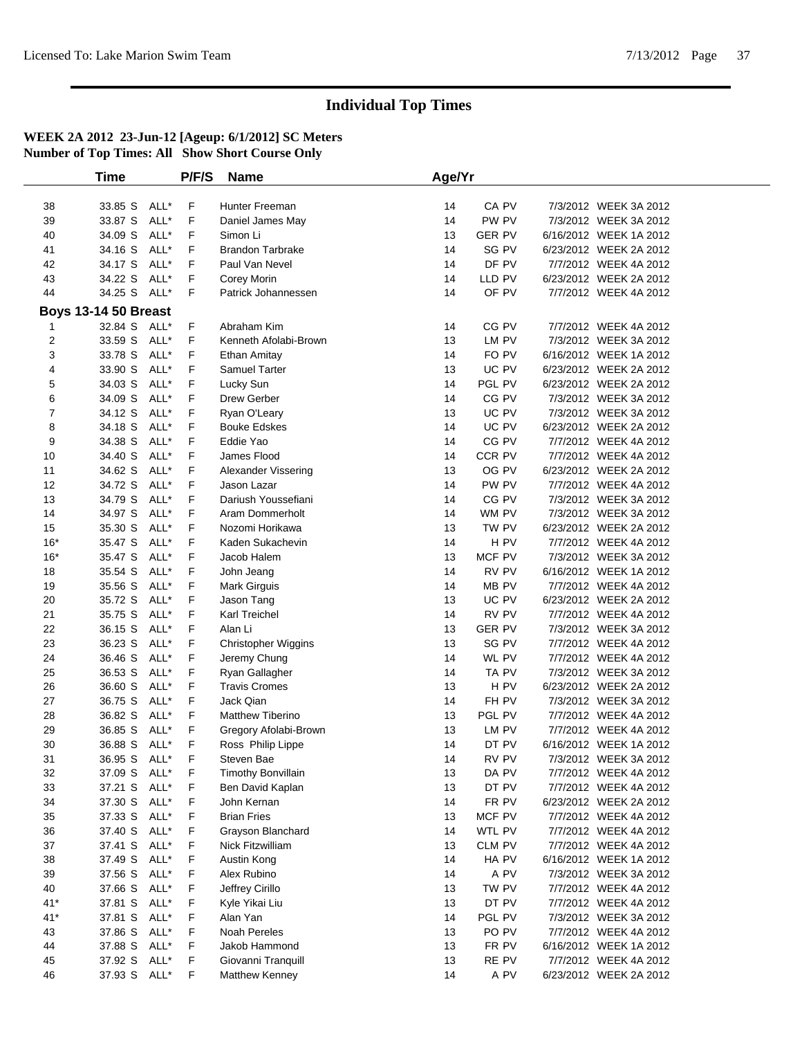|                | Time                        |      | P/F/S | <b>Name</b>                | Age/Yr |                 |                        |  |
|----------------|-----------------------------|------|-------|----------------------------|--------|-----------------|------------------------|--|
|                |                             |      |       |                            |        |                 |                        |  |
| 38             | 33.85 S ALL*                |      | F     | Hunter Freeman             | 14     | CA PV           | 7/3/2012 WEEK 3A 2012  |  |
| 39             | 33.87 S                     | ALL* | F     | Daniel James May           | 14     | PW PV           | 7/3/2012 WEEK 3A 2012  |  |
| 40             | 34.09 S                     | ALL* | F     | Simon Li                   | 13     | <b>GER PV</b>   | 6/16/2012 WEEK 1A 2012 |  |
| 41             | 34.16 S                     | ALL* | F     | <b>Brandon Tarbrake</b>    | 14     | SG PV           | 6/23/2012 WEEK 2A 2012 |  |
| 42             | 34.17 S                     | ALL* | F     | Paul Van Nevel             | 14     | DF PV           | 7/7/2012 WEEK 4A 2012  |  |
| 43             | 34.22 S                     | ALL* | F     | Corey Morin                | 14     | LLD PV          | 6/23/2012 WEEK 2A 2012 |  |
| 44             | 34.25 S ALL*                |      | F     | Patrick Johannessen        | 14     | OF PV           | 7/7/2012 WEEK 4A 2012  |  |
|                | <b>Boys 13-14 50 Breast</b> |      |       |                            |        |                 |                        |  |
| 1              | 32.84 S ALL*                |      | F     | Abraham Kim                | 14     | CG PV           | 7/7/2012 WEEK 4A 2012  |  |
| $\overline{2}$ | 33.59 S                     | ALL* | F     | Kenneth Afolabi-Brown      | 13     | LM PV           | 7/3/2012 WEEK 3A 2012  |  |
| 3              | 33.78 S                     | ALL* | F     | Ethan Amitay               | 14     | FO PV           | 6/16/2012 WEEK 1A 2012 |  |
| 4              | 33.90 S                     | ALL* | F     | Samuel Tarter              | 13     | UC PV           | 6/23/2012 WEEK 2A 2012 |  |
| 5              | 34.03 S                     | ALL* | F     | Lucky Sun                  | 14     | PGL PV          | 6/23/2012 WEEK 2A 2012 |  |
| 6              | 34.09 S                     | ALL* | F     | Drew Gerber                | 14     | CG PV           | 7/3/2012 WEEK 3A 2012  |  |
| $\overline{7}$ | 34.12 S                     | ALL* | F     | Ryan O'Leary               | 13     | UC PV           | 7/3/2012 WEEK 3A 2012  |  |
| 8              | 34.18 S                     | ALL* | F     | <b>Bouke Edskes</b>        | 14     | UC PV           | 6/23/2012 WEEK 2A 2012 |  |
| 9              | 34.38 S                     | ALL* | F     | Eddie Yao                  | 14     | CG PV           | 7/7/2012 WEEK 4A 2012  |  |
| 10             | 34.40 S                     | ALL* | F     | James Flood                | 14     | CCR PV          | 7/7/2012 WEEK 4A 2012  |  |
| 11             | 34.62 S                     | ALL* | F     | Alexander Vissering        | 13     | OG PV           | 6/23/2012 WEEK 2A 2012 |  |
| 12             | 34.72 S                     | ALL* | F     | Jason Lazar                | 14     | PW PV           | 7/7/2012 WEEK 4A 2012  |  |
| 13             | 34.79 S                     | ALL* | F     | Dariush Youssefiani        | 14     | CG PV           | 7/3/2012 WEEK 3A 2012  |  |
| 14             | 34.97 S                     | ALL* | F     | Aram Dommerholt            | 14     | WM PV           | 7/3/2012 WEEK 3A 2012  |  |
| 15             | 35.30 S                     | ALL* | F     | Nozomi Horikawa            | 13     | TW PV           | 6/23/2012 WEEK 2A 2012 |  |
| $16*$          | 35.47 S                     | ALL* | F     | Kaden Sukachevin           | 14     | H <sub>PV</sub> | 7/7/2012 WEEK 4A 2012  |  |
| $16*$          | 35.47 S                     | ALL* | F     | Jacob Halem                | 13     | MCF PV          | 7/3/2012 WEEK 3A 2012  |  |
| 18             | 35.54 S                     | ALL* | F     | John Jeang                 | 14     | RV PV           | 6/16/2012 WEEK 1A 2012 |  |
| 19             | 35.56 S                     | ALL* | F     | Mark Girguis               | 14     | MB PV           | 7/7/2012 WEEK 4A 2012  |  |
| 20             | 35.72 S                     | ALL* | F     | Jason Tang                 | 13     | UC PV           | 6/23/2012 WEEK 2A 2012 |  |
| 21             | 35.75 S                     | ALL* | F     | Karl Treichel              | 14     | RV PV           | 7/7/2012 WEEK 4A 2012  |  |
| 22             | 36.15 S                     | ALL* | F     | Alan Li                    | 13     | <b>GER PV</b>   | 7/3/2012 WEEK 3A 2012  |  |
| 23             | 36.23 S                     | ALL* | F     | <b>Christopher Wiggins</b> | 13     | SG PV           | 7/7/2012 WEEK 4A 2012  |  |
| 24             | 36.46 S                     | ALL* | F     | Jeremy Chung               | 14     | WL PV           | 7/7/2012 WEEK 4A 2012  |  |
| 25             | 36.53 S                     | ALL* | F     | Ryan Gallagher             | 14     | TA PV           | 7/3/2012 WEEK 3A 2012  |  |
| 26             | 36.60 S                     | ALL* | F     | <b>Travis Cromes</b>       | 13     | H <sub>PV</sub> | 6/23/2012 WEEK 2A 2012 |  |
| 27             | 36.75 S                     | ALL* | F     | Jack Qian                  | 14     | FH PV           | 7/3/2012 WEEK 3A 2012  |  |
| 28             | 36.82 S                     | ALL* | F     | Matthew Tiberino           | 13     | PGL PV          | 7/7/2012 WEEK 4A 2012  |  |
| 29             | 36.85 S                     | ALL* | F     | Gregory Afolabi-Brown      | 13     | LM PV           | 7/7/2012 WEEK 4A 2012  |  |
| 30             | 36.88 S ALL*                |      | F     | Ross Philip Lippe          | 14     | DT PV           | 6/16/2012 WEEK 1A 2012 |  |
| 31             | 36.95 S ALL*                |      | F     | Steven Bae                 | 14     | RV PV           | 7/3/2012 WEEK 3A 2012  |  |
| 32             | 37.09 S ALL*                |      | F     | <b>Timothy Bonvillain</b>  | 13     | DA PV           | 7/7/2012 WEEK 4A 2012  |  |
| 33             | 37.21 S ALL*                |      | F     | Ben David Kaplan           | 13     | DT PV           | 7/7/2012 WEEK 4A 2012  |  |
| 34             | 37.30 S                     | ALL* | F     | John Kernan                | 14     | FR PV           | 6/23/2012 WEEK 2A 2012 |  |
| 35             | 37.33 S ALL*                |      | F     | <b>Brian Fries</b>         | 13     | <b>MCF PV</b>   | 7/7/2012 WEEK 4A 2012  |  |
| 36             | 37.40 S                     | ALL* | F     | Grayson Blanchard          | 14     | WTL PV          | 7/7/2012 WEEK 4A 2012  |  |
| 37             | 37.41 S                     | ALL* | F     | Nick Fitzwilliam           | 13     | CLM PV          | 7/7/2012 WEEK 4A 2012  |  |
| 38             | 37.49 S                     | ALL* | F     | Austin Kong                | 14     | HA PV           | 6/16/2012 WEEK 1A 2012 |  |
| 39             | 37.56 S                     | ALL* | F     | Alex Rubino                | 14     | A PV            | 7/3/2012 WEEK 3A 2012  |  |
| 40             | 37.66 S                     | ALL* | F     | Jeffrey Cirillo            | 13     | TW PV           | 7/7/2012 WEEK 4A 2012  |  |
| $41*$          | 37.81 S                     | ALL* | F     | Kyle Yikai Liu             | 13     | DT PV           | 7/7/2012 WEEK 4A 2012  |  |
| $41*$          | 37.81 S                     | ALL* | F     | Alan Yan                   | 14     | PGL PV          | 7/3/2012 WEEK 3A 2012  |  |
| 43             | 37.86 S                     | ALL* | F     | <b>Noah Pereles</b>        | 13     | PO PV           | 7/7/2012 WEEK 4A 2012  |  |
| 44             | 37.88 S                     | ALL* | F     | Jakob Hammond              | 13     | FR PV           | 6/16/2012 WEEK 1A 2012 |  |
| 45             | 37.92 S                     | ALL* | F     | Giovanni Tranquill         | 13     | RE PV           | 7/7/2012 WEEK 4A 2012  |  |
| 46             | 37.93 S ALL*                |      | F     | Matthew Kenney             | 14     | A PV            | 6/23/2012 WEEK 2A 2012 |  |
|                |                             |      |       |                            |        |                 |                        |  |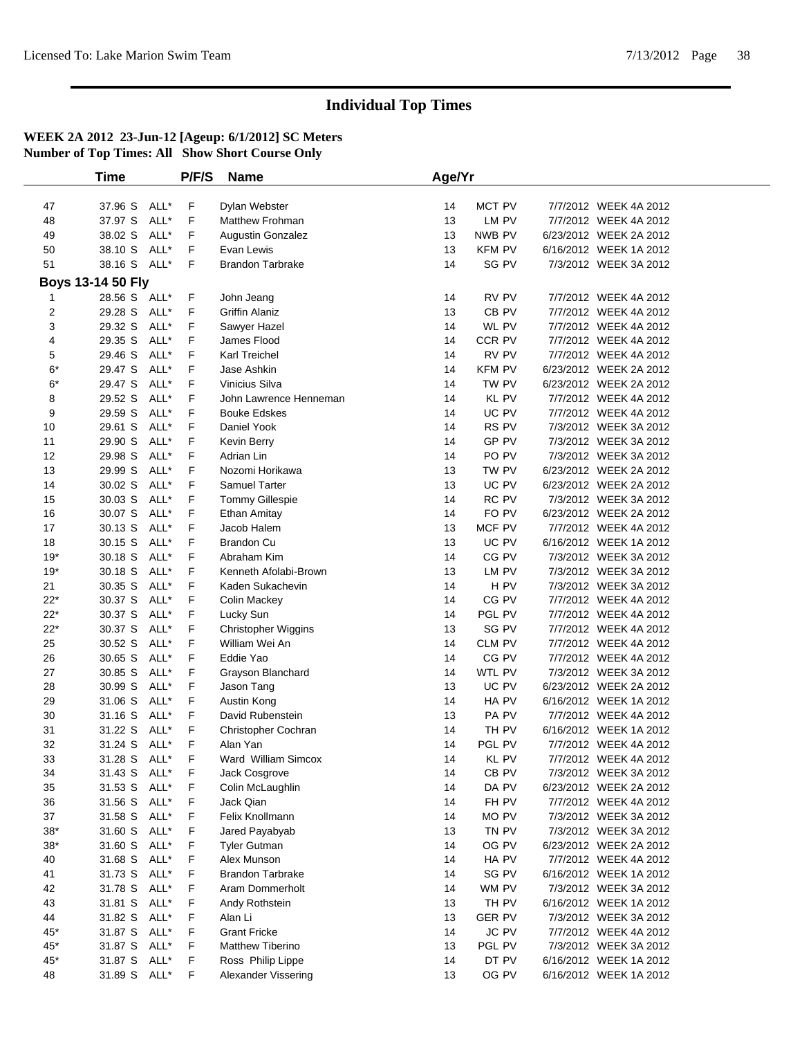|                   | <b>Time</b>  |      | P/F/S | <b>Name</b>             | Age/Yr |                  |                        |  |
|-------------------|--------------|------|-------|-------------------------|--------|------------------|------------------------|--|
|                   |              |      |       |                         |        |                  |                        |  |
| 47                | 37.96 S ALL* |      | F     | Dylan Webster           | 14     | MCT PV           | 7/7/2012 WEEK 4A 2012  |  |
| 48                | 37.97 S      | ALL* | F     | <b>Matthew Frohman</b>  | 13     | LM PV            | 7/7/2012 WEEK 4A 2012  |  |
| 49                | 38.02 S      | ALL* | F     | Augustin Gonzalez       | 13     | NWB PV           | 6/23/2012 WEEK 2A 2012 |  |
| 50                | 38.10 S      | ALL* | F     | Evan Lewis              | 13     | KFM PV           | 6/16/2012 WEEK 1A 2012 |  |
| 51                | 38.16 S ALL* |      | F     | <b>Brandon Tarbrake</b> | 14     | SG PV            | 7/3/2012 WEEK 3A 2012  |  |
| Boys 13-14 50 Fly |              |      |       |                         |        |                  |                        |  |
| 1                 | 28.56 S ALL* |      | F     | John Jeang              | 14     | RV PV            | 7/7/2012 WEEK 4A 2012  |  |
| $\boldsymbol{2}$  | 29.28 S ALL* |      | F     | <b>Griffin Alaniz</b>   | 13     | CB PV            | 7/7/2012 WEEK 4A 2012  |  |
| 3                 | 29.32 S ALL* |      | F     | Sawyer Hazel            | 14     | WL PV            | 7/7/2012 WEEK 4A 2012  |  |
| 4                 | 29.35 S ALL* |      | F     | James Flood             | 14     | CCR PV           | 7/7/2012 WEEK 4A 2012  |  |
| 5                 | 29.46 S      | ALL* | F     | Karl Treichel           | 14     | RV PV            | 7/7/2012 WEEK 4A 2012  |  |
| $6*$              | 29.47 S      | ALL* | F     | Jase Ashkin             | 14     | KFM PV           | 6/23/2012 WEEK 2A 2012 |  |
| $6*$              | 29.47 S      | ALL* | F     | Vinicius Silva          | 14     | TW PV            | 6/23/2012 WEEK 2A 2012 |  |
| 8                 | 29.52 S      | ALL* | F     | John Lawrence Henneman  | 14     | <b>KL PV</b>     | 7/7/2012 WEEK 4A 2012  |  |
| 9                 | 29.59 S      | ALL* | F     | <b>Bouke Edskes</b>     | 14     | UC PV            | 7/7/2012 WEEK 4A 2012  |  |
| 10                | 29.61 S      | ALL* | F     | Daniel Yook             | 14     | RS PV            | 7/3/2012 WEEK 3A 2012  |  |
| 11                | 29.90 S      | ALL* | F     | Kevin Berry             | 14     | GP PV            | 7/3/2012 WEEK 3A 2012  |  |
| 12                | 29.98 S      | ALL* | F     | Adrian Lin              | 14     | PO PV            | 7/3/2012 WEEK 3A 2012  |  |
| 13                | 29.99 S      | ALL* | F     | Nozomi Horikawa         | 13     | TW PV            | 6/23/2012 WEEK 2A 2012 |  |
| 14                | 30.02 S      | ALL* | F     | <b>Samuel Tarter</b>    | 13     | UC PV            | 6/23/2012 WEEK 2A 2012 |  |
| 15                | 30.03 S      | ALL* | F     | <b>Tommy Gillespie</b>  | 14     | RC PV            | 7/3/2012 WEEK 3A 2012  |  |
| 16                | 30.07 S ALL* |      | F     | <b>Ethan Amitay</b>     | 14     | FO PV            | 6/23/2012 WEEK 2A 2012 |  |
| 17                | 30.13 S      | ALL* | F     | Jacob Halem             | 13     | MCF PV           | 7/7/2012 WEEK 4A 2012  |  |
| 18                | 30.15 S      | ALL* | F     | <b>Brandon Cu</b>       | 13     | UC PV            | 6/16/2012 WEEK 1A 2012 |  |
| $19*$             | 30.18 S      | ALL* | F     | Abraham Kim             | 14     | CG PV            | 7/3/2012 WEEK 3A 2012  |  |
| $19*$             | 30.18 S      | ALL* | F     | Kenneth Afolabi-Brown   | 13     | LM PV            | 7/3/2012 WEEK 3A 2012  |  |
| 21                | 30.35 S      | ALL* | F     | Kaden Sukachevin        | 14     | H PV             | 7/3/2012 WEEK 3A 2012  |  |
| $22*$             | 30.37 S      | ALL* | F     | Colin Mackey            | 14     | CG PV            | 7/7/2012 WEEK 4A 2012  |  |
| $22*$             | 30.37 S      | ALL* | F     | Lucky Sun               | 14     | PGL PV           | 7/7/2012 WEEK 4A 2012  |  |
| $22*$             | 30.37 S      | ALL* | F     | Christopher Wiggins     | 13     | SG PV            | 7/7/2012 WEEK 4A 2012  |  |
| 25                | 30.52 S      | ALL* | F     | William Wei An          | 14     | CLM PV           | 7/7/2012 WEEK 4A 2012  |  |
| 26                | 30.65 S      | ALL* | F     | Eddie Yao               | 14     | CG PV            | 7/7/2012 WEEK 4A 2012  |  |
| 27                | 30.85 S      | ALL* | F     | Grayson Blanchard       | 14     | WTL PV           | 7/3/2012 WEEK 3A 2012  |  |
| 28                | 30.99 S      | ALL* | F     | Jason Tang              | 13     | UC PV            | 6/23/2012 WEEK 2A 2012 |  |
| 29                | 31.06 S      | ALL* | F     | Austin Kong             | 14     | HA PV            | 6/16/2012 WEEK 1A 2012 |  |
| 30                | 31.16 S      | ALL* | F     | David Rubenstein        | 13     | PA PV            | 7/7/2012 WEEK 4A 2012  |  |
| 31                | 31.22 S      | ALL* | F     | Christopher Cochran     | 14     | TH PV            | 6/16/2012 WEEK 1A 2012 |  |
| 32                | 31.24 S ALL* |      | F     | Alan Yan                | 14     | PGL PV           | 7/7/2012 WEEK 4A 2012  |  |
| 33                | 31.28 S ALL* |      | F.    | Ward William Simcox     | 14     | KL PV            | 7/7/2012 WEEK 4A 2012  |  |
| 34                | 31.43 S ALL* |      | F     | Jack Cosgrove           | 14     | CB <sub>PV</sub> | 7/3/2012 WEEK 3A 2012  |  |
| 35                | 31.53 S ALL* |      | F     | Colin McLaughlin        | 14     | DA PV            | 6/23/2012 WEEK 2A 2012 |  |
| 36                | 31.56 S      | ALL* | F     | Jack Qian               | 14     | FH PV            | 7/7/2012 WEEK 4A 2012  |  |
| 37                | 31.58 S ALL* |      | F     | Felix Knollmann         | 14     | MO PV            | 7/3/2012 WEEK 3A 2012  |  |
| $38^{\ast}$       | 31.60 S ALL* |      | F     | Jared Payabyab          | 13     | TN PV            | 7/3/2012 WEEK 3A 2012  |  |
| $38*$             | 31.60 S      | ALL* | F     | <b>Tyler Gutman</b>     | 14     | OG PV            | 6/23/2012 WEEK 2A 2012 |  |
| 40                | 31.68 S ALL* |      | F     | Alex Munson             | 14     | HA PV            | 7/7/2012 WEEK 4A 2012  |  |
| 41                | 31.73 S      | ALL* | F     | <b>Brandon Tarbrake</b> | 14     | SG PV            | 6/16/2012 WEEK 1A 2012 |  |
| 42                | 31.78 S      | ALL* | F     | Aram Dommerholt         | 14     | WM PV            | 7/3/2012 WEEK 3A 2012  |  |
| 43                | 31.81 S      | ALL* | F     | Andy Rothstein          | 13     | TH PV            | 6/16/2012 WEEK 1A 2012 |  |
| 44                | 31.82 S      | ALL* | F     | Alan Li                 | 13     | <b>GER PV</b>    | 7/3/2012 WEEK 3A 2012  |  |
| $45*$             | 31.87 S      | ALL* | F     | <b>Grant Fricke</b>     | 14     | <b>JC PV</b>     | 7/7/2012 WEEK 4A 2012  |  |
| 45*               | 31.87 S ALL* |      | F     | Matthew Tiberino        | 13     | PGL PV           | 7/3/2012 WEEK 3A 2012  |  |
| 45*               | 31.87 S ALL* |      | F     | Ross Philip Lippe       | 14     | DT PV            | 6/16/2012 WEEK 1A 2012 |  |
| 48                | 31.89 S      | ALL* | F     | Alexander Vissering     | 13     | OG PV            | 6/16/2012 WEEK 1A 2012 |  |
|                   |              |      |       |                         |        |                  |                        |  |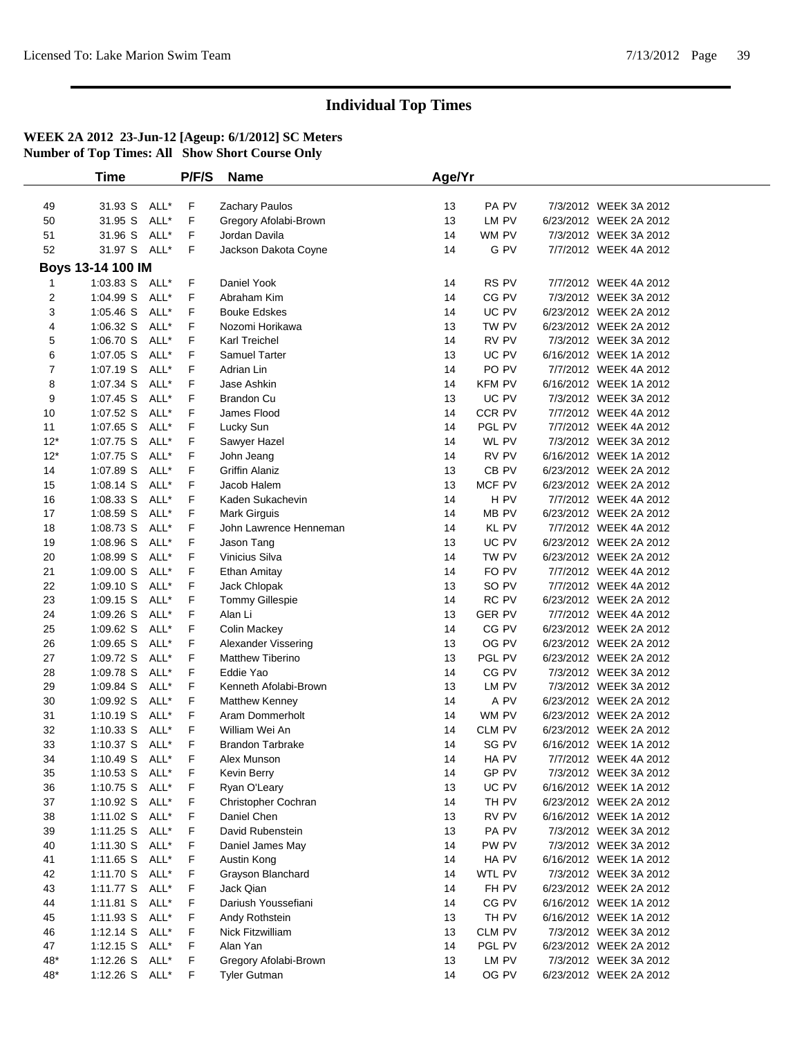|                | Time              |      | P/F/S       | <b>Name</b>                                  | Age/Yr   |                  |                                                 |  |
|----------------|-------------------|------|-------------|----------------------------------------------|----------|------------------|-------------------------------------------------|--|
|                |                   |      |             |                                              |          |                  |                                                 |  |
| 49             | 31.93 S ALL*      |      | F           | Zachary Paulos                               | 13       | PA PV            | 7/3/2012 WEEK 3A 2012                           |  |
| 50             | 31.95 S           | ALL* | F           | Gregory Afolabi-Brown                        | 13       | LM PV            | 6/23/2012 WEEK 2A 2012                          |  |
| 51             | 31.96 S           | ALL* | F           | Jordan Davila                                | 14       | WM PV            | 7/3/2012 WEEK 3A 2012                           |  |
| 52             | 31.97 S ALL*      |      | F           | Jackson Dakota Coyne                         | 14       | G PV             | 7/7/2012 WEEK 4A 2012                           |  |
|                | Boys 13-14 100 IM |      |             |                                              |          |                  |                                                 |  |
| 1              | 1:03.83 S ALL*    |      | F           | Daniel Yook                                  | 14       | RS PV            | 7/7/2012 WEEK 4A 2012                           |  |
| $\overline{2}$ | 1:04.99 S ALL*    |      | F           | Abraham Kim                                  | 14       | CG PV            | 7/3/2012 WEEK 3A 2012                           |  |
| 3              | 1:05.46 S ALL*    |      | F           | <b>Bouke Edskes</b>                          | 14       | UC PV            | 6/23/2012 WEEK 2A 2012                          |  |
| 4              | 1:06.32 S         | ALL* | F           | Nozomi Horikawa                              | 13       | TW PV            | 6/23/2012 WEEK 2A 2012                          |  |
| 5              | 1:06.70 S ALL*    |      | F           | Karl Treichel                                | 14       | RV PV            | 7/3/2012 WEEK 3A 2012                           |  |
| 6              | 1:07.05 S ALL*    |      | F           | Samuel Tarter                                | 13       | UC PV            | 6/16/2012 WEEK 1A 2012                          |  |
| 7              | 1:07.19 S         | ALL* | F           | Adrian Lin                                   | 14       | PO PV            | 7/7/2012 WEEK 4A 2012                           |  |
| 8              | 1:07.34 S         | ALL* | F           | Jase Ashkin                                  | 14       | <b>KFM PV</b>    | 6/16/2012 WEEK 1A 2012                          |  |
| 9              | 1:07.45 S         | ALL* | F           | <b>Brandon Cu</b>                            | 13       | UC PV            | 7/3/2012 WEEK 3A 2012                           |  |
| 10             | 1:07.52 S         | ALL* | F           | James Flood                                  | 14       | CCR PV           | 7/7/2012 WEEK 4A 2012                           |  |
| 11             | 1:07.65 S         | ALL* | F           | Lucky Sun                                    | 14       | PGL PV           | 7/7/2012 WEEK 4A 2012                           |  |
| $12*$          | 1:07.75 S         | ALL* | F           | Sawyer Hazel                                 | 14       | WL PV            | 7/3/2012 WEEK 3A 2012                           |  |
| $12*$          | 1:07.75 S         | ALL* | F           | John Jeang                                   | 14       | RV PV            | 6/16/2012 WEEK 1A 2012                          |  |
| 14             | 1:07.89 S ALL*    |      | F           | <b>Griffin Alaniz</b>                        | 13       | CB PV            | 6/23/2012 WEEK 2A 2012                          |  |
| 15             | $1:08.14$ S       | ALL* | F           | Jacob Halem                                  | 13       | MCF PV           | 6/23/2012 WEEK 2A 2012                          |  |
| 16             | 1:08.33 S         | ALL* | F           | Kaden Sukachevin                             | 14       | H PV             | 7/7/2012 WEEK 4A 2012                           |  |
| 17             | 1:08.59 S ALL*    |      | F           | Mark Girguis                                 | 14       | MB PV            | 6/23/2012 WEEK 2A 2012                          |  |
| 18             | 1:08.73 S ALL*    |      | F           | John Lawrence Henneman                       | 14       | KL PV            | 7/7/2012 WEEK 4A 2012                           |  |
| 19             | 1:08.96 S         | ALL* | F           | Jason Tang                                   | 13       | UC PV            | 6/23/2012 WEEK 2A 2012                          |  |
| 20             | 1:08.99 S         | ALL* | F           | Vinicius Silva                               | 14       | TW PV            | 6/23/2012 WEEK 2A 2012                          |  |
| 21             | 1:09.00 S         | ALL* | F           | Ethan Amitay                                 | 14       | FO PV            | 7/7/2012 WEEK 4A 2012                           |  |
| 22             | 1:09.10 S         | ALL* | F           | Jack Chlopak                                 | 13       | SO PV            | 7/7/2012 WEEK 4A 2012                           |  |
| 23             | $1:09.15$ S       | ALL* | F           | Tommy Gillespie                              | 14       | RC PV            | 6/23/2012 WEEK 2A 2012                          |  |
| 24             | $1:09.26$ S       | ALL* | F           | Alan Li                                      | 13       | <b>GER PV</b>    | 7/7/2012 WEEK 4A 2012                           |  |
| 25             | 1:09.62 S         | ALL* | F           | Colin Mackey                                 | 14       | CG PV            | 6/23/2012 WEEK 2A 2012                          |  |
| 26             | $1:09.65$ S       | ALL* | F           | Alexander Vissering                          | 13       | OG PV            | 6/23/2012 WEEK 2A 2012                          |  |
| 27             | 1:09.72 S         | ALL* | F           | Matthew Tiberino                             | 13       | PGL PV           | 6/23/2012 WEEK 2A 2012                          |  |
| 28             | 1:09.78 S         | ALL* | F           | Eddie Yao                                    | 14       | CG PV            | 7/3/2012 WEEK 3A 2012                           |  |
| 29             | 1:09.84 S ALL*    |      | F           | Kenneth Afolabi-Brown                        | 13       | LM PV            | 7/3/2012 WEEK 3A 2012                           |  |
| 30             | 1:09.92 S         | ALL* | F           | Matthew Kenney                               | 14       | A PV             | 6/23/2012 WEEK 2A 2012                          |  |
| 31             | $1:10.19$ S       | ALL* | F           | Aram Dommerholt                              | 14       | WM PV            | 6/23/2012 WEEK 2A 2012                          |  |
| 32             | 1:10.33 S ALL*    |      | F           | William Wei An                               | 14       | CLM PV           | 6/23/2012 WEEK 2A 2012                          |  |
| 33             | 1:10.37 S ALL*    |      | F           | <b>Brandon Tarbrake</b>                      | 14       | SG PV            | 6/16/2012 WEEK 1A 2012                          |  |
| 34             | 1:10.49 S ALL*    |      | $\mathsf F$ | Alex Munson                                  | 14       | HA PV            | 7/7/2012 WEEK 4A 2012                           |  |
| 35             | 1:10.53 S ALL*    |      | F           | Kevin Berry                                  | 14       | GP PV            | 7/3/2012 WEEK 3A 2012                           |  |
| 36             | 1:10.75 S ALL*    |      | F           | Ryan O'Leary                                 | 13       | UC PV            | 6/16/2012 WEEK 1A 2012                          |  |
| 37             | 1:10.92 S ALL*    |      | F           | Christopher Cochran                          | 14       | TH PV            | 6/23/2012 WEEK 2A 2012                          |  |
| 38             | 1:11.02 S ALL*    |      | F           | Daniel Chen                                  | 13       | RV PV            | 6/16/2012 WEEK 1A 2012                          |  |
| 39             | 1:11.25 S ALL*    |      | F           | David Rubenstein                             | 13       | PA PV            | 7/3/2012 WEEK 3A 2012                           |  |
| 40             | 1:11.30 S ALL*    |      | F           | Daniel James May                             | 14       | PW PV            | 7/3/2012 WEEK 3A 2012                           |  |
| 41             | 1:11.65 S ALL*    |      | F           | Austin Kong                                  | 14       | HA PV            | 6/16/2012 WEEK 1A 2012                          |  |
| 42             | 1:11.70 S ALL*    |      | F           | Grayson Blanchard                            | 14       | WTL PV           | 7/3/2012 WEEK 3A 2012                           |  |
| 43             | 1:11.77 S ALL*    |      | F           | Jack Qian                                    | 14       | FH PV            | 6/23/2012 WEEK 2A 2012                          |  |
| 44             | 1:11.81 S ALL*    |      | F           | Dariush Youssefiani                          | 14       | CG PV            | 6/16/2012 WEEK 1A 2012                          |  |
| 45             | 1:11.93 S ALL*    |      | F           | Andy Rothstein                               | 13       | TH PV            | 6/16/2012 WEEK 1A 2012                          |  |
| 46<br>47       | 1:12.14 S ALL*    |      | F<br>F      | Nick Fitzwilliam<br>Alan Yan                 | 13<br>14 | CLM PV<br>PGL PV | 7/3/2012 WEEK 3A 2012<br>6/23/2012 WEEK 2A 2012 |  |
| $48*$          | 1:12.15 S ALL*    |      |             |                                              |          | LM PV            | 7/3/2012 WEEK 3A 2012                           |  |
| 48*            | 1:12.26 S ALL*    |      | F<br>F.     | Gregory Afolabi-Brown<br><b>Tyler Gutman</b> | 13<br>14 | OG PV            |                                                 |  |
|                | 1:12.26 S ALL*    |      |             |                                              |          |                  | 6/23/2012 WEEK 2A 2012                          |  |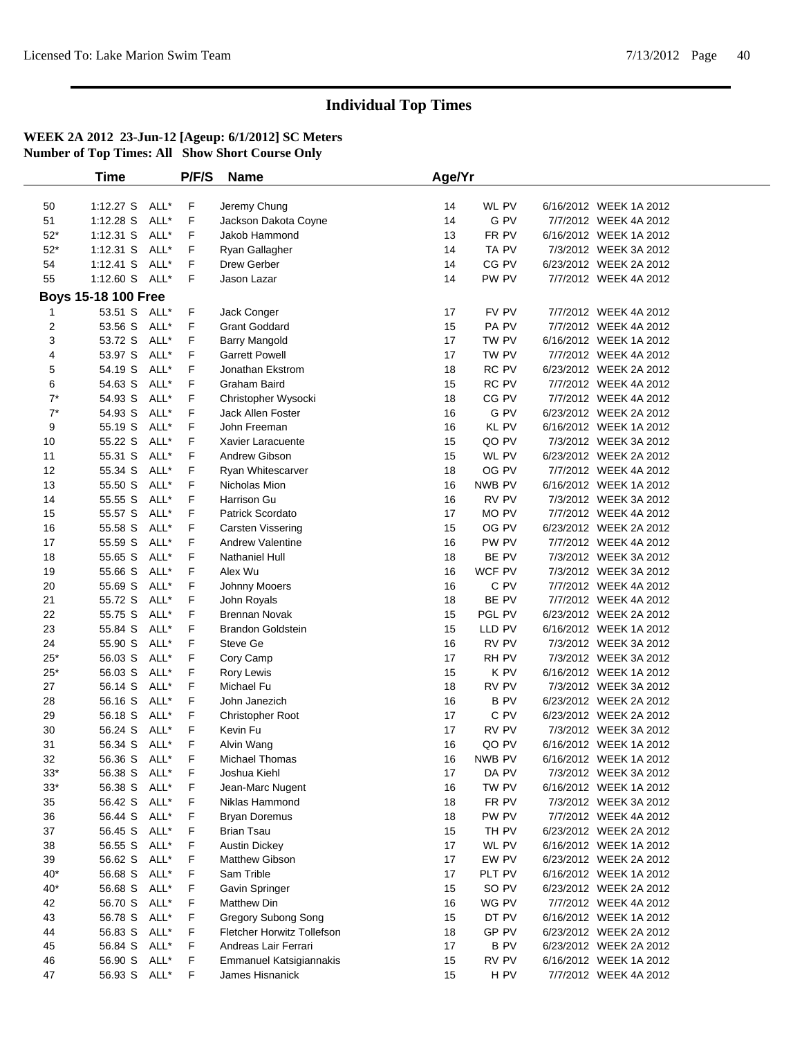|          | <b>Time</b>                |              | P/F/S  | <b>Name</b>                                       | Age/Yr   |                      |                                                  |  |
|----------|----------------------------|--------------|--------|---------------------------------------------------|----------|----------------------|--------------------------------------------------|--|
|          |                            |              |        |                                                   |          |                      |                                                  |  |
| 50       | $1:12.27$ S                | ALL*         | F      | Jeremy Chung                                      | 14       | WL PV                | 6/16/2012 WEEK 1A 2012                           |  |
| 51       | 1:12.28 S                  | ALL*         | F      | Jackson Dakota Coyne                              | 14       | G PV                 | 7/7/2012 WEEK 4A 2012                            |  |
| $52*$    | $1:12.31$ S                | ALL*         | F      | Jakob Hammond                                     | 13       | FR PV                | 6/16/2012 WEEK 1A 2012                           |  |
| $52*$    | 1:12.31 S                  | ALL*         | F      | Ryan Gallagher                                    | 14       | TA PV                | 7/3/2012 WEEK 3A 2012                            |  |
| 54       | $1:12.41$ S                | ALL*         | F      | Drew Gerber                                       | 14       | CG PV                | 6/23/2012 WEEK 2A 2012                           |  |
| 55       | 1:12.60 S ALL*             |              | F      | Jason Lazar                                       | 14       | PW PV                | 7/7/2012 WEEK 4A 2012                            |  |
|          | <b>Boys 15-18 100 Free</b> |              |        |                                                   |          |                      |                                                  |  |
|          | 53.51 S                    | ALL*         | F      | Jack Conger                                       | 17       | FV PV                | 7/7/2012 WEEK 4A 2012                            |  |
| 1<br>2   | 53.56 S                    | ALL*         | F      | <b>Grant Goddard</b>                              | 15       | PA PV                | 7/7/2012 WEEK 4A 2012                            |  |
| 3        | 53.72 S                    | ALL*         | F      | <b>Barry Mangold</b>                              | 17       | TW PV                | 6/16/2012 WEEK 1A 2012                           |  |
|          |                            | ALL*         | F      |                                                   |          | TW PV                | 7/7/2012 WEEK 4A 2012                            |  |
| 4        | 53.97 S<br>54.19 S         | ALL*         | F      | <b>Garrett Powell</b><br>Jonathan Ekstrom         | 17<br>18 | RC PV                | 6/23/2012 WEEK 2A 2012                           |  |
| 5        |                            |              | F      |                                                   | 15       |                      |                                                  |  |
| 6        | 54.63 S                    | ALL*         |        | Graham Baird                                      |          | RC PV                | 7/7/2012 WEEK 4A 2012                            |  |
| $7^*$    | 54.93 S                    | ALL*         | F      | Christopher Wysocki                               | 18       | CG PV                | 7/7/2012 WEEK 4A 2012<br>6/23/2012 WEEK 2A 2012  |  |
| $7^*$    | 54.93 S                    | ALL*<br>ALL* | F      | Jack Allen Foster                                 | 16       | G PV<br><b>KL PV</b> |                                                  |  |
| 9        | 55.19 S                    |              | F      | John Freeman                                      | 16       | QO PV                | 6/16/2012 WEEK 1A 2012                           |  |
| 10       | 55.22 S                    | ALL*         | F      | Xavier Laracuente                                 | 15       |                      | 7/3/2012 WEEK 3A 2012                            |  |
| 11       | 55.31 S                    | ALL*         | F      | Andrew Gibson                                     | 15       | WL PV                | 6/23/2012 WEEK 2A 2012                           |  |
| 12       | 55.34 S                    | ALL*         | F      | Ryan Whitescarver                                 | 18       | OG PV                | 7/7/2012 WEEK 4A 2012                            |  |
| 13       | 55.50 S                    | ALL*         | F      | Nicholas Mion                                     | 16       | NWB PV               | 6/16/2012 WEEK 1A 2012                           |  |
| 14       | 55.55 S                    | ALL*         | F      | Harrison Gu                                       | 16       | RV PV                | 7/3/2012 WEEK 3A 2012                            |  |
| 15       | 55.57 S                    | ALL*         | F      | Patrick Scordato                                  | 17       | MO PV                | 7/7/2012 WEEK 4A 2012                            |  |
| 16       | 55.58 S                    | ALL*         | F      | Carsten Vissering                                 | 15       | OG PV                | 6/23/2012 WEEK 2A 2012                           |  |
| 17       | 55.59 S                    | ALL*         | F      | <b>Andrew Valentine</b>                           | 16       | PW PV                | 7/7/2012 WEEK 4A 2012                            |  |
| 18       | 55.65 S                    | ALL*         | F      | Nathaniel Hull                                    | 18       | BE PV                | 7/3/2012 WEEK 3A 2012                            |  |
| 19       | 55.66 S                    | ALL*         | F      | Alex Wu                                           | 16       | WCF PV               | 7/3/2012 WEEK 3A 2012                            |  |
| 20       | 55.69 S                    | ALL*         | F      | Johnny Mooers                                     | 16       | C PV                 | 7/7/2012 WEEK 4A 2012                            |  |
| 21       | 55.72 S                    | ALL*         | F      | John Royals                                       | 18       | BE PV                | 7/7/2012 WEEK 4A 2012                            |  |
| 22       | 55.75 S                    | ALL*         | F      | <b>Brennan Novak</b>                              | 15       | PGL PV               | 6/23/2012 WEEK 2A 2012                           |  |
| 23       | 55.84 S                    | ALL*         | F      | <b>Brandon Goldstein</b>                          | 15       | LLD PV               | 6/16/2012 WEEK 1A 2012                           |  |
| 24       | 55.90 S                    | ALL*         | F      | Steve Ge                                          | 16       | RV PV                | 7/3/2012 WEEK 3A 2012<br>7/3/2012 WEEK 3A 2012   |  |
| $25*$    | 56.03 S                    | ALL*<br>ALL* | F      | Cory Camp                                         | 17       | RH PV<br>K PV        |                                                  |  |
| $25*$    | 56.03 S<br>56.14 S         |              | F      | Rory Lewis                                        | 15       |                      | 6/16/2012 WEEK 1A 2012                           |  |
| 27       |                            | ALL*         | F      | Michael Fu                                        | 18       | RV PV                | 7/3/2012 WEEK 3A 2012                            |  |
| 28       | 56.16 S                    | ALL*         | F      | John Janezich                                     | 16       | <b>BPV</b>           | 6/23/2012 WEEK 2A 2012                           |  |
| 29       | 56.18 S                    | ALL*<br>ALL* | F      | Christopher Root                                  | 17<br>17 | C PV                 | 6/23/2012 WEEK 2A 2012                           |  |
| 30       | 56.24 S                    | ALL*         | F      | Kevin Fu                                          | 16       | RV PV<br>QO PV       | 7/3/2012 WEEK 3A 2012                            |  |
| 31       | 56.34 S<br>56.36 S ALL*    |              | F<br>F | Alvin Wang                                        |          |                      | 6/16/2012 WEEK 1A 2012                           |  |
| 32       |                            |              |        | Michael Thomas                                    | 16       | NWB PV               | 6/16/2012 WEEK 1A 2012                           |  |
| $33*$    | 56.38 S ALL*               |              | F      | Joshua Kiehl                                      | 17       | DA PV                | 7/3/2012 WEEK 3A 2012                            |  |
| $33*$    | 56.38 S                    | ALL*         | F      | Jean-Marc Nugent                                  | 16       | TW PV                | 6/16/2012 WEEK 1A 2012                           |  |
| 35       | 56.42 S                    | ALL*         | F      | Niklas Hammond                                    | 18       | FR PV                | 7/3/2012 WEEK 3A 2012                            |  |
| 36       | 56.44 S                    | ALL*         | F      | <b>Bryan Doremus</b>                              | 18       | PW PV                | 7/7/2012 WEEK 4A 2012                            |  |
| 37       | 56.45 S                    | ALL*         | F      | <b>Brian Tsau</b>                                 | 15       | TH PV                | 6/23/2012 WEEK 2A 2012                           |  |
| 38       | 56.55 S                    | ALL*         | F      | <b>Austin Dickey</b><br>Matthew Gibson            | 17       | WL PV                | 6/16/2012 WEEK 1A 2012<br>6/23/2012 WEEK 2A 2012 |  |
| 39       | 56.62 S                    | ALL*         | F      | Sam Trible                                        | 17       | EW PV                |                                                  |  |
| $40*$    | 56.68 S                    | ALL*         | F      |                                                   | 17       | PLT PV               | 6/16/2012 WEEK 1A 2012                           |  |
| $40*$    | 56.68 S                    | ALL*         | F      | Gavin Springer                                    | 15       | SO PV                | 6/23/2012 WEEK 2A 2012                           |  |
| 42       | 56.70 S                    | ALL*<br>ALL* | F      | <b>Matthew Din</b>                                | 16       | WG PV<br>DT PV       | 7/7/2012 WEEK 4A 2012                            |  |
| 43<br>44 | 56.78 S<br>56.83 S         | ALL*         | F      | Gregory Subong Song<br>Fletcher Horwitz Tollefson | 15       | GP PV                | 6/16/2012 WEEK 1A 2012<br>6/23/2012 WEEK 2A 2012 |  |
|          | 56.84 S                    | ALL*         | F<br>F | Andreas Lair Ferrari                              | 18<br>17 | <b>BPV</b>           | 6/23/2012 WEEK 2A 2012                           |  |
| 45       |                            |              |        |                                                   |          |                      |                                                  |  |
| 46       | 56.90 S                    | ALL*         | F      | Emmanuel Katsigiannakis                           | 15       | RV PV                | 6/16/2012 WEEK 1A 2012                           |  |
| 47       | 56.93 S ALL*               |              | F      | James Hisnanick                                   | 15       | H PV                 | 7/7/2012 WEEK 4A 2012                            |  |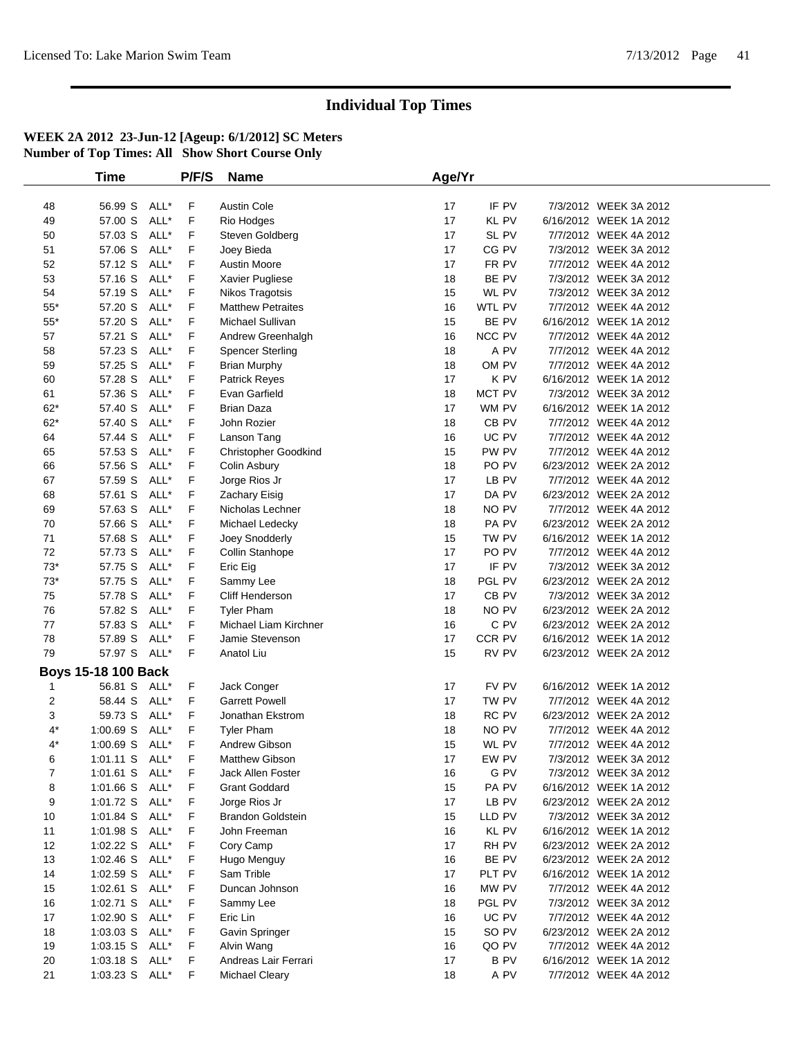|             | Time                       |      | P/F/S | <b>Name</b>                 | Age/Yr |                  |                        |  |
|-------------|----------------------------|------|-------|-----------------------------|--------|------------------|------------------------|--|
|             |                            |      |       |                             |        |                  |                        |  |
| 48          | 56.99 S ALL*               |      | F     | <b>Austin Cole</b>          | 17     | IF PV            | 7/3/2012 WEEK 3A 2012  |  |
| 49          | 57.00 S                    | ALL* | F     | Rio Hodges                  | 17     | <b>KL PV</b>     | 6/16/2012 WEEK 1A 2012 |  |
| 50          | 57.03 S                    | ALL* | F     | Steven Goldberg             | 17     | SL PV            | 7/7/2012 WEEK 4A 2012  |  |
| 51          | 57.06 S                    | ALL* | F     | Joey Bieda                  | 17     | CG PV            | 7/3/2012 WEEK 3A 2012  |  |
| 52          | 57.12 S                    | ALL* | F     | Austin Moore                | 17     | FR PV            | 7/7/2012 WEEK 4A 2012  |  |
| 53          | 57.16 S                    | ALL* | F     | Xavier Pugliese             | 18     | BE PV            | 7/3/2012 WEEK 3A 2012  |  |
| 54          | 57.19 S                    | ALL* | F     | Nikos Tragotsis             | 15     | WL PV            | 7/3/2012 WEEK 3A 2012  |  |
| $55*$       | 57.20 S                    | ALL* | F     | <b>Matthew Petraites</b>    | 16     | WTL PV           | 7/7/2012 WEEK 4A 2012  |  |
| $55^{\ast}$ | 57.20 S                    | ALL* | F     | Michael Sullivan            | 15     | BE PV            | 6/16/2012 WEEK 1A 2012 |  |
| 57          | 57.21 S                    | ALL* | F     | Andrew Greenhalgh           | 16     | NCC PV           | 7/7/2012 WEEK 4A 2012  |  |
| 58          | 57.23 S                    | ALL* | F     | <b>Spencer Sterling</b>     | 18     | A PV             | 7/7/2012 WEEK 4A 2012  |  |
| 59          | 57.25 S                    | ALL* | F     | <b>Brian Murphy</b>         | 18     | OM PV            | 7/7/2012 WEEK 4A 2012  |  |
| 60          | 57.28 S                    | ALL* | F     | <b>Patrick Reyes</b>        | 17     | K PV             | 6/16/2012 WEEK 1A 2012 |  |
| 61          | 57.36 S                    | ALL* | F     | Evan Garfield               | 18     | MCT PV           | 7/3/2012 WEEK 3A 2012  |  |
| $62*$       | 57.40 S                    | ALL* | F     | <b>Brian Daza</b>           | 17     | WM PV            | 6/16/2012 WEEK 1A 2012 |  |
| $62*$       | 57.40 S                    | ALL* | F     | John Rozier                 | 18     | CB <sub>PV</sub> | 7/7/2012 WEEK 4A 2012  |  |
| 64          | 57.44 S                    | ALL* | F     | Lanson Tang                 | 16     | UC PV            | 7/7/2012 WEEK 4A 2012  |  |
| 65          | 57.53 S                    | ALL* | F     | <b>Christopher Goodkind</b> | 15     | PW PV            | 7/7/2012 WEEK 4A 2012  |  |
| 66          | 57.56 S                    | ALL* | F     | Colin Asbury                | 18     | PO PV            | 6/23/2012 WEEK 2A 2012 |  |
| 67          | 57.59 S                    | ALL* | F     | Jorge Rios Jr               | 17     | LB PV            | 7/7/2012 WEEK 4A 2012  |  |
| 68          | 57.61 S                    | ALL* | F     | Zachary Eisig               | 17     | DA PV            | 6/23/2012 WEEK 2A 2012 |  |
| 69          | 57.63 S                    | ALL* | F     | Nicholas Lechner            | 18     | NO PV            | 7/7/2012 WEEK 4A 2012  |  |
| 70          | 57.66 S                    | ALL* | F     | Michael Ledecky             | 18     | PA PV            | 6/23/2012 WEEK 2A 2012 |  |
| 71          | 57.68 S                    | ALL* | F     | Joey Snodderly              | 15     | TW PV            | 6/16/2012 WEEK 1A 2012 |  |
| 72          | 57.73 S                    | ALL* | F     | Collin Stanhope             | 17     | PO PV            | 7/7/2012 WEEK 4A 2012  |  |
| $73*$       | 57.75 S                    | ALL* | F     | Eric Eig                    | 17     | IF PV            | 7/3/2012 WEEK 3A 2012  |  |
| $73*$       | 57.75 S                    | ALL* | F     | Sammy Lee                   | 18     | PGL PV           | 6/23/2012 WEEK 2A 2012 |  |
| 75          | 57.78 S                    | ALL* | F     | Cliff Henderson             | 17     | CB <sub>PV</sub> | 7/3/2012 WEEK 3A 2012  |  |
| 76          | 57.82 S                    | ALL* | F     | <b>Tyler Pham</b>           | 18     | NO PV            | 6/23/2012 WEEK 2A 2012 |  |
| 77          | 57.83 S                    | ALL* | F     | Michael Liam Kirchner       | 16     | C PV             | 6/23/2012 WEEK 2A 2012 |  |
| 78          | 57.89 S                    | ALL* | F     | Jamie Stevenson             | 17     | CCR PV           | 6/16/2012 WEEK 1A 2012 |  |
| 79          | 57.97 S ALL*               |      | F     | Anatol Liu                  | 15     | RV PV            | 6/23/2012 WEEK 2A 2012 |  |
|             | <b>Boys 15-18 100 Back</b> |      |       |                             |        |                  |                        |  |
| -1          | 56.81 S ALL*               |      | F.    | Jack Conger                 | 17     | FV PV            | 6/16/2012 WEEK 1A 2012 |  |
| 2           | 58.44 S                    | ALL* | F     | <b>Garrett Powell</b>       | 17     | TW PV            | 7/7/2012 WEEK 4A 2012  |  |
| 3           | 59.73 S                    | ALL* | F     | Jonathan Ekstrom            | 18     | RC PV            | 6/23/2012 WEEK 2A 2012 |  |
| $4^*$       | $1:00.69$ S                | ALL* | F     | <b>Tyler Pham</b>           | 18     | NO PV            | 7/7/2012 WEEK 4A 2012  |  |
| $4^*$       | 1:00.69 S ALL*             |      | F     | Andrew Gibson               | 15     | WL PV            | 7/7/2012 WEEK 4A 2012  |  |
| 6           | 1:01.11 S ALL*             |      | F     | Matthew Gibson              | 17     | EW PV            | 7/3/2012 WEEK 3A 2012  |  |
| 7           | 1:01.61 S ALL*             |      | F.    | Jack Allen Foster           | 16     | G PV             | 7/3/2012 WEEK 3A 2012  |  |
| 8           | 1:01.66 S ALL*             |      | F.    | <b>Grant Goddard</b>        | 15     | PA PV            | 6/16/2012 WEEK 1A 2012 |  |
| 9           | 1:01.72 S ALL*             |      | F     | Jorge Rios Jr               | 17     | LB PV            | 6/23/2012 WEEK 2A 2012 |  |
| 10          | 1:01.84 S ALL*             |      | F     | <b>Brandon Goldstein</b>    | 15     | LLD PV           | 7/3/2012 WEEK 3A 2012  |  |
| 11          | 1:01.98 S ALL*             |      | F     | John Freeman                | 16     | <b>KL PV</b>     | 6/16/2012 WEEK 1A 2012 |  |
| 12          | 1:02.22 S ALL*             |      | F     |                             | 17     | RH PV            | 6/23/2012 WEEK 2A 2012 |  |
| 13          | 1:02.46 S ALL*             |      | F.    | Cory Camp                   | 16     | BE PV            | 6/23/2012 WEEK 2A 2012 |  |
|             |                            |      |       | Hugo Menguy<br>Sam Trible   |        |                  |                        |  |
| 14          | 1:02.59 S ALL*             |      | F     |                             | 17     | PLT PV           | 6/16/2012 WEEK 1A 2012 |  |
| 15          | 1:02.61 S ALL*             |      | F     | Duncan Johnson              | 16     | MW PV            | 7/7/2012 WEEK 4A 2012  |  |
| 16          | 1:02.71 S ALL*             |      | F     | Sammy Lee                   | 18     | PGL PV           | 7/3/2012 WEEK 3A 2012  |  |
| 17          | 1:02.90 S ALL*             |      | F     | Eric Lin                    | 16     | UC PV            | 7/7/2012 WEEK 4A 2012  |  |
| 18          | 1:03.03 S ALL*             |      | F     | Gavin Springer              | 15     | SO PV            | 6/23/2012 WEEK 2A 2012 |  |
| 19          | 1:03.15 S ALL*             |      | F.    | Alvin Wang                  | 16     | QO PV            | 7/7/2012 WEEK 4A 2012  |  |
| 20          | 1:03.18 S ALL*             |      | F     | Andreas Lair Ferrari        | 17     | B PV             | 6/16/2012 WEEK 1A 2012 |  |
| 21          | 1:03.23 S ALL*             |      | F     | Michael Cleary              | 18     | A PV             | 7/7/2012 WEEK 4A 2012  |  |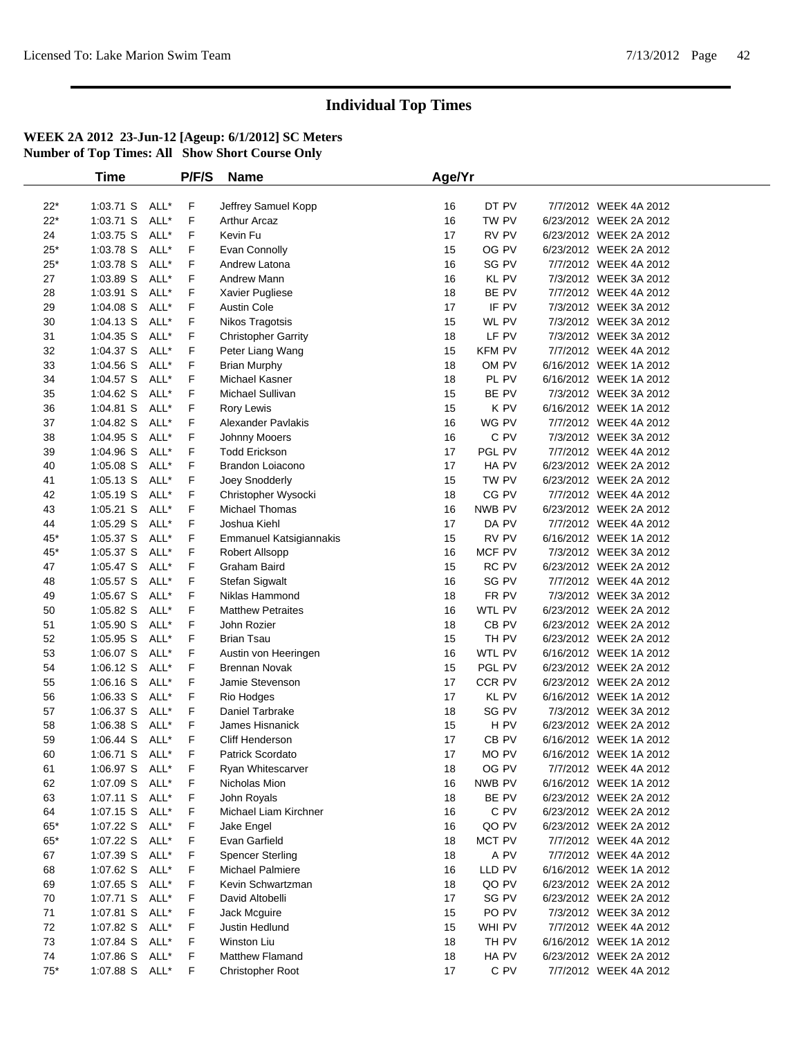|             | <b>Time</b>    |      | P/F/S | <b>Name</b>                | Age/Yr |                  |                        |  |
|-------------|----------------|------|-------|----------------------------|--------|------------------|------------------------|--|
|             |                |      |       |                            |        |                  |                        |  |
| $22*$       | 1:03.71 S ALL* |      | F.    | Jeffrey Samuel Kopp        | 16     | DT PV            | 7/7/2012 WEEK 4A 2012  |  |
| $22*$       | 1:03.71 S      | ALL* | F     | <b>Arthur Arcaz</b>        | 16     | TW PV            | 6/23/2012 WEEK 2A 2012 |  |
| 24          | 1:03.75 S      | ALL* | F     | Kevin Fu                   | 17     | RV PV            | 6/23/2012 WEEK 2A 2012 |  |
| $25*$       | 1:03.78 S      | ALL* | F     | Evan Connolly              | 15     | OG PV            | 6/23/2012 WEEK 2A 2012 |  |
| $25^{\ast}$ | 1:03.78 S      | ALL* | F     | Andrew Latona              | 16     | SG PV            | 7/7/2012 WEEK 4A 2012  |  |
| 27          | 1:03.89 S      | ALL* | F     | Andrew Mann                | 16     | KL PV            | 7/3/2012 WEEK 3A 2012  |  |
| 28          | $1:03.91$ S    | ALL* | F     | Xavier Pugliese            | 18     | BE PV            | 7/7/2012 WEEK 4A 2012  |  |
| 29          | $1:04.08$ S    | ALL* | F     | <b>Austin Cole</b>         | 17     | IF PV            | 7/3/2012 WEEK 3A 2012  |  |
| 30          | $1:04.13$ S    | ALL* | F     | Nikos Tragotsis            | 15     | WL PV            | 7/3/2012 WEEK 3A 2012  |  |
| 31          | $1:04.35$ S    | ALL* | F     | <b>Christopher Garrity</b> | 18     | LF PV            | 7/3/2012 WEEK 3A 2012  |  |
| 32          | 1:04.37 S      | ALL* | F     | Peter Liang Wang           | 15     | <b>KFM PV</b>    | 7/7/2012 WEEK 4A 2012  |  |
| 33          | 1:04.56 S      | ALL* | F     | <b>Brian Murphy</b>        | 18     | OM PV            | 6/16/2012 WEEK 1A 2012 |  |
| 34          | 1:04.57 S      | ALL* | F     | Michael Kasner             | 18     | PL PV            | 6/16/2012 WEEK 1A 2012 |  |
| 35          | 1:04.62 S      | ALL* | F     | Michael Sullivan           | 15     | BE PV            | 7/3/2012 WEEK 3A 2012  |  |
| 36          | $1:04.81$ S    | ALL* | F     | Rory Lewis                 | 15     | K PV             | 6/16/2012 WEEK 1A 2012 |  |
| 37          | 1:04.82 S      | ALL* | F     | Alexander Pavlakis         | 16     | WG PV            | 7/7/2012 WEEK 4A 2012  |  |
| 38          | 1:04.95 S      | ALL* | F     | Johnny Mooers              | 16     | C PV             | 7/3/2012 WEEK 3A 2012  |  |
| 39          | 1:04.96 S      | ALL* | F     | Todd Erickson              | 17     | PGL PV           | 7/7/2012 WEEK 4A 2012  |  |
| 40          | 1:05.08 S      | ALL* | F     | Brandon Loiacono           | 17     | HA PV            | 6/23/2012 WEEK 2A 2012 |  |
| 41          | $1:05.13$ S    | ALL* | F     | Joey Snodderly             | 15     | TW PV            | 6/23/2012 WEEK 2A 2012 |  |
| 42          | 1:05.19 S      | ALL* | F     | Christopher Wysocki        | 18     | CG PV            | 7/7/2012 WEEK 4A 2012  |  |
| 43          | $1:05.21$ S    | ALL* | F     | Michael Thomas             | 16     | NWB PV           | 6/23/2012 WEEK 2A 2012 |  |
| 44          | 1:05.29 S      | ALL* | F     | Joshua Kiehl               | 17     | DA PV            | 7/7/2012 WEEK 4A 2012  |  |
| $45*$       | 1:05.37 S      | ALL* | F     | Emmanuel Katsigiannakis    | 15     | RV PV            | 6/16/2012 WEEK 1A 2012 |  |
| $45*$       | $1:05.37$ S    | ALL* | F     | Robert Allsopp             | 16     | MCF PV           | 7/3/2012 WEEK 3A 2012  |  |
| 47          | 1:05.47 S      | ALL* | F     | Graham Baird               | 15     | RC PV            | 6/23/2012 WEEK 2A 2012 |  |
| 48          | $1:05.57$ S    | ALL* | F     | Stefan Sigwalt             | 16     | SG PV            | 7/7/2012 WEEK 4A 2012  |  |
| 49          | $1:05.67$ S    | ALL* | F     | Niklas Hammond             | 18     | FR PV            | 7/3/2012 WEEK 3A 2012  |  |
| 50          | 1:05.82 S      | ALL* | F     | <b>Matthew Petraites</b>   | 16     | WTL PV           | 6/23/2012 WEEK 2A 2012 |  |
| 51          | 1:05.90 S      | ALL* | F     | John Rozier                | 18     | CB <sub>PV</sub> | 6/23/2012 WEEK 2A 2012 |  |
| 52          | $1:05.95$ S    | ALL* | F     | <b>Brian Tsau</b>          | 15     | TH PV            | 6/23/2012 WEEK 2A 2012 |  |
| 53          | 1:06.07 S      | ALL* | F     | Austin von Heeringen       | 16     | WTL PV           | 6/16/2012 WEEK 1A 2012 |  |
| 54          | 1:06.12 S      | ALL* | F     | Brennan Novak              | 15     | PGL PV           | 6/23/2012 WEEK 2A 2012 |  |
| 55          | $1:06.16$ S    | ALL* | F     | Jamie Stevenson            | 17     | CCR PV           | 6/23/2012 WEEK 2A 2012 |  |
| 56          | 1:06.33 S      | ALL* | F     | Rio Hodges                 | 17     | KL PV            | 6/16/2012 WEEK 1A 2012 |  |
| 57          | 1:06.37 S      | ALL* | F     | Daniel Tarbrake            | 18     | SG PV            | 7/3/2012 WEEK 3A 2012  |  |
| 58          | 1:06.38 S      | ALL* | F     | James Hisnanick            | 15     | H PV             | 6/23/2012 WEEK 2A 2012 |  |
| 59          | $1:06.44$ S    | ALL* | F     | Cliff Henderson            | 17     | CB PV            | 6/16/2012 WEEK 1A 2012 |  |
| 60          | $1:06.71$ S    | ALL* | F     | Patrick Scordato           | 17     | MO PV            | 6/16/2012 WEEK 1A 2012 |  |
| 61          | 1:06.97 S ALL* |      | F     | Ryan Whitescarver          | 18     | OG PV            | 7/7/2012 WEEK 4A 2012  |  |
| 62          | 1:07.09 S      | ALL* | F     | Nicholas Mion              | 16     | NWB PV           | 6/16/2012 WEEK 1A 2012 |  |
| 63          | $1:07.11$ S    | ALL* | F     | John Royals                | 18     | BE PV            | 6/23/2012 WEEK 2A 2012 |  |
| 64          | $1:07.15$ S    | ALL* | F     | Michael Liam Kirchner      | 16     | C PV             | 6/23/2012 WEEK 2A 2012 |  |
| 65*         | 1:07.22 S      | ALL* | F     | Jake Engel                 | 16     | QO PV            | 6/23/2012 WEEK 2A 2012 |  |
| $65^{\ast}$ | 1:07.22 S ALL* |      | F     | Evan Garfield              | 18     | MCT PV           | 7/7/2012 WEEK 4A 2012  |  |
| 67          | 1:07.39 S      | ALL* | F     | <b>Spencer Sterling</b>    | 18     | A PV             | 7/7/2012 WEEK 4A 2012  |  |
| 68          | 1:07.62 S      | ALL* | F     | Michael Palmiere           | 16     | LLD PV           | 6/16/2012 WEEK 1A 2012 |  |
| 69          | 1:07.65 S      | ALL* | F     | Kevin Schwartzman          | 18     | QO PV            | 6/23/2012 WEEK 2A 2012 |  |
| 70          | 1:07.71 S ALL* |      | F     | David Altobelli            | 17     | SG PV            | 6/23/2012 WEEK 2A 2012 |  |
| 71          | 1:07.81 S      | ALL* | F     | Jack Mcguire               | 15     | PO PV            | 7/3/2012 WEEK 3A 2012  |  |
| 72          | 1:07.82 S      | ALL* | F     | Justin Hedlund             | 15     | WHI PV           | 7/7/2012 WEEK 4A 2012  |  |
| 73          | 1:07.84 S      | ALL* | F     | Winston Liu                | 18     | TH PV            | 6/16/2012 WEEK 1A 2012 |  |
| 74          | 1:07.86 S      | ALL* | F     | Matthew Flamand            | 18     | HA PV            | 6/23/2012 WEEK 2A 2012 |  |
| $75*$       | 1:07.88 S      | ALL* | F     | Christopher Root           | 17     | C PV             | 7/7/2012 WEEK 4A 2012  |  |
|             |                |      |       |                            |        |                  |                        |  |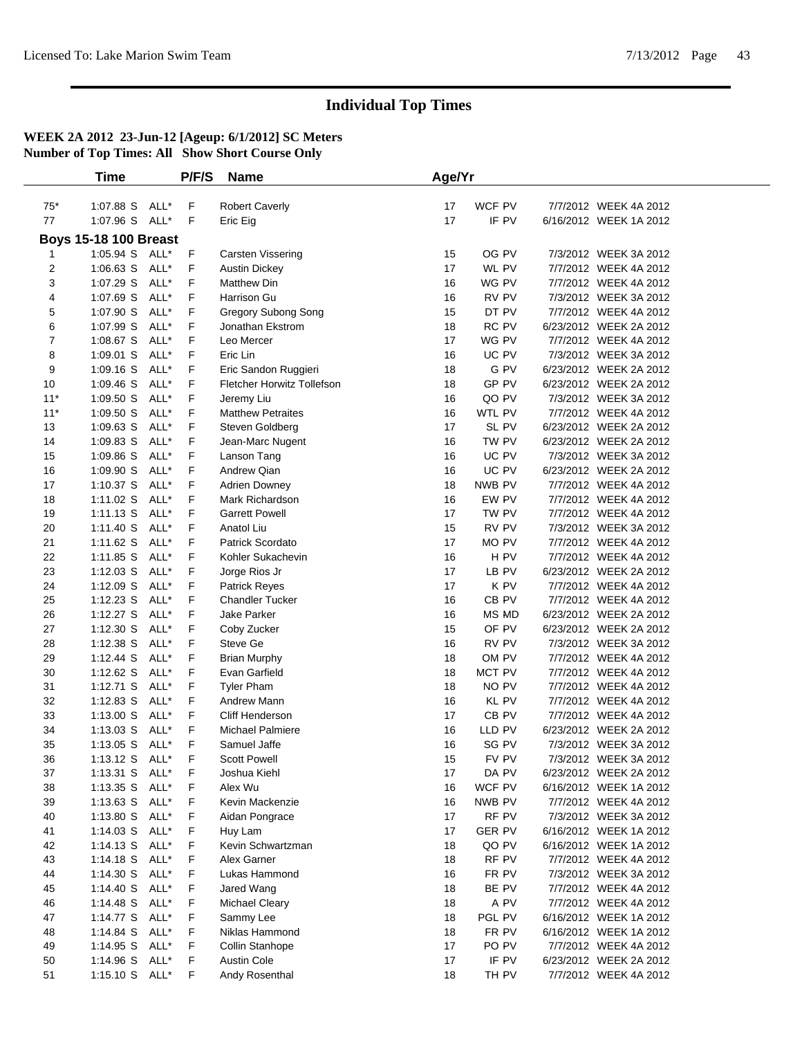|          | Time                             |      | P/F/S  | <b>Name</b>                | Age/Yr   |                |                                                 |  |
|----------|----------------------------------|------|--------|----------------------------|----------|----------------|-------------------------------------------------|--|
|          |                                  |      |        |                            |          |                |                                                 |  |
| $75*$    | 1:07.88 S ALL*                   |      | F      | <b>Robert Caverly</b>      | 17       | WCF PV         | 7/7/2012 WEEK 4A 2012                           |  |
| 77       | 1:07.96 S ALL*                   |      | F      | Eric Eig                   | 17       | IF PV          | 6/16/2012 WEEK 1A 2012                          |  |
|          | <b>Boys 15-18 100 Breast</b>     |      |        |                            |          |                |                                                 |  |
| 1        | 1:05.94 S ALL*                   |      | F      | Carsten Vissering          | 15       | OG PV          | 7/3/2012 WEEK 3A 2012                           |  |
| 2        | $1:06.63$ S                      | ALL* | F      | <b>Austin Dickey</b>       | 17       | WL PV          | 7/7/2012 WEEK 4A 2012                           |  |
| 3        | 1:07.29 S                        | ALL* | F      | <b>Matthew Din</b>         | 16       | WG PV          | 7/7/2012 WEEK 4A 2012                           |  |
| 4        | 1:07.69 S                        | ALL* | F      | Harrison Gu                | 16       | RV PV          | 7/3/2012 WEEK 3A 2012                           |  |
| 5        | 1:07.90 S                        | ALL* | F      | Gregory Subong Song        | 15       | DT PV          | 7/7/2012 WEEK 4A 2012                           |  |
| 6        | 1:07.99 S                        | ALL* | F      | Jonathan Ekstrom           | 18       | RC PV          | 6/23/2012 WEEK 2A 2012                          |  |
| 7        | 1:08.67 S ALL*                   |      | F      | Leo Mercer                 | 17       | WG PV          | 7/7/2012 WEEK 4A 2012                           |  |
| 8        | $1:09.01$ S                      | ALL* | F      | Eric Lin                   | 16       | UC PV          | 7/3/2012 WEEK 3A 2012                           |  |
| 9        | $1:09.16$ S                      | ALL* | F      | Eric Sandon Ruggieri       | 18       | G PV           | 6/23/2012 WEEK 2A 2012                          |  |
| 10       | 1:09.46 S                        | ALL* | F      | Fletcher Horwitz Tollefson | 18       | GP PV          | 6/23/2012 WEEK 2A 2012                          |  |
| $11*$    | 1:09.50 S                        | ALL* | F      | Jeremy Liu                 | 16       | QO PV          | 7/3/2012 WEEK 3A 2012                           |  |
| $11*$    | 1:09.50 S                        | ALL* | F      | <b>Matthew Petraites</b>   | 16       | WTL PV         | 7/7/2012 WEEK 4A 2012                           |  |
| 13       | 1:09.63 S                        | ALL* | F      | Steven Goldberg            | 17       | SL PV          | 6/23/2012 WEEK 2A 2012                          |  |
| 14       | 1:09.83 S                        | ALL* | F      | Jean-Marc Nugent           | 16       | TW PV          | 6/23/2012 WEEK 2A 2012                          |  |
| 15       | 1:09.86 S                        | ALL* | F      | Lanson Tang                | 16       | UC PV          | 7/3/2012 WEEK 3A 2012                           |  |
| 16       | 1:09.90 S ALL*                   |      | F      | Andrew Qian                | 16       | UC PV          | 6/23/2012 WEEK 2A 2012                          |  |
| 17       | 1:10.37 S ALL*                   |      | F      | Adrien Downey              | 18       | NWB PV         | 7/7/2012 WEEK 4A 2012                           |  |
| 18       | 1:11.02 S                        | ALL* | F      | Mark Richardson            | 16       | EW PV          | 7/7/2012 WEEK 4A 2012                           |  |
| 19       | 1:11.13 S ALL*                   |      | F      | <b>Garrett Powell</b>      | 17       | TW PV          | 7/7/2012 WEEK 4A 2012                           |  |
| 20       | 1:11.40 S                        | ALL* | F      | Anatol Liu                 | 15       | RV PV          | 7/3/2012 WEEK 3A 2012                           |  |
| 21       | 1:11.62 S                        | ALL* | F      | Patrick Scordato           | 17       | MO PV          | 7/7/2012 WEEK 4A 2012                           |  |
| 22       | $1:11.85$ S                      | ALL* | F      | Kohler Sukachevin          | 16       | H PV           | 7/7/2012 WEEK 4A 2012                           |  |
| 23       | $1:12.03$ S                      | ALL* | F      | Jorge Rios Jr              | 17       | LB PV          | 6/23/2012 WEEK 2A 2012                          |  |
| 24       | 1:12.09 S                        | ALL* | F      | Patrick Reyes              | 17       | K PV           | 7/7/2012 WEEK 4A 2012                           |  |
| 25       | 1:12.23 S ALL*                   |      | F      | <b>Chandler Tucker</b>     | 16       | CB PV          | 7/7/2012 WEEK 4A 2012                           |  |
| 26       | 1:12.27 S ALL*                   |      | F      | Jake Parker                | 16       | <b>MS MD</b>   | 6/23/2012 WEEK 2A 2012                          |  |
| 27       | $1:12.30$ S                      | ALL* | F      | Coby Zucker                | 15       | OF PV          | 6/23/2012 WEEK 2A 2012                          |  |
| 28       | $1:12.38$ S                      | ALL* | F      | Steve Ge                   | 16       | RV PV          | 7/3/2012 WEEK 3A 2012                           |  |
| 29       | $1:12.44$ S                      | ALL* | F      | <b>Brian Murphy</b>        | 18       | OM PV          | 7/7/2012 WEEK 4A 2012                           |  |
| 30       | 1:12.62 S                        | ALL* | F      | Evan Garfield              | 18       | MCT PV         | 7/7/2012 WEEK 4A 2012                           |  |
| 31       | 1:12.71 S ALL*                   |      | F      | <b>Tyler Pham</b>          | 18       | NO PV          | 7/7/2012 WEEK 4A 2012                           |  |
| 32       | $1:12.83$ S                      | ALL* | F      | Andrew Mann                | 16       | KL PV          | 7/7/2012 WEEK 4A 2012                           |  |
| 33       | 1:13.00 S                        | ALL* | F      | Cliff Henderson            | 17       | CB PV          | 7/7/2012 WEEK 4A 2012                           |  |
| 34       | $1:13.03$ S                      | ALL* | F      | <b>Michael Palmiere</b>    | 16       | LLD PV         | 6/23/2012 WEEK 2A 2012                          |  |
| 35       | 1:13.05 S ALL*                   |      | F<br>F | Samuel Jaffe               | 16       | SG PV          | 7/3/2012 WEEK 3A 2012                           |  |
| 36<br>37 | 1:13.12 S ALL*<br>1:13.31 S ALL* |      |        | <b>Scott Powell</b>        | 15<br>17 | FV PV<br>DA PV | 7/3/2012 WEEK 3A 2012<br>6/23/2012 WEEK 2A 2012 |  |
|          | 1:13.35 S ALL*                   |      | F<br>F | Joshua Kiehl<br>Alex Wu    | 16       | WCF PV         | 6/16/2012 WEEK 1A 2012                          |  |
| 38<br>39 | 1:13.63 S ALL*                   |      | F      | Kevin Mackenzie            | 16       | NWB PV         | 7/7/2012 WEEK 4A 2012                           |  |
| 40       | 1:13.80 S ALL*                   |      | F      | Aidan Pongrace             | 17       | RF PV          | 7/3/2012 WEEK 3A 2012                           |  |
| 41       | 1:14.03 S ALL*                   |      | F      | Huy Lam                    | 17       | <b>GER PV</b>  | 6/16/2012 WEEK 1A 2012                          |  |
| 42       | 1:14.13 S ALL*                   |      | F      | Kevin Schwartzman          | 18       | QO PV          | 6/16/2012 WEEK 1A 2012                          |  |
| 43       | 1:14.18 S ALL*                   |      | F      | Alex Garner                | 18       | RF PV          | 7/7/2012 WEEK 4A 2012                           |  |
| 44       | 1:14.30 S ALL*                   |      | F      | Lukas Hammond              | 16       | FR PV          | 7/3/2012 WEEK 3A 2012                           |  |
| 45       | 1:14.40 S ALL*                   |      | F      | Jared Wang                 | 18       | BE PV          | 7/7/2012 WEEK 4A 2012                           |  |
| 46       | 1:14.48 S ALL*                   |      | F      | Michael Cleary             | 18       | A PV           | 7/7/2012 WEEK 4A 2012                           |  |
| 47       | 1:14.77 S ALL*                   |      | F      | Sammy Lee                  | 18       | PGL PV         | 6/16/2012 WEEK 1A 2012                          |  |
| 48       | 1:14.84 S ALL*                   |      | F      | Niklas Hammond             | 18       | FR PV          | 6/16/2012 WEEK 1A 2012                          |  |
| 49       | 1:14.95 S ALL*                   |      | F      | Collin Stanhope            | 17       | PO PV          | 7/7/2012 WEEK 4A 2012                           |  |
| 50       | 1:14.96 S ALL*                   |      | F      | <b>Austin Cole</b>         | 17       | IF PV          | 6/23/2012 WEEK 2A 2012                          |  |
| 51       | 1:15.10 S ALL*                   |      | F      | Andy Rosenthal             | 18       | TH PV          | 7/7/2012 WEEK 4A 2012                           |  |
|          |                                  |      |        |                            |          |                |                                                 |  |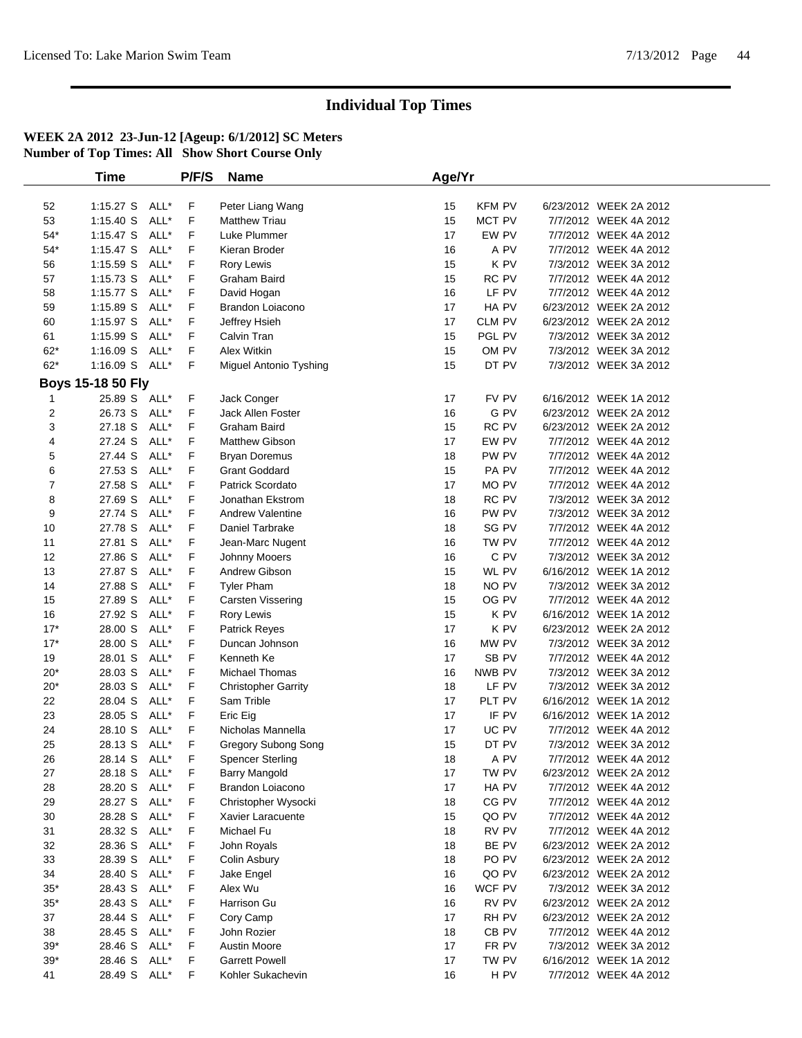|                | <b>Time</b>       |      | P/F/S | <b>Name</b>                | Age/Yr |               |                        |  |
|----------------|-------------------|------|-------|----------------------------|--------|---------------|------------------------|--|
|                |                   |      |       |                            |        |               |                        |  |
| 52             | 1:15.27 S ALL*    |      | F     | Peter Liang Wang           | 15     | <b>KFM PV</b> | 6/23/2012 WEEK 2A 2012 |  |
| 53             | 1:15.40 S         | ALL* | F     | <b>Matthew Triau</b>       | 15     | MCT PV        | 7/7/2012 WEEK 4A 2012  |  |
| $54*$          | $1:15.47$ S       | ALL* | F     | Luke Plummer               | 17     | EW PV         | 7/7/2012 WEEK 4A 2012  |  |
| $54*$          | $1:15.47$ S       | ALL* | F     | Kieran Broder              | 16     | A PV          | 7/7/2012 WEEK 4A 2012  |  |
| 56             | 1:15.59 S         | ALL* | F     | Rory Lewis                 | 15     | K PV          | 7/3/2012 WEEK 3A 2012  |  |
| 57             | $1:15.73$ S       | ALL* | F     | Graham Baird               | 15     | RC PV         | 7/7/2012 WEEK 4A 2012  |  |
| 58             | $1:15.77$ S       | ALL* | F     | David Hogan                | 16     | LF PV         | 7/7/2012 WEEK 4A 2012  |  |
| 59             | $1:15.89$ S       | ALL* | F     | Brandon Loiacono           | 17     | HA PV         | 6/23/2012 WEEK 2A 2012 |  |
| 60             | $1:15.97$ S       | ALL* | F     | Jeffrey Hsieh              | 17     | CLM PV        | 6/23/2012 WEEK 2A 2012 |  |
| 61             | 1:15.99 S         | ALL* | F     | Calvin Tran                | 15     | PGL PV        | 7/3/2012 WEEK 3A 2012  |  |
| $62*$          | $1:16.09$ S       | ALL* | F     | <b>Alex Witkin</b>         | 15     | OM PV         | 7/3/2012 WEEK 3A 2012  |  |
| $62*$          | 1:16.09 S ALL*    |      | F     | Miguel Antonio Tyshing     | 15     | DT PV         | 7/3/2012 WEEK 3A 2012  |  |
|                | Boys 15-18 50 Fly |      |       |                            |        |               |                        |  |
| -1             | 25.89 S ALL*      |      | F     | Jack Conger                | 17     | FV PV         | 6/16/2012 WEEK 1A 2012 |  |
| 2              | 26.73 S           | ALL* | F     | Jack Allen Foster          | 16     | G PV          | 6/23/2012 WEEK 2A 2012 |  |
| 3              | 27.18 S           | ALL* | F     | Graham Baird               | 15     | RC PV         | 6/23/2012 WEEK 2A 2012 |  |
| 4              | 27.24 S           | ALL* | F     | Matthew Gibson             | 17     | EW PV         | 7/7/2012 WEEK 4A 2012  |  |
| 5              | 27.44 S           | ALL* | F     | <b>Bryan Doremus</b>       | 18     | PW PV         | 7/7/2012 WEEK 4A 2012  |  |
| 6              | 27.53 S           | ALL* | F     | <b>Grant Goddard</b>       | 15     | PA PV         | 7/7/2012 WEEK 4A 2012  |  |
| $\overline{7}$ | 27.58 S           | ALL* | F     | Patrick Scordato           | 17     | MO PV         | 7/7/2012 WEEK 4A 2012  |  |
| 8              | 27.69 S           | ALL* | F     | Jonathan Ekstrom           | 18     | RC PV         | 7/3/2012 WEEK 3A 2012  |  |
| 9              | 27.74 S           | ALL* | F     | <b>Andrew Valentine</b>    | 16     | PW PV         | 7/3/2012 WEEK 3A 2012  |  |
| 10             | 27.78 S           | ALL* | F     | Daniel Tarbrake            | 18     | SG PV         | 7/7/2012 WEEK 4A 2012  |  |
| 11             | 27.81 S           | ALL* | F     | Jean-Marc Nugent           | 16     | TW PV         | 7/7/2012 WEEK 4A 2012  |  |
| 12             | 27.86 S           | ALL* | F     | Johnny Mooers              | 16     | C PV          | 7/3/2012 WEEK 3A 2012  |  |
| 13             | 27.87 S           | ALL* | F     | Andrew Gibson              | 15     | WL PV         | 6/16/2012 WEEK 1A 2012 |  |
| 14             | 27.88 S           | ALL* | F     | <b>Tyler Pham</b>          | 18     | NO PV         | 7/3/2012 WEEK 3A 2012  |  |
| 15             | 27.89 S           | ALL* | F     | <b>Carsten Vissering</b>   | 15     | OG PV         | 7/7/2012 WEEK 4A 2012  |  |
| 16             | 27.92 S           | ALL* | F     | Rory Lewis                 | 15     | K PV          | 6/16/2012 WEEK 1A 2012 |  |
| $17*$          | 28.00 S           | ALL* | F     | Patrick Reyes              | 17     | K PV          | 6/23/2012 WEEK 2A 2012 |  |
| $17*$          | 28.00 S           | ALL* | F     | Duncan Johnson             | 16     | MW PV         | 7/3/2012 WEEK 3A 2012  |  |
| 19             | 28.01 S           | ALL* | F     | Kenneth Ke                 | 17     | SB PV         | 7/7/2012 WEEK 4A 2012  |  |
| $20*$          | 28.03 S           | ALL* | F     | <b>Michael Thomas</b>      | 16     | NWB PV        | 7/3/2012 WEEK 3A 2012  |  |
| $20*$          | 28.03 S           | ALL* | F     | <b>Christopher Garrity</b> | 18     | LF PV         | 7/3/2012 WEEK 3A 2012  |  |
| 22             | 28.04 S           | ALL* | F     | Sam Trible                 | 17     | PLT PV        | 6/16/2012 WEEK 1A 2012 |  |
| 23             | 28.05 S           | ALL* | F     | Eric Eig                   | 17     | IF PV         | 6/16/2012 WEEK 1A 2012 |  |
| 24             | 28.10 S           | ALL* | F     | Nicholas Mannella          | 17     | UC PV         | 7/7/2012 WEEK 4A 2012  |  |
| 25             | 28.13 S ALL*      |      | F     | Gregory Subong Song        | 15     | DT PV         | 7/3/2012 WEEK 3A 2012  |  |
| 26             | 28.14 S ALL*      |      | F     | <b>Spencer Sterling</b>    | 18     | A PV          | 7/7/2012 WEEK 4A 2012  |  |
| 27             | 28.18 S ALL*      |      | F     | <b>Barry Mangold</b>       | 17     | TW PV         | 6/23/2012 WEEK 2A 2012 |  |
| 28             | 28.20 S ALL*      |      | F     | Brandon Loiacono           | 17     | HA PV         | 7/7/2012 WEEK 4A 2012  |  |
| 29             | 28.27 S           | ALL* | F     | Christopher Wysocki        | 18     | CG PV         | 7/7/2012 WEEK 4A 2012  |  |
| 30             | 28.28 S           | ALL* | F     | Xavier Laracuente          | 15     | QO PV         | 7/7/2012 WEEK 4A 2012  |  |
| 31             | 28.32 S           | ALL* | F     | Michael Fu                 | 18     | RV PV         | 7/7/2012 WEEK 4A 2012  |  |
| 32             | 28.36 S           | ALL* | F     | John Royals                | 18     | BE PV         | 6/23/2012 WEEK 2A 2012 |  |
| 33             | 28.39 S           | ALL* | F     | Colin Asbury               | 18     | PO PV         | 6/23/2012 WEEK 2A 2012 |  |
| 34             | 28.40 S           | ALL* | F     | Jake Engel                 | 16     | QO PV         | 6/23/2012 WEEK 2A 2012 |  |
| $35*$          | 28.43 S           | ALL* | F     | Alex Wu                    | 16     | WCF PV        | 7/3/2012 WEEK 3A 2012  |  |
| $35*$          | 28.43 S           | ALL* | F     | Harrison Gu                | 16     | RV PV         | 6/23/2012 WEEK 2A 2012 |  |
| 37             | 28.44 S           | ALL* | F     | Cory Camp                  | 17     | RH PV         | 6/23/2012 WEEK 2A 2012 |  |
| 38             | 28.45 S           | ALL* | F     | John Rozier                | 18     | CB PV         | 7/7/2012 WEEK 4A 2012  |  |
| $39*$          | 28.46 S           | ALL* | F     | Austin Moore               | 17     | FR PV         | 7/3/2012 WEEK 3A 2012  |  |
| $39*$          | 28.46 S           | ALL* | F     | <b>Garrett Powell</b>      | 17     | TW PV         | 6/16/2012 WEEK 1A 2012 |  |
| 41             | 28.49 S ALL*      |      | F     | Kohler Sukachevin          | 16     | H PV          | 7/7/2012 WEEK 4A 2012  |  |
|                |                   |      |       |                            |        |               |                        |  |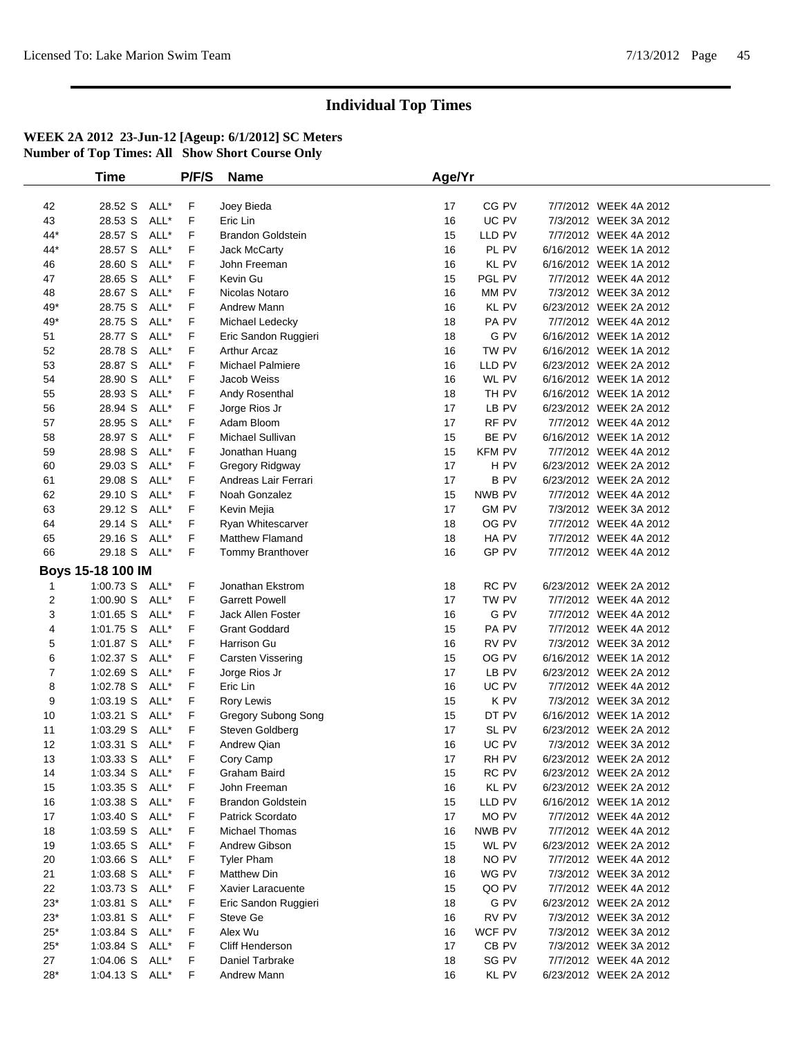|                | <b>Time</b>       |      | P/F/S | <b>Name</b>              | Age/Yr |              |                        |  |
|----------------|-------------------|------|-------|--------------------------|--------|--------------|------------------------|--|
|                |                   |      |       |                          |        |              |                        |  |
| 42             | 28.52 S ALL*      |      | F     | Joey Bieda               | 17     | CG PV        | 7/7/2012 WEEK 4A 2012  |  |
| 43             | 28.53 S           | ALL* | F     | Eric Lin                 | 16     | UC PV        | 7/3/2012 WEEK 3A 2012  |  |
| 44*            | 28.57 S           | ALL* | F     | <b>Brandon Goldstein</b> | 15     | LLD PV       | 7/7/2012 WEEK 4A 2012  |  |
| 44*            | 28.57 S           | ALL* | F     | Jack McCarty             | 16     | PL PV        | 6/16/2012 WEEK 1A 2012 |  |
| 46             | 28.60 S           | ALL* | F     | John Freeman             | 16     | KL PV        | 6/16/2012 WEEK 1A 2012 |  |
| 47             | 28.65 S           | ALL* | F     | Kevin Gu                 | 15     | PGL PV       | 7/7/2012 WEEK 4A 2012  |  |
| 48             | 28.67 S ALL*      |      | F     | Nicolas Notaro           | 16     | MM PV        | 7/3/2012 WEEK 3A 2012  |  |
| 49*            | 28.75 S           | ALL* | F     | Andrew Mann              | 16     | KL PV        | 6/23/2012 WEEK 2A 2012 |  |
| 49*            | 28.75 S           | ALL* | F     | Michael Ledecky          | 18     | PA PV        | 7/7/2012 WEEK 4A 2012  |  |
| 51             | 28.77 S           | ALL* | F     | Eric Sandon Ruggieri     | 18     | G PV         | 6/16/2012 WEEK 1A 2012 |  |
| 52             | 28.78 S           | ALL* | F     | <b>Arthur Arcaz</b>      | 16     | TW PV        | 6/16/2012 WEEK 1A 2012 |  |
| 53             | 28.87 S           | ALL* | F     | <b>Michael Palmiere</b>  | 16     | LLD PV       | 6/23/2012 WEEK 2A 2012 |  |
| 54             | 28.90 S           | ALL* | F     | Jacob Weiss              | 16     | WL PV        | 6/16/2012 WEEK 1A 2012 |  |
| 55             | 28.93 S           | ALL* | F     | Andy Rosenthal           | 18     | TH PV        | 6/16/2012 WEEK 1A 2012 |  |
| 56             | 28.94 S           | ALL* | F     | Jorge Rios Jr            | 17     | LB PV        | 6/23/2012 WEEK 2A 2012 |  |
| 57             | 28.95 S           | ALL* | F     | Adam Bloom               | 17     | RF PV        | 7/7/2012 WEEK 4A 2012  |  |
| 58             | 28.97 S ALL*      |      | F     | Michael Sullivan         | 15     | BE PV        | 6/16/2012 WEEK 1A 2012 |  |
| 59             | 28.98 S           | ALL* | F     | Jonathan Huang           | 15     | KFM PV       | 7/7/2012 WEEK 4A 2012  |  |
| 60             | 29.03 S           | ALL* | F     | Gregory Ridgway          | 17     | H PV         | 6/23/2012 WEEK 2A 2012 |  |
| 61             | 29.08 S           | ALL* | F     | Andreas Lair Ferrari     | 17     | B PV         | 6/23/2012 WEEK 2A 2012 |  |
| 62             | 29.10 S           | ALL* | F     | Noah Gonzalez            | 15     | NWB PV       | 7/7/2012 WEEK 4A 2012  |  |
| 63             | 29.12 S           | ALL* | F     | Kevin Mejia              | 17     | <b>GM PV</b> | 7/3/2012 WEEK 3A 2012  |  |
| 64             | 29.14 S           | ALL* | F     | Ryan Whitescarver        | 18     | OG PV        | 7/7/2012 WEEK 4A 2012  |  |
| 65             | 29.16 S ALL*      |      | F     | Matthew Flamand          | 18     | HA PV        | 7/7/2012 WEEK 4A 2012  |  |
| 66             | 29.18 S ALL*      |      | F     | Tommy Branthover         | 16     | GP PV        | 7/7/2012 WEEK 4A 2012  |  |
|                |                   |      |       |                          |        |              |                        |  |
|                | Boys 15-18 100 IM |      |       |                          |        |              |                        |  |
| 1              | 1:00.73 S ALL*    |      | F     | Jonathan Ekstrom         | 18     | RC PV        | 6/23/2012 WEEK 2A 2012 |  |
| $\overline{2}$ | 1:00.90 S ALL*    |      | F     | <b>Garrett Powell</b>    | 17     | TW PV        | 7/7/2012 WEEK 4A 2012  |  |
| 3              | 1:01.65 S ALL*    |      | F     | Jack Allen Foster        | 16     | G PV         | 7/7/2012 WEEK 4A 2012  |  |
| 4              | 1:01.75 S ALL*    |      | F     | <b>Grant Goddard</b>     | 15     | PA PV        | 7/7/2012 WEEK 4A 2012  |  |
| 5              | 1:01.87 S ALL*    |      | F     | Harrison Gu              | 16     | RV PV        | 7/3/2012 WEEK 3A 2012  |  |
| 6              | 1:02.37 S ALL*    |      | F     | Carsten Vissering        | 15     | OG PV        | 6/16/2012 WEEK 1A 2012 |  |
| 7              | $1:02.69$ S       | ALL* | F     | Jorge Rios Jr            | 17     | LB PV        | 6/23/2012 WEEK 2A 2012 |  |
| 8              | 1:02.78 S ALL*    |      | F     | Eric Lin                 | 16     | UC PV        | 7/7/2012 WEEK 4A 2012  |  |
| 9              | 1:03.19 S ALL*    |      | F     | Rory Lewis               | 15     | K PV         | 7/3/2012 WEEK 3A 2012  |  |
| 10             | $1:03.21$ S       | ALL* | F     | Gregory Subong Song      | 15     | DT PV        | 6/16/2012 WEEK 1A 2012 |  |
| 11             | $1:03.29$ S       | ALL* | F     | Steven Goldberg          | 17     | SL PV        | 6/23/2012 WEEK 2A 2012 |  |
| 12             | 1:03.31 S ALL*    |      | F     | Andrew Qian              | 16     | UC PV        | 7/3/2012 WEEK 3A 2012  |  |
| 13             | 1:03.33 S ALL*    |      | F     | Cory Camp                | 17     | RH PV        | 6/23/2012 WEEK 2A 2012 |  |
| 14             | 1:03.34 S ALL*    |      | F     | Graham Baird             | 15     | RC PV        | 6/23/2012 WEEK 2A 2012 |  |
| 15             | 1:03.35 S ALL*    |      | F.    | John Freeman             | 16     | KL PV        | 6/23/2012 WEEK 2A 2012 |  |
| 16             | 1:03.38 S ALL*    |      | F.    | <b>Brandon Goldstein</b> | 15     | LLD PV       | 6/16/2012 WEEK 1A 2012 |  |
| 17             | 1:03.40 S ALL*    |      | F.    | Patrick Scordato         | 17     | MO PV        | 7/7/2012 WEEK 4A 2012  |  |
| 18             | 1:03.59 S ALL*    |      | F     | Michael Thomas           | 16     | NWB PV       | 7/7/2012 WEEK 4A 2012  |  |
| 19             | 1:03.65 S ALL*    |      | F     | Andrew Gibson            | 15     | WL PV        | 6/23/2012 WEEK 2A 2012 |  |
| 20             | 1:03.66 S ALL*    |      | F     | <b>Tyler Pham</b>        | 18     | NO PV        | 7/7/2012 WEEK 4A 2012  |  |
| 21             | 1:03.68 S ALL*    |      | F     | <b>Matthew Din</b>       | 16     | WG PV        | 7/3/2012 WEEK 3A 2012  |  |
| 22             | 1:03.73 S ALL*    |      | F     | Xavier Laracuente        | 15     | QO PV        | 7/7/2012 WEEK 4A 2012  |  |
| $23*$          | 1:03.81 S ALL*    |      | F     | Eric Sandon Ruggieri     | 18     | G PV         | 6/23/2012 WEEK 2A 2012 |  |
| $23*$          | 1:03.81 S ALL*    |      | F     | Steve Ge                 | 16     | RV PV        | 7/3/2012 WEEK 3A 2012  |  |
| $25^{\ast}$    | 1:03.84 S ALL*    |      | F     | Alex Wu                  | 16     | WCF PV       | 7/3/2012 WEEK 3A 2012  |  |
| $25*$          | 1:03.84 S ALL*    |      | F     | Cliff Henderson          | 17     | CB PV        | 7/3/2012 WEEK 3A 2012  |  |
| 27             | 1:04.06 S ALL*    |      | F     | Daniel Tarbrake          | 18     | SG PV        | 7/7/2012 WEEK 4A 2012  |  |
| $28*$          | 1:04.13 S ALL*    |      | F.    | Andrew Mann              | 16     | KL PV        | 6/23/2012 WEEK 2A 2012 |  |
|                |                   |      |       |                          |        |              |                        |  |